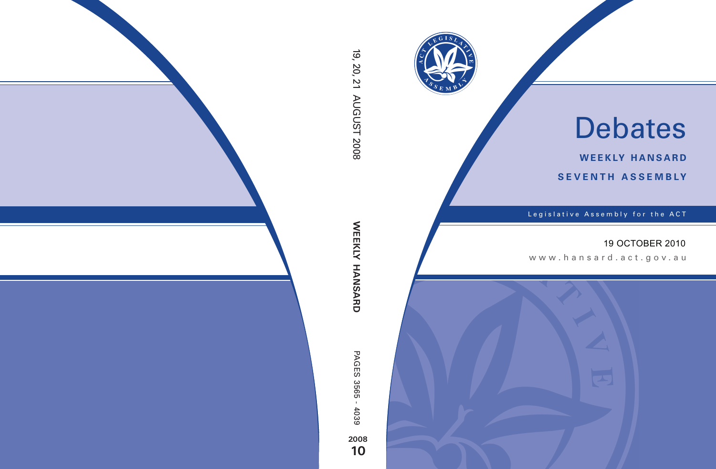

# Debates

**weekly hansard seventh asseMBly**

Legislative Assembly for the ACT

## 19 OCTOBER 2010

www.hansard.act.gov.au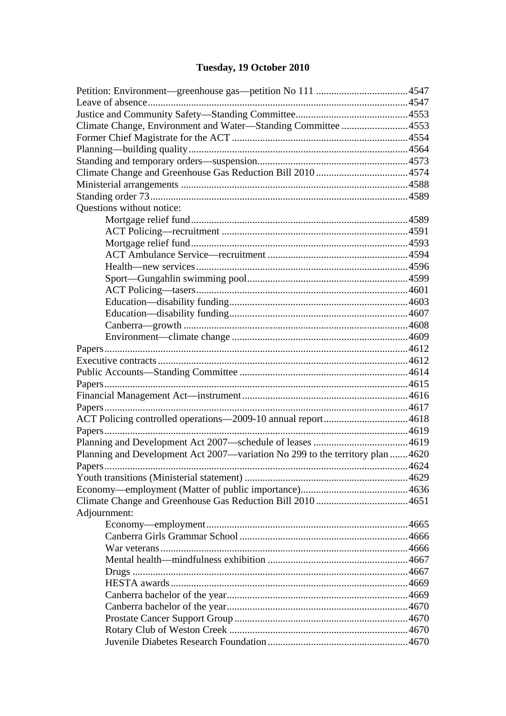# Tuesday, 19 October 2010

| Climate Change, Environment and Water—Standing Committee 4553                  |  |
|--------------------------------------------------------------------------------|--|
|                                                                                |  |
|                                                                                |  |
|                                                                                |  |
|                                                                                |  |
|                                                                                |  |
|                                                                                |  |
| Questions without notice:                                                      |  |
|                                                                                |  |
|                                                                                |  |
|                                                                                |  |
|                                                                                |  |
|                                                                                |  |
|                                                                                |  |
|                                                                                |  |
|                                                                                |  |
|                                                                                |  |
|                                                                                |  |
|                                                                                |  |
|                                                                                |  |
|                                                                                |  |
|                                                                                |  |
|                                                                                |  |
|                                                                                |  |
|                                                                                |  |
|                                                                                |  |
|                                                                                |  |
|                                                                                |  |
| Planning and Development Act 2007—variation No 299 to the territory plan  4620 |  |
|                                                                                |  |
|                                                                                |  |
|                                                                                |  |
|                                                                                |  |
| Adjournment:                                                                   |  |
|                                                                                |  |
|                                                                                |  |
|                                                                                |  |
|                                                                                |  |
|                                                                                |  |
|                                                                                |  |
|                                                                                |  |
|                                                                                |  |
|                                                                                |  |
|                                                                                |  |
|                                                                                |  |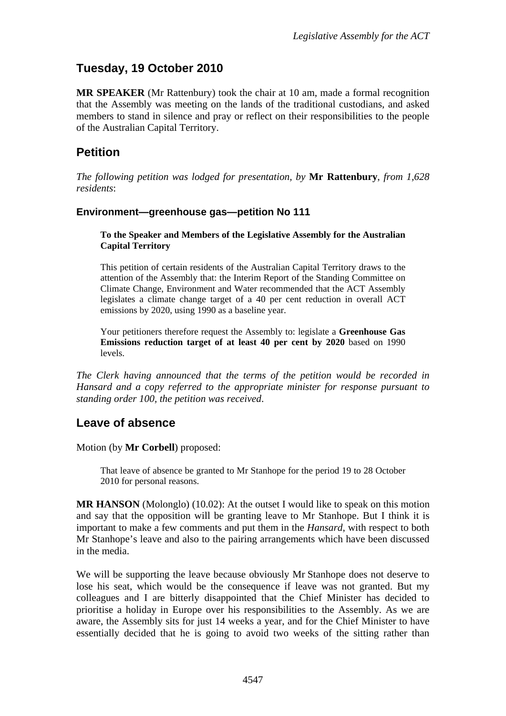# <span id="page-2-0"></span>**Tuesday, 19 October 2010**

**MR SPEAKER** (Mr Rattenbury) took the chair at 10 am, made a formal recognition that the Assembly was meeting on the lands of the traditional custodians, and asked members to stand in silence and pray or reflect on their responsibilities to the people of the Australian Capital Territory.

## <span id="page-2-1"></span>**Petition**

*The following petition was lodged for presentation, by* **Mr Rattenbury**, *from 1,628 residents*:

#### **Environment—greenhouse gas—petition No 111**

#### **To the Speaker and Members of the Legislative Assembly for the Australian Capital Territory**

This petition of certain residents of the Australian Capital Territory draws to the attention of the Assembly that: the Interim Report of the Standing Committee on Climate Change, Environment and Water recommended that the ACT Assembly legislates a climate change target of a 40 per cent reduction in overall ACT emissions by 2020, using 1990 as a baseline year.

Your petitioners therefore request the Assembly to: legislate a **Greenhouse Gas Emissions reduction target of at least 40 per cent by 2020** based on 1990 levels.

*The Clerk having announced that the terms of the petition would be recorded in Hansard and a copy referred to the appropriate minister for response pursuant to standing order 100, the petition was received*.

## <span id="page-2-2"></span>**Leave of absence**

Motion (by **Mr Corbell**) proposed:

That leave of absence be granted to Mr Stanhope for the period 19 to 28 October 2010 for personal reasons.

**MR HANSON** (Molonglo) (10.02): At the outset I would like to speak on this motion and say that the opposition will be granting leave to Mr Stanhope. But I think it is important to make a few comments and put them in the *Hansard*, with respect to both Mr Stanhope's leave and also to the pairing arrangements which have been discussed in the media.

We will be supporting the leave because obviously Mr Stanhope does not deserve to lose his seat, which would be the consequence if leave was not granted. But my colleagues and I are bitterly disappointed that the Chief Minister has decided to prioritise a holiday in Europe over his responsibilities to the Assembly. As we are aware, the Assembly sits for just 14 weeks a year, and for the Chief Minister to have essentially decided that he is going to avoid two weeks of the sitting rather than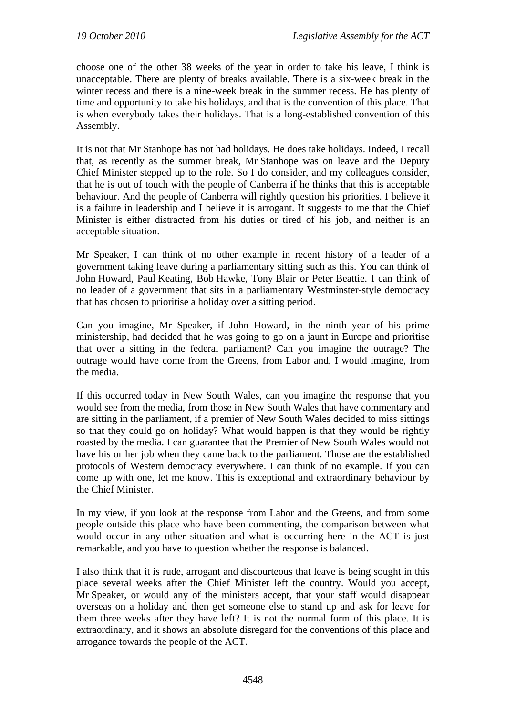choose one of the other 38 weeks of the year in order to take his leave, I think is unacceptable. There are plenty of breaks available. There is a six-week break in the winter recess and there is a nine-week break in the summer recess. He has plenty of time and opportunity to take his holidays, and that is the convention of this place. That is when everybody takes their holidays. That is a long-established convention of this Assembly.

It is not that Mr Stanhope has not had holidays. He does take holidays. Indeed, I recall that, as recently as the summer break, Mr Stanhope was on leave and the Deputy Chief Minister stepped up to the role. So I do consider, and my colleagues consider, that he is out of touch with the people of Canberra if he thinks that this is acceptable behaviour. And the people of Canberra will rightly question his priorities. I believe it is a failure in leadership and I believe it is arrogant. It suggests to me that the Chief Minister is either distracted from his duties or tired of his job, and neither is an acceptable situation.

Mr Speaker, I can think of no other example in recent history of a leader of a government taking leave during a parliamentary sitting such as this. You can think of John Howard, Paul Keating, Bob Hawke, Tony Blair or Peter Beattie. I can think of no leader of a government that sits in a parliamentary Westminster-style democracy that has chosen to prioritise a holiday over a sitting period.

Can you imagine, Mr Speaker, if John Howard, in the ninth year of his prime ministership, had decided that he was going to go on a jaunt in Europe and prioritise that over a sitting in the federal parliament? Can you imagine the outrage? The outrage would have come from the Greens, from Labor and, I would imagine, from the media.

If this occurred today in New South Wales, can you imagine the response that you would see from the media, from those in New South Wales that have commentary and are sitting in the parliament, if a premier of New South Wales decided to miss sittings so that they could go on holiday? What would happen is that they would be rightly roasted by the media. I can guarantee that the Premier of New South Wales would not have his or her job when they came back to the parliament. Those are the established protocols of Western democracy everywhere. I can think of no example. If you can come up with one, let me know. This is exceptional and extraordinary behaviour by the Chief Minister.

In my view, if you look at the response from Labor and the Greens, and from some people outside this place who have been commenting, the comparison between what would occur in any other situation and what is occurring here in the ACT is just remarkable, and you have to question whether the response is balanced.

I also think that it is rude, arrogant and discourteous that leave is being sought in this place several weeks after the Chief Minister left the country. Would you accept, Mr Speaker, or would any of the ministers accept, that your staff would disappear overseas on a holiday and then get someone else to stand up and ask for leave for them three weeks after they have left? It is not the normal form of this place. It is extraordinary, and it shows an absolute disregard for the conventions of this place and arrogance towards the people of the ACT.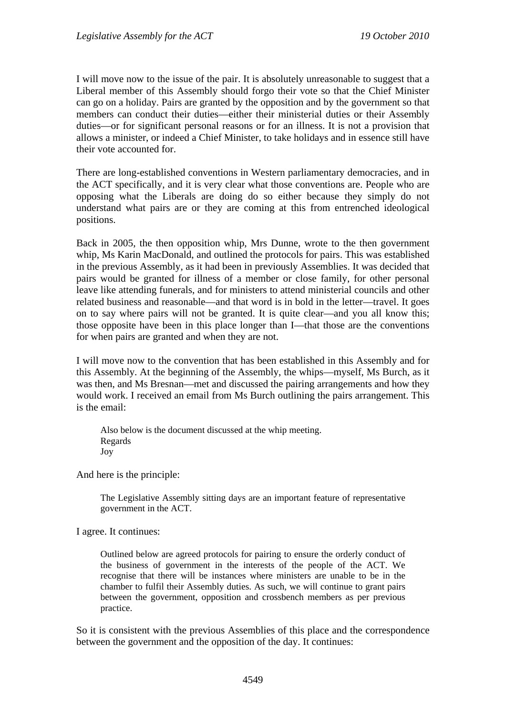I will move now to the issue of the pair. It is absolutely unreasonable to suggest that a Liberal member of this Assembly should forgo their vote so that the Chief Minister can go on a holiday. Pairs are granted by the opposition and by the government so that members can conduct their duties—either their ministerial duties or their Assembly duties—or for significant personal reasons or for an illness. It is not a provision that allows a minister, or indeed a Chief Minister, to take holidays and in essence still have their vote accounted for.

There are long-established conventions in Western parliamentary democracies, and in the ACT specifically, and it is very clear what those conventions are. People who are opposing what the Liberals are doing do so either because they simply do not understand what pairs are or they are coming at this from entrenched ideological positions.

Back in 2005, the then opposition whip, Mrs Dunne, wrote to the then government whip, Ms Karin MacDonald, and outlined the protocols for pairs. This was established in the previous Assembly, as it had been in previously Assemblies. It was decided that pairs would be granted for illness of a member or close family, for other personal leave like attending funerals, and for ministers to attend ministerial councils and other related business and reasonable—and that word is in bold in the letter—travel. It goes on to say where pairs will not be granted. It is quite clear—and you all know this; those opposite have been in this place longer than I—that those are the conventions for when pairs are granted and when they are not.

I will move now to the convention that has been established in this Assembly and for this Assembly. At the beginning of the Assembly, the whips—myself, Ms Burch, as it was then, and Ms Bresnan—met and discussed the pairing arrangements and how they would work. I received an email from Ms Burch outlining the pairs arrangement. This is the email:

Also below is the document discussed at the whip meeting. Regards Joy

And here is the principle:

The Legislative Assembly sitting days are an important feature of representative government in the ACT.

I agree. It continues:

Outlined below are agreed protocols for pairing to ensure the orderly conduct of the business of government in the interests of the people of the ACT. We recognise that there will be instances where ministers are unable to be in the chamber to fulfil their Assembly duties. As such, we will continue to grant pairs between the government, opposition and crossbench members as per previous practice.

So it is consistent with the previous Assemblies of this place and the correspondence between the government and the opposition of the day. It continues: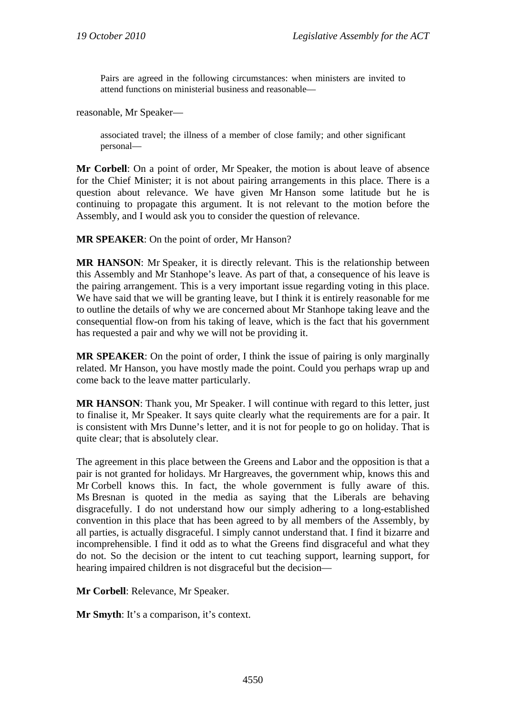Pairs are agreed in the following circumstances: when ministers are invited to attend functions on ministerial business and reasonable—

reasonable, Mr Speaker—

associated travel; the illness of a member of close family; and other significant personal—

**Mr Corbell**: On a point of order, Mr Speaker, the motion is about leave of absence for the Chief Minister; it is not about pairing arrangements in this place. There is a question about relevance. We have given Mr Hanson some latitude but he is continuing to propagate this argument. It is not relevant to the motion before the Assembly, and I would ask you to consider the question of relevance.

**MR SPEAKER**: On the point of order, Mr Hanson?

**MR HANSON**: Mr Speaker, it is directly relevant. This is the relationship between this Assembly and Mr Stanhope's leave. As part of that, a consequence of his leave is the pairing arrangement. This is a very important issue regarding voting in this place. We have said that we will be granting leave, but I think it is entirely reasonable for me to outline the details of why we are concerned about Mr Stanhope taking leave and the consequential flow-on from his taking of leave, which is the fact that his government has requested a pair and why we will not be providing it.

**MR SPEAKER**: On the point of order, I think the issue of pairing is only marginally related. Mr Hanson, you have mostly made the point. Could you perhaps wrap up and come back to the leave matter particularly.

**MR HANSON**: Thank you, Mr Speaker. I will continue with regard to this letter, just to finalise it, Mr Speaker. It says quite clearly what the requirements are for a pair. It is consistent with Mrs Dunne's letter, and it is not for people to go on holiday. That is quite clear; that is absolutely clear.

The agreement in this place between the Greens and Labor and the opposition is that a pair is not granted for holidays. Mr Hargreaves, the government whip, knows this and Mr Corbell knows this. In fact, the whole government is fully aware of this. Ms Bresnan is quoted in the media as saying that the Liberals are behaving disgracefully. I do not understand how our simply adhering to a long-established convention in this place that has been agreed to by all members of the Assembly, by all parties, is actually disgraceful. I simply cannot understand that. I find it bizarre and incomprehensible. I find it odd as to what the Greens find disgraceful and what they do not. So the decision or the intent to cut teaching support, learning support, for hearing impaired children is not disgraceful but the decision—

**Mr Corbell**: Relevance, Mr Speaker.

**Mr Smyth**: It's a comparison, it's context.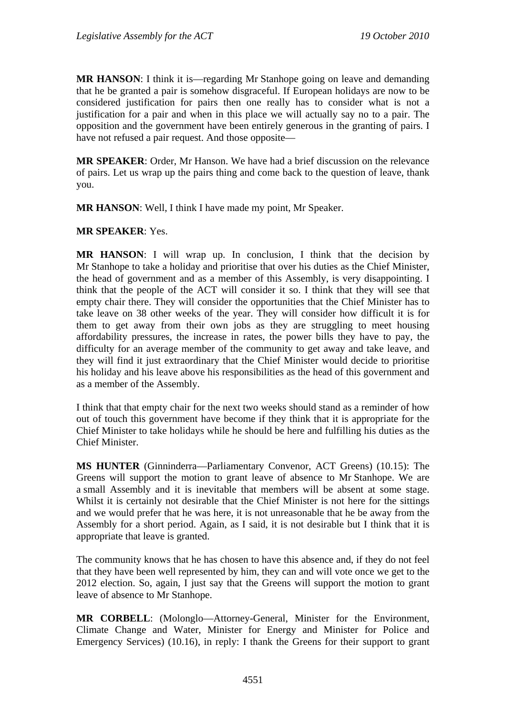**MR HANSON:** I think it is—regarding Mr Stanhope going on leave and demanding that he be granted a pair is somehow disgraceful. If European holidays are now to be considered justification for pairs then one really has to consider what is not a justification for a pair and when in this place we will actually say no to a pair. The opposition and the government have been entirely generous in the granting of pairs. I have not refused a pair request. And those opposite—

**MR SPEAKER**: Order, Mr Hanson. We have had a brief discussion on the relevance of pairs. Let us wrap up the pairs thing and come back to the question of leave, thank you.

**MR HANSON**: Well, I think I have made my point, Mr Speaker.

#### **MR SPEAKER**: Yes.

**MR HANSON**: I will wrap up. In conclusion, I think that the decision by Mr Stanhope to take a holiday and prioritise that over his duties as the Chief Minister, the head of government and as a member of this Assembly, is very disappointing. I think that the people of the ACT will consider it so. I think that they will see that empty chair there. They will consider the opportunities that the Chief Minister has to take leave on 38 other weeks of the year. They will consider how difficult it is for them to get away from their own jobs as they are struggling to meet housing affordability pressures, the increase in rates, the power bills they have to pay, the difficulty for an average member of the community to get away and take leave, and they will find it just extraordinary that the Chief Minister would decide to prioritise his holiday and his leave above his responsibilities as the head of this government and as a member of the Assembly.

I think that that empty chair for the next two weeks should stand as a reminder of how out of touch this government have become if they think that it is appropriate for the Chief Minister to take holidays while he should be here and fulfilling his duties as the Chief Minister.

**MS HUNTER** (Ginninderra—Parliamentary Convenor, ACT Greens) (10.15): The Greens will support the motion to grant leave of absence to Mr Stanhope. We are a small Assembly and it is inevitable that members will be absent at some stage. Whilst it is certainly not desirable that the Chief Minister is not here for the sittings and we would prefer that he was here, it is not unreasonable that he be away from the Assembly for a short period. Again, as I said, it is not desirable but I think that it is appropriate that leave is granted.

The community knows that he has chosen to have this absence and, if they do not feel that they have been well represented by him, they can and will vote once we get to the 2012 election. So, again, I just say that the Greens will support the motion to grant leave of absence to Mr Stanhope.

**MR CORBELL**: (Molonglo—Attorney-General, Minister for the Environment, Climate Change and Water, Minister for Energy and Minister for Police and Emergency Services) (10.16), in reply: I thank the Greens for their support to grant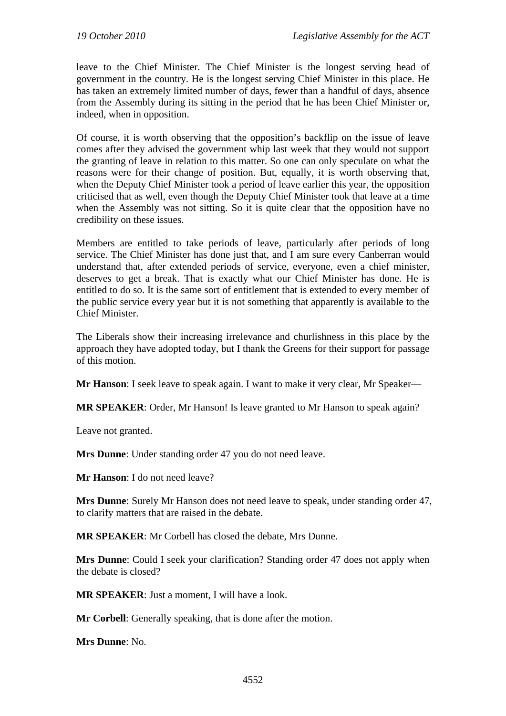leave to the Chief Minister. The Chief Minister is the longest serving head of government in the country. He is the longest serving Chief Minister in this place. He has taken an extremely limited number of days, fewer than a handful of days, absence from the Assembly during its sitting in the period that he has been Chief Minister or, indeed, when in opposition.

Of course, it is worth observing that the opposition's backflip on the issue of leave comes after they advised the government whip last week that they would not support the granting of leave in relation to this matter. So one can only speculate on what the reasons were for their change of position. But, equally, it is worth observing that, when the Deputy Chief Minister took a period of leave earlier this year, the opposition criticised that as well, even though the Deputy Chief Minister took that leave at a time when the Assembly was not sitting. So it is quite clear that the opposition have no credibility on these issues.

Members are entitled to take periods of leave, particularly after periods of long service. The Chief Minister has done just that, and I am sure every Canberran would understand that, after extended periods of service, everyone, even a chief minister, deserves to get a break. That is exactly what our Chief Minister has done. He is entitled to do so. It is the same sort of entitlement that is extended to every member of the public service every year but it is not something that apparently is available to the Chief Minister.

The Liberals show their increasing irrelevance and churlishness in this place by the approach they have adopted today, but I thank the Greens for their support for passage of this motion.

**Mr Hanson**: I seek leave to speak again. I want to make it very clear, Mr Speaker—

**MR SPEAKER**: Order, Mr Hanson! Is leave granted to Mr Hanson to speak again?

Leave not granted.

**Mrs Dunne**: Under standing order 47 you do not need leave.

**Mr Hanson**: I do not need leave?

**Mrs Dunne**: Surely Mr Hanson does not need leave to speak, under standing order 47, to clarify matters that are raised in the debate.

**MR SPEAKER**: Mr Corbell has closed the debate, Mrs Dunne.

**Mrs Dunne**: Could I seek your clarification? Standing order 47 does not apply when the debate is closed?

**MR SPEAKER**: Just a moment, I will have a look.

**Mr Corbell**: Generally speaking, that is done after the motion.

**Mrs Dunne**: No.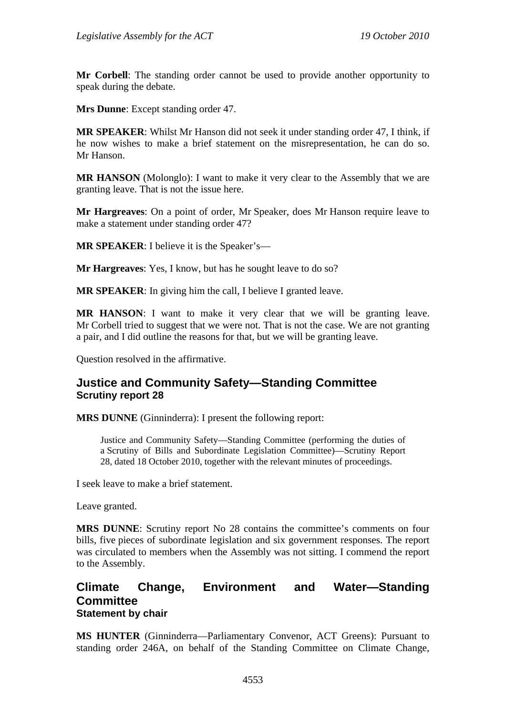**Mr Corbell**: The standing order cannot be used to provide another opportunity to speak during the debate.

**Mrs Dunne**: Except standing order 47.

**MR SPEAKER**: Whilst Mr Hanson did not seek it under standing order 47, I think, if he now wishes to make a brief statement on the misrepresentation, he can do so. Mr Hanson.

**MR HANSON** (Molonglo): I want to make it very clear to the Assembly that we are granting leave. That is not the issue here.

**Mr Hargreaves**: On a point of order, Mr Speaker, does Mr Hanson require leave to make a statement under standing order 47?

**MR SPEAKER**: I believe it is the Speaker's—

**Mr Hargreaves**: Yes, I know, but has he sought leave to do so?

**MR SPEAKER**: In giving him the call, I believe I granted leave.

**MR HANSON**: I want to make it very clear that we will be granting leave. Mr Corbell tried to suggest that we were not. That is not the case. We are not granting a pair, and I did outline the reasons for that, but we will be granting leave.

Question resolved in the affirmative.

## <span id="page-8-0"></span>**Justice and Community Safety—Standing Committee Scrutiny report 28**

**MRS DUNNE** (Ginninderra): I present the following report:

Justice and Community Safety—Standing Committee (performing the duties of a Scrutiny of Bills and Subordinate Legislation Committee)—Scrutiny Report 28*,* dated 18 October 2010, together with the relevant minutes of proceedings.

I seek leave to make a brief statement.

Leave granted.

**MRS DUNNE**: Scrutiny report No 28 contains the committee's comments on four bills, five pieces of subordinate legislation and six government responses. The report was circulated to members when the Assembly was not sitting. I commend the report to the Assembly.

## <span id="page-8-1"></span>**Climate Change, Environment and Water—Standing Committee Statement by chair**

**MS HUNTER** (Ginninderra—Parliamentary Convenor, ACT Greens): Pursuant to standing order 246A, on behalf of the Standing Committee on Climate Change,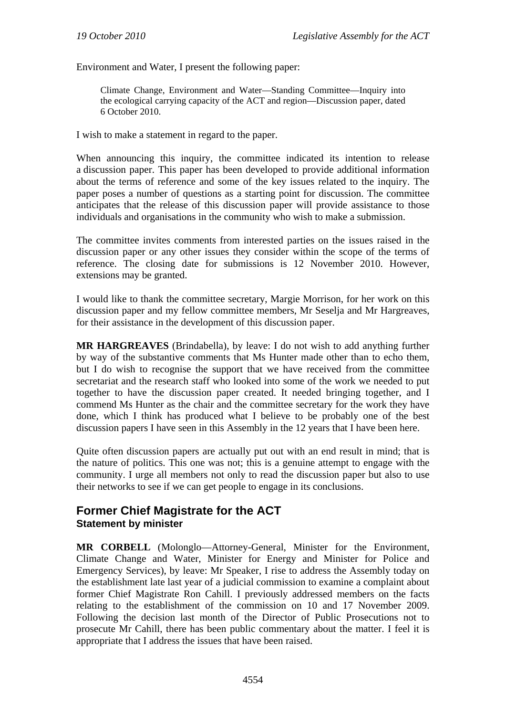Environment and Water, I present the following paper:

Climate Change, Environment and Water—Standing Committee—Inquiry into the ecological carrying capacity of the ACT and region—Discussion paper, dated 6 October 2010.

I wish to make a statement in regard to the paper.

When announcing this inquiry, the committee indicated its intention to release a discussion paper. This paper has been developed to provide additional information about the terms of reference and some of the key issues related to the inquiry. The paper poses a number of questions as a starting point for discussion. The committee anticipates that the release of this discussion paper will provide assistance to those individuals and organisations in the community who wish to make a submission.

The committee invites comments from interested parties on the issues raised in the discussion paper or any other issues they consider within the scope of the terms of reference. The closing date for submissions is 12 November 2010. However, extensions may be granted.

I would like to thank the committee secretary, Margie Morrison, for her work on this discussion paper and my fellow committee members, Mr Seselja and Mr Hargreaves, for their assistance in the development of this discussion paper.

**MR HARGREAVES** (Brindabella), by leave: I do not wish to add anything further by way of the substantive comments that Ms Hunter made other than to echo them, but I do wish to recognise the support that we have received from the committee secretariat and the research staff who looked into some of the work we needed to put together to have the discussion paper created. It needed bringing together, and I commend Ms Hunter as the chair and the committee secretary for the work they have done, which I think has produced what I believe to be probably one of the best discussion papers I have seen in this Assembly in the 12 years that I have been here.

Quite often discussion papers are actually put out with an end result in mind; that is the nature of politics. This one was not; this is a genuine attempt to engage with the community. I urge all members not only to read the discussion paper but also to use their networks to see if we can get people to engage in its conclusions.

## <span id="page-9-0"></span>**Former Chief Magistrate for the ACT Statement by minister**

**MR CORBELL** (Molonglo—Attorney-General, Minister for the Environment, Climate Change and Water, Minister for Energy and Minister for Police and Emergency Services), by leave: Mr Speaker, I rise to address the Assembly today on the establishment late last year of a judicial commission to examine a complaint about former Chief Magistrate Ron Cahill. I previously addressed members on the facts relating to the establishment of the commission on 10 and 17 November 2009. Following the decision last month of the Director of Public Prosecutions not to prosecute Mr Cahill, there has been public commentary about the matter. I feel it is appropriate that I address the issues that have been raised.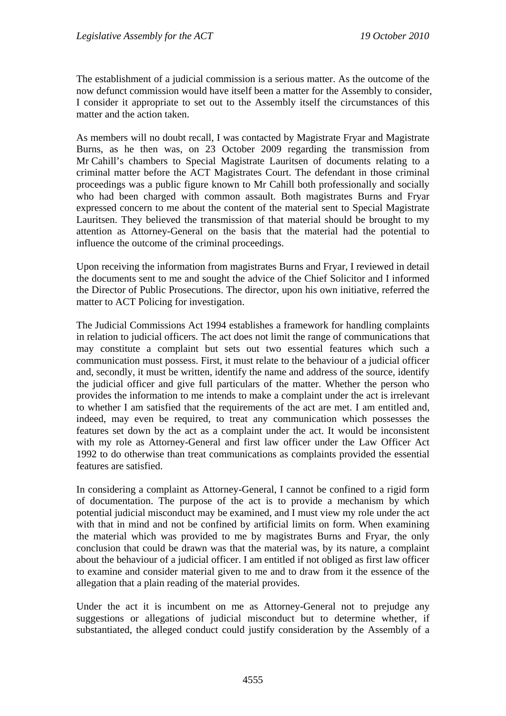The establishment of a judicial commission is a serious matter. As the outcome of the now defunct commission would have itself been a matter for the Assembly to consider, I consider it appropriate to set out to the Assembly itself the circumstances of this matter and the action taken.

As members will no doubt recall, I was contacted by Magistrate Fryar and Magistrate Burns, as he then was, on 23 October 2009 regarding the transmission from Mr Cahill's chambers to Special Magistrate Lauritsen of documents relating to a criminal matter before the ACT Magistrates Court. The defendant in those criminal proceedings was a public figure known to Mr Cahill both professionally and socially who had been charged with common assault. Both magistrates Burns and Fryar expressed concern to me about the content of the material sent to Special Magistrate Lauritsen. They believed the transmission of that material should be brought to my attention as Attorney-General on the basis that the material had the potential to influence the outcome of the criminal proceedings.

Upon receiving the information from magistrates Burns and Fryar, I reviewed in detail the documents sent to me and sought the advice of the Chief Solicitor and I informed the Director of Public Prosecutions. The director, upon his own initiative, referred the matter to ACT Policing for investigation.

The Judicial Commissions Act 1994 establishes a framework for handling complaints in relation to judicial officers. The act does not limit the range of communications that may constitute a complaint but sets out two essential features which such a communication must possess. First, it must relate to the behaviour of a judicial officer and, secondly, it must be written, identify the name and address of the source, identify the judicial officer and give full particulars of the matter. Whether the person who provides the information to me intends to make a complaint under the act is irrelevant to whether I am satisfied that the requirements of the act are met. I am entitled and, indeed, may even be required, to treat any communication which possesses the features set down by the act as a complaint under the act. It would be inconsistent with my role as Attorney-General and first law officer under the Law Officer Act 1992 to do otherwise than treat communications as complaints provided the essential features are satisfied.

In considering a complaint as Attorney-General, I cannot be confined to a rigid form of documentation. The purpose of the act is to provide a mechanism by which potential judicial misconduct may be examined, and I must view my role under the act with that in mind and not be confined by artificial limits on form. When examining the material which was provided to me by magistrates Burns and Fryar, the only conclusion that could be drawn was that the material was, by its nature, a complaint about the behaviour of a judicial officer. I am entitled if not obliged as first law officer to examine and consider material given to me and to draw from it the essence of the allegation that a plain reading of the material provides.

Under the act it is incumbent on me as Attorney-General not to prejudge any suggestions or allegations of judicial misconduct but to determine whether, if substantiated, the alleged conduct could justify consideration by the Assembly of a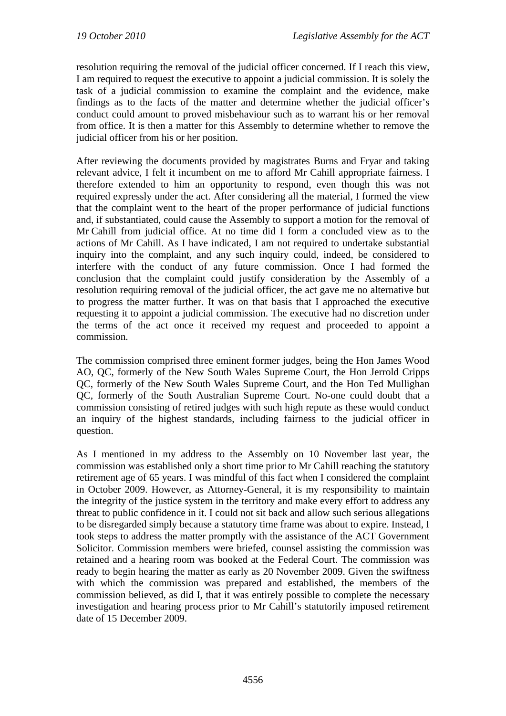resolution requiring the removal of the judicial officer concerned. If I reach this view, I am required to request the executive to appoint a judicial commission. It is solely the task of a judicial commission to examine the complaint and the evidence, make findings as to the facts of the matter and determine whether the judicial officer's conduct could amount to proved misbehaviour such as to warrant his or her removal from office. It is then a matter for this Assembly to determine whether to remove the judicial officer from his or her position.

After reviewing the documents provided by magistrates Burns and Fryar and taking relevant advice, I felt it incumbent on me to afford Mr Cahill appropriate fairness. I therefore extended to him an opportunity to respond, even though this was not required expressly under the act. After considering all the material, I formed the view that the complaint went to the heart of the proper performance of judicial functions and, if substantiated, could cause the Assembly to support a motion for the removal of Mr Cahill from judicial office. At no time did I form a concluded view as to the actions of Mr Cahill. As I have indicated, I am not required to undertake substantial inquiry into the complaint, and any such inquiry could, indeed, be considered to interfere with the conduct of any future commission. Once I had formed the conclusion that the complaint could justify consideration by the Assembly of a resolution requiring removal of the judicial officer, the act gave me no alternative but to progress the matter further. It was on that basis that I approached the executive requesting it to appoint a judicial commission. The executive had no discretion under the terms of the act once it received my request and proceeded to appoint a commission.

The commission comprised three eminent former judges, being the Hon James Wood AO, QC, formerly of the New South Wales Supreme Court, the Hon Jerrold Cripps QC, formerly of the New South Wales Supreme Court, and the Hon Ted Mullighan QC, formerly of the South Australian Supreme Court. No-one could doubt that a commission consisting of retired judges with such high repute as these would conduct an inquiry of the highest standards, including fairness to the judicial officer in question.

As I mentioned in my address to the Assembly on 10 November last year, the commission was established only a short time prior to Mr Cahill reaching the statutory retirement age of 65 years. I was mindful of this fact when I considered the complaint in October 2009. However, as Attorney-General, it is my responsibility to maintain the integrity of the justice system in the territory and make every effort to address any threat to public confidence in it. I could not sit back and allow such serious allegations to be disregarded simply because a statutory time frame was about to expire. Instead, I took steps to address the matter promptly with the assistance of the ACT Government Solicitor. Commission members were briefed, counsel assisting the commission was retained and a hearing room was booked at the Federal Court. The commission was ready to begin hearing the matter as early as 20 November 2009. Given the swiftness with which the commission was prepared and established, the members of the commission believed, as did I, that it was entirely possible to complete the necessary investigation and hearing process prior to Mr Cahill's statutorily imposed retirement date of 15 December 2009.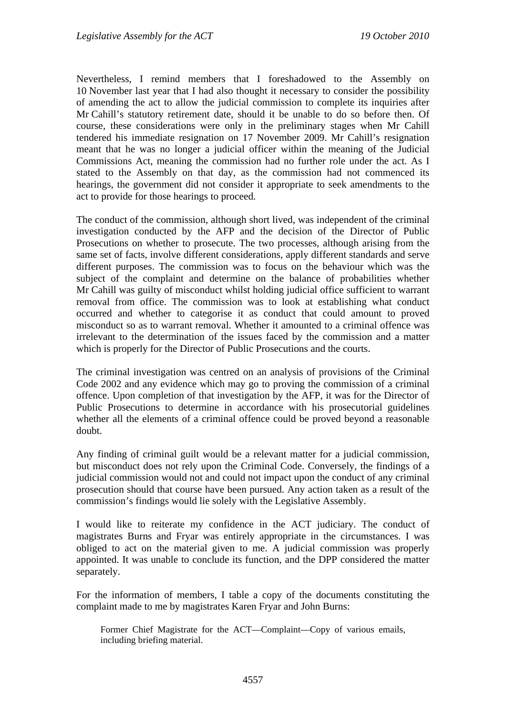Nevertheless, I remind members that I foreshadowed to the Assembly on 10 November last year that I had also thought it necessary to consider the possibility of amending the act to allow the judicial commission to complete its inquiries after Mr Cahill's statutory retirement date, should it be unable to do so before then. Of course, these considerations were only in the preliminary stages when Mr Cahill tendered his immediate resignation on 17 November 2009. Mr Cahill's resignation meant that he was no longer a judicial officer within the meaning of the Judicial Commissions Act, meaning the commission had no further role under the act. As I stated to the Assembly on that day, as the commission had not commenced its hearings, the government did not consider it appropriate to seek amendments to the act to provide for those hearings to proceed.

The conduct of the commission, although short lived, was independent of the criminal investigation conducted by the AFP and the decision of the Director of Public Prosecutions on whether to prosecute. The two processes, although arising from the same set of facts, involve different considerations, apply different standards and serve different purposes. The commission was to focus on the behaviour which was the subject of the complaint and determine on the balance of probabilities whether Mr Cahill was guilty of misconduct whilst holding judicial office sufficient to warrant removal from office. The commission was to look at establishing what conduct occurred and whether to categorise it as conduct that could amount to proved misconduct so as to warrant removal. Whether it amounted to a criminal offence was irrelevant to the determination of the issues faced by the commission and a matter which is properly for the Director of Public Prosecutions and the courts.

The criminal investigation was centred on an analysis of provisions of the Criminal Code 2002 and any evidence which may go to proving the commission of a criminal offence. Upon completion of that investigation by the AFP, it was for the Director of Public Prosecutions to determine in accordance with his prosecutorial guidelines whether all the elements of a criminal offence could be proved beyond a reasonable doubt.

Any finding of criminal guilt would be a relevant matter for a judicial commission, but misconduct does not rely upon the Criminal Code. Conversely, the findings of a judicial commission would not and could not impact upon the conduct of any criminal prosecution should that course have been pursued. Any action taken as a result of the commission's findings would lie solely with the Legislative Assembly.

I would like to reiterate my confidence in the ACT judiciary. The conduct of magistrates Burns and Fryar was entirely appropriate in the circumstances. I was obliged to act on the material given to me. A judicial commission was properly appointed. It was unable to conclude its function, and the DPP considered the matter separately.

For the information of members, I table a copy of the documents constituting the complaint made to me by magistrates Karen Fryar and John Burns:

Former Chief Magistrate for the ACT—Complaint—Copy of various emails, including briefing material.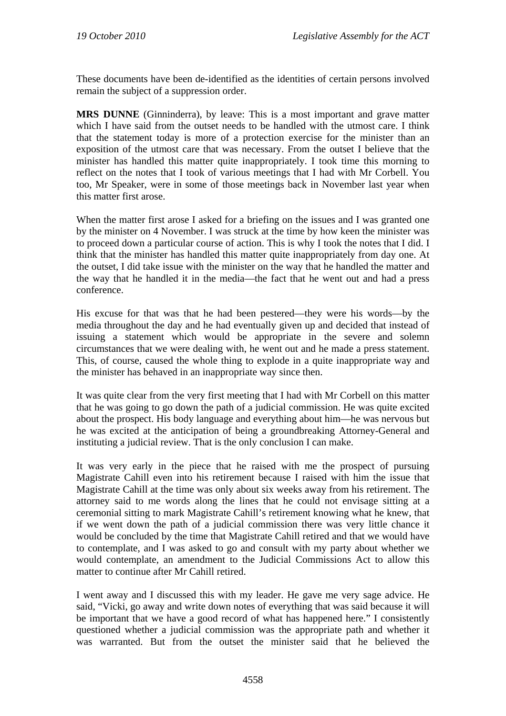These documents have been de-identified as the identities of certain persons involved remain the subject of a suppression order.

**MRS DUNNE** (Ginninderra), by leave: This is a most important and grave matter which I have said from the outset needs to be handled with the utmost care. I think that the statement today is more of a protection exercise for the minister than an exposition of the utmost care that was necessary. From the outset I believe that the minister has handled this matter quite inappropriately. I took time this morning to reflect on the notes that I took of various meetings that I had with Mr Corbell. You too, Mr Speaker, were in some of those meetings back in November last year when this matter first arose.

When the matter first arose I asked for a briefing on the issues and I was granted one by the minister on 4 November. I was struck at the time by how keen the minister was to proceed down a particular course of action. This is why I took the notes that I did. I think that the minister has handled this matter quite inappropriately from day one. At the outset, I did take issue with the minister on the way that he handled the matter and the way that he handled it in the media—the fact that he went out and had a press conference.

His excuse for that was that he had been pestered—they were his words—by the media throughout the day and he had eventually given up and decided that instead of issuing a statement which would be appropriate in the severe and solemn circumstances that we were dealing with, he went out and he made a press statement. This, of course, caused the whole thing to explode in a quite inappropriate way and the minister has behaved in an inappropriate way since then.

It was quite clear from the very first meeting that I had with Mr Corbell on this matter that he was going to go down the path of a judicial commission. He was quite excited about the prospect. His body language and everything about him—he was nervous but he was excited at the anticipation of being a groundbreaking Attorney-General and instituting a judicial review. That is the only conclusion I can make.

It was very early in the piece that he raised with me the prospect of pursuing Magistrate Cahill even into his retirement because I raised with him the issue that Magistrate Cahill at the time was only about six weeks away from his retirement. The attorney said to me words along the lines that he could not envisage sitting at a ceremonial sitting to mark Magistrate Cahill's retirement knowing what he knew, that if we went down the path of a judicial commission there was very little chance it would be concluded by the time that Magistrate Cahill retired and that we would have to contemplate, and I was asked to go and consult with my party about whether we would contemplate, an amendment to the Judicial Commissions Act to allow this matter to continue after Mr Cahill retired.

I went away and I discussed this with my leader. He gave me very sage advice. He said, "Vicki, go away and write down notes of everything that was said because it will be important that we have a good record of what has happened here." I consistently questioned whether a judicial commission was the appropriate path and whether it was warranted. But from the outset the minister said that he believed the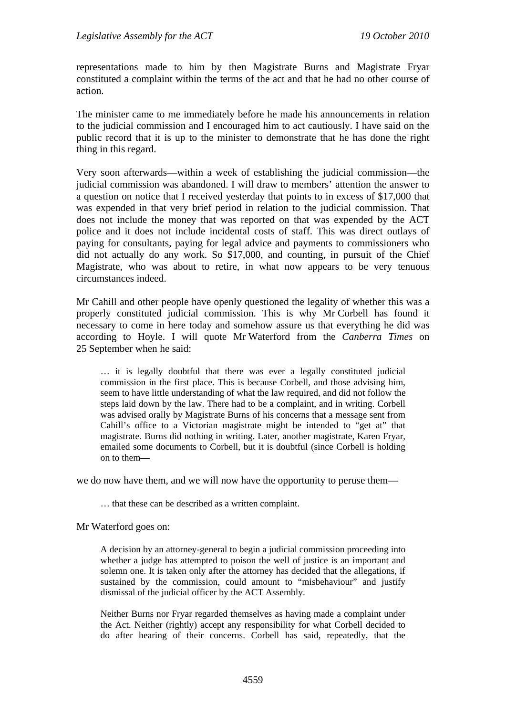representations made to him by then Magistrate Burns and Magistrate Fryar constituted a complaint within the terms of the act and that he had no other course of action.

The minister came to me immediately before he made his announcements in relation to the judicial commission and I encouraged him to act cautiously. I have said on the public record that it is up to the minister to demonstrate that he has done the right thing in this regard.

Very soon afterwards—within a week of establishing the judicial commission—the judicial commission was abandoned. I will draw to members' attention the answer to a question on notice that I received yesterday that points to in excess of \$17,000 that was expended in that very brief period in relation to the judicial commission. That does not include the money that was reported on that was expended by the ACT police and it does not include incidental costs of staff. This was direct outlays of paying for consultants, paying for legal advice and payments to commissioners who did not actually do any work. So \$17,000, and counting, in pursuit of the Chief Magistrate, who was about to retire, in what now appears to be very tenuous circumstances indeed.

Mr Cahill and other people have openly questioned the legality of whether this was a properly constituted judicial commission. This is why Mr Corbell has found it necessary to come in here today and somehow assure us that everything he did was according to Hoyle. I will quote Mr Waterford from the *Canberra Times* on 25 September when he said:

… it is legally doubtful that there was ever a legally constituted judicial commission in the first place. This is because Corbell, and those advising him, seem to have little understanding of what the law required, and did not follow the steps laid down by the law. There had to be a complaint, and in writing. Corbell was advised orally by Magistrate Burns of his concerns that a message sent from Cahill's office to a Victorian magistrate might be intended to "get at" that magistrate. Burns did nothing in writing. Later, another magistrate, Karen Fryar, emailed some documents to Corbell, but it is doubtful (since Corbell is holding on to them—

we do now have them, and we will now have the opportunity to peruse them—

… that these can be described as a written complaint.

Mr Waterford goes on:

A decision by an attorney-general to begin a judicial commission proceeding into whether a judge has attempted to poison the well of justice is an important and solemn one. It is taken only after the attorney has decided that the allegations, if sustained by the commission, could amount to "misbehaviour" and justify dismissal of the judicial officer by the ACT Assembly.

Neither Burns nor Fryar regarded themselves as having made a complaint under the Act. Neither (rightly) accept any responsibility for what Corbell decided to do after hearing of their concerns. Corbell has said, repeatedly, that the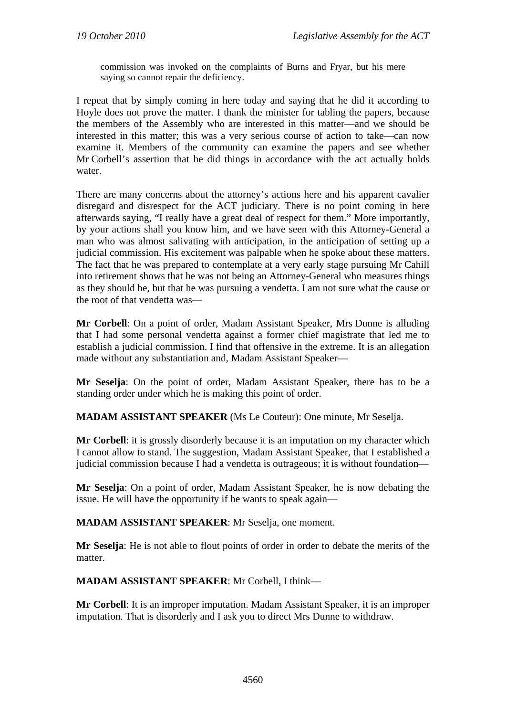commission was invoked on the complaints of Burns and Fryar, but his mere saying so cannot repair the deficiency.

I repeat that by simply coming in here today and saying that he did it according to Hoyle does not prove the matter. I thank the minister for tabling the papers, because the members of the Assembly who are interested in this matter—and we should be interested in this matter; this was a very serious course of action to take—can now examine it. Members of the community can examine the papers and see whether Mr Corbell's assertion that he did things in accordance with the act actually holds water.

There are many concerns about the attorney's actions here and his apparent cavalier disregard and disrespect for the ACT judiciary. There is no point coming in here afterwards saying, "I really have a great deal of respect for them." More importantly, by your actions shall you know him, and we have seen with this Attorney-General a man who was almost salivating with anticipation, in the anticipation of setting up a judicial commission. His excitement was palpable when he spoke about these matters. The fact that he was prepared to contemplate at a very early stage pursuing Mr Cahill into retirement shows that he was not being an Attorney-General who measures things as they should be, but that he was pursuing a vendetta. I am not sure what the cause or the root of that vendetta was—

**Mr Corbell**: On a point of order, Madam Assistant Speaker, Mrs Dunne is alluding that I had some personal vendetta against a former chief magistrate that led me to establish a judicial commission. I find that offensive in the extreme. It is an allegation made without any substantiation and, Madam Assistant Speaker—

**Mr Seselja**: On the point of order, Madam Assistant Speaker, there has to be a standing order under which he is making this point of order.

**MADAM ASSISTANT SPEAKER** (Ms Le Couteur): One minute, Mr Seselja.

**Mr Corbell:** it is grossly disorderly because it is an imputation on my character which I cannot allow to stand. The suggestion, Madam Assistant Speaker, that I established a judicial commission because I had a vendetta is outrageous; it is without foundation—

**Mr Seselja**: On a point of order, Madam Assistant Speaker, he is now debating the issue. He will have the opportunity if he wants to speak again—

**MADAM ASSISTANT SPEAKER**: Mr Seselja, one moment.

**Mr Seselja**: He is not able to flout points of order in order to debate the merits of the matter.

**MADAM ASSISTANT SPEAKER**: Mr Corbell, I think—

**Mr Corbell**: It is an improper imputation. Madam Assistant Speaker, it is an improper imputation. That is disorderly and I ask you to direct Mrs Dunne to withdraw.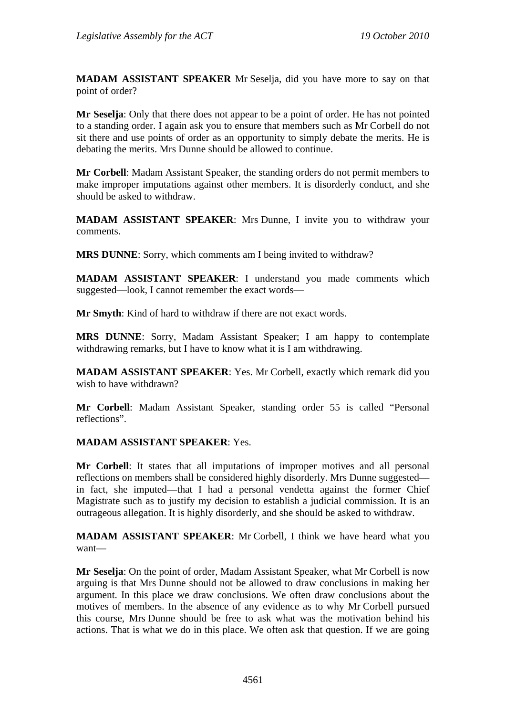**MADAM ASSISTANT SPEAKER** Mr Seselja, did you have more to say on that point of order?

**Mr Seselja**: Only that there does not appear to be a point of order. He has not pointed to a standing order. I again ask you to ensure that members such as Mr Corbell do not sit there and use points of order as an opportunity to simply debate the merits. He is debating the merits. Mrs Dunne should be allowed to continue.

**Mr Corbell**: Madam Assistant Speaker, the standing orders do not permit members to make improper imputations against other members. It is disorderly conduct, and she should be asked to withdraw.

**MADAM ASSISTANT SPEAKER**: Mrs Dunne, I invite you to withdraw your comments.

**MRS DUNNE**: Sorry, which comments am I being invited to withdraw?

**MADAM ASSISTANT SPEAKER**: I understand you made comments which suggested—look, I cannot remember the exact words—

**Mr Smyth**: Kind of hard to withdraw if there are not exact words.

**MRS DUNNE**: Sorry, Madam Assistant Speaker; I am happy to contemplate withdrawing remarks, but I have to know what it is I am withdrawing.

**MADAM ASSISTANT SPEAKER**: Yes. Mr Corbell, exactly which remark did you wish to have withdrawn?

**Mr Corbell**: Madam Assistant Speaker, standing order 55 is called "Personal reflections".

#### **MADAM ASSISTANT SPEAKER**: Yes.

**Mr Corbell**: It states that all imputations of improper motives and all personal reflections on members shall be considered highly disorderly. Mrs Dunne suggested in fact, she imputed—that I had a personal vendetta against the former Chief Magistrate such as to justify my decision to establish a judicial commission. It is an outrageous allegation. It is highly disorderly, and she should be asked to withdraw.

**MADAM ASSISTANT SPEAKER**: Mr Corbell, I think we have heard what you want—

**Mr Seselja**: On the point of order, Madam Assistant Speaker, what Mr Corbell is now arguing is that Mrs Dunne should not be allowed to draw conclusions in making her argument. In this place we draw conclusions. We often draw conclusions about the motives of members. In the absence of any evidence as to why Mr Corbell pursued this course, Mrs Dunne should be free to ask what was the motivation behind his actions. That is what we do in this place. We often ask that question. If we are going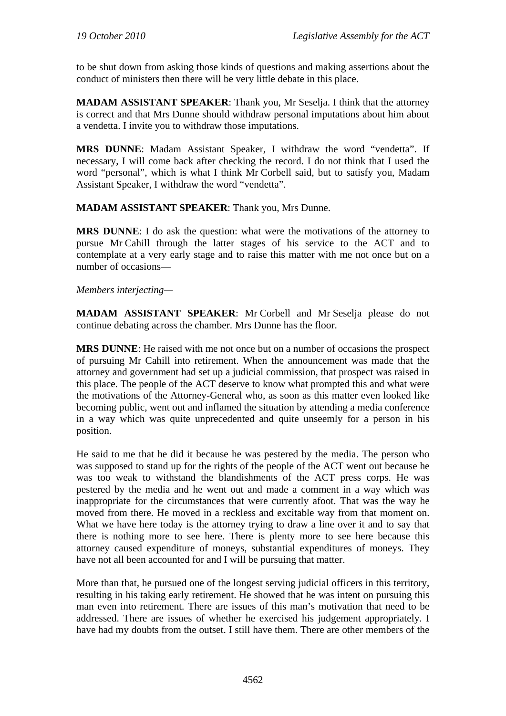to be shut down from asking those kinds of questions and making assertions about the conduct of ministers then there will be very little debate in this place.

**MADAM ASSISTANT SPEAKER**: Thank you, Mr Seselja. I think that the attorney is correct and that Mrs Dunne should withdraw personal imputations about him about a vendetta. I invite you to withdraw those imputations.

**MRS DUNNE**: Madam Assistant Speaker, I withdraw the word "vendetta". If necessary, I will come back after checking the record. I do not think that I used the word "personal", which is what I think Mr Corbell said, but to satisfy you, Madam Assistant Speaker, I withdraw the word "vendetta".

**MADAM ASSISTANT SPEAKER**: Thank you, Mrs Dunne.

**MRS DUNNE**: I do ask the question: what were the motivations of the attorney to pursue Mr Cahill through the latter stages of his service to the ACT and to contemplate at a very early stage and to raise this matter with me not once but on a number of occasions—

*Members interjecting—*

**MADAM ASSISTANT SPEAKER**: Mr Corbell and Mr Seselja please do not continue debating across the chamber. Mrs Dunne has the floor.

**MRS DUNNE**: He raised with me not once but on a number of occasions the prospect of pursuing Mr Cahill into retirement. When the announcement was made that the attorney and government had set up a judicial commission, that prospect was raised in this place. The people of the ACT deserve to know what prompted this and what were the motivations of the Attorney-General who, as soon as this matter even looked like becoming public, went out and inflamed the situation by attending a media conference in a way which was quite unprecedented and quite unseemly for a person in his position.

He said to me that he did it because he was pestered by the media. The person who was supposed to stand up for the rights of the people of the ACT went out because he was too weak to withstand the blandishments of the ACT press corps. He was pestered by the media and he went out and made a comment in a way which was inappropriate for the circumstances that were currently afoot. That was the way he moved from there. He moved in a reckless and excitable way from that moment on. What we have here today is the attorney trying to draw a line over it and to say that there is nothing more to see here. There is plenty more to see here because this attorney caused expenditure of moneys, substantial expenditures of moneys. They have not all been accounted for and I will be pursuing that matter.

More than that, he pursued one of the longest serving judicial officers in this territory, resulting in his taking early retirement. He showed that he was intent on pursuing this man even into retirement. There are issues of this man's motivation that need to be addressed. There are issues of whether he exercised his judgement appropriately. I have had my doubts from the outset. I still have them. There are other members of the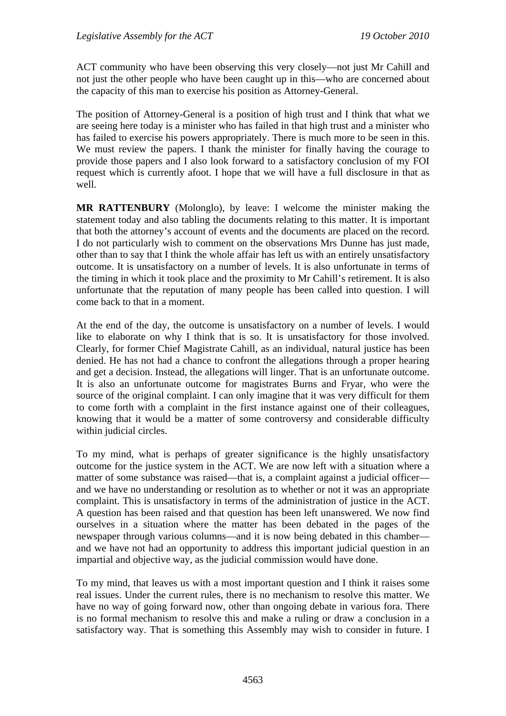ACT community who have been observing this very closely—not just Mr Cahill and not just the other people who have been caught up in this—who are concerned about the capacity of this man to exercise his position as Attorney-General.

The position of Attorney-General is a position of high trust and I think that what we are seeing here today is a minister who has failed in that high trust and a minister who has failed to exercise his powers appropriately. There is much more to be seen in this. We must review the papers. I thank the minister for finally having the courage to provide those papers and I also look forward to a satisfactory conclusion of my FOI request which is currently afoot. I hope that we will have a full disclosure in that as well.

**MR RATTENBURY** (Molonglo), by leave: I welcome the minister making the statement today and also tabling the documents relating to this matter. It is important that both the attorney's account of events and the documents are placed on the record. I do not particularly wish to comment on the observations Mrs Dunne has just made, other than to say that I think the whole affair has left us with an entirely unsatisfactory outcome. It is unsatisfactory on a number of levels. It is also unfortunate in terms of the timing in which it took place and the proximity to Mr Cahill's retirement. It is also unfortunate that the reputation of many people has been called into question. I will come back to that in a moment.

At the end of the day, the outcome is unsatisfactory on a number of levels. I would like to elaborate on why I think that is so. It is unsatisfactory for those involved. Clearly, for former Chief Magistrate Cahill, as an individual, natural justice has been denied. He has not had a chance to confront the allegations through a proper hearing and get a decision. Instead, the allegations will linger. That is an unfortunate outcome. It is also an unfortunate outcome for magistrates Burns and Fryar, who were the source of the original complaint. I can only imagine that it was very difficult for them to come forth with a complaint in the first instance against one of their colleagues, knowing that it would be a matter of some controversy and considerable difficulty within judicial circles.

To my mind, what is perhaps of greater significance is the highly unsatisfactory outcome for the justice system in the ACT. We are now left with a situation where a matter of some substance was raised—that is, a complaint against a judicial officer and we have no understanding or resolution as to whether or not it was an appropriate complaint. This is unsatisfactory in terms of the administration of justice in the ACT. A question has been raised and that question has been left unanswered. We now find ourselves in a situation where the matter has been debated in the pages of the newspaper through various columns—and it is now being debated in this chamber and we have not had an opportunity to address this important judicial question in an impartial and objective way, as the judicial commission would have done.

To my mind, that leaves us with a most important question and I think it raises some real issues. Under the current rules, there is no mechanism to resolve this matter. We have no way of going forward now, other than ongoing debate in various fora. There is no formal mechanism to resolve this and make a ruling or draw a conclusion in a satisfactory way. That is something this Assembly may wish to consider in future. I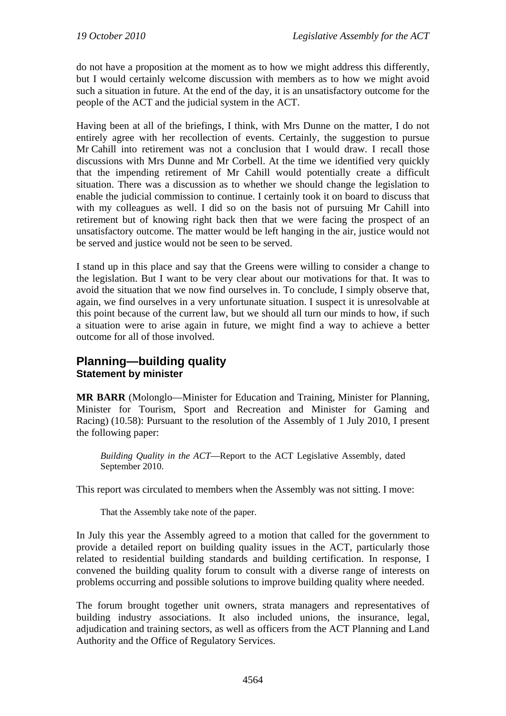do not have a proposition at the moment as to how we might address this differently, but I would certainly welcome discussion with members as to how we might avoid such a situation in future. At the end of the day, it is an unsatisfactory outcome for the people of the ACT and the judicial system in the ACT.

Having been at all of the briefings, I think, with Mrs Dunne on the matter, I do not entirely agree with her recollection of events. Certainly, the suggestion to pursue Mr Cahill into retirement was not a conclusion that I would draw. I recall those discussions with Mrs Dunne and Mr Corbell. At the time we identified very quickly that the impending retirement of Mr Cahill would potentially create a difficult situation. There was a discussion as to whether we should change the legislation to enable the judicial commission to continue. I certainly took it on board to discuss that with my colleagues as well. I did so on the basis not of pursuing Mr Cahill into retirement but of knowing right back then that we were facing the prospect of an unsatisfactory outcome. The matter would be left hanging in the air, justice would not be served and justice would not be seen to be served.

I stand up in this place and say that the Greens were willing to consider a change to the legislation. But I want to be very clear about our motivations for that. It was to avoid the situation that we now find ourselves in. To conclude, I simply observe that, again, we find ourselves in a very unfortunate situation. I suspect it is unresolvable at this point because of the current law, but we should all turn our minds to how, if such a situation were to arise again in future, we might find a way to achieve a better outcome for all of those involved.

## <span id="page-19-0"></span>**Planning—building quality Statement by minister**

**MR BARR** (Molonglo—Minister for Education and Training, Minister for Planning, Minister for Tourism, Sport and Recreation and Minister for Gaming and Racing) (10.58): Pursuant to the resolution of the Assembly of 1 July 2010, I present the following paper:

*Building Quality in the ACT*—Report to the ACT Legislative Assembly, dated September 2010.

This report was circulated to members when the Assembly was not sitting. I move:

That the Assembly take note of the paper.

In July this year the Assembly agreed to a motion that called for the government to provide a detailed report on building quality issues in the ACT, particularly those related to residential building standards and building certification. In response, I convened the building quality forum to consult with a diverse range of interests on problems occurring and possible solutions to improve building quality where needed.

The forum brought together unit owners, strata managers and representatives of building industry associations. It also included unions, the insurance, legal, adjudication and training sectors, as well as officers from the ACT Planning and Land Authority and the Office of Regulatory Services.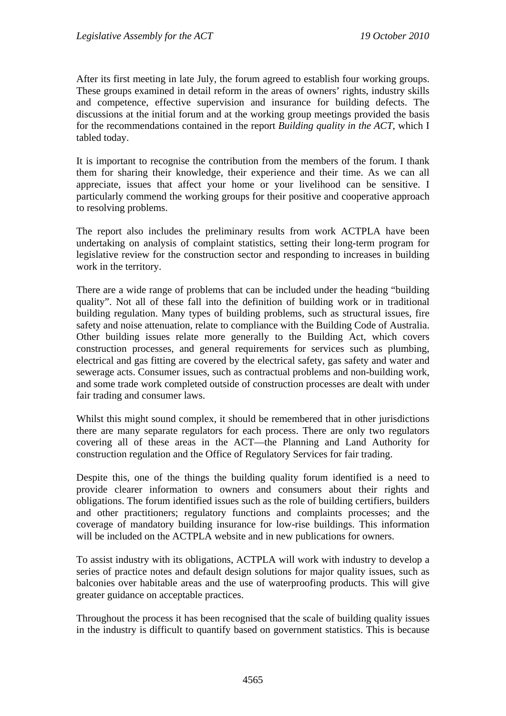After its first meeting in late July, the forum agreed to establish four working groups. These groups examined in detail reform in the areas of owners' rights, industry skills and competence, effective supervision and insurance for building defects. The discussions at the initial forum and at the working group meetings provided the basis for the recommendations contained in the report *Building quality in the ACT*, which I tabled today.

It is important to recognise the contribution from the members of the forum. I thank them for sharing their knowledge, their experience and their time. As we can all appreciate, issues that affect your home or your livelihood can be sensitive. I particularly commend the working groups for their positive and cooperative approach to resolving problems.

The report also includes the preliminary results from work ACTPLA have been undertaking on analysis of complaint statistics, setting their long-term program for legislative review for the construction sector and responding to increases in building work in the territory.

There are a wide range of problems that can be included under the heading "building quality". Not all of these fall into the definition of building work or in traditional building regulation. Many types of building problems, such as structural issues, fire safety and noise attenuation, relate to compliance with the Building Code of Australia. Other building issues relate more generally to the Building Act, which covers construction processes, and general requirements for services such as plumbing, electrical and gas fitting are covered by the electrical safety, gas safety and water and sewerage acts. Consumer issues, such as contractual problems and non-building work, and some trade work completed outside of construction processes are dealt with under fair trading and consumer laws.

Whilst this might sound complex, it should be remembered that in other jurisdictions there are many separate regulators for each process. There are only two regulators covering all of these areas in the ACT—the Planning and Land Authority for construction regulation and the Office of Regulatory Services for fair trading.

Despite this, one of the things the building quality forum identified is a need to provide clearer information to owners and consumers about their rights and obligations. The forum identified issues such as the role of building certifiers, builders and other practitioners; regulatory functions and complaints processes; and the coverage of mandatory building insurance for low-rise buildings. This information will be included on the ACTPLA website and in new publications for owners.

To assist industry with its obligations, ACTPLA will work with industry to develop a series of practice notes and default design solutions for major quality issues, such as balconies over habitable areas and the use of waterproofing products. This will give greater guidance on acceptable practices.

Throughout the process it has been recognised that the scale of building quality issues in the industry is difficult to quantify based on government statistics. This is because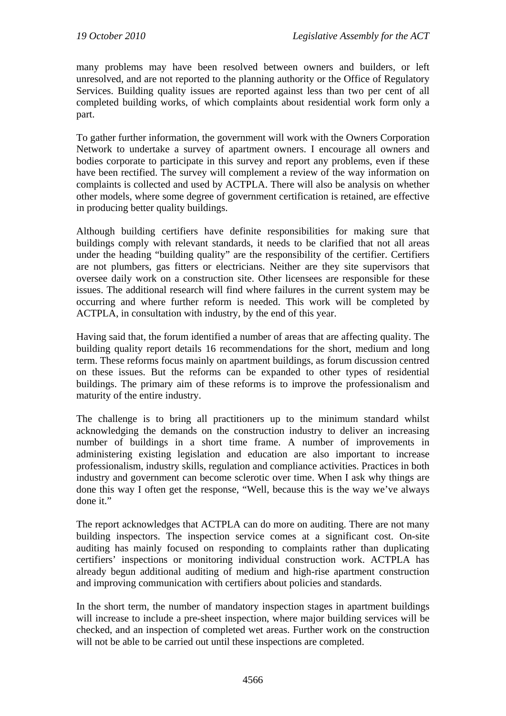many problems may have been resolved between owners and builders, or left unresolved, and are not reported to the planning authority or the Office of Regulatory Services. Building quality issues are reported against less than two per cent of all completed building works, of which complaints about residential work form only a part.

To gather further information, the government will work with the Owners Corporation Network to undertake a survey of apartment owners. I encourage all owners and bodies corporate to participate in this survey and report any problems, even if these have been rectified. The survey will complement a review of the way information on complaints is collected and used by ACTPLA. There will also be analysis on whether other models, where some degree of government certification is retained, are effective in producing better quality buildings.

Although building certifiers have definite responsibilities for making sure that buildings comply with relevant standards, it needs to be clarified that not all areas under the heading "building quality" are the responsibility of the certifier. Certifiers are not plumbers, gas fitters or electricians. Neither are they site supervisors that oversee daily work on a construction site. Other licensees are responsible for these issues. The additional research will find where failures in the current system may be occurring and where further reform is needed. This work will be completed by ACTPLA, in consultation with industry, by the end of this year.

Having said that, the forum identified a number of areas that are affecting quality. The building quality report details 16 recommendations for the short, medium and long term. These reforms focus mainly on apartment buildings, as forum discussion centred on these issues. But the reforms can be expanded to other types of residential buildings. The primary aim of these reforms is to improve the professionalism and maturity of the entire industry.

The challenge is to bring all practitioners up to the minimum standard whilst acknowledging the demands on the construction industry to deliver an increasing number of buildings in a short time frame. A number of improvements in administering existing legislation and education are also important to increase professionalism, industry skills, regulation and compliance activities. Practices in both industry and government can become sclerotic over time. When I ask why things are done this way I often get the response, "Well, because this is the way we've always done it."

The report acknowledges that ACTPLA can do more on auditing. There are not many building inspectors. The inspection service comes at a significant cost. On-site auditing has mainly focused on responding to complaints rather than duplicating certifiers' inspections or monitoring individual construction work. ACTPLA has already begun additional auditing of medium and high-rise apartment construction and improving communication with certifiers about policies and standards.

In the short term, the number of mandatory inspection stages in apartment buildings will increase to include a pre-sheet inspection, where major building services will be checked, and an inspection of completed wet areas. Further work on the construction will not be able to be carried out until these inspections are completed.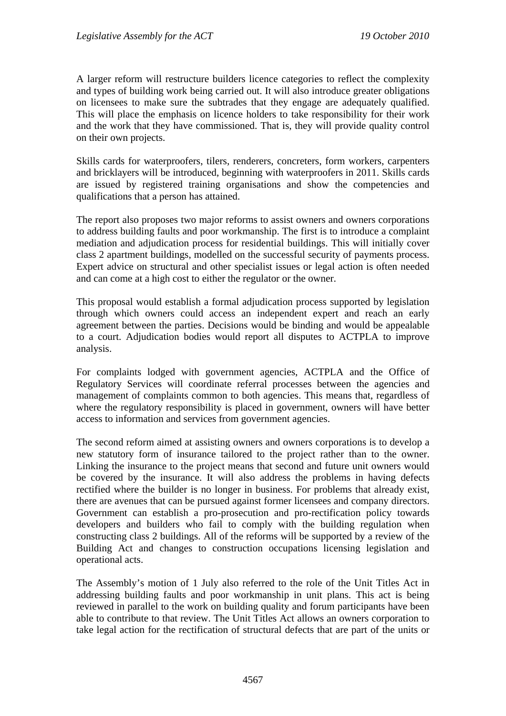A larger reform will restructure builders licence categories to reflect the complexity and types of building work being carried out. It will also introduce greater obligations on licensees to make sure the subtrades that they engage are adequately qualified. This will place the emphasis on licence holders to take responsibility for their work and the work that they have commissioned. That is, they will provide quality control on their own projects.

Skills cards for waterproofers, tilers, renderers, concreters, form workers, carpenters and bricklayers will be introduced, beginning with waterproofers in 2011. Skills cards are issued by registered training organisations and show the competencies and qualifications that a person has attained.

The report also proposes two major reforms to assist owners and owners corporations to address building faults and poor workmanship. The first is to introduce a complaint mediation and adjudication process for residential buildings. This will initially cover class 2 apartment buildings, modelled on the successful security of payments process. Expert advice on structural and other specialist issues or legal action is often needed and can come at a high cost to either the regulator or the owner.

This proposal would establish a formal adjudication process supported by legislation through which owners could access an independent expert and reach an early agreement between the parties. Decisions would be binding and would be appealable to a court. Adjudication bodies would report all disputes to ACTPLA to improve analysis.

For complaints lodged with government agencies, ACTPLA and the Office of Regulatory Services will coordinate referral processes between the agencies and management of complaints common to both agencies. This means that, regardless of where the regulatory responsibility is placed in government, owners will have better access to information and services from government agencies.

The second reform aimed at assisting owners and owners corporations is to develop a new statutory form of insurance tailored to the project rather than to the owner. Linking the insurance to the project means that second and future unit owners would be covered by the insurance. It will also address the problems in having defects rectified where the builder is no longer in business. For problems that already exist, there are avenues that can be pursued against former licensees and company directors. Government can establish a pro-prosecution and pro-rectification policy towards developers and builders who fail to comply with the building regulation when constructing class 2 buildings. All of the reforms will be supported by a review of the Building Act and changes to construction occupations licensing legislation and operational acts.

The Assembly's motion of 1 July also referred to the role of the Unit Titles Act in addressing building faults and poor workmanship in unit plans. This act is being reviewed in parallel to the work on building quality and forum participants have been able to contribute to that review. The Unit Titles Act allows an owners corporation to take legal action for the rectification of structural defects that are part of the units or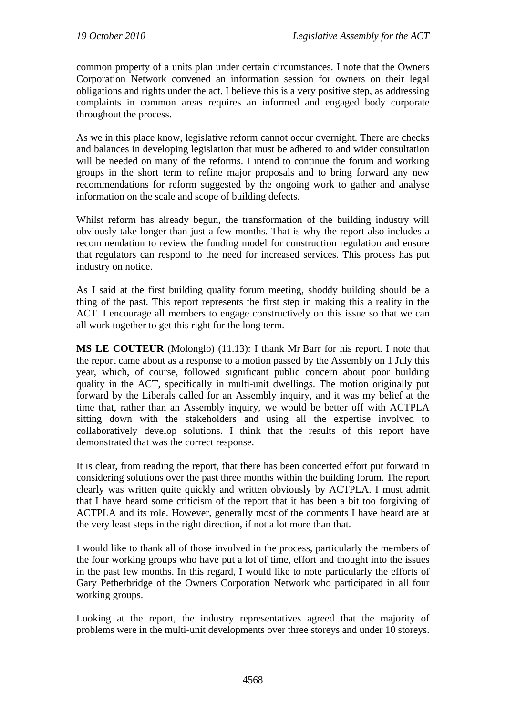common property of a units plan under certain circumstances. I note that the Owners Corporation Network convened an information session for owners on their legal obligations and rights under the act. I believe this is a very positive step, as addressing complaints in common areas requires an informed and engaged body corporate throughout the process.

As we in this place know, legislative reform cannot occur overnight. There are checks and balances in developing legislation that must be adhered to and wider consultation will be needed on many of the reforms. I intend to continue the forum and working groups in the short term to refine major proposals and to bring forward any new recommendations for reform suggested by the ongoing work to gather and analyse information on the scale and scope of building defects.

Whilst reform has already begun, the transformation of the building industry will obviously take longer than just a few months. That is why the report also includes a recommendation to review the funding model for construction regulation and ensure that regulators can respond to the need for increased services. This process has put industry on notice.

As I said at the first building quality forum meeting, shoddy building should be a thing of the past. This report represents the first step in making this a reality in the ACT. I encourage all members to engage constructively on this issue so that we can all work together to get this right for the long term.

**MS LE COUTEUR** (Molonglo) (11.13): I thank Mr Barr for his report. I note that the report came about as a response to a motion passed by the Assembly on 1 July this year, which, of course, followed significant public concern about poor building quality in the ACT, specifically in multi-unit dwellings. The motion originally put forward by the Liberals called for an Assembly inquiry, and it was my belief at the time that, rather than an Assembly inquiry, we would be better off with ACTPLA sitting down with the stakeholders and using all the expertise involved to collaboratively develop solutions. I think that the results of this report have demonstrated that was the correct response.

It is clear, from reading the report, that there has been concerted effort put forward in considering solutions over the past three months within the building forum. The report clearly was written quite quickly and written obviously by ACTPLA. I must admit that I have heard some criticism of the report that it has been a bit too forgiving of ACTPLA and its role. However, generally most of the comments I have heard are at the very least steps in the right direction, if not a lot more than that.

I would like to thank all of those involved in the process, particularly the members of the four working groups who have put a lot of time, effort and thought into the issues in the past few months. In this regard, I would like to note particularly the efforts of Gary Petherbridge of the Owners Corporation Network who participated in all four working groups.

Looking at the report, the industry representatives agreed that the majority of problems were in the multi-unit developments over three storeys and under 10 storeys.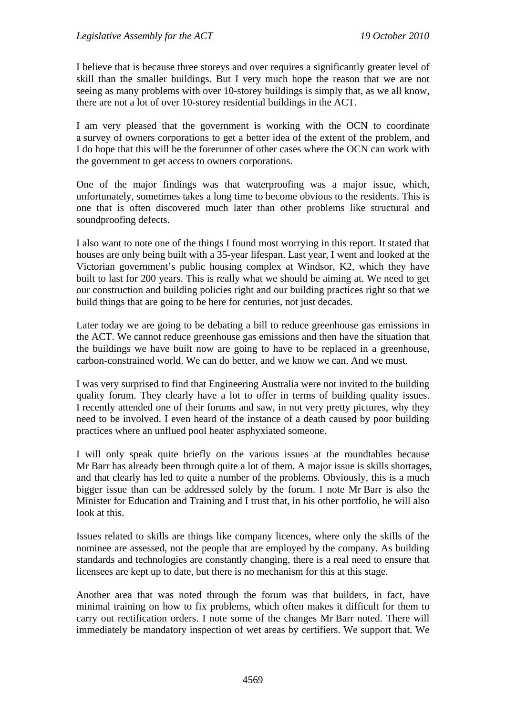I believe that is because three storeys and over requires a significantly greater level of skill than the smaller buildings. But I very much hope the reason that we are not seeing as many problems with over 10-storey buildings is simply that, as we all know, there are not a lot of over 10-storey residential buildings in the ACT.

I am very pleased that the government is working with the OCN to coordinate a survey of owners corporations to get a better idea of the extent of the problem, and I do hope that this will be the forerunner of other cases where the OCN can work with the government to get access to owners corporations.

One of the major findings was that waterproofing was a major issue, which, unfortunately, sometimes takes a long time to become obvious to the residents. This is one that is often discovered much later than other problems like structural and soundproofing defects.

I also want to note one of the things I found most worrying in this report. It stated that houses are only being built with a 35-year lifespan. Last year, I went and looked at the Victorian government's public housing complex at Windsor, K2, which they have built to last for 200 years. This is really what we should be aiming at. We need to get our construction and building policies right and our building practices right so that we build things that are going to be here for centuries, not just decades.

Later today we are going to be debating a bill to reduce greenhouse gas emissions in the ACT. We cannot reduce greenhouse gas emissions and then have the situation that the buildings we have built now are going to have to be replaced in a greenhouse, carbon-constrained world. We can do better, and we know we can. And we must.

I was very surprised to find that Engineering Australia were not invited to the building quality forum. They clearly have a lot to offer in terms of building quality issues. I recently attended one of their forums and saw, in not very pretty pictures, why they need to be involved. I even heard of the instance of a death caused by poor building practices where an unflued pool heater asphyxiated someone.

I will only speak quite briefly on the various issues at the roundtables because Mr Barr has already been through quite a lot of them. A major issue is skills shortages, and that clearly has led to quite a number of the problems. Obviously, this is a much bigger issue than can be addressed solely by the forum. I note Mr Barr is also the Minister for Education and Training and I trust that, in his other portfolio, he will also look at this.

Issues related to skills are things like company licences, where only the skills of the nominee are assessed, not the people that are employed by the company. As building standards and technologies are constantly changing, there is a real need to ensure that licensees are kept up to date, but there is no mechanism for this at this stage.

Another area that was noted through the forum was that builders, in fact, have minimal training on how to fix problems, which often makes it difficult for them to carry out rectification orders. I note some of the changes Mr Barr noted. There will immediately be mandatory inspection of wet areas by certifiers. We support that. We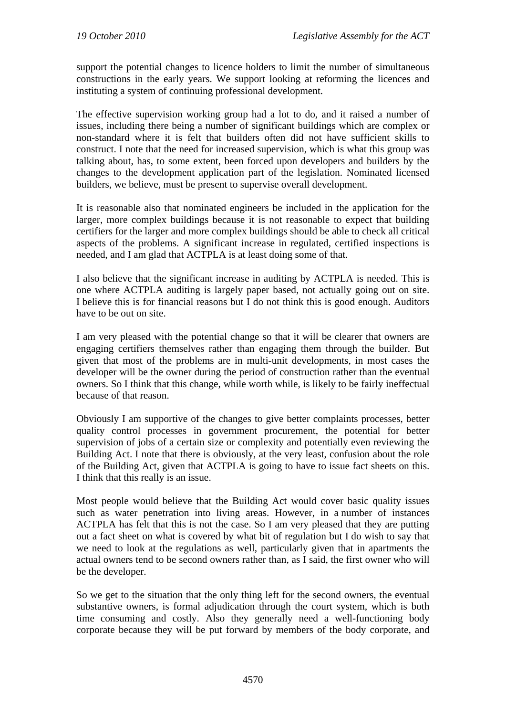support the potential changes to licence holders to limit the number of simultaneous constructions in the early years. We support looking at reforming the licences and instituting a system of continuing professional development.

The effective supervision working group had a lot to do, and it raised a number of issues, including there being a number of significant buildings which are complex or non-standard where it is felt that builders often did not have sufficient skills to construct. I note that the need for increased supervision, which is what this group was talking about, has, to some extent, been forced upon developers and builders by the changes to the development application part of the legislation. Nominated licensed builders, we believe, must be present to supervise overall development.

It is reasonable also that nominated engineers be included in the application for the larger, more complex buildings because it is not reasonable to expect that building certifiers for the larger and more complex buildings should be able to check all critical aspects of the problems. A significant increase in regulated, certified inspections is needed, and I am glad that ACTPLA is at least doing some of that.

I also believe that the significant increase in auditing by ACTPLA is needed. This is one where ACTPLA auditing is largely paper based, not actually going out on site. I believe this is for financial reasons but I do not think this is good enough. Auditors have to be out on site.

I am very pleased with the potential change so that it will be clearer that owners are engaging certifiers themselves rather than engaging them through the builder. But given that most of the problems are in multi-unit developments, in most cases the developer will be the owner during the period of construction rather than the eventual owners. So I think that this change, while worth while, is likely to be fairly ineffectual because of that reason.

Obviously I am supportive of the changes to give better complaints processes, better quality control processes in government procurement, the potential for better supervision of jobs of a certain size or complexity and potentially even reviewing the Building Act. I note that there is obviously, at the very least, confusion about the role of the Building Act, given that ACTPLA is going to have to issue fact sheets on this. I think that this really is an issue.

Most people would believe that the Building Act would cover basic quality issues such as water penetration into living areas. However, in a number of instances ACTPLA has felt that this is not the case. So I am very pleased that they are putting out a fact sheet on what is covered by what bit of regulation but I do wish to say that we need to look at the regulations as well, particularly given that in apartments the actual owners tend to be second owners rather than, as I said, the first owner who will be the developer.

So we get to the situation that the only thing left for the second owners, the eventual substantive owners, is formal adjudication through the court system, which is both time consuming and costly. Also they generally need a well-functioning body corporate because they will be put forward by members of the body corporate, and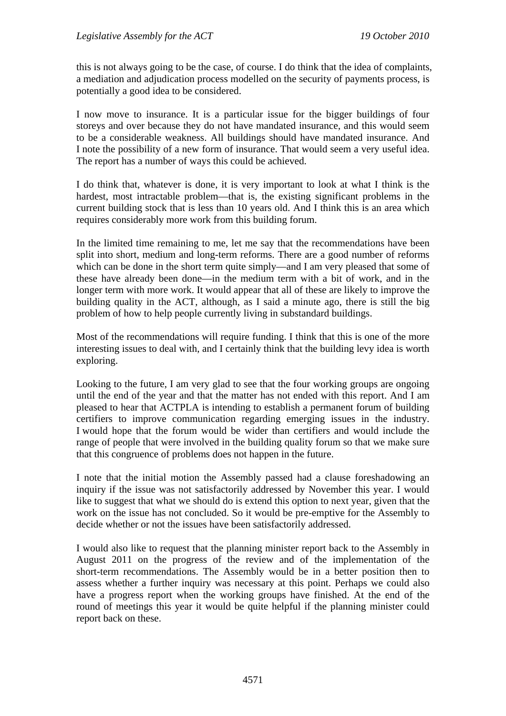this is not always going to be the case, of course. I do think that the idea of complaints, a mediation and adjudication process modelled on the security of payments process, is potentially a good idea to be considered.

I now move to insurance. It is a particular issue for the bigger buildings of four storeys and over because they do not have mandated insurance, and this would seem to be a considerable weakness. All buildings should have mandated insurance. And I note the possibility of a new form of insurance. That would seem a very useful idea. The report has a number of ways this could be achieved.

I do think that, whatever is done, it is very important to look at what I think is the hardest, most intractable problem—that is, the existing significant problems in the current building stock that is less than 10 years old. And I think this is an area which requires considerably more work from this building forum.

In the limited time remaining to me, let me say that the recommendations have been split into short, medium and long-term reforms. There are a good number of reforms which can be done in the short term quite simply—and I am very pleased that some of these have already been done—in the medium term with a bit of work, and in the longer term with more work. It would appear that all of these are likely to improve the building quality in the ACT, although, as I said a minute ago, there is still the big problem of how to help people currently living in substandard buildings.

Most of the recommendations will require funding. I think that this is one of the more interesting issues to deal with, and I certainly think that the building levy idea is worth exploring.

Looking to the future, I am very glad to see that the four working groups are ongoing until the end of the year and that the matter has not ended with this report. And I am pleased to hear that ACTPLA is intending to establish a permanent forum of building certifiers to improve communication regarding emerging issues in the industry. I would hope that the forum would be wider than certifiers and would include the range of people that were involved in the building quality forum so that we make sure that this congruence of problems does not happen in the future.

I note that the initial motion the Assembly passed had a clause foreshadowing an inquiry if the issue was not satisfactorily addressed by November this year. I would like to suggest that what we should do is extend this option to next year, given that the work on the issue has not concluded. So it would be pre-emptive for the Assembly to decide whether or not the issues have been satisfactorily addressed.

I would also like to request that the planning minister report back to the Assembly in August 2011 on the progress of the review and of the implementation of the short-term recommendations. The Assembly would be in a better position then to assess whether a further inquiry was necessary at this point. Perhaps we could also have a progress report when the working groups have finished. At the end of the round of meetings this year it would be quite helpful if the planning minister could report back on these.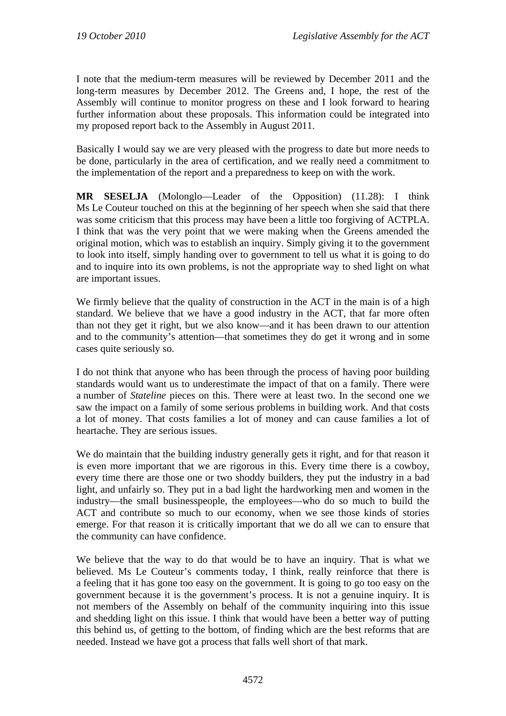I note that the medium-term measures will be reviewed by December 2011 and the long-term measures by December 2012. The Greens and, I hope, the rest of the Assembly will continue to monitor progress on these and I look forward to hearing further information about these proposals. This information could be integrated into my proposed report back to the Assembly in August 2011.

Basically I would say we are very pleased with the progress to date but more needs to be done, particularly in the area of certification, and we really need a commitment to the implementation of the report and a preparedness to keep on with the work.

**MR SESELJA** (Molonglo—Leader of the Opposition) (11.28): I think Ms Le Couteur touched on this at the beginning of her speech when she said that there was some criticism that this process may have been a little too forgiving of ACTPLA. I think that was the very point that we were making when the Greens amended the original motion, which was to establish an inquiry. Simply giving it to the government to look into itself, simply handing over to government to tell us what it is going to do and to inquire into its own problems, is not the appropriate way to shed light on what are important issues.

We firmly believe that the quality of construction in the ACT in the main is of a high standard. We believe that we have a good industry in the ACT, that far more often than not they get it right, but we also know—and it has been drawn to our attention and to the community's attention—that sometimes they do get it wrong and in some cases quite seriously so.

I do not think that anyone who has been through the process of having poor building standards would want us to underestimate the impact of that on a family. There were a number of *Stateline* pieces on this. There were at least two. In the second one we saw the impact on a family of some serious problems in building work. And that costs a lot of money. That costs families a lot of money and can cause families a lot of heartache. They are serious issues.

We do maintain that the building industry generally gets it right, and for that reason it is even more important that we are rigorous in this. Every time there is a cowboy, every time there are those one or two shoddy builders, they put the industry in a bad light, and unfairly so. They put in a bad light the hardworking men and women in the industry—the small businesspeople, the employees—who do so much to build the ACT and contribute so much to our economy, when we see those kinds of stories emerge. For that reason it is critically important that we do all we can to ensure that the community can have confidence.

We believe that the way to do that would be to have an inquiry. That is what we believed. Ms Le Couteur's comments today, I think, really reinforce that there is a feeling that it has gone too easy on the government. It is going to go too easy on the government because it is the government's process. It is not a genuine inquiry. It is not members of the Assembly on behalf of the community inquiring into this issue and shedding light on this issue. I think that would have been a better way of putting this behind us, of getting to the bottom, of finding which are the best reforms that are needed. Instead we have got a process that falls well short of that mark.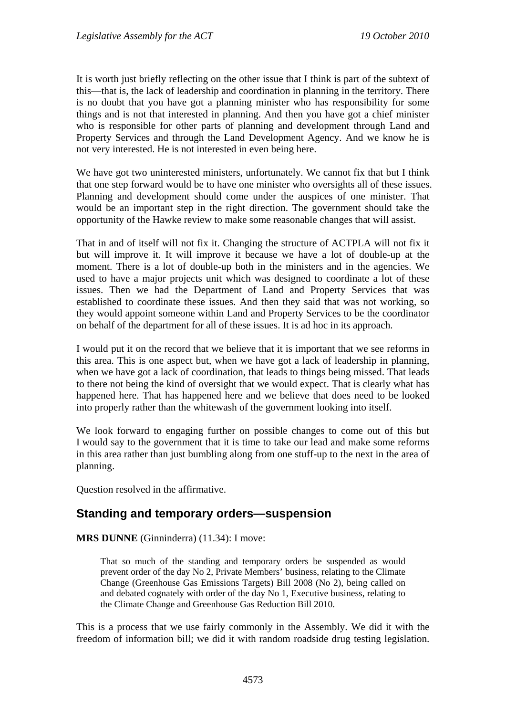It is worth just briefly reflecting on the other issue that I think is part of the subtext of this—that is, the lack of leadership and coordination in planning in the territory. There is no doubt that you have got a planning minister who has responsibility for some things and is not that interested in planning. And then you have got a chief minister who is responsible for other parts of planning and development through Land and Property Services and through the Land Development Agency. And we know he is not very interested. He is not interested in even being here.

We have got two uninterested ministers, unfortunately. We cannot fix that but I think that one step forward would be to have one minister who oversights all of these issues. Planning and development should come under the auspices of one minister. That would be an important step in the right direction. The government should take the opportunity of the Hawke review to make some reasonable changes that will assist.

That in and of itself will not fix it. Changing the structure of ACTPLA will not fix it but will improve it. It will improve it because we have a lot of double-up at the moment. There is a lot of double-up both in the ministers and in the agencies. We used to have a major projects unit which was designed to coordinate a lot of these issues. Then we had the Department of Land and Property Services that was established to coordinate these issues. And then they said that was not working, so they would appoint someone within Land and Property Services to be the coordinator on behalf of the department for all of these issues. It is ad hoc in its approach.

I would put it on the record that we believe that it is important that we see reforms in this area. This is one aspect but, when we have got a lack of leadership in planning, when we have got a lack of coordination, that leads to things being missed. That leads to there not being the kind of oversight that we would expect. That is clearly what has happened here. That has happened here and we believe that does need to be looked into properly rather than the whitewash of the government looking into itself.

We look forward to engaging further on possible changes to come out of this but I would say to the government that it is time to take our lead and make some reforms in this area rather than just bumbling along from one stuff-up to the next in the area of planning.

Question resolved in the affirmative.

## <span id="page-28-0"></span>**Standing and temporary orders—suspension**

**MRS DUNNE** (Ginninderra) (11.34): I move:

That so much of the standing and temporary orders be suspended as would prevent order of the day No 2, Private Members' business, relating to the Climate Change (Greenhouse Gas Emissions Targets) Bill 2008 (No 2), being called on and debated cognately with order of the day No 1, Executive business, relating to the Climate Change and Greenhouse Gas Reduction Bill 2010.

This is a process that we use fairly commonly in the Assembly. We did it with the freedom of information bill; we did it with random roadside drug testing legislation.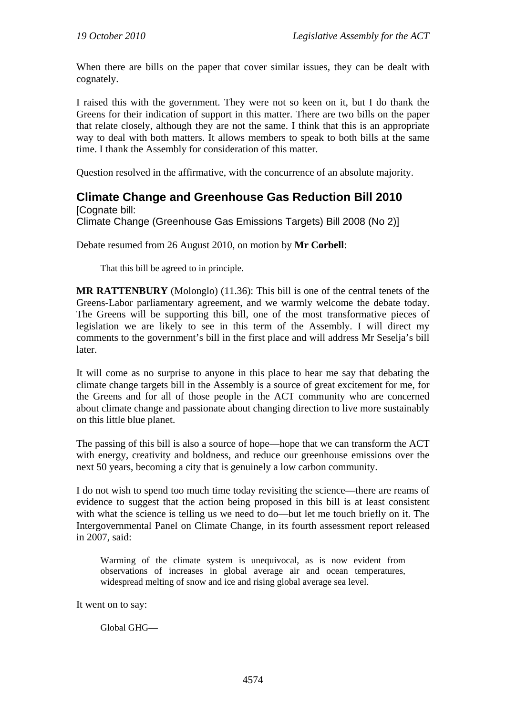When there are bills on the paper that cover similar issues, they can be dealt with cognately.

I raised this with the government. They were not so keen on it, but I do thank the Greens for their indication of support in this matter. There are two bills on the paper that relate closely, although they are not the same. I think that this is an appropriate way to deal with both matters. It allows members to speak to both bills at the same time. I thank the Assembly for consideration of this matter.

Question resolved in the affirmative, with the concurrence of an absolute majority.

## <span id="page-29-0"></span>**Climate Change and Greenhouse Gas Reduction Bill 2010**

[Cognate bill: Climate Change (Greenhouse Gas Emissions Targets) Bill 2008 (No 2)]

Debate resumed from 26 August 2010, on motion by **Mr Corbell**:

That this bill be agreed to in principle.

**MR RATTENBURY** (Molonglo) (11.36): This bill is one of the central tenets of the Greens-Labor parliamentary agreement, and we warmly welcome the debate today. The Greens will be supporting this bill, one of the most transformative pieces of legislation we are likely to see in this term of the Assembly. I will direct my comments to the government's bill in the first place and will address Mr Seselja's bill later.

It will come as no surprise to anyone in this place to hear me say that debating the climate change targets bill in the Assembly is a source of great excitement for me, for the Greens and for all of those people in the ACT community who are concerned about climate change and passionate about changing direction to live more sustainably on this little blue planet.

The passing of this bill is also a source of hope—hope that we can transform the ACT with energy, creativity and boldness, and reduce our greenhouse emissions over the next 50 years, becoming a city that is genuinely a low carbon community.

I do not wish to spend too much time today revisiting the science—there are reams of evidence to suggest that the action being proposed in this bill is at least consistent with what the science is telling us we need to do—but let me touch briefly on it. The Intergovernmental Panel on Climate Change, in its fourth assessment report released in 2007, said:

Warming of the climate system is unequivocal, as is now evident from observations of increases in global average air and ocean temperatures, widespread melting of snow and ice and rising global average sea level.

It went on to say:

Global GHG—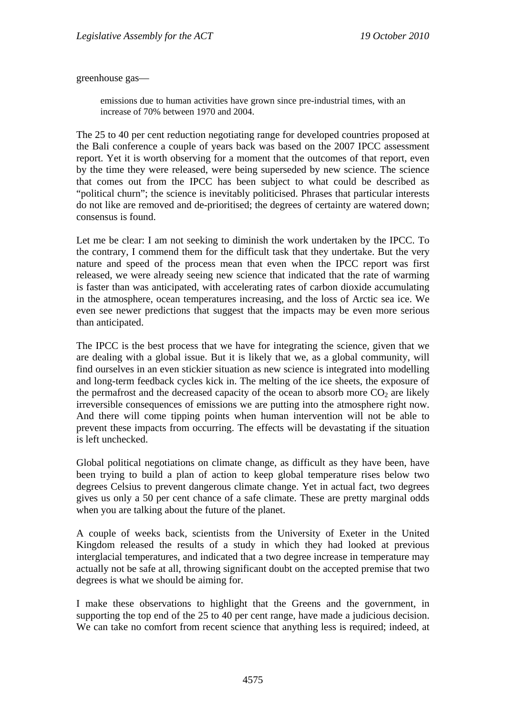greenhouse gas—

emissions due to human activities have grown since pre-industrial times, with an increase of 70% between 1970 and 2004.

The 25 to 40 per cent reduction negotiating range for developed countries proposed at the Bali conference a couple of years back was based on the 2007 IPCC assessment report. Yet it is worth observing for a moment that the outcomes of that report, even by the time they were released, were being superseded by new science. The science that comes out from the IPCC has been subject to what could be described as "political churn"; the science is inevitably politicised. Phrases that particular interests do not like are removed and de-prioritised; the degrees of certainty are watered down; consensus is found.

Let me be clear: I am not seeking to diminish the work undertaken by the IPCC. To the contrary, I commend them for the difficult task that they undertake. But the very nature and speed of the process mean that even when the IPCC report was first released, we were already seeing new science that indicated that the rate of warming is faster than was anticipated, with accelerating rates of carbon dioxide accumulating in the atmosphere, ocean temperatures increasing, and the loss of Arctic sea ice. We even see newer predictions that suggest that the impacts may be even more serious than anticipated.

The IPCC is the best process that we have for integrating the science, given that we are dealing with a global issue. But it is likely that we, as a global community, will find ourselves in an even stickier situation as new science is integrated into modelling and long-term feedback cycles kick in. The melting of the ice sheets, the exposure of the permafrost and the decreased capacity of the ocean to absorb more  $CO<sub>2</sub>$  are likely irreversible consequences of emissions we are putting into the atmosphere right now. And there will come tipping points when human intervention will not be able to prevent these impacts from occurring. The effects will be devastating if the situation is left unchecked.

Global political negotiations on climate change, as difficult as they have been, have been trying to build a plan of action to keep global temperature rises below two degrees Celsius to prevent dangerous climate change. Yet in actual fact, two degrees gives us only a 50 per cent chance of a safe climate. These are pretty marginal odds when you are talking about the future of the planet.

A couple of weeks back, scientists from the University of Exeter in the United Kingdom released the results of a study in which they had looked at previous interglacial temperatures, and indicated that a two degree increase in temperature may actually not be safe at all, throwing significant doubt on the accepted premise that two degrees is what we should be aiming for.

I make these observations to highlight that the Greens and the government, in supporting the top end of the 25 to 40 per cent range, have made a judicious decision. We can take no comfort from recent science that anything less is required; indeed, at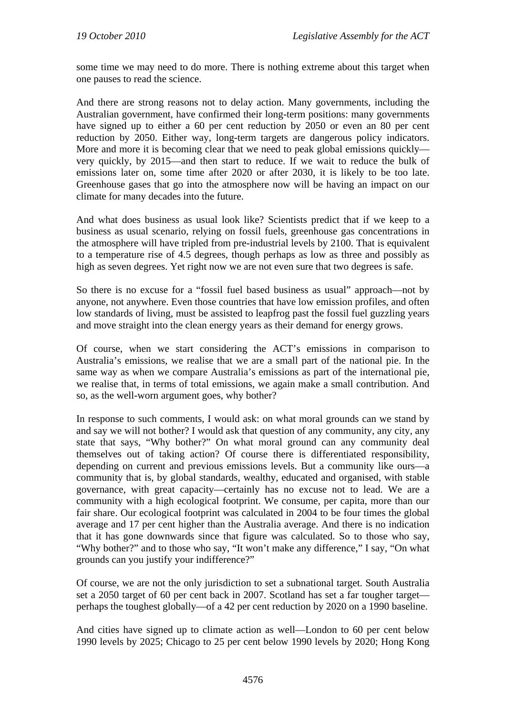some time we may need to do more. There is nothing extreme about this target when one pauses to read the science.

And there are strong reasons not to delay action. Many governments, including the Australian government, have confirmed their long-term positions: many governments have signed up to either a 60 per cent reduction by 2050 or even an 80 per cent reduction by 2050. Either way, long-term targets are dangerous policy indicators. More and more it is becoming clear that we need to peak global emissions quickly very quickly, by 2015—and then start to reduce. If we wait to reduce the bulk of emissions later on, some time after 2020 or after 2030, it is likely to be too late. Greenhouse gases that go into the atmosphere now will be having an impact on our climate for many decades into the future.

And what does business as usual look like? Scientists predict that if we keep to a business as usual scenario, relying on fossil fuels, greenhouse gas concentrations in the atmosphere will have tripled from pre-industrial levels by 2100. That is equivalent to a temperature rise of 4.5 degrees, though perhaps as low as three and possibly as high as seven degrees. Yet right now we are not even sure that two degrees is safe.

So there is no excuse for a "fossil fuel based business as usual" approach—not by anyone, not anywhere. Even those countries that have low emission profiles, and often low standards of living, must be assisted to leapfrog past the fossil fuel guzzling years and move straight into the clean energy years as their demand for energy grows.

Of course, when we start considering the ACT's emissions in comparison to Australia's emissions, we realise that we are a small part of the national pie. In the same way as when we compare Australia's emissions as part of the international pie, we realise that, in terms of total emissions, we again make a small contribution. And so, as the well-worn argument goes, why bother?

In response to such comments, I would ask: on what moral grounds can we stand by and say we will not bother? I would ask that question of any community, any city, any state that says, "Why bother?" On what moral ground can any community deal themselves out of taking action? Of course there is differentiated responsibility, depending on current and previous emissions levels. But a community like ours—a community that is, by global standards, wealthy, educated and organised, with stable governance, with great capacity—certainly has no excuse not to lead. We are a community with a high ecological footprint. We consume, per capita, more than our fair share. Our ecological footprint was calculated in 2004 to be four times the global average and 17 per cent higher than the Australia average. And there is no indication that it has gone downwards since that figure was calculated. So to those who say, "Why bother?" and to those who say, "It won't make any difference," I say, "On what grounds can you justify your indifference?"

Of course, we are not the only jurisdiction to set a subnational target. South Australia set a 2050 target of 60 per cent back in 2007. Scotland has set a far tougher target perhaps the toughest globally—of a 42 per cent reduction by 2020 on a 1990 baseline.

And cities have signed up to climate action as well—London to 60 per cent below 1990 levels by 2025; Chicago to 25 per cent below 1990 levels by 2020; Hong Kong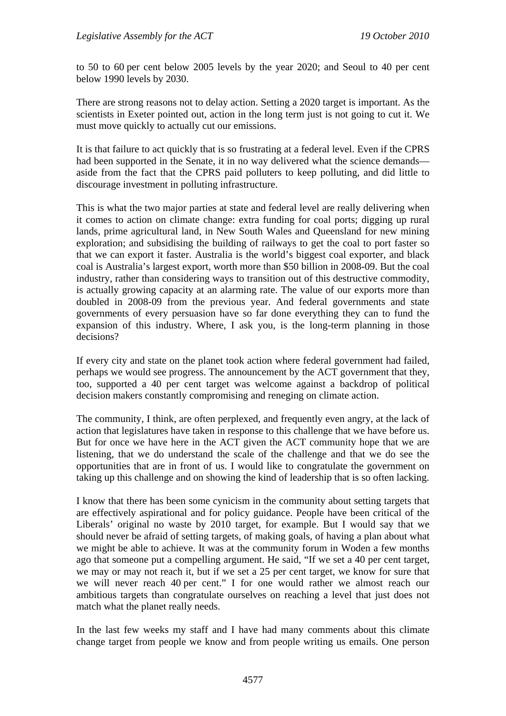to 50 to 60 per cent below 2005 levels by the year 2020; and Seoul to 40 per cent below 1990 levels by 2030.

There are strong reasons not to delay action. Setting a 2020 target is important. As the scientists in Exeter pointed out, action in the long term just is not going to cut it. We must move quickly to actually cut our emissions.

It is that failure to act quickly that is so frustrating at a federal level. Even if the CPRS had been supported in the Senate, it in no way delivered what the science demands aside from the fact that the CPRS paid polluters to keep polluting, and did little to discourage investment in polluting infrastructure.

This is what the two major parties at state and federal level are really delivering when it comes to action on climate change: extra funding for coal ports; digging up rural lands, prime agricultural land, in New South Wales and Queensland for new mining exploration; and subsidising the building of railways to get the coal to port faster so that we can export it faster. Australia is the world's biggest coal exporter, and black coal is Australia's largest export, worth more than \$50 billion in 2008-09. But the coal industry, rather than considering ways to transition out of this destructive commodity, is actually growing capacity at an alarming rate. The value of our exports more than doubled in 2008-09 from the previous year. And federal governments and state governments of every persuasion have so far done everything they can to fund the expansion of this industry. Where, I ask you, is the long-term planning in those decisions?

If every city and state on the planet took action where federal government had failed, perhaps we would see progress. The announcement by the ACT government that they, too, supported a 40 per cent target was welcome against a backdrop of political decision makers constantly compromising and reneging on climate action.

The community, I think, are often perplexed, and frequently even angry, at the lack of action that legislatures have taken in response to this challenge that we have before us. But for once we have here in the ACT given the ACT community hope that we are listening, that we do understand the scale of the challenge and that we do see the opportunities that are in front of us. I would like to congratulate the government on taking up this challenge and on showing the kind of leadership that is so often lacking.

I know that there has been some cynicism in the community about setting targets that are effectively aspirational and for policy guidance. People have been critical of the Liberals' original no waste by 2010 target, for example. But I would say that we should never be afraid of setting targets, of making goals, of having a plan about what we might be able to achieve. It was at the community forum in Woden a few months ago that someone put a compelling argument. He said, "If we set a 40 per cent target, we may or may not reach it, but if we set a 25 per cent target, we know for sure that we will never reach 40 per cent." I for one would rather we almost reach our ambitious targets than congratulate ourselves on reaching a level that just does not match what the planet really needs.

In the last few weeks my staff and I have had many comments about this climate change target from people we know and from people writing us emails. One person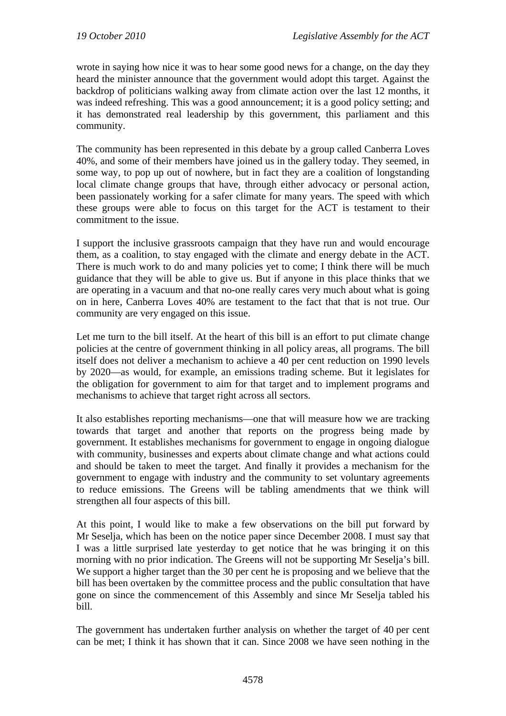wrote in saying how nice it was to hear some good news for a change, on the day they heard the minister announce that the government would adopt this target. Against the backdrop of politicians walking away from climate action over the last 12 months, it was indeed refreshing. This was a good announcement; it is a good policy setting; and it has demonstrated real leadership by this government, this parliament and this community.

The community has been represented in this debate by a group called Canberra Loves 40%, and some of their members have joined us in the gallery today. They seemed, in some way, to pop up out of nowhere, but in fact they are a coalition of longstanding local climate change groups that have, through either advocacy or personal action, been passionately working for a safer climate for many years. The speed with which these groups were able to focus on this target for the ACT is testament to their commitment to the issue.

I support the inclusive grassroots campaign that they have run and would encourage them, as a coalition, to stay engaged with the climate and energy debate in the ACT. There is much work to do and many policies yet to come; I think there will be much guidance that they will be able to give us. But if anyone in this place thinks that we are operating in a vacuum and that no-one really cares very much about what is going on in here, Canberra Loves 40% are testament to the fact that that is not true. Our community are very engaged on this issue.

Let me turn to the bill itself. At the heart of this bill is an effort to put climate change policies at the centre of government thinking in all policy areas, all programs. The bill itself does not deliver a mechanism to achieve a 40 per cent reduction on 1990 levels by 2020—as would, for example, an emissions trading scheme. But it legislates for the obligation for government to aim for that target and to implement programs and mechanisms to achieve that target right across all sectors.

It also establishes reporting mechanisms—one that will measure how we are tracking towards that target and another that reports on the progress being made by government. It establishes mechanisms for government to engage in ongoing dialogue with community, businesses and experts about climate change and what actions could and should be taken to meet the target. And finally it provides a mechanism for the government to engage with industry and the community to set voluntary agreements to reduce emissions. The Greens will be tabling amendments that we think will strengthen all four aspects of this bill.

At this point, I would like to make a few observations on the bill put forward by Mr Seselja, which has been on the notice paper since December 2008. I must say that I was a little surprised late yesterday to get notice that he was bringing it on this morning with no prior indication. The Greens will not be supporting Mr Seselja's bill. We support a higher target than the 30 per cent he is proposing and we believe that the bill has been overtaken by the committee process and the public consultation that have gone on since the commencement of this Assembly and since Mr Seselja tabled his bill.

The government has undertaken further analysis on whether the target of 40 per cent can be met; I think it has shown that it can. Since 2008 we have seen nothing in the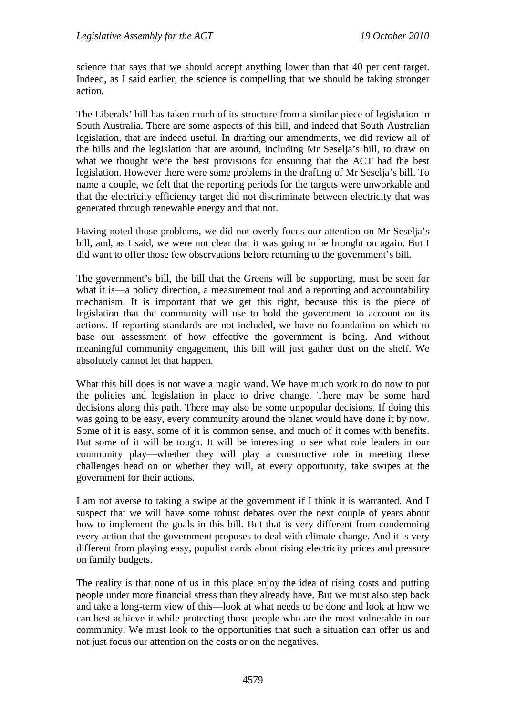science that says that we should accept anything lower than that 40 per cent target. Indeed, as I said earlier, the science is compelling that we should be taking stronger action.

The Liberals' bill has taken much of its structure from a similar piece of legislation in South Australia. There are some aspects of this bill, and indeed that South Australian legislation, that are indeed useful. In drafting our amendments, we did review all of the bills and the legislation that are around, including Mr Seselja's bill, to draw on what we thought were the best provisions for ensuring that the ACT had the best legislation. However there were some problems in the drafting of Mr Seselja's bill. To name a couple, we felt that the reporting periods for the targets were unworkable and that the electricity efficiency target did not discriminate between electricity that was generated through renewable energy and that not.

Having noted those problems, we did not overly focus our attention on Mr Seselja's bill, and, as I said, we were not clear that it was going to be brought on again. But I did want to offer those few observations before returning to the government's bill.

The government's bill, the bill that the Greens will be supporting, must be seen for what it is—a policy direction, a measurement tool and a reporting and accountability mechanism. It is important that we get this right, because this is the piece of legislation that the community will use to hold the government to account on its actions. If reporting standards are not included, we have no foundation on which to base our assessment of how effective the government is being. And without meaningful community engagement, this bill will just gather dust on the shelf. We absolutely cannot let that happen.

What this bill does is not wave a magic wand. We have much work to do now to put the policies and legislation in place to drive change. There may be some hard decisions along this path. There may also be some unpopular decisions. If doing this was going to be easy, every community around the planet would have done it by now. Some of it is easy, some of it is common sense, and much of it comes with benefits. But some of it will be tough. It will be interesting to see what role leaders in our community play—whether they will play a constructive role in meeting these challenges head on or whether they will, at every opportunity, take swipes at the government for their actions.

I am not averse to taking a swipe at the government if I think it is warranted. And I suspect that we will have some robust debates over the next couple of years about how to implement the goals in this bill. But that is very different from condemning every action that the government proposes to deal with climate change. And it is very different from playing easy, populist cards about rising electricity prices and pressure on family budgets.

The reality is that none of us in this place enjoy the idea of rising costs and putting people under more financial stress than they already have. But we must also step back and take a long-term view of this—look at what needs to be done and look at how we can best achieve it while protecting those people who are the most vulnerable in our community. We must look to the opportunities that such a situation can offer us and not just focus our attention on the costs or on the negatives.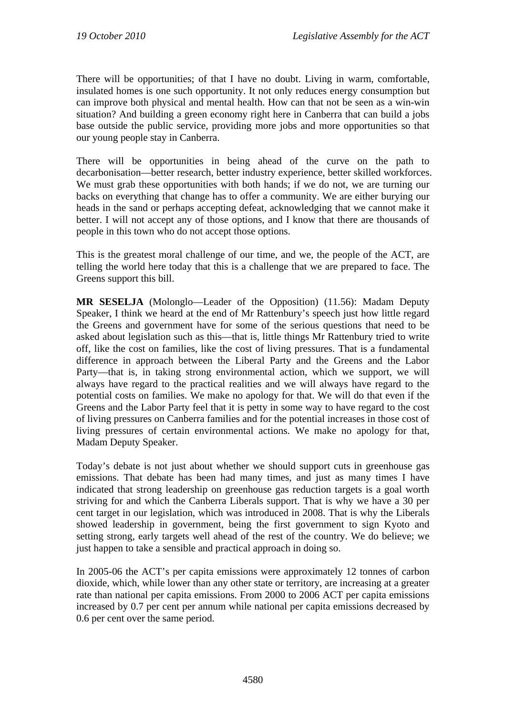There will be opportunities; of that I have no doubt. Living in warm, comfortable, insulated homes is one such opportunity. It not only reduces energy consumption but can improve both physical and mental health. How can that not be seen as a win-win situation? And building a green economy right here in Canberra that can build a jobs base outside the public service, providing more jobs and more opportunities so that our young people stay in Canberra.

There will be opportunities in being ahead of the curve on the path to decarbonisation—better research, better industry experience, better skilled workforces. We must grab these opportunities with both hands; if we do not, we are turning our backs on everything that change has to offer a community. We are either burying our heads in the sand or perhaps accepting defeat, acknowledging that we cannot make it better. I will not accept any of those options, and I know that there are thousands of people in this town who do not accept those options.

This is the greatest moral challenge of our time, and we, the people of the ACT, are telling the world here today that this is a challenge that we are prepared to face. The Greens support this bill.

**MR SESELJA** (Molonglo—Leader of the Opposition) (11.56): Madam Deputy Speaker, I think we heard at the end of Mr Rattenbury's speech just how little regard the Greens and government have for some of the serious questions that need to be asked about legislation such as this—that is, little things Mr Rattenbury tried to write off, like the cost on families, like the cost of living pressures. That is a fundamental difference in approach between the Liberal Party and the Greens and the Labor Party—that is, in taking strong environmental action, which we support, we will always have regard to the practical realities and we will always have regard to the potential costs on families. We make no apology for that. We will do that even if the Greens and the Labor Party feel that it is petty in some way to have regard to the cost of living pressures on Canberra families and for the potential increases in those cost of living pressures of certain environmental actions. We make no apology for that, Madam Deputy Speaker.

Today's debate is not just about whether we should support cuts in greenhouse gas emissions. That debate has been had many times, and just as many times I have indicated that strong leadership on greenhouse gas reduction targets is a goal worth striving for and which the Canberra Liberals support. That is why we have a 30 per cent target in our legislation, which was introduced in 2008. That is why the Liberals showed leadership in government, being the first government to sign Kyoto and setting strong, early targets well ahead of the rest of the country. We do believe; we just happen to take a sensible and practical approach in doing so.

In 2005-06 the ACT's per capita emissions were approximately 12 tonnes of carbon dioxide, which, while lower than any other state or territory, are increasing at a greater rate than national per capita emissions. From 2000 to 2006 ACT per capita emissions increased by 0.7 per cent per annum while national per capita emissions decreased by 0.6 per cent over the same period.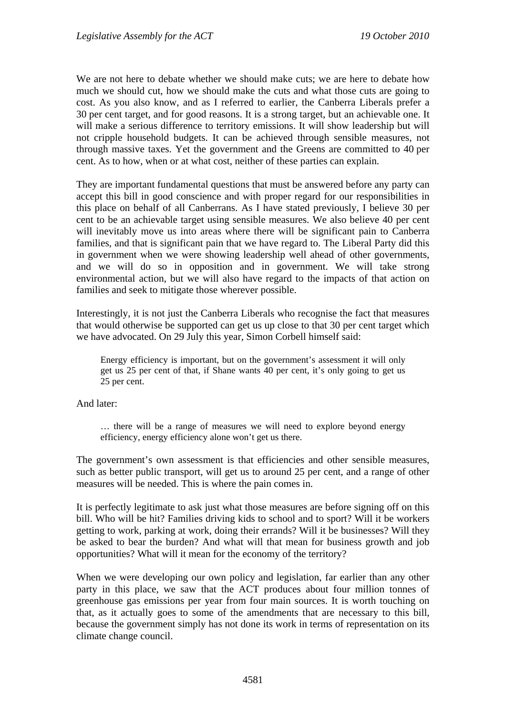We are not here to debate whether we should make cuts; we are here to debate how much we should cut, how we should make the cuts and what those cuts are going to cost. As you also know, and as I referred to earlier, the Canberra Liberals prefer a 30 per cent target, and for good reasons. It is a strong target, but an achievable one. It will make a serious difference to territory emissions. It will show leadership but will not cripple household budgets. It can be achieved through sensible measures, not through massive taxes. Yet the government and the Greens are committed to 40 per cent. As to how, when or at what cost, neither of these parties can explain.

They are important fundamental questions that must be answered before any party can accept this bill in good conscience and with proper regard for our responsibilities in this place on behalf of all Canberrans. As I have stated previously, I believe 30 per cent to be an achievable target using sensible measures. We also believe 40 per cent will inevitably move us into areas where there will be significant pain to Canberra families, and that is significant pain that we have regard to. The Liberal Party did this in government when we were showing leadership well ahead of other governments, and we will do so in opposition and in government. We will take strong environmental action, but we will also have regard to the impacts of that action on families and seek to mitigate those wherever possible.

Interestingly, it is not just the Canberra Liberals who recognise the fact that measures that would otherwise be supported can get us up close to that 30 per cent target which we have advocated. On 29 July this year, Simon Corbell himself said:

Energy efficiency is important, but on the government's assessment it will only get us 25 per cent of that, if Shane wants 40 per cent, it's only going to get us 25 per cent.

And later:

… there will be a range of measures we will need to explore beyond energy efficiency, energy efficiency alone won't get us there.

The government's own assessment is that efficiencies and other sensible measures, such as better public transport, will get us to around 25 per cent, and a range of other measures will be needed. This is where the pain comes in.

It is perfectly legitimate to ask just what those measures are before signing off on this bill. Who will be hit? Families driving kids to school and to sport? Will it be workers getting to work, parking at work, doing their errands? Will it be businesses? Will they be asked to bear the burden? And what will that mean for business growth and job opportunities? What will it mean for the economy of the territory?

When we were developing our own policy and legislation, far earlier than any other party in this place, we saw that the ACT produces about four million tonnes of greenhouse gas emissions per year from four main sources. It is worth touching on that, as it actually goes to some of the amendments that are necessary to this bill, because the government simply has not done its work in terms of representation on its climate change council.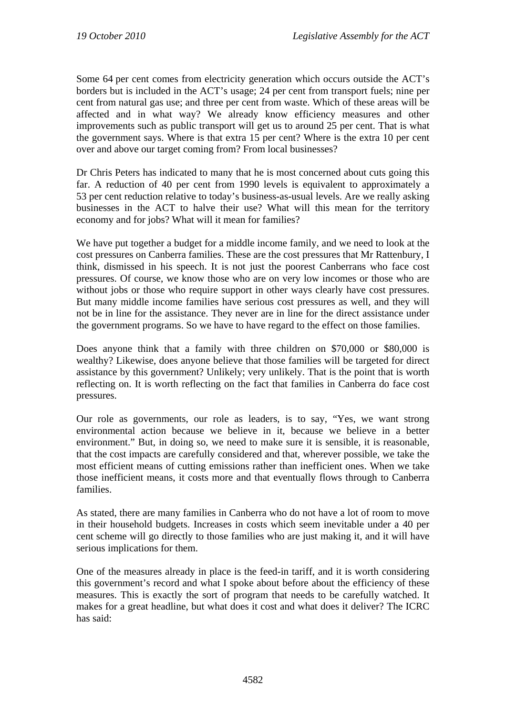Some 64 per cent comes from electricity generation which occurs outside the ACT's borders but is included in the ACT's usage; 24 per cent from transport fuels; nine per cent from natural gas use; and three per cent from waste. Which of these areas will be affected and in what way? We already know efficiency measures and other improvements such as public transport will get us to around 25 per cent. That is what the government says. Where is that extra 15 per cent? Where is the extra 10 per cent over and above our target coming from? From local businesses?

Dr Chris Peters has indicated to many that he is most concerned about cuts going this far. A reduction of 40 per cent from 1990 levels is equivalent to approximately a 53 per cent reduction relative to today's business-as-usual levels. Are we really asking businesses in the ACT to halve their use? What will this mean for the territory economy and for jobs? What will it mean for families?

We have put together a budget for a middle income family, and we need to look at the cost pressures on Canberra families. These are the cost pressures that Mr Rattenbury, I think, dismissed in his speech. It is not just the poorest Canberrans who face cost pressures. Of course, we know those who are on very low incomes or those who are without jobs or those who require support in other ways clearly have cost pressures. But many middle income families have serious cost pressures as well, and they will not be in line for the assistance. They never are in line for the direct assistance under the government programs. So we have to have regard to the effect on those families.

Does anyone think that a family with three children on \$70,000 or \$80,000 is wealthy? Likewise, does anyone believe that those families will be targeted for direct assistance by this government? Unlikely; very unlikely. That is the point that is worth reflecting on. It is worth reflecting on the fact that families in Canberra do face cost pressures.

Our role as governments, our role as leaders, is to say, "Yes, we want strong environmental action because we believe in it, because we believe in a better environment." But, in doing so, we need to make sure it is sensible, it is reasonable, that the cost impacts are carefully considered and that, wherever possible, we take the most efficient means of cutting emissions rather than inefficient ones. When we take those inefficient means, it costs more and that eventually flows through to Canberra families.

As stated, there are many families in Canberra who do not have a lot of room to move in their household budgets. Increases in costs which seem inevitable under a 40 per cent scheme will go directly to those families who are just making it, and it will have serious implications for them.

One of the measures already in place is the feed-in tariff, and it is worth considering this government's record and what I spoke about before about the efficiency of these measures. This is exactly the sort of program that needs to be carefully watched. It makes for a great headline, but what does it cost and what does it deliver? The ICRC has said: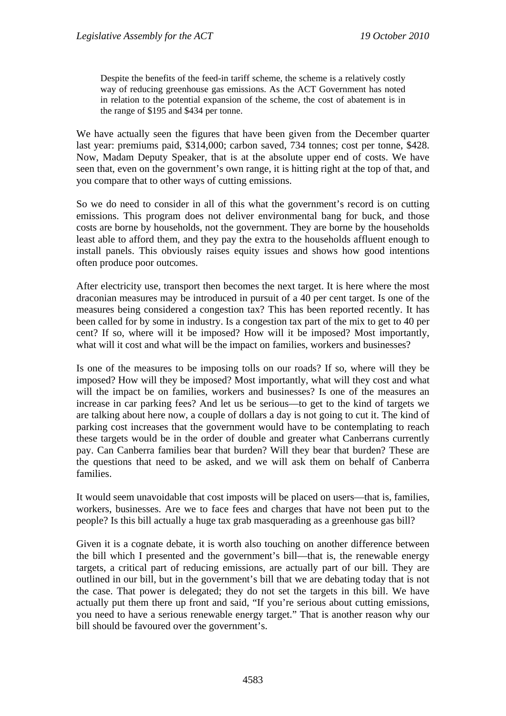Despite the benefits of the feed-in tariff scheme, the scheme is a relatively costly way of reducing greenhouse gas emissions. As the ACT Government has noted in relation to the potential expansion of the scheme, the cost of abatement is in the range of \$195 and \$434 per tonne.

We have actually seen the figures that have been given from the December quarter last year: premiums paid, \$314,000; carbon saved, 734 tonnes; cost per tonne, \$428. Now, Madam Deputy Speaker, that is at the absolute upper end of costs. We have seen that, even on the government's own range, it is hitting right at the top of that, and you compare that to other ways of cutting emissions.

So we do need to consider in all of this what the government's record is on cutting emissions. This program does not deliver environmental bang for buck, and those costs are borne by households, not the government. They are borne by the households least able to afford them, and they pay the extra to the households affluent enough to install panels. This obviously raises equity issues and shows how good intentions often produce poor outcomes.

After electricity use, transport then becomes the next target. It is here where the most draconian measures may be introduced in pursuit of a 40 per cent target. Is one of the measures being considered a congestion tax? This has been reported recently. It has been called for by some in industry. Is a congestion tax part of the mix to get to 40 per cent? If so, where will it be imposed? How will it be imposed? Most importantly, what will it cost and what will be the impact on families, workers and businesses?

Is one of the measures to be imposing tolls on our roads? If so, where will they be imposed? How will they be imposed? Most importantly, what will they cost and what will the impact be on families, workers and businesses? Is one of the measures an increase in car parking fees? And let us be serious—to get to the kind of targets we are talking about here now, a couple of dollars a day is not going to cut it. The kind of parking cost increases that the government would have to be contemplating to reach these targets would be in the order of double and greater what Canberrans currently pay. Can Canberra families bear that burden? Will they bear that burden? These are the questions that need to be asked, and we will ask them on behalf of Canberra families.

It would seem unavoidable that cost imposts will be placed on users—that is, families, workers, businesses. Are we to face fees and charges that have not been put to the people? Is this bill actually a huge tax grab masquerading as a greenhouse gas bill?

Given it is a cognate debate, it is worth also touching on another difference between the bill which I presented and the government's bill—that is, the renewable energy targets, a critical part of reducing emissions, are actually part of our bill. They are outlined in our bill, but in the government's bill that we are debating today that is not the case. That power is delegated; they do not set the targets in this bill. We have actually put them there up front and said, "If you're serious about cutting emissions, you need to have a serious renewable energy target." That is another reason why our bill should be favoured over the government's.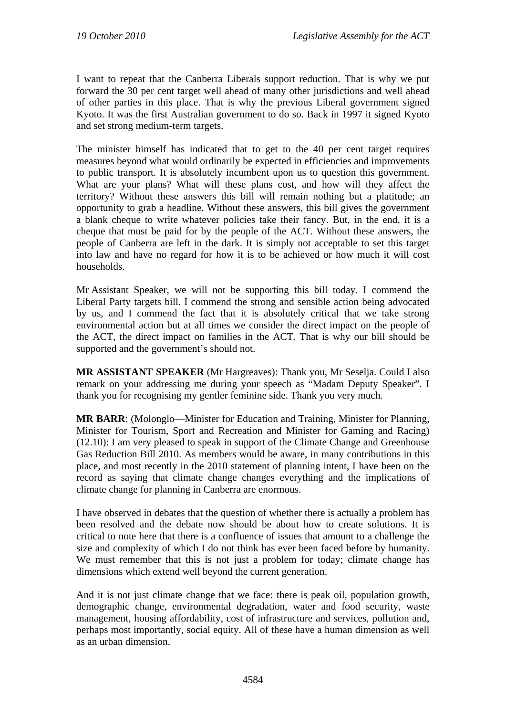I want to repeat that the Canberra Liberals support reduction. That is why we put forward the 30 per cent target well ahead of many other jurisdictions and well ahead of other parties in this place. That is why the previous Liberal government signed Kyoto. It was the first Australian government to do so. Back in 1997 it signed Kyoto and set strong medium-term targets.

The minister himself has indicated that to get to the 40 per cent target requires measures beyond what would ordinarily be expected in efficiencies and improvements to public transport. It is absolutely incumbent upon us to question this government. What are your plans? What will these plans cost, and how will they affect the territory? Without these answers this bill will remain nothing but a platitude; an opportunity to grab a headline. Without these answers, this bill gives the government a blank cheque to write whatever policies take their fancy. But, in the end, it is a cheque that must be paid for by the people of the ACT. Without these answers, the people of Canberra are left in the dark. It is simply not acceptable to set this target into law and have no regard for how it is to be achieved or how much it will cost households.

Mr Assistant Speaker, we will not be supporting this bill today. I commend the Liberal Party targets bill. I commend the strong and sensible action being advocated by us, and I commend the fact that it is absolutely critical that we take strong environmental action but at all times we consider the direct impact on the people of the ACT, the direct impact on families in the ACT. That is why our bill should be supported and the government's should not.

**MR ASSISTANT SPEAKER** (Mr Hargreaves): Thank you, Mr Seselja. Could I also remark on your addressing me during your speech as "Madam Deputy Speaker". I thank you for recognising my gentler feminine side. Thank you very much.

**MR BARR**: (Molonglo—Minister for Education and Training, Minister for Planning, Minister for Tourism, Sport and Recreation and Minister for Gaming and Racing) (12.10): I am very pleased to speak in support of the Climate Change and Greenhouse Gas Reduction Bill 2010. As members would be aware, in many contributions in this place, and most recently in the 2010 statement of planning intent, I have been on the record as saying that climate change changes everything and the implications of climate change for planning in Canberra are enormous.

I have observed in debates that the question of whether there is actually a problem has been resolved and the debate now should be about how to create solutions. It is critical to note here that there is a confluence of issues that amount to a challenge the size and complexity of which I do not think has ever been faced before by humanity. We must remember that this is not just a problem for today; climate change has dimensions which extend well beyond the current generation.

And it is not just climate change that we face: there is peak oil, population growth, demographic change, environmental degradation, water and food security, waste management, housing affordability, cost of infrastructure and services, pollution and, perhaps most importantly, social equity. All of these have a human dimension as well as an urban dimension.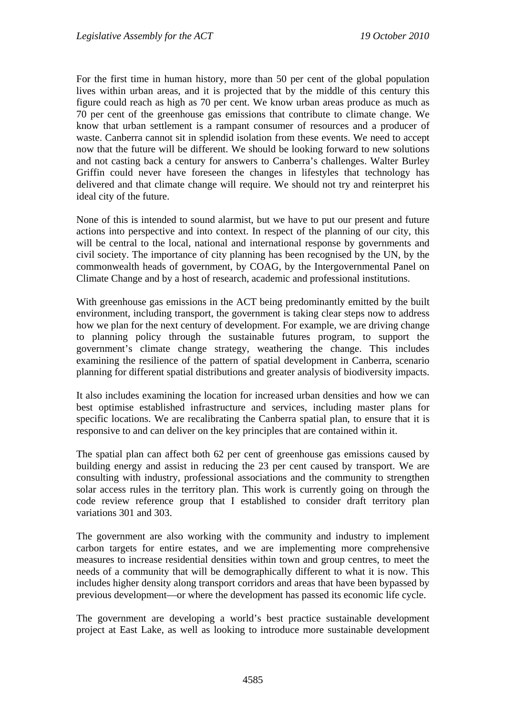For the first time in human history, more than 50 per cent of the global population lives within urban areas, and it is projected that by the middle of this century this figure could reach as high as 70 per cent. We know urban areas produce as much as 70 per cent of the greenhouse gas emissions that contribute to climate change. We know that urban settlement is a rampant consumer of resources and a producer of waste. Canberra cannot sit in splendid isolation from these events. We need to accept now that the future will be different. We should be looking forward to new solutions and not casting back a century for answers to Canberra's challenges. Walter Burley Griffin could never have foreseen the changes in lifestyles that technology has delivered and that climate change will require. We should not try and reinterpret his ideal city of the future.

None of this is intended to sound alarmist, but we have to put our present and future actions into perspective and into context. In respect of the planning of our city, this will be central to the local, national and international response by governments and civil society. The importance of city planning has been recognised by the UN, by the commonwealth heads of government, by COAG, by the Intergovernmental Panel on Climate Change and by a host of research, academic and professional institutions.

With greenhouse gas emissions in the ACT being predominantly emitted by the built environment, including transport, the government is taking clear steps now to address how we plan for the next century of development. For example, we are driving change to planning policy through the sustainable futures program, to support the government's climate change strategy, weathering the change. This includes examining the resilience of the pattern of spatial development in Canberra, scenario planning for different spatial distributions and greater analysis of biodiversity impacts.

It also includes examining the location for increased urban densities and how we can best optimise established infrastructure and services, including master plans for specific locations. We are recalibrating the Canberra spatial plan, to ensure that it is responsive to and can deliver on the key principles that are contained within it.

The spatial plan can affect both 62 per cent of greenhouse gas emissions caused by building energy and assist in reducing the 23 per cent caused by transport. We are consulting with industry, professional associations and the community to strengthen solar access rules in the territory plan. This work is currently going on through the code review reference group that I established to consider draft territory plan variations 301 and 303.

The government are also working with the community and industry to implement carbon targets for entire estates, and we are implementing more comprehensive measures to increase residential densities within town and group centres, to meet the needs of a community that will be demographically different to what it is now. This includes higher density along transport corridors and areas that have been bypassed by previous development—or where the development has passed its economic life cycle.

The government are developing a world's best practice sustainable development project at East Lake, as well as looking to introduce more sustainable development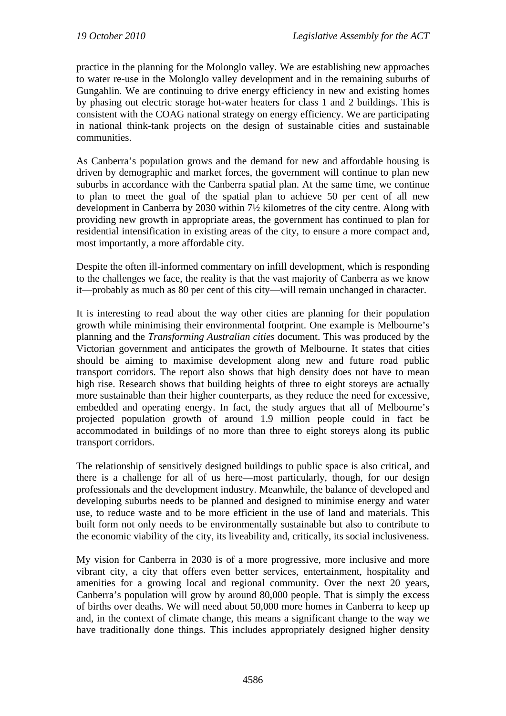practice in the planning for the Molonglo valley. We are establishing new approaches to water re-use in the Molonglo valley development and in the remaining suburbs of Gungahlin. We are continuing to drive energy efficiency in new and existing homes by phasing out electric storage hot-water heaters for class 1 and 2 buildings. This is consistent with the COAG national strategy on energy efficiency. We are participating in national think-tank projects on the design of sustainable cities and sustainable communities.

As Canberra's population grows and the demand for new and affordable housing is driven by demographic and market forces, the government will continue to plan new suburbs in accordance with the Canberra spatial plan. At the same time, we continue to plan to meet the goal of the spatial plan to achieve 50 per cent of all new development in Canberra by 2030 within 7½ kilometres of the city centre. Along with providing new growth in appropriate areas, the government has continued to plan for residential intensification in existing areas of the city, to ensure a more compact and, most importantly, a more affordable city.

Despite the often ill-informed commentary on infill development, which is responding to the challenges we face, the reality is that the vast majority of Canberra as we know it—probably as much as 80 per cent of this city—will remain unchanged in character.

It is interesting to read about the way other cities are planning for their population growth while minimising their environmental footprint. One example is Melbourne's planning and the *Transforming Australian cities* document. This was produced by the Victorian government and anticipates the growth of Melbourne. It states that cities should be aiming to maximise development along new and future road public transport corridors. The report also shows that high density does not have to mean high rise. Research shows that building heights of three to eight storeys are actually more sustainable than their higher counterparts, as they reduce the need for excessive, embedded and operating energy. In fact, the study argues that all of Melbourne's projected population growth of around 1.9 million people could in fact be accommodated in buildings of no more than three to eight storeys along its public transport corridors.

The relationship of sensitively designed buildings to public space is also critical, and there is a challenge for all of us here—most particularly, though, for our design professionals and the development industry. Meanwhile, the balance of developed and developing suburbs needs to be planned and designed to minimise energy and water use, to reduce waste and to be more efficient in the use of land and materials. This built form not only needs to be environmentally sustainable but also to contribute to the economic viability of the city, its liveability and, critically, its social inclusiveness.

My vision for Canberra in 2030 is of a more progressive, more inclusive and more vibrant city, a city that offers even better services, entertainment, hospitality and amenities for a growing local and regional community. Over the next 20 years, Canberra's population will grow by around 80,000 people. That is simply the excess of births over deaths. We will need about 50,000 more homes in Canberra to keep up and, in the context of climate change, this means a significant change to the way we have traditionally done things. This includes appropriately designed higher density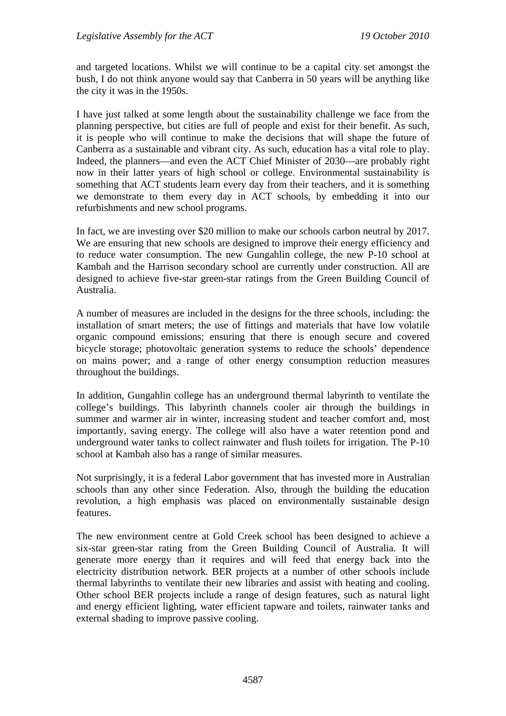and targeted locations. Whilst we will continue to be a capital city set amongst the bush, I do not think anyone would say that Canberra in 50 years will be anything like the city it was in the 1950s.

I have just talked at some length about the sustainability challenge we face from the planning perspective, but cities are full of people and exist for their benefit. As such, it is people who will continue to make the decisions that will shape the future of Canberra as a sustainable and vibrant city. As such, education has a vital role to play. Indeed, the planners—and even the ACT Chief Minister of 2030—are probably right now in their latter years of high school or college. Environmental sustainability is something that ACT students learn every day from their teachers, and it is something we demonstrate to them every day in ACT schools, by embedding it into our refurbishments and new school programs.

In fact, we are investing over \$20 million to make our schools carbon neutral by 2017. We are ensuring that new schools are designed to improve their energy efficiency and to reduce water consumption. The new Gungahlin college, the new P-10 school at Kambah and the Harrison secondary school are currently under construction. All are designed to achieve five-star green-star ratings from the Green Building Council of Australia.

A number of measures are included in the designs for the three schools, including: the installation of smart meters; the use of fittings and materials that have low volatile organic compound emissions; ensuring that there is enough secure and covered bicycle storage; photovoltaic generation systems to reduce the schools' dependence on mains power; and a range of other energy consumption reduction measures throughout the buildings.

In addition, Gungahlin college has an underground thermal labyrinth to ventilate the college's buildings. This labyrinth channels cooler air through the buildings in summer and warmer air in winter, increasing student and teacher comfort and, most importantly, saving energy. The college will also have a water retention pond and underground water tanks to collect rainwater and flush toilets for irrigation. The P-10 school at Kambah also has a range of similar measures.

Not surprisingly, it is a federal Labor government that has invested more in Australian schools than any other since Federation. Also, through the building the education revolution, a high emphasis was placed on environmentally sustainable design features.

The new environment centre at Gold Creek school has been designed to achieve a six-star green-star rating from the Green Building Council of Australia. It will generate more energy than it requires and will feed that energy back into the electricity distribution network. BER projects at a number of other schools include thermal labyrinths to ventilate their new libraries and assist with heating and cooling. Other school BER projects include a range of design features, such as natural light and energy efficient lighting, water efficient tapware and toilets, rainwater tanks and external shading to improve passive cooling.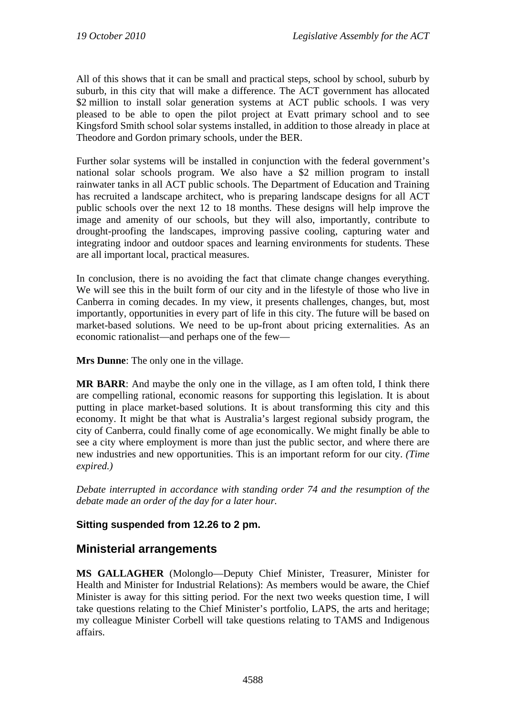All of this shows that it can be small and practical steps, school by school, suburb by suburb, in this city that will make a difference. The ACT government has allocated \$2 million to install solar generation systems at ACT public schools. I was very pleased to be able to open the pilot project at Evatt primary school and to see Kingsford Smith school solar systems installed, in addition to those already in place at Theodore and Gordon primary schools, under the BER.

Further solar systems will be installed in conjunction with the federal government's national solar schools program. We also have a \$2 million program to install rainwater tanks in all ACT public schools. The Department of Education and Training has recruited a landscape architect, who is preparing landscape designs for all ACT public schools over the next 12 to 18 months. These designs will help improve the image and amenity of our schools, but they will also, importantly, contribute to drought-proofing the landscapes, improving passive cooling, capturing water and integrating indoor and outdoor spaces and learning environments for students. These are all important local, practical measures.

In conclusion, there is no avoiding the fact that climate change changes everything. We will see this in the built form of our city and in the lifestyle of those who live in Canberra in coming decades. In my view, it presents challenges, changes, but, most importantly, opportunities in every part of life in this city. The future will be based on market-based solutions. We need to be up-front about pricing externalities. As an economic rationalist—and perhaps one of the few—

**Mrs Dunne**: The only one in the village.

**MR BARR**: And maybe the only one in the village, as I am often told, I think there are compelling rational, economic reasons for supporting this legislation. It is about putting in place market-based solutions. It is about transforming this city and this economy. It might be that what is Australia's largest regional subsidy program, the city of Canberra, could finally come of age economically. We might finally be able to see a city where employment is more than just the public sector, and where there are new industries and new opportunities. This is an important reform for our city. *(Time expired.)*

*Debate interrupted in accordance with standing order 74 and the resumption of the debate made an order of the day for a later hour.* 

## **Sitting suspended from 12.26 to 2 pm.**

# **Ministerial arrangements**

**MS GALLAGHER** (Molonglo—Deputy Chief Minister, Treasurer, Minister for Health and Minister for Industrial Relations): As members would be aware, the Chief Minister is away for this sitting period. For the next two weeks question time, I will take questions relating to the Chief Minister's portfolio, LAPS, the arts and heritage; my colleague Minister Corbell will take questions relating to TAMS and Indigenous affairs.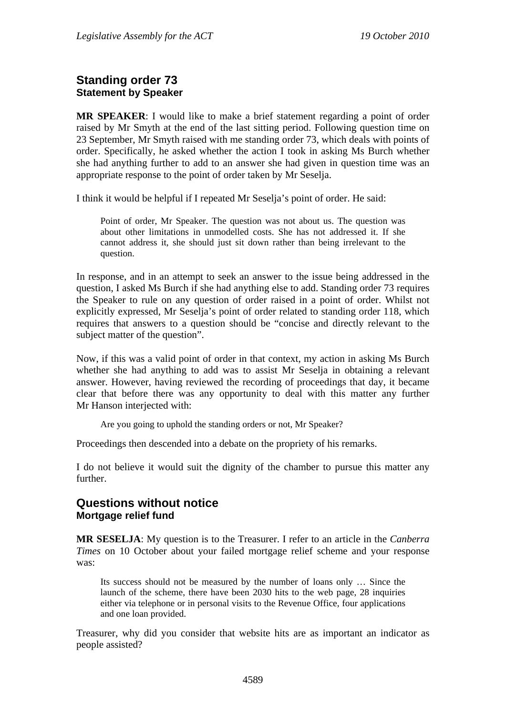## **Standing order 73 Statement by Speaker**

**MR SPEAKER**: I would like to make a brief statement regarding a point of order raised by Mr Smyth at the end of the last sitting period. Following question time on 23 September, Mr Smyth raised with me standing order 73, which deals with points of order. Specifically, he asked whether the action I took in asking Ms Burch whether she had anything further to add to an answer she had given in question time was an appropriate response to the point of order taken by Mr Seselja.

I think it would be helpful if I repeated Mr Seselja's point of order. He said:

Point of order, Mr Speaker. The question was not about us. The question was about other limitations in unmodelled costs. She has not addressed it. If she cannot address it, she should just sit down rather than being irrelevant to the question.

In response, and in an attempt to seek an answer to the issue being addressed in the question, I asked Ms Burch if she had anything else to add. Standing order 73 requires the Speaker to rule on any question of order raised in a point of order. Whilst not explicitly expressed, Mr Seselja's point of order related to standing order 118, which requires that answers to a question should be "concise and directly relevant to the subject matter of the question".

Now, if this was a valid point of order in that context, my action in asking Ms Burch whether she had anything to add was to assist Mr Seselja in obtaining a relevant answer. However, having reviewed the recording of proceedings that day, it became clear that before there was any opportunity to deal with this matter any further Mr Hanson interjected with:

Are you going to uphold the standing orders or not, Mr Speaker?

Proceedings then descended into a debate on the propriety of his remarks.

I do not believe it would suit the dignity of the chamber to pursue this matter any further.

### **Questions without notice Mortgage relief fund**

**MR SESELJA**: My question is to the Treasurer. I refer to an article in the *Canberra Times* on 10 October about your failed mortgage relief scheme and your response was:

Its success should not be measured by the number of loans only … Since the launch of the scheme, there have been 2030 hits to the web page, 28 inquiries either via telephone or in personal visits to the Revenue Office, four applications and one loan provided.

Treasurer, why did you consider that website hits are as important an indicator as people assisted?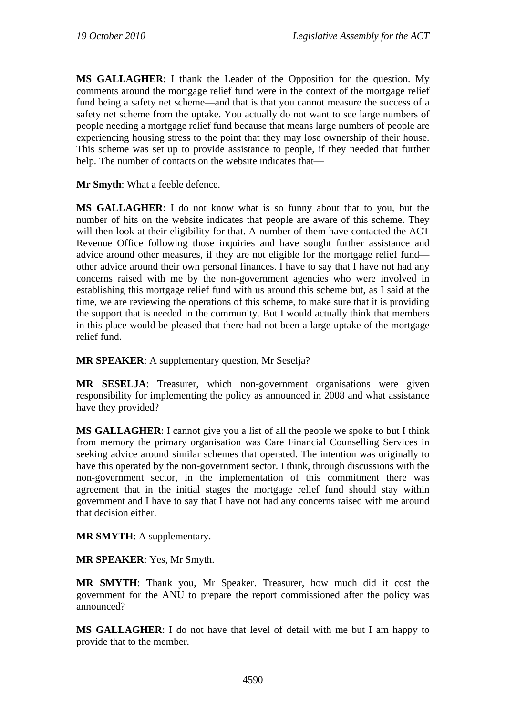**MS GALLAGHER**: I thank the Leader of the Opposition for the question. My comments around the mortgage relief fund were in the context of the mortgage relief fund being a safety net scheme—and that is that you cannot measure the success of a safety net scheme from the uptake. You actually do not want to see large numbers of people needing a mortgage relief fund because that means large numbers of people are experiencing housing stress to the point that they may lose ownership of their house. This scheme was set up to provide assistance to people, if they needed that further help. The number of contacts on the website indicates that—

**Mr Smyth**: What a feeble defence.

**MS GALLAGHER**: I do not know what is so funny about that to you, but the number of hits on the website indicates that people are aware of this scheme. They will then look at their eligibility for that. A number of them have contacted the ACT Revenue Office following those inquiries and have sought further assistance and advice around other measures, if they are not eligible for the mortgage relief fund other advice around their own personal finances. I have to say that I have not had any concerns raised with me by the non-government agencies who were involved in establishing this mortgage relief fund with us around this scheme but, as I said at the time, we are reviewing the operations of this scheme, to make sure that it is providing the support that is needed in the community. But I would actually think that members in this place would be pleased that there had not been a large uptake of the mortgage relief fund.

**MR SPEAKER:** A supplementary question, Mr Seselia?

**MR SESELJA**: Treasurer, which non-government organisations were given responsibility for implementing the policy as announced in 2008 and what assistance have they provided?

**MS GALLAGHER**: I cannot give you a list of all the people we spoke to but I think from memory the primary organisation was Care Financial Counselling Services in seeking advice around similar schemes that operated. The intention was originally to have this operated by the non-government sector. I think, through discussions with the non-government sector, in the implementation of this commitment there was agreement that in the initial stages the mortgage relief fund should stay within government and I have to say that I have not had any concerns raised with me around that decision either.

**MR SMYTH**: A supplementary.

**MR SPEAKER**: Yes, Mr Smyth.

**MR SMYTH**: Thank you, Mr Speaker. Treasurer, how much did it cost the government for the ANU to prepare the report commissioned after the policy was announced?

**MS GALLAGHER**: I do not have that level of detail with me but I am happy to provide that to the member.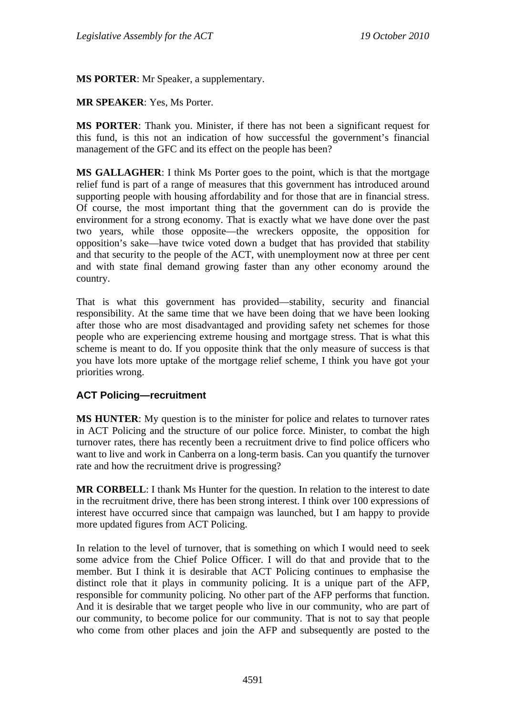**MS PORTER**: Mr Speaker, a supplementary.

**MR SPEAKER**: Yes, Ms Porter.

**MS PORTER**: Thank you. Minister, if there has not been a significant request for this fund, is this not an indication of how successful the government's financial management of the GFC and its effect on the people has been?

**MS GALLAGHER**: I think Ms Porter goes to the point, which is that the mortgage relief fund is part of a range of measures that this government has introduced around supporting people with housing affordability and for those that are in financial stress. Of course, the most important thing that the government can do is provide the environment for a strong economy. That is exactly what we have done over the past two years, while those opposite—the wreckers opposite, the opposition for opposition's sake—have twice voted down a budget that has provided that stability and that security to the people of the ACT, with unemployment now at three per cent and with state final demand growing faster than any other economy around the country.

That is what this government has provided—stability, security and financial responsibility. At the same time that we have been doing that we have been looking after those who are most disadvantaged and providing safety net schemes for those people who are experiencing extreme housing and mortgage stress. That is what this scheme is meant to do. If you opposite think that the only measure of success is that you have lots more uptake of the mortgage relief scheme, I think you have got your priorities wrong.

#### **ACT Policing—recruitment**

**MS HUNTER**: My question is to the minister for police and relates to turnover rates in ACT Policing and the structure of our police force. Minister, to combat the high turnover rates, there has recently been a recruitment drive to find police officers who want to live and work in Canberra on a long-term basis. Can you quantify the turnover rate and how the recruitment drive is progressing?

**MR CORBELL:** I thank Ms Hunter for the question. In relation to the interest to date in the recruitment drive, there has been strong interest. I think over 100 expressions of interest have occurred since that campaign was launched, but I am happy to provide more updated figures from ACT Policing.

In relation to the level of turnover, that is something on which I would need to seek some advice from the Chief Police Officer. I will do that and provide that to the member. But I think it is desirable that ACT Policing continues to emphasise the distinct role that it plays in community policing. It is a unique part of the AFP, responsible for community policing. No other part of the AFP performs that function. And it is desirable that we target people who live in our community, who are part of our community, to become police for our community. That is not to say that people who come from other places and join the AFP and subsequently are posted to the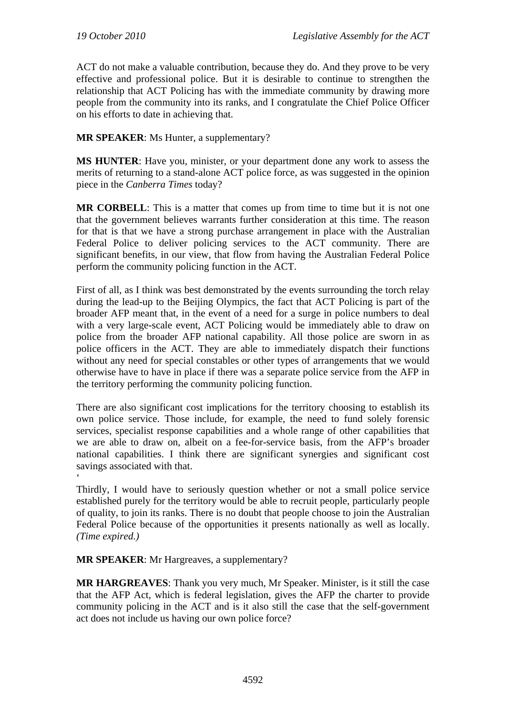ACT do not make a valuable contribution, because they do. And they prove to be very effective and professional police. But it is desirable to continue to strengthen the relationship that ACT Policing has with the immediate community by drawing more people from the community into its ranks, and I congratulate the Chief Police Officer on his efforts to date in achieving that.

**MR SPEAKER**: Ms Hunter, a supplementary?

**MS HUNTER**: Have you, minister, or your department done any work to assess the merits of returning to a stand-alone ACT police force, as was suggested in the opinion piece in the *Canberra Times* today?

**MR CORBELL**: This is a matter that comes up from time to time but it is not one that the government believes warrants further consideration at this time. The reason for that is that we have a strong purchase arrangement in place with the Australian Federal Police to deliver policing services to the ACT community. There are significant benefits, in our view, that flow from having the Australian Federal Police perform the community policing function in the ACT.

First of all, as I think was best demonstrated by the events surrounding the torch relay during the lead-up to the Beijing Olympics, the fact that ACT Policing is part of the broader AFP meant that, in the event of a need for a surge in police numbers to deal with a very large-scale event, ACT Policing would be immediately able to draw on police from the broader AFP national capability. All those police are sworn in as police officers in the ACT. They are able to immediately dispatch their functions without any need for special constables or other types of arrangements that we would otherwise have to have in place if there was a separate police service from the AFP in the territory performing the community policing function.

There are also significant cost implications for the territory choosing to establish its own police service. Those include, for example, the need to fund solely forensic services, specialist response capabilities and a whole range of other capabilities that we are able to draw on, albeit on a fee-for-service basis, from the AFP's broader national capabilities. I think there are significant synergies and significant cost savings associated with that.

Thirdly, I would have to seriously question whether or not a small police service established purely for the territory would be able to recruit people, particularly people of quality, to join its ranks. There is no doubt that people choose to join the Australian Federal Police because of the opportunities it presents nationally as well as locally. *(Time expired.)* 

**MR SPEAKER**: Mr Hargreaves, a supplementary?

 $\ddot{\phantom{0}}$ 

**MR HARGREAVES**: Thank you very much, Mr Speaker. Minister, is it still the case that the AFP Act, which is federal legislation, gives the AFP the charter to provide community policing in the ACT and is it also still the case that the self-government act does not include us having our own police force?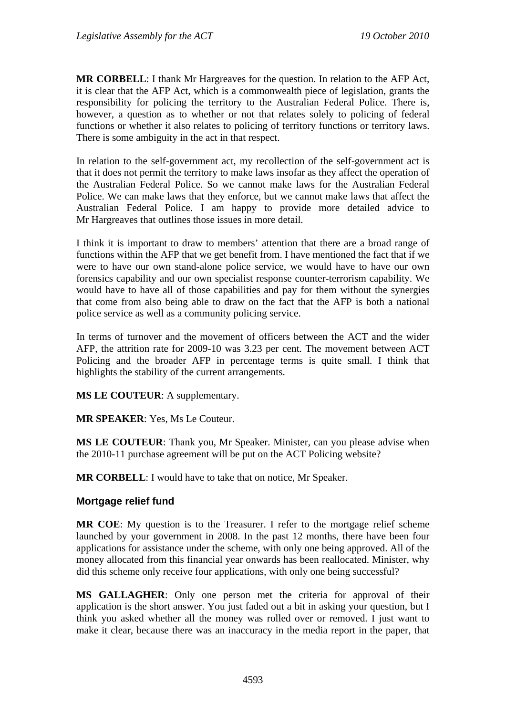**MR CORBELL**: I thank Mr Hargreaves for the question. In relation to the AFP Act, it is clear that the AFP Act, which is a commonwealth piece of legislation, grants the responsibility for policing the territory to the Australian Federal Police. There is, however, a question as to whether or not that relates solely to policing of federal functions or whether it also relates to policing of territory functions or territory laws. There is some ambiguity in the act in that respect.

In relation to the self-government act, my recollection of the self-government act is that it does not permit the territory to make laws insofar as they affect the operation of the Australian Federal Police. So we cannot make laws for the Australian Federal Police. We can make laws that they enforce, but we cannot make laws that affect the Australian Federal Police. I am happy to provide more detailed advice to Mr Hargreaves that outlines those issues in more detail.

I think it is important to draw to members' attention that there are a broad range of functions within the AFP that we get benefit from. I have mentioned the fact that if we were to have our own stand-alone police service, we would have to have our own forensics capability and our own specialist response counter-terrorism capability. We would have to have all of those capabilities and pay for them without the synergies that come from also being able to draw on the fact that the AFP is both a national police service as well as a community policing service.

In terms of turnover and the movement of officers between the ACT and the wider AFP, the attrition rate for 2009-10 was 3.23 per cent. The movement between ACT Policing and the broader AFP in percentage terms is quite small. I think that highlights the stability of the current arrangements.

**MS LE COUTEUR**: A supplementary.

**MR SPEAKER**: Yes, Ms Le Couteur.

**MS LE COUTEUR**: Thank you, Mr Speaker. Minister, can you please advise when the 2010-11 purchase agreement will be put on the ACT Policing website?

**MR CORBELL**: I would have to take that on notice, Mr Speaker.

#### **Mortgage relief fund**

**MR COE**: My question is to the Treasurer. I refer to the mortgage relief scheme launched by your government in 2008. In the past 12 months, there have been four applications for assistance under the scheme, with only one being approved. All of the money allocated from this financial year onwards has been reallocated. Minister, why did this scheme only receive four applications, with only one being successful?

**MS GALLAGHER**: Only one person met the criteria for approval of their application is the short answer. You just faded out a bit in asking your question, but I think you asked whether all the money was rolled over or removed. I just want to make it clear, because there was an inaccuracy in the media report in the paper, that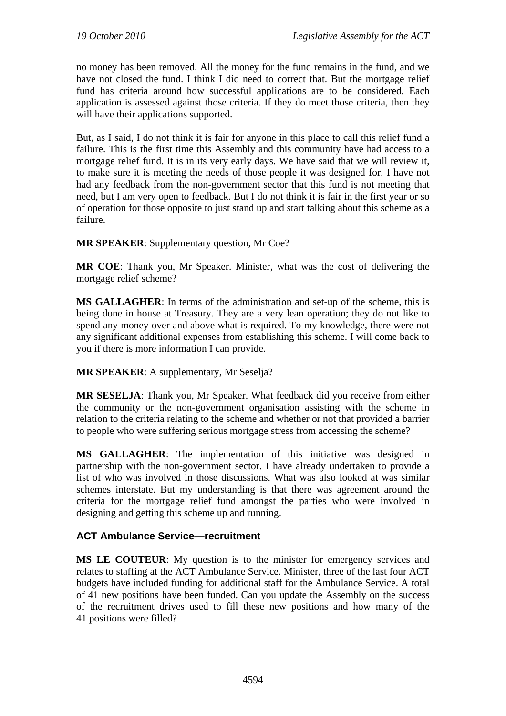no money has been removed. All the money for the fund remains in the fund, and we have not closed the fund. I think I did need to correct that. But the mortgage relief fund has criteria around how successful applications are to be considered. Each application is assessed against those criteria. If they do meet those criteria, then they will have their applications supported.

But, as I said, I do not think it is fair for anyone in this place to call this relief fund a failure. This is the first time this Assembly and this community have had access to a mortgage relief fund. It is in its very early days. We have said that we will review it, to make sure it is meeting the needs of those people it was designed for. I have not had any feedback from the non-government sector that this fund is not meeting that need, but I am very open to feedback. But I do not think it is fair in the first year or so of operation for those opposite to just stand up and start talking about this scheme as a failure.

**MR SPEAKER**: Supplementary question, Mr Coe?

**MR COE**: Thank you, Mr Speaker. Minister, what was the cost of delivering the mortgage relief scheme?

**MS GALLAGHER**: In terms of the administration and set-up of the scheme, this is being done in house at Treasury. They are a very lean operation; they do not like to spend any money over and above what is required. To my knowledge, there were not any significant additional expenses from establishing this scheme. I will come back to you if there is more information I can provide.

**MR SPEAKER**: A supplementary, Mr Seselja?

**MR SESELJA**: Thank you, Mr Speaker. What feedback did you receive from either the community or the non-government organisation assisting with the scheme in relation to the criteria relating to the scheme and whether or not that provided a barrier to people who were suffering serious mortgage stress from accessing the scheme?

**MS GALLAGHER**: The implementation of this initiative was designed in partnership with the non-government sector. I have already undertaken to provide a list of who was involved in those discussions. What was also looked at was similar schemes interstate. But my understanding is that there was agreement around the criteria for the mortgage relief fund amongst the parties who were involved in designing and getting this scheme up and running.

### **ACT Ambulance Service—recruitment**

**MS LE COUTEUR**: My question is to the minister for emergency services and relates to staffing at the ACT Ambulance Service. Minister, three of the last four ACT budgets have included funding for additional staff for the Ambulance Service. A total of 41 new positions have been funded. Can you update the Assembly on the success of the recruitment drives used to fill these new positions and how many of the 41 positions were filled?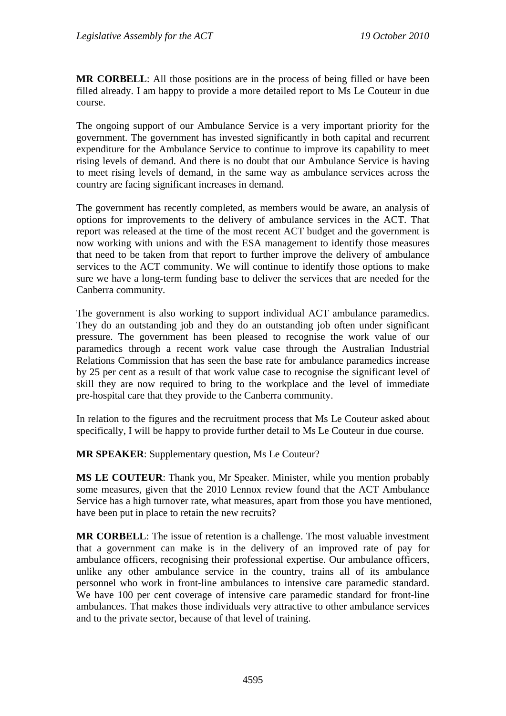**MR CORBELL**: All those positions are in the process of being filled or have been filled already. I am happy to provide a more detailed report to Ms Le Couteur in due course.

The ongoing support of our Ambulance Service is a very important priority for the government. The government has invested significantly in both capital and recurrent expenditure for the Ambulance Service to continue to improve its capability to meet rising levels of demand. And there is no doubt that our Ambulance Service is having to meet rising levels of demand, in the same way as ambulance services across the country are facing significant increases in demand.

The government has recently completed, as members would be aware, an analysis of options for improvements to the delivery of ambulance services in the ACT. That report was released at the time of the most recent ACT budget and the government is now working with unions and with the ESA management to identify those measures that need to be taken from that report to further improve the delivery of ambulance services to the ACT community. We will continue to identify those options to make sure we have a long-term funding base to deliver the services that are needed for the Canberra community.

The government is also working to support individual ACT ambulance paramedics. They do an outstanding job and they do an outstanding job often under significant pressure. The government has been pleased to recognise the work value of our paramedics through a recent work value case through the Australian Industrial Relations Commission that has seen the base rate for ambulance paramedics increase by 25 per cent as a result of that work value case to recognise the significant level of skill they are now required to bring to the workplace and the level of immediate pre-hospital care that they provide to the Canberra community.

In relation to the figures and the recruitment process that Ms Le Couteur asked about specifically, I will be happy to provide further detail to Ms Le Couteur in due course.

**MR SPEAKER**: Supplementary question, Ms Le Couteur?

**MS LE COUTEUR**: Thank you, Mr Speaker. Minister, while you mention probably some measures, given that the 2010 Lennox review found that the ACT Ambulance Service has a high turnover rate, what measures, apart from those you have mentioned, have been put in place to retain the new recruits?

**MR CORBELL**: The issue of retention is a challenge. The most valuable investment that a government can make is in the delivery of an improved rate of pay for ambulance officers, recognising their professional expertise. Our ambulance officers, unlike any other ambulance service in the country, trains all of its ambulance personnel who work in front-line ambulances to intensive care paramedic standard. We have 100 per cent coverage of intensive care paramedic standard for front-line ambulances. That makes those individuals very attractive to other ambulance services and to the private sector, because of that level of training.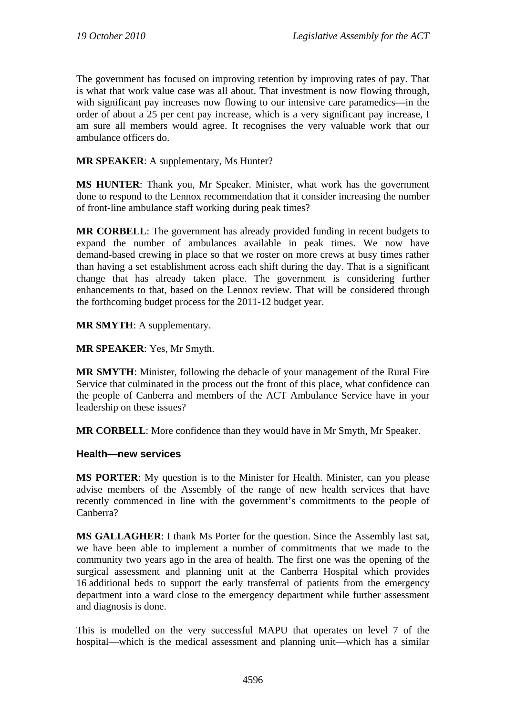The government has focused on improving retention by improving rates of pay. That is what that work value case was all about. That investment is now flowing through, with significant pay increases now flowing to our intensive care paramedics—in the order of about a 25 per cent pay increase, which is a very significant pay increase, I am sure all members would agree. It recognises the very valuable work that our ambulance officers do.

**MR SPEAKER**: A supplementary, Ms Hunter?

**MS HUNTER**: Thank you, Mr Speaker. Minister, what work has the government done to respond to the Lennox recommendation that it consider increasing the number of front-line ambulance staff working during peak times?

**MR CORBELL**: The government has already provided funding in recent budgets to expand the number of ambulances available in peak times. We now have demand-based crewing in place so that we roster on more crews at busy times rather than having a set establishment across each shift during the day. That is a significant change that has already taken place. The government is considering further enhancements to that, based on the Lennox review. That will be considered through the forthcoming budget process for the 2011-12 budget year.

**MR SMYTH**: A supplementary.

**MR SPEAKER**: Yes, Mr Smyth.

**MR SMYTH**: Minister, following the debacle of your management of the Rural Fire Service that culminated in the process out the front of this place, what confidence can the people of Canberra and members of the ACT Ambulance Service have in your leadership on these issues?

**MR CORBELL**: More confidence than they would have in Mr Smyth, Mr Speaker.

#### **Health—new services**

**MS PORTER**: My question is to the Minister for Health. Minister, can you please advise members of the Assembly of the range of new health services that have recently commenced in line with the government's commitments to the people of Canberra?

**MS GALLAGHER**: I thank Ms Porter for the question. Since the Assembly last sat, we have been able to implement a number of commitments that we made to the community two years ago in the area of health. The first one was the opening of the surgical assessment and planning unit at the Canberra Hospital which provides 16 additional beds to support the early transferral of patients from the emergency department into a ward close to the emergency department while further assessment and diagnosis is done.

This is modelled on the very successful MAPU that operates on level 7 of the hospital—which is the medical assessment and planning unit—which has a similar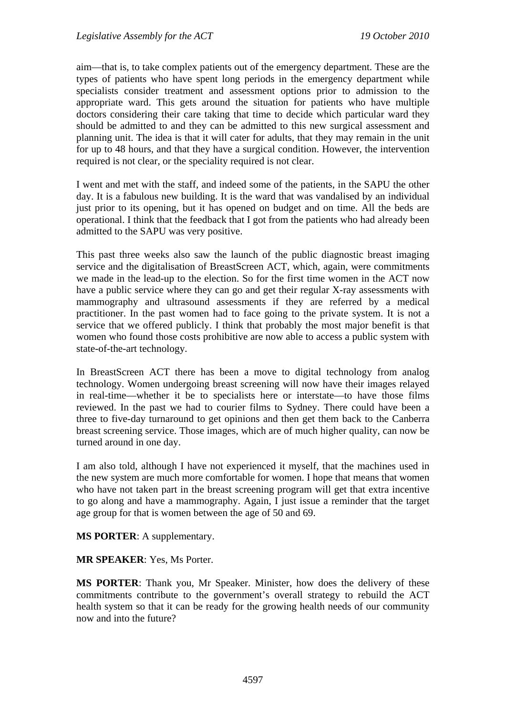aim—that is, to take complex patients out of the emergency department. These are the types of patients who have spent long periods in the emergency department while specialists consider treatment and assessment options prior to admission to the appropriate ward. This gets around the situation for patients who have multiple doctors considering their care taking that time to decide which particular ward they should be admitted to and they can be admitted to this new surgical assessment and planning unit. The idea is that it will cater for adults, that they may remain in the unit for up to 48 hours, and that they have a surgical condition. However, the intervention required is not clear, or the speciality required is not clear.

I went and met with the staff, and indeed some of the patients, in the SAPU the other day. It is a fabulous new building. It is the ward that was vandalised by an individual just prior to its opening, but it has opened on budget and on time. All the beds are operational. I think that the feedback that I got from the patients who had already been admitted to the SAPU was very positive.

This past three weeks also saw the launch of the public diagnostic breast imaging service and the digitalisation of BreastScreen ACT, which, again, were commitments we made in the lead-up to the election. So for the first time women in the ACT now have a public service where they can go and get their regular X-ray assessments with mammography and ultrasound assessments if they are referred by a medical practitioner. In the past women had to face going to the private system. It is not a service that we offered publicly. I think that probably the most major benefit is that women who found those costs prohibitive are now able to access a public system with state-of-the-art technology.

In BreastScreen ACT there has been a move to digital technology from analog technology. Women undergoing breast screening will now have their images relayed in real-time—whether it be to specialists here or interstate—to have those films reviewed. In the past we had to courier films to Sydney. There could have been a three to five-day turnaround to get opinions and then get them back to the Canberra breast screening service. Those images, which are of much higher quality, can now be turned around in one day.

I am also told, although I have not experienced it myself, that the machines used in the new system are much more comfortable for women. I hope that means that women who have not taken part in the breast screening program will get that extra incentive to go along and have a mammography. Again, I just issue a reminder that the target age group for that is women between the age of 50 and 69.

**MS PORTER**: A supplementary.

**MR SPEAKER**: Yes, Ms Porter.

**MS PORTER**: Thank you, Mr Speaker. Minister, how does the delivery of these commitments contribute to the government's overall strategy to rebuild the ACT health system so that it can be ready for the growing health needs of our community now and into the future?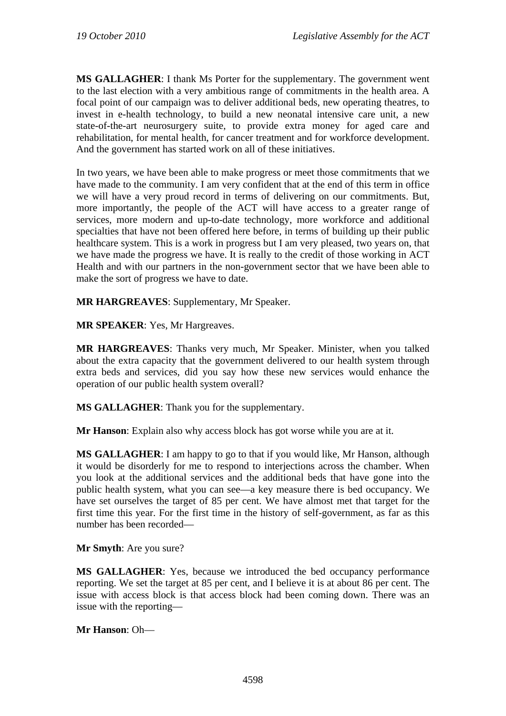**MS GALLAGHER**: I thank Ms Porter for the supplementary. The government went to the last election with a very ambitious range of commitments in the health area. A focal point of our campaign was to deliver additional beds, new operating theatres, to invest in e-health technology, to build a new neonatal intensive care unit, a new state-of-the-art neurosurgery suite, to provide extra money for aged care and rehabilitation, for mental health, for cancer treatment and for workforce development. And the government has started work on all of these initiatives.

In two years, we have been able to make progress or meet those commitments that we have made to the community. I am very confident that at the end of this term in office we will have a very proud record in terms of delivering on our commitments. But, more importantly, the people of the ACT will have access to a greater range of services, more modern and up-to-date technology, more workforce and additional specialties that have not been offered here before, in terms of building up their public healthcare system. This is a work in progress but I am very pleased, two years on, that we have made the progress we have. It is really to the credit of those working in ACT Health and with our partners in the non-government sector that we have been able to make the sort of progress we have to date.

**MR HARGREAVES**: Supplementary, Mr Speaker.

**MR SPEAKER**: Yes, Mr Hargreaves.

**MR HARGREAVES**: Thanks very much, Mr Speaker. Minister, when you talked about the extra capacity that the government delivered to our health system through extra beds and services, did you say how these new services would enhance the operation of our public health system overall?

**MS GALLAGHER**: Thank you for the supplementary.

**Mr Hanson**: Explain also why access block has got worse while you are at it.

**MS GALLAGHER**: I am happy to go to that if you would like, Mr Hanson, although it would be disorderly for me to respond to interjections across the chamber. When you look at the additional services and the additional beds that have gone into the public health system, what you can see—a key measure there is bed occupancy. We have set ourselves the target of 85 per cent. We have almost met that target for the first time this year. For the first time in the history of self-government, as far as this number has been recorded—

**Mr Smyth**: Are you sure?

**MS GALLAGHER**: Yes, because we introduced the bed occupancy performance reporting. We set the target at 85 per cent, and I believe it is at about 86 per cent. The issue with access block is that access block had been coming down. There was an issue with the reporting—

**Mr Hanson**: Oh—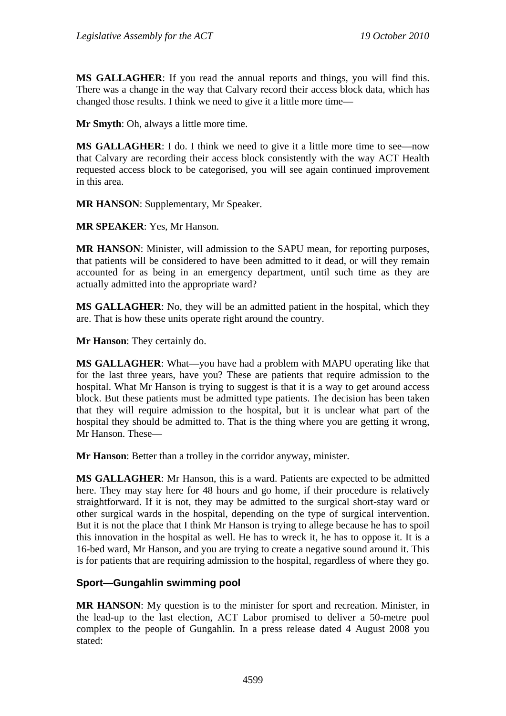**MS GALLAGHER**: If you read the annual reports and things, you will find this. There was a change in the way that Calvary record their access block data, which has changed those results. I think we need to give it a little more time—

**Mr Smyth**: Oh, always a little more time.

**MS GALLAGHER:** I do. I think we need to give it a little more time to see—now that Calvary are recording their access block consistently with the way ACT Health requested access block to be categorised, you will see again continued improvement in this area.

**MR HANSON**: Supplementary, Mr Speaker.

**MR SPEAKER**: Yes, Mr Hanson.

**MR HANSON**: Minister, will admission to the SAPU mean, for reporting purposes, that patients will be considered to have been admitted to it dead, or will they remain accounted for as being in an emergency department, until such time as they are actually admitted into the appropriate ward?

**MS GALLAGHER**: No, they will be an admitted patient in the hospital, which they are. That is how these units operate right around the country.

**Mr Hanson**: They certainly do.

**MS GALLAGHER**: What—you have had a problem with MAPU operating like that for the last three years, have you? These are patients that require admission to the hospital. What Mr Hanson is trying to suggest is that it is a way to get around access block. But these patients must be admitted type patients. The decision has been taken that they will require admission to the hospital, but it is unclear what part of the hospital they should be admitted to. That is the thing where you are getting it wrong, Mr Hanson. These—

**Mr Hanson**: Better than a trolley in the corridor anyway, minister.

**MS GALLAGHER**: Mr Hanson, this is a ward. Patients are expected to be admitted here. They may stay here for 48 hours and go home, if their procedure is relatively straightforward. If it is not, they may be admitted to the surgical short-stay ward or other surgical wards in the hospital, depending on the type of surgical intervention. But it is not the place that I think Mr Hanson is trying to allege because he has to spoil this innovation in the hospital as well. He has to wreck it, he has to oppose it. It is a 16-bed ward, Mr Hanson, and you are trying to create a negative sound around it. This is for patients that are requiring admission to the hospital, regardless of where they go.

### **Sport—Gungahlin swimming pool**

**MR HANSON**: My question is to the minister for sport and recreation. Minister, in the lead-up to the last election, ACT Labor promised to deliver a 50-metre pool complex to the people of Gungahlin. In a press release dated 4 August 2008 you stated: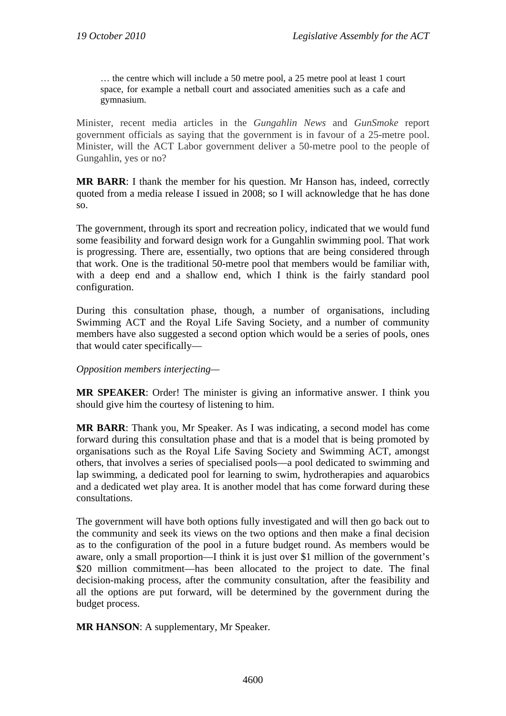… the centre which will include a 50 metre pool, a 25 metre pool at least 1 court space, for example a netball court and associated amenities such as a cafe and gymnasium.

Minister, recent media articles in the *Gungahlin News* and *GunSmoke* report government officials as saying that the government is in favour of a 25-metre pool. Minister, will the ACT Labor government deliver a 50-metre pool to the people of Gungahlin, yes or no?

**MR BARR**: I thank the member for his question. Mr Hanson has, indeed, correctly quoted from a media release I issued in 2008; so I will acknowledge that he has done so.

The government, through its sport and recreation policy, indicated that we would fund some feasibility and forward design work for a Gungahlin swimming pool. That work is progressing. There are, essentially, two options that are being considered through that work. One is the traditional 50-metre pool that members would be familiar with, with a deep end and a shallow end, which I think is the fairly standard pool configuration.

During this consultation phase, though, a number of organisations, including Swimming ACT and the Royal Life Saving Society, and a number of community members have also suggested a second option which would be a series of pools, ones that would cater specifically—

*Opposition members interjecting—* 

**MR SPEAKER**: Order! The minister is giving an informative answer. I think you should give him the courtesy of listening to him.

**MR BARR**: Thank you, Mr Speaker. As I was indicating, a second model has come forward during this consultation phase and that is a model that is being promoted by organisations such as the Royal Life Saving Society and Swimming ACT, amongst others, that involves a series of specialised pools—a pool dedicated to swimming and lap swimming, a dedicated pool for learning to swim, hydrotherapies and aquarobics and a dedicated wet play area. It is another model that has come forward during these consultations.

The government will have both options fully investigated and will then go back out to the community and seek its views on the two options and then make a final decision as to the configuration of the pool in a future budget round. As members would be aware, only a small proportion—I think it is just over \$1 million of the government's \$20 million commitment—has been allocated to the project to date. The final decision-making process, after the community consultation, after the feasibility and all the options are put forward, will be determined by the government during the budget process.

**MR HANSON**: A supplementary, Mr Speaker.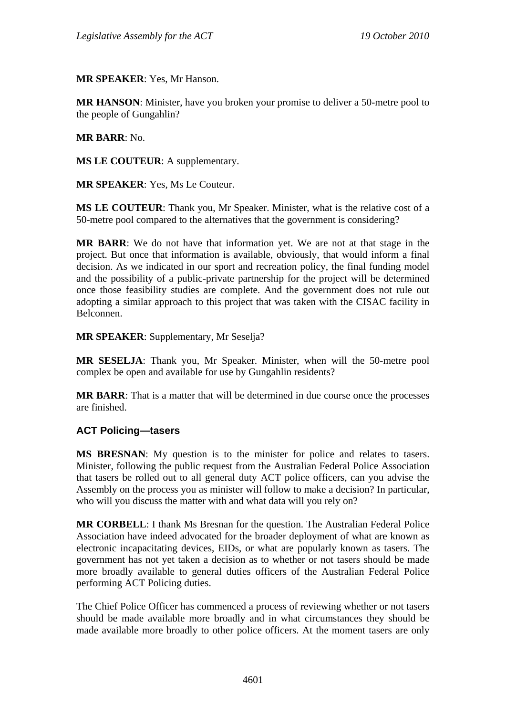**MR SPEAKER**: Yes, Mr Hanson.

**MR HANSON**: Minister, have you broken your promise to deliver a 50-metre pool to the people of Gungahlin?

**MR BARR**: No.

**MS LE COUTEUR**: A supplementary.

**MR SPEAKER**: Yes, Ms Le Couteur.

**MS LE COUTEUR**: Thank you, Mr Speaker. Minister, what is the relative cost of a 50-metre pool compared to the alternatives that the government is considering?

**MR BARR**: We do not have that information yet. We are not at that stage in the project. But once that information is available, obviously, that would inform a final decision. As we indicated in our sport and recreation policy, the final funding model and the possibility of a public-private partnership for the project will be determined once those feasibility studies are complete. And the government does not rule out adopting a similar approach to this project that was taken with the CISAC facility in Belconnen.

**MR SPEAKER**: Supplementary, Mr Seselja?

**MR SESELJA**: Thank you, Mr Speaker. Minister, when will the 50-metre pool complex be open and available for use by Gungahlin residents?

**MR BARR**: That is a matter that will be determined in due course once the processes are finished.

#### **ACT Policing—tasers**

**MS BRESNAN**: My question is to the minister for police and relates to tasers. Minister, following the public request from the Australian Federal Police Association that tasers be rolled out to all general duty ACT police officers, can you advise the Assembly on the process you as minister will follow to make a decision? In particular, who will you discuss the matter with and what data will you rely on?

**MR CORBELL**: I thank Ms Bresnan for the question. The Australian Federal Police Association have indeed advocated for the broader deployment of what are known as electronic incapacitating devices, EIDs, or what are popularly known as tasers. The government has not yet taken a decision as to whether or not tasers should be made more broadly available to general duties officers of the Australian Federal Police performing ACT Policing duties.

The Chief Police Officer has commenced a process of reviewing whether or not tasers should be made available more broadly and in what circumstances they should be made available more broadly to other police officers. At the moment tasers are only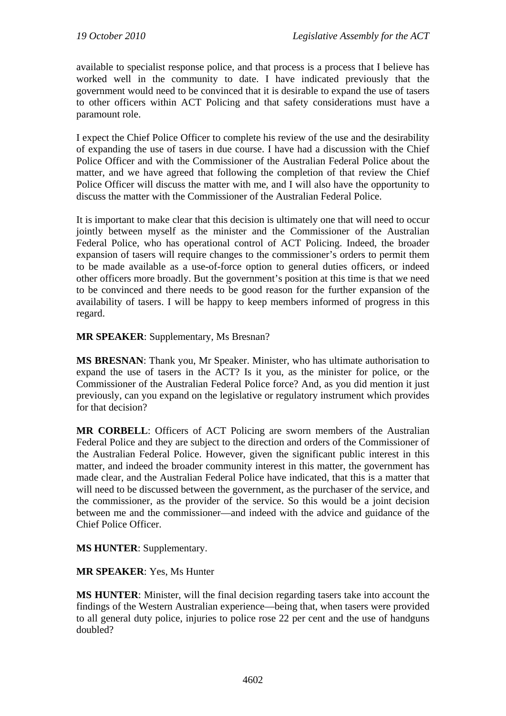available to specialist response police, and that process is a process that I believe has worked well in the community to date. I have indicated previously that the government would need to be convinced that it is desirable to expand the use of tasers to other officers within ACT Policing and that safety considerations must have a paramount role.

I expect the Chief Police Officer to complete his review of the use and the desirability of expanding the use of tasers in due course. I have had a discussion with the Chief Police Officer and with the Commissioner of the Australian Federal Police about the matter, and we have agreed that following the completion of that review the Chief Police Officer will discuss the matter with me, and I will also have the opportunity to discuss the matter with the Commissioner of the Australian Federal Police.

It is important to make clear that this decision is ultimately one that will need to occur jointly between myself as the minister and the Commissioner of the Australian Federal Police, who has operational control of ACT Policing. Indeed, the broader expansion of tasers will require changes to the commissioner's orders to permit them to be made available as a use-of-force option to general duties officers, or indeed other officers more broadly. But the government's position at this time is that we need to be convinced and there needs to be good reason for the further expansion of the availability of tasers. I will be happy to keep members informed of progress in this regard.

**MR SPEAKER**: Supplementary, Ms Bresnan?

**MS BRESNAN**: Thank you, Mr Speaker. Minister, who has ultimate authorisation to expand the use of tasers in the ACT? Is it you, as the minister for police, or the Commissioner of the Australian Federal Police force? And, as you did mention it just previously, can you expand on the legislative or regulatory instrument which provides for that decision?

**MR CORBELL**: Officers of ACT Policing are sworn members of the Australian Federal Police and they are subject to the direction and orders of the Commissioner of the Australian Federal Police. However, given the significant public interest in this matter, and indeed the broader community interest in this matter, the government has made clear, and the Australian Federal Police have indicated, that this is a matter that will need to be discussed between the government, as the purchaser of the service, and the commissioner, as the provider of the service. So this would be a joint decision between me and the commissioner—and indeed with the advice and guidance of the Chief Police Officer.

**MS HUNTER**: Supplementary.

**MR SPEAKER**: Yes, Ms Hunter

**MS HUNTER**: Minister, will the final decision regarding tasers take into account the findings of the Western Australian experience—being that, when tasers were provided to all general duty police, injuries to police rose 22 per cent and the use of handguns doubled?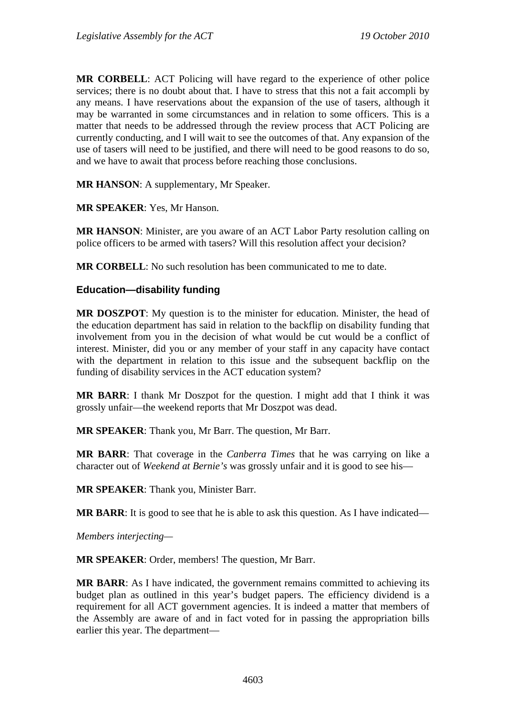**MR CORBELL**: ACT Policing will have regard to the experience of other police services; there is no doubt about that. I have to stress that this not a fait accompli by any means. I have reservations about the expansion of the use of tasers, although it may be warranted in some circumstances and in relation to some officers. This is a matter that needs to be addressed through the review process that ACT Policing are currently conducting, and I will wait to see the outcomes of that. Any expansion of the use of tasers will need to be justified, and there will need to be good reasons to do so, and we have to await that process before reaching those conclusions.

**MR HANSON**: A supplementary, Mr Speaker.

**MR SPEAKER**: Yes, Mr Hanson.

**MR HANSON**: Minister, are you aware of an ACT Labor Party resolution calling on police officers to be armed with tasers? Will this resolution affect your decision?

**MR CORBELL**: No such resolution has been communicated to me to date.

#### **Education—disability funding**

**MR DOSZPOT**: My question is to the minister for education. Minister, the head of the education department has said in relation to the backflip on disability funding that involvement from you in the decision of what would be cut would be a conflict of interest. Minister, did you or any member of your staff in any capacity have contact with the department in relation to this issue and the subsequent backflip on the funding of disability services in the ACT education system?

**MR BARR**: I thank Mr Doszpot for the question. I might add that I think it was grossly unfair—the weekend reports that Mr Doszpot was dead.

**MR SPEAKER**: Thank you, Mr Barr. The question, Mr Barr.

**MR BARR**: That coverage in the *Canberra Times* that he was carrying on like a character out of *Weekend at Bernie's* was grossly unfair and it is good to see his—

**MR SPEAKER**: Thank you, Minister Barr.

**MR BARR:** It is good to see that he is able to ask this question. As I have indicated—

*Members interjecting—* 

**MR SPEAKER**: Order, members! The question, Mr Barr.

**MR BARR**: As I have indicated, the government remains committed to achieving its budget plan as outlined in this year's budget papers. The efficiency dividend is a requirement for all ACT government agencies. It is indeed a matter that members of the Assembly are aware of and in fact voted for in passing the appropriation bills earlier this year. The department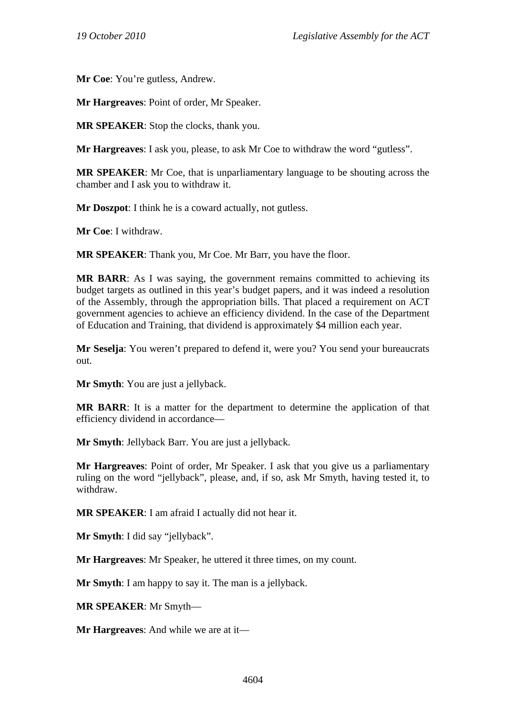**Mr Coe**: You're gutless, Andrew.

**Mr Hargreaves**: Point of order, Mr Speaker.

**MR SPEAKER**: Stop the clocks, thank you.

**Mr Hargreaves**: I ask you, please, to ask Mr Coe to withdraw the word "gutless".

**MR SPEAKER**: Mr Coe, that is unparliamentary language to be shouting across the chamber and I ask you to withdraw it.

**Mr Doszpot**: I think he is a coward actually, not gutless.

**Mr Coe**: I withdraw.

**MR SPEAKER**: Thank you, Mr Coe. Mr Barr, you have the floor.

**MR BARR**: As I was saying, the government remains committed to achieving its budget targets as outlined in this year's budget papers, and it was indeed a resolution of the Assembly, through the appropriation bills. That placed a requirement on ACT government agencies to achieve an efficiency dividend. In the case of the Department of Education and Training, that dividend is approximately \$4 million each year.

**Mr Seselja**: You weren't prepared to defend it, were you? You send your bureaucrats out.

**Mr Smyth**: You are just a jellyback.

**MR BARR**: It is a matter for the department to determine the application of that efficiency dividend in accordance—

**Mr Smyth**: Jellyback Barr. You are just a jellyback.

**Mr Hargreaves**: Point of order, Mr Speaker. I ask that you give us a parliamentary ruling on the word "jellyback", please, and, if so, ask Mr Smyth, having tested it, to withdraw.

**MR SPEAKER**: I am afraid I actually did not hear it.

**Mr Smyth**: I did say "jellyback".

**Mr Hargreaves**: Mr Speaker, he uttered it three times, on my count.

**Mr Smyth**: I am happy to say it. The man is a jellyback.

**MR SPEAKER**: Mr Smyth—

**Mr Hargreaves**: And while we are at it—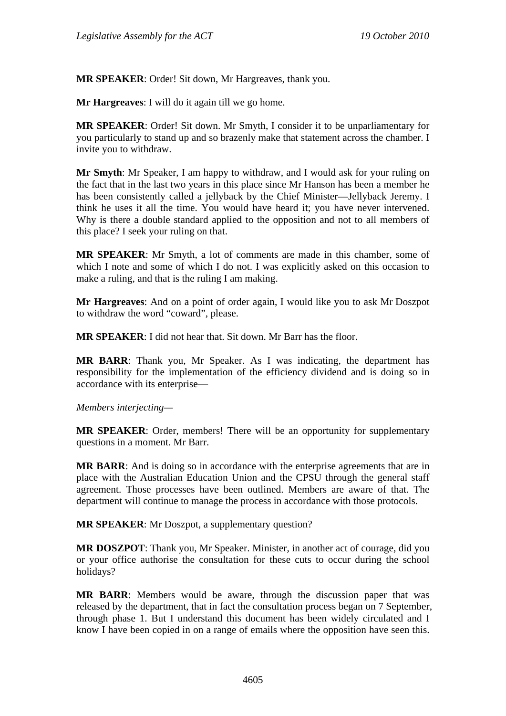**MR SPEAKER**: Order! Sit down, Mr Hargreaves, thank you.

**Mr Hargreaves**: I will do it again till we go home.

**MR SPEAKER**: Order! Sit down. Mr Smyth, I consider it to be unparliamentary for you particularly to stand up and so brazenly make that statement across the chamber. I invite you to withdraw.

**Mr Smyth**: Mr Speaker, I am happy to withdraw, and I would ask for your ruling on the fact that in the last two years in this place since Mr Hanson has been a member he has been consistently called a jellyback by the Chief Minister—Jellyback Jeremy. I think he uses it all the time. You would have heard it; you have never intervened. Why is there a double standard applied to the opposition and not to all members of this place? I seek your ruling on that.

**MR SPEAKER**: Mr Smyth, a lot of comments are made in this chamber, some of which I note and some of which I do not. I was explicitly asked on this occasion to make a ruling, and that is the ruling I am making.

**Mr Hargreaves**: And on a point of order again, I would like you to ask Mr Doszpot to withdraw the word "coward", please.

**MR SPEAKER**: I did not hear that. Sit down. Mr Barr has the floor.

**MR BARR**: Thank you, Mr Speaker. As I was indicating, the department has responsibility for the implementation of the efficiency dividend and is doing so in accordance with its enterprise—

*Members interjecting—* 

**MR SPEAKER:** Order, members! There will be an opportunity for supplementary questions in a moment. Mr Barr.

**MR BARR**: And is doing so in accordance with the enterprise agreements that are in place with the Australian Education Union and the CPSU through the general staff agreement. Those processes have been outlined. Members are aware of that. The department will continue to manage the process in accordance with those protocols.

**MR SPEAKER**: Mr Doszpot, a supplementary question?

**MR DOSZPOT**: Thank you, Mr Speaker. Minister, in another act of courage, did you or your office authorise the consultation for these cuts to occur during the school holidays?

**MR BARR**: Members would be aware, through the discussion paper that was released by the department, that in fact the consultation process began on 7 September, through phase 1. But I understand this document has been widely circulated and I know I have been copied in on a range of emails where the opposition have seen this.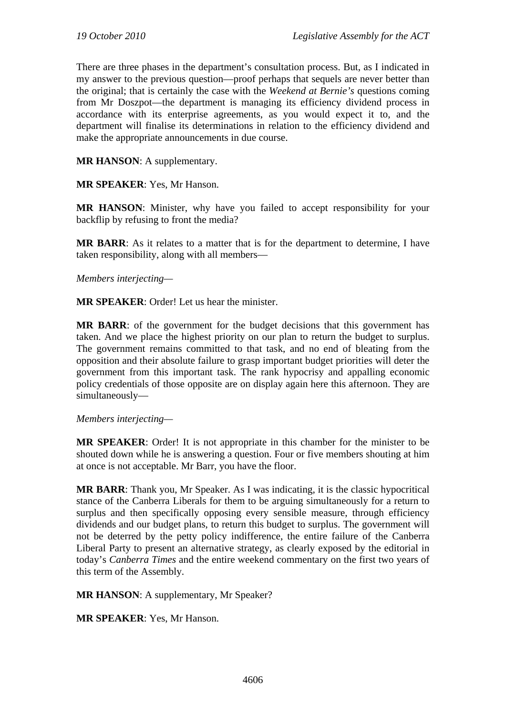There are three phases in the department's consultation process. But, as I indicated in my answer to the previous question—proof perhaps that sequels are never better than the original; that is certainly the case with the *Weekend at Bernie's* questions coming from Mr Doszpot—the department is managing its efficiency dividend process in accordance with its enterprise agreements, as you would expect it to, and the department will finalise its determinations in relation to the efficiency dividend and make the appropriate announcements in due course.

**MR HANSON**: A supplementary.

**MR SPEAKER**: Yes, Mr Hanson.

**MR HANSON**: Minister, why have you failed to accept responsibility for your backflip by refusing to front the media?

**MR BARR**: As it relates to a matter that is for the department to determine, I have taken responsibility, along with all members—

*Members interjecting—* 

**MR SPEAKER**: Order! Let us hear the minister.

**MR BARR**: of the government for the budget decisions that this government has taken. And we place the highest priority on our plan to return the budget to surplus. The government remains committed to that task, and no end of bleating from the opposition and their absolute failure to grasp important budget priorities will deter the government from this important task. The rank hypocrisy and appalling economic policy credentials of those opposite are on display again here this afternoon. They are simultaneously—

*Members interjecting—* 

**MR SPEAKER**: Order! It is not appropriate in this chamber for the minister to be shouted down while he is answering a question. Four or five members shouting at him at once is not acceptable. Mr Barr, you have the floor.

**MR BARR**: Thank you, Mr Speaker. As I was indicating, it is the classic hypocritical stance of the Canberra Liberals for them to be arguing simultaneously for a return to surplus and then specifically opposing every sensible measure, through efficiency dividends and our budget plans, to return this budget to surplus. The government will not be deterred by the petty policy indifference, the entire failure of the Canberra Liberal Party to present an alternative strategy, as clearly exposed by the editorial in today's *Canberra Times* and the entire weekend commentary on the first two years of this term of the Assembly.

**MR HANSON**: A supplementary, Mr Speaker?

**MR SPEAKER**: Yes, Mr Hanson.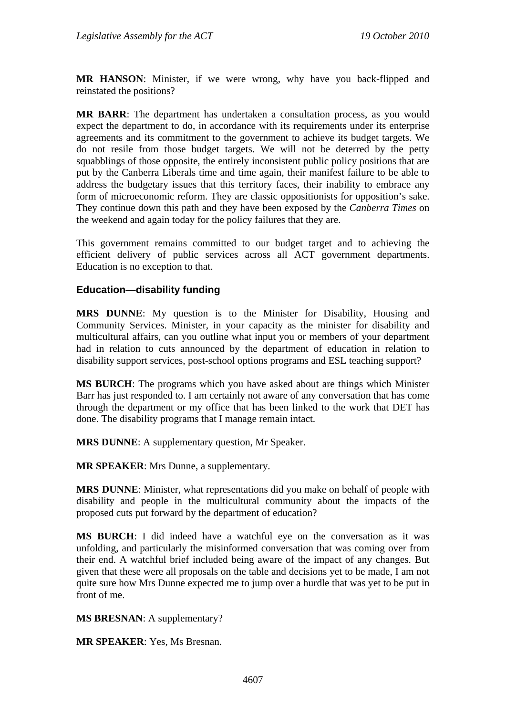**MR HANSON**: Minister, if we were wrong, why have you back-flipped and reinstated the positions?

**MR BARR**: The department has undertaken a consultation process, as you would expect the department to do, in accordance with its requirements under its enterprise agreements and its commitment to the government to achieve its budget targets. We do not resile from those budget targets. We will not be deterred by the petty squabblings of those opposite, the entirely inconsistent public policy positions that are put by the Canberra Liberals time and time again, their manifest failure to be able to address the budgetary issues that this territory faces, their inability to embrace any form of microeconomic reform. They are classic oppositionists for opposition's sake. They continue down this path and they have been exposed by the *Canberra Times* on the weekend and again today for the policy failures that they are.

This government remains committed to our budget target and to achieving the efficient delivery of public services across all ACT government departments. Education is no exception to that.

#### **Education—disability funding**

**MRS DUNNE**: My question is to the Minister for Disability, Housing and Community Services. Minister, in your capacity as the minister for disability and multicultural affairs, can you outline what input you or members of your department had in relation to cuts announced by the department of education in relation to disability support services, post-school options programs and ESL teaching support?

**MS BURCH**: The programs which you have asked about are things which Minister Barr has just responded to. I am certainly not aware of any conversation that has come through the department or my office that has been linked to the work that DET has done. The disability programs that I manage remain intact.

**MRS DUNNE**: A supplementary question, Mr Speaker.

**MR SPEAKER**: Mrs Dunne, a supplementary.

**MRS DUNNE**: Minister, what representations did you make on behalf of people with disability and people in the multicultural community about the impacts of the proposed cuts put forward by the department of education?

**MS BURCH**: I did indeed have a watchful eye on the conversation as it was unfolding, and particularly the misinformed conversation that was coming over from their end. A watchful brief included being aware of the impact of any changes. But given that these were all proposals on the table and decisions yet to be made, I am not quite sure how Mrs Dunne expected me to jump over a hurdle that was yet to be put in front of me.

**MS BRESNAN**: A supplementary?

**MR SPEAKER**: Yes, Ms Bresnan.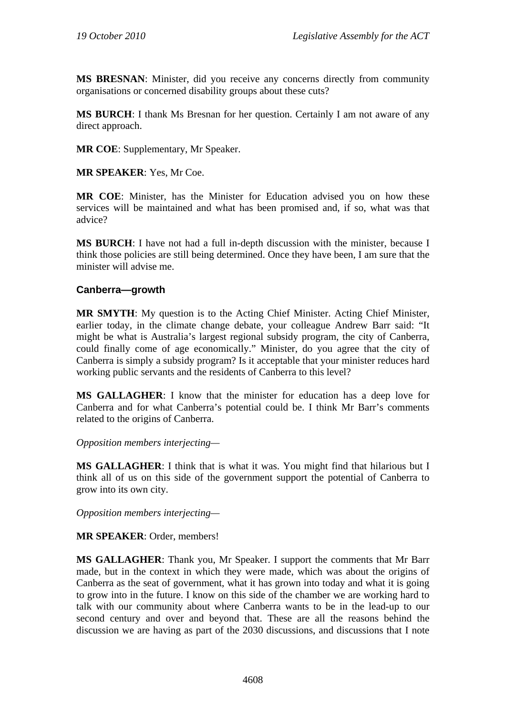**MS BRESNAN**: Minister, did you receive any concerns directly from community organisations or concerned disability groups about these cuts?

**MS BURCH**: I thank Ms Bresnan for her question. Certainly I am not aware of any direct approach.

**MR COE**: Supplementary, Mr Speaker.

**MR SPEAKER**: Yes, Mr Coe.

**MR COE**: Minister, has the Minister for Education advised you on how these services will be maintained and what has been promised and, if so, what was that advice?

**MS BURCH**: I have not had a full in-depth discussion with the minister, because I think those policies are still being determined. Once they have been, I am sure that the minister will advise me.

### **Canberra—growth**

**MR SMYTH**: My question is to the Acting Chief Minister. Acting Chief Minister, earlier today, in the climate change debate, your colleague Andrew Barr said: "It might be what is Australia's largest regional subsidy program, the city of Canberra, could finally come of age economically." Minister, do you agree that the city of Canberra is simply a subsidy program? Is it acceptable that your minister reduces hard working public servants and the residents of Canberra to this level?

**MS GALLAGHER**: I know that the minister for education has a deep love for Canberra and for what Canberra's potential could be. I think Mr Barr's comments related to the origins of Canberra.

*Opposition members interjecting—* 

**MS GALLAGHER**: I think that is what it was. You might find that hilarious but I think all of us on this side of the government support the potential of Canberra to grow into its own city.

*Opposition members interjecting—* 

**MR SPEAKER**: Order, members!

**MS GALLAGHER**: Thank you, Mr Speaker. I support the comments that Mr Barr made, but in the context in which they were made, which was about the origins of Canberra as the seat of government, what it has grown into today and what it is going to grow into in the future. I know on this side of the chamber we are working hard to talk with our community about where Canberra wants to be in the lead-up to our second century and over and beyond that. These are all the reasons behind the discussion we are having as part of the 2030 discussions, and discussions that I note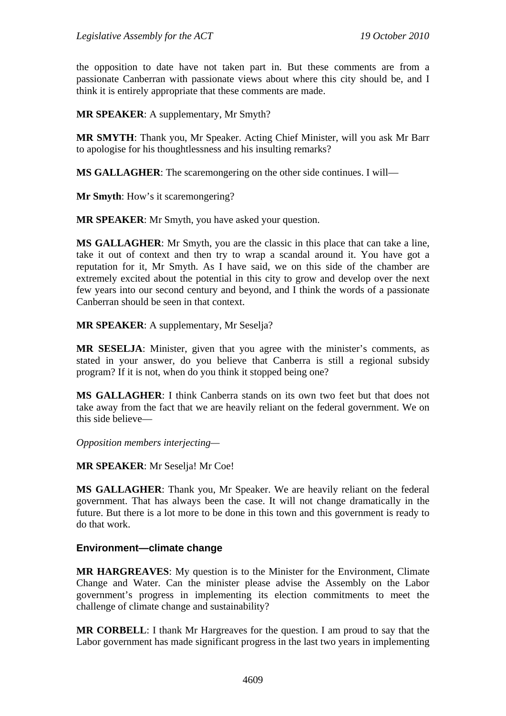the opposition to date have not taken part in. But these comments are from a passionate Canberran with passionate views about where this city should be, and I think it is entirely appropriate that these comments are made.

**MR SPEAKER**: A supplementary, Mr Smyth?

**MR SMYTH**: Thank you, Mr Speaker. Acting Chief Minister, will you ask Mr Barr to apologise for his thoughtlessness and his insulting remarks?

**MS GALLAGHER**: The scaremongering on the other side continues. I will—

**Mr Smyth**: How's it scaremongering?

**MR SPEAKER**: Mr Smyth, you have asked your question.

**MS GALLAGHER**: Mr Smyth, you are the classic in this place that can take a line, take it out of context and then try to wrap a scandal around it. You have got a reputation for it, Mr Smyth. As I have said, we on this side of the chamber are extremely excited about the potential in this city to grow and develop over the next few years into our second century and beyond, and I think the words of a passionate Canberran should be seen in that context.

**MR SPEAKER**: A supplementary, Mr Seselja?

**MR SESELJA**: Minister, given that you agree with the minister's comments, as stated in your answer, do you believe that Canberra is still a regional subsidy program? If it is not, when do you think it stopped being one?

**MS GALLAGHER**: I think Canberra stands on its own two feet but that does not take away from the fact that we are heavily reliant on the federal government. We on this side believe—

*Opposition members interjecting—* 

**MR SPEAKER**: Mr Seselja! Mr Coe!

**MS GALLAGHER**: Thank you, Mr Speaker. We are heavily reliant on the federal government. That has always been the case. It will not change dramatically in the future. But there is a lot more to be done in this town and this government is ready to do that work.

#### **Environment—climate change**

**MR HARGREAVES**: My question is to the Minister for the Environment, Climate Change and Water. Can the minister please advise the Assembly on the Labor government's progress in implementing its election commitments to meet the challenge of climate change and sustainability?

**MR CORBELL**: I thank Mr Hargreaves for the question. I am proud to say that the Labor government has made significant progress in the last two years in implementing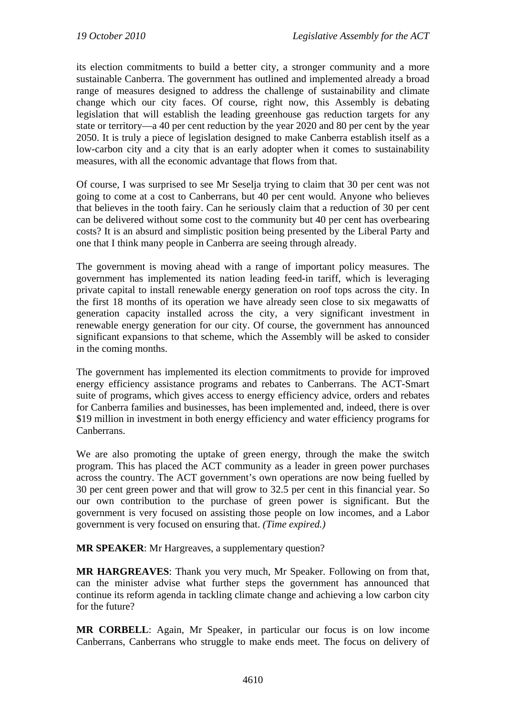its election commitments to build a better city, a stronger community and a more sustainable Canberra. The government has outlined and implemented already a broad range of measures designed to address the challenge of sustainability and climate change which our city faces. Of course, right now, this Assembly is debating legislation that will establish the leading greenhouse gas reduction targets for any state or territory—a 40 per cent reduction by the year 2020 and 80 per cent by the year 2050. It is truly a piece of legislation designed to make Canberra establish itself as a low-carbon city and a city that is an early adopter when it comes to sustainability measures, with all the economic advantage that flows from that.

Of course, I was surprised to see Mr Seselja trying to claim that 30 per cent was not going to come at a cost to Canberrans, but 40 per cent would. Anyone who believes that believes in the tooth fairy. Can he seriously claim that a reduction of 30 per cent can be delivered without some cost to the community but 40 per cent has overbearing costs? It is an absurd and simplistic position being presented by the Liberal Party and one that I think many people in Canberra are seeing through already.

The government is moving ahead with a range of important policy measures. The government has implemented its nation leading feed-in tariff, which is leveraging private capital to install renewable energy generation on roof tops across the city. In the first 18 months of its operation we have already seen close to six megawatts of generation capacity installed across the city, a very significant investment in renewable energy generation for our city. Of course, the government has announced significant expansions to that scheme, which the Assembly will be asked to consider in the coming months.

The government has implemented its election commitments to provide for improved energy efficiency assistance programs and rebates to Canberrans. The ACT-Smart suite of programs, which gives access to energy efficiency advice, orders and rebates for Canberra families and businesses, has been implemented and, indeed, there is over \$19 million in investment in both energy efficiency and water efficiency programs for Canberrans.

We are also promoting the uptake of green energy, through the make the switch program. This has placed the ACT community as a leader in green power purchases across the country. The ACT government's own operations are now being fuelled by 30 per cent green power and that will grow to 32.5 per cent in this financial year. So our own contribution to the purchase of green power is significant. But the government is very focused on assisting those people on low incomes, and a Labor government is very focused on ensuring that. *(Time expired.)*

**MR SPEAKER**: Mr Hargreaves, a supplementary question?

**MR HARGREAVES**: Thank you very much, Mr Speaker. Following on from that, can the minister advise what further steps the government has announced that continue its reform agenda in tackling climate change and achieving a low carbon city for the future?

**MR CORBELL**: Again, Mr Speaker, in particular our focus is on low income Canberrans, Canberrans who struggle to make ends meet. The focus on delivery of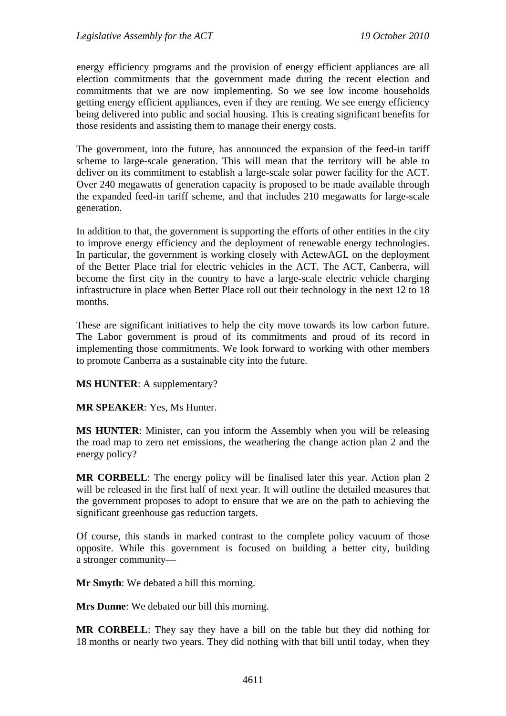energy efficiency programs and the provision of energy efficient appliances are all election commitments that the government made during the recent election and commitments that we are now implementing. So we see low income households getting energy efficient appliances, even if they are renting. We see energy efficiency being delivered into public and social housing. This is creating significant benefits for those residents and assisting them to manage their energy costs.

The government, into the future, has announced the expansion of the feed-in tariff scheme to large-scale generation. This will mean that the territory will be able to deliver on its commitment to establish a large-scale solar power facility for the ACT. Over 240 megawatts of generation capacity is proposed to be made available through the expanded feed-in tariff scheme, and that includes 210 megawatts for large-scale generation.

In addition to that, the government is supporting the efforts of other entities in the city to improve energy efficiency and the deployment of renewable energy technologies. In particular, the government is working closely with ActewAGL on the deployment of the Better Place trial for electric vehicles in the ACT. The ACT, Canberra, will become the first city in the country to have a large-scale electric vehicle charging infrastructure in place when Better Place roll out their technology in the next 12 to 18 months.

These are significant initiatives to help the city move towards its low carbon future. The Labor government is proud of its commitments and proud of its record in implementing those commitments. We look forward to working with other members to promote Canberra as a sustainable city into the future.

**MS HUNTER**: A supplementary?

**MR SPEAKER**: Yes, Ms Hunter.

**MS HUNTER**: Minister, can you inform the Assembly when you will be releasing the road map to zero net emissions, the weathering the change action plan 2 and the energy policy?

**MR CORBELL**: The energy policy will be finalised later this year. Action plan 2 will be released in the first half of next year. It will outline the detailed measures that the government proposes to adopt to ensure that we are on the path to achieving the significant greenhouse gas reduction targets.

Of course, this stands in marked contrast to the complete policy vacuum of those opposite. While this government is focused on building a better city, building a stronger community—

**Mr Smyth**: We debated a bill this morning.

**Mrs Dunne**: We debated our bill this morning.

**MR CORBELL**: They say they have a bill on the table but they did nothing for 18 months or nearly two years. They did nothing with that bill until today, when they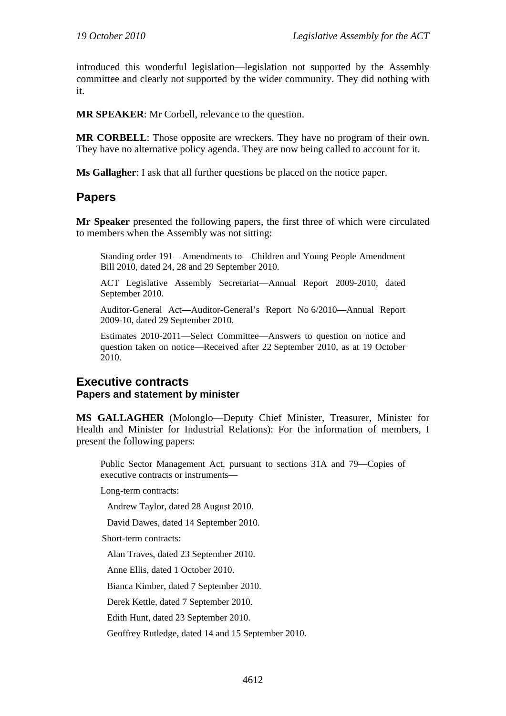introduced this wonderful legislation—legislation not supported by the Assembly committee and clearly not supported by the wider community. They did nothing with it.

**MR SPEAKER**: Mr Corbell, relevance to the question.

**MR CORBELL**: Those opposite are wreckers. They have no program of their own. They have no alternative policy agenda. They are now being called to account for it.

**Ms Gallagher**: I ask that all further questions be placed on the notice paper.

## **Papers**

**Mr Speaker** presented the following papers, the first three of which were circulated to members when the Assembly was not sitting:

Standing order 191—Amendments to—Children and Young People Amendment Bill 2010, dated 24, 28 and 29 September 2010.

ACT Legislative Assembly Secretariat—Annual Report 2009-2010, dated September 2010.

Auditor-General Act—Auditor-General's Report No 6/2010—Annual Report 2009-10, dated 29 September 2010.

Estimates 2010-2011—Select Committee—Answers to question on notice and question taken on notice—Received after 22 September 2010, as at 19 October 2010.

### **Executive contracts Papers and statement by minister**

**MS GALLAGHER** (Molonglo—Deputy Chief Minister, Treasurer, Minister for Health and Minister for Industrial Relations): For the information of members, I present the following papers:

Public Sector Management Act, pursuant to sections 31A and 79—Copies of executive contracts or instruments—

Long-term contracts:

Andrew Taylor, dated 28 August 2010.

David Dawes, dated 14 September 2010.

Short-term contracts:

Alan Traves, dated 23 September 2010.

Anne Ellis, dated 1 October 2010.

Bianca Kimber, dated 7 September 2010.

Derek Kettle, dated 7 September 2010.

Edith Hunt, dated 23 September 2010.

Geoffrey Rutledge, dated 14 and 15 September 2010.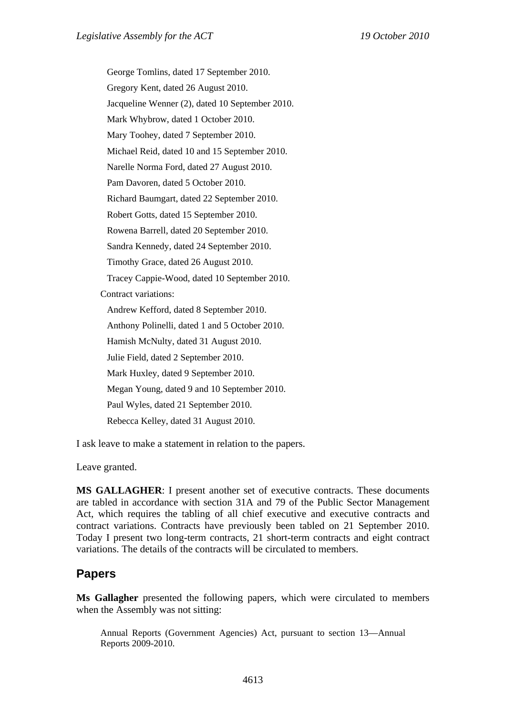George Tomlins, dated 17 September 2010. Gregory Kent, dated 26 August 2010. Jacqueline Wenner (2), dated 10 September 2010. Mark Whybrow, dated 1 October 2010. Mary Toohey, dated 7 September 2010. Michael Reid, dated 10 and 15 September 2010. Narelle Norma Ford, dated 27 August 2010. Pam Davoren, dated 5 October 2010. Richard Baumgart, dated 22 September 2010. Robert Gotts, dated 15 September 2010. Rowena Barrell, dated 20 September 2010. Sandra Kennedy, dated 24 September 2010. Timothy Grace, dated 26 August 2010. Tracey Cappie-Wood, dated 10 September 2010. Contract variations: Andrew Kefford, dated 8 September 2010. Anthony Polinelli, dated 1 and 5 October 2010. Hamish McNulty, dated 31 August 2010. Julie Field, dated 2 September 2010. Mark Huxley, dated 9 September 2010. Megan Young, dated 9 and 10 September 2010. Paul Wyles, dated 21 September 2010. Rebecca Kelley, dated 31 August 2010.

I ask leave to make a statement in relation to the papers.

Leave granted.

**MS GALLAGHER**: I present another set of executive contracts. These documents are tabled in accordance with section 31A and 79 of the Public Sector Management Act, which requires the tabling of all chief executive and executive contracts and contract variations. Contracts have previously been tabled on 21 September 2010. Today I present two long-term contracts, 21 short-term contracts and eight contract variations. The details of the contracts will be circulated to members.

### **Papers**

**Ms Gallagher** presented the following papers, which were circulated to members when the Assembly was not sitting:

Annual Reports (Government Agencies) Act, pursuant to section 13—Annual Reports 2009-2010.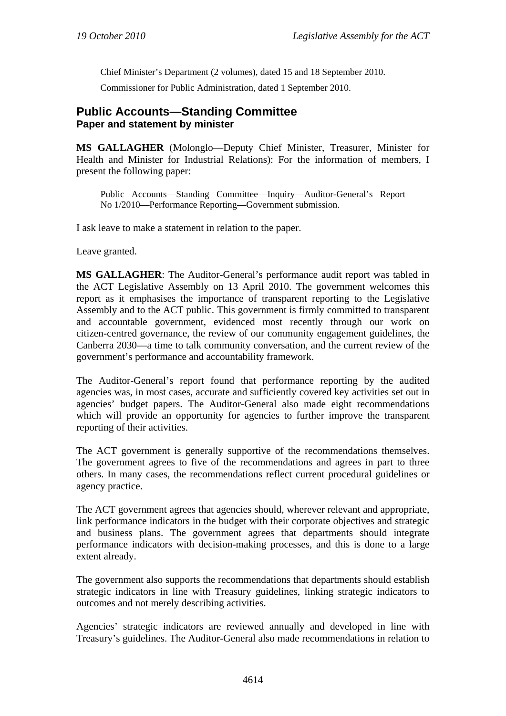Chief Minister's Department (2 volumes), dated 15 and 18 September 2010. Commissioner for Public Administration, dated 1 September 2010.

## **Public Accounts—Standing Committee Paper and statement by minister**

**MS GALLAGHER** (Molonglo—Deputy Chief Minister, Treasurer, Minister for Health and Minister for Industrial Relations): For the information of members, I present the following paper:

Public Accounts—Standing Committee—Inquiry—Auditor-General's Report No 1/2010—Performance Reporting—Government submission.

I ask leave to make a statement in relation to the paper.

Leave granted.

**MS GALLAGHER**: The Auditor-General's performance audit report was tabled in the ACT Legislative Assembly on 13 April 2010. The government welcomes this report as it emphasises the importance of transparent reporting to the Legislative Assembly and to the ACT public. This government is firmly committed to transparent and accountable government, evidenced most recently through our work on citizen-centred governance, the review of our community engagement guidelines, the Canberra 2030—a time to talk community conversation, and the current review of the government's performance and accountability framework.

The Auditor-General's report found that performance reporting by the audited agencies was, in most cases, accurate and sufficiently covered key activities set out in agencies' budget papers. The Auditor-General also made eight recommendations which will provide an opportunity for agencies to further improve the transparent reporting of their activities.

The ACT government is generally supportive of the recommendations themselves. The government agrees to five of the recommendations and agrees in part to three others. In many cases, the recommendations reflect current procedural guidelines or agency practice.

The ACT government agrees that agencies should, wherever relevant and appropriate, link performance indicators in the budget with their corporate objectives and strategic and business plans. The government agrees that departments should integrate performance indicators with decision-making processes, and this is done to a large extent already.

The government also supports the recommendations that departments should establish strategic indicators in line with Treasury guidelines, linking strategic indicators to outcomes and not merely describing activities.

Agencies' strategic indicators are reviewed annually and developed in line with Treasury's guidelines. The Auditor-General also made recommendations in relation to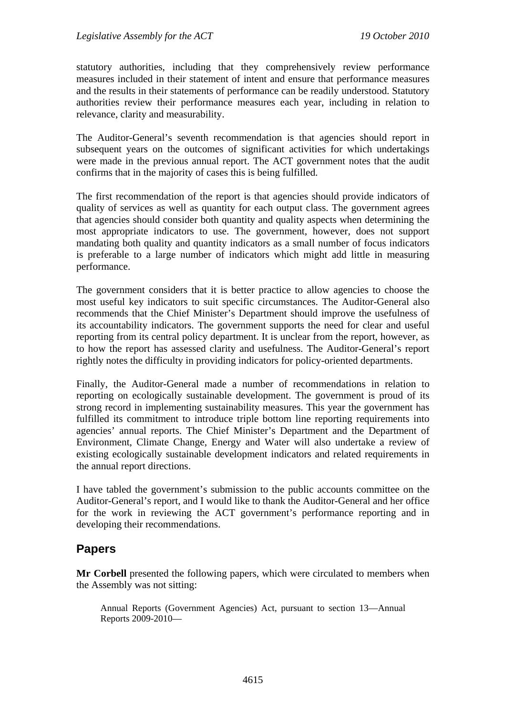statutory authorities, including that they comprehensively review performance measures included in their statement of intent and ensure that performance measures and the results in their statements of performance can be readily understood. Statutory authorities review their performance measures each year, including in relation to relevance, clarity and measurability.

The Auditor-General's seventh recommendation is that agencies should report in subsequent years on the outcomes of significant activities for which undertakings were made in the previous annual report. The ACT government notes that the audit confirms that in the majority of cases this is being fulfilled.

The first recommendation of the report is that agencies should provide indicators of quality of services as well as quantity for each output class. The government agrees that agencies should consider both quantity and quality aspects when determining the most appropriate indicators to use. The government, however, does not support mandating both quality and quantity indicators as a small number of focus indicators is preferable to a large number of indicators which might add little in measuring performance.

The government considers that it is better practice to allow agencies to choose the most useful key indicators to suit specific circumstances. The Auditor-General also recommends that the Chief Minister's Department should improve the usefulness of its accountability indicators. The government supports the need for clear and useful reporting from its central policy department. It is unclear from the report, however, as to how the report has assessed clarity and usefulness. The Auditor-General's report rightly notes the difficulty in providing indicators for policy-oriented departments.

Finally, the Auditor-General made a number of recommendations in relation to reporting on ecologically sustainable development. The government is proud of its strong record in implementing sustainability measures. This year the government has fulfilled its commitment to introduce triple bottom line reporting requirements into agencies' annual reports. The Chief Minister's Department and the Department of Environment, Climate Change, Energy and Water will also undertake a review of existing ecologically sustainable development indicators and related requirements in the annual report directions.

I have tabled the government's submission to the public accounts committee on the Auditor-General's report, and I would like to thank the Auditor-General and her office for the work in reviewing the ACT government's performance reporting and in developing their recommendations.

### **Papers**

**Mr Corbell** presented the following papers, which were circulated to members when the Assembly was not sitting:

Annual Reports (Government Agencies) Act, pursuant to section 13—Annual Reports 2009-2010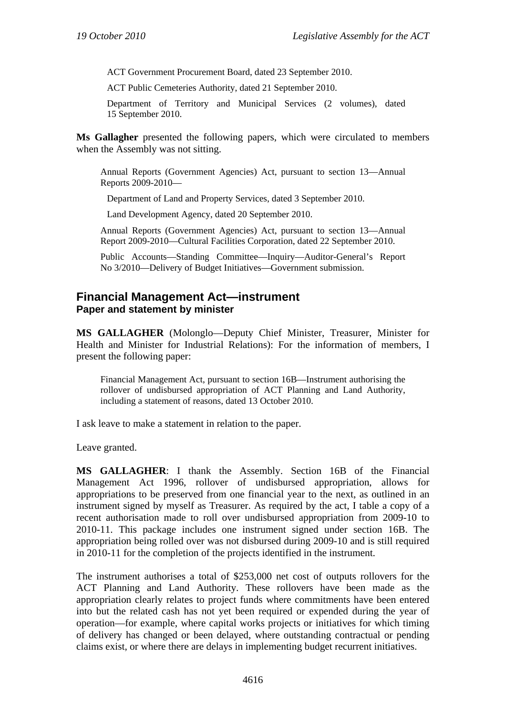ACT Government Procurement Board, dated 23 September 2010.

ACT Public Cemeteries Authority, dated 21 September 2010.

Department of Territory and Municipal Services (2 volumes), dated 15 September 2010.

**Ms Gallagher** presented the following papers, which were circulated to members when the Assembly was not sitting.

Annual Reports (Government Agencies) Act, pursuant to section 13—Annual Reports 2009-2010—

Department of Land and Property Services, dated 3 September 2010.

Land Development Agency, dated 20 September 2010.

Annual Reports (Government Agencies) Act, pursuant to section 13—Annual Report 2009-2010—Cultural Facilities Corporation, dated 22 September 2010.

Public Accounts—Standing Committee—Inquiry—Auditor-General's Report No 3/2010—Delivery of Budget Initiatives—Government submission.

### **Financial Management Act—instrument Paper and statement by minister**

**MS GALLAGHER** (Molonglo—Deputy Chief Minister, Treasurer, Minister for Health and Minister for Industrial Relations): For the information of members, I present the following paper:

Financial Management Act, pursuant to section 16B—Instrument authorising the rollover of undisbursed appropriation of ACT Planning and Land Authority, including a statement of reasons, dated 13 October 2010.

I ask leave to make a statement in relation to the paper.

Leave granted.

**MS GALLAGHER**: I thank the Assembly. Section 16B of the Financial Management Act 1996, rollover of undisbursed appropriation, allows for appropriations to be preserved from one financial year to the next, as outlined in an instrument signed by myself as Treasurer. As required by the act, I table a copy of a recent authorisation made to roll over undisbursed appropriation from 2009-10 to 2010-11. This package includes one instrument signed under section 16B. The appropriation being rolled over was not disbursed during 2009-10 and is still required in 2010-11 for the completion of the projects identified in the instrument.

The instrument authorises a total of \$253,000 net cost of outputs rollovers for the ACT Planning and Land Authority. These rollovers have been made as the appropriation clearly relates to project funds where commitments have been entered into but the related cash has not yet been required or expended during the year of operation—for example, where capital works projects or initiatives for which timing of delivery has changed or been delayed, where outstanding contractual or pending claims exist, or where there are delays in implementing budget recurrent initiatives.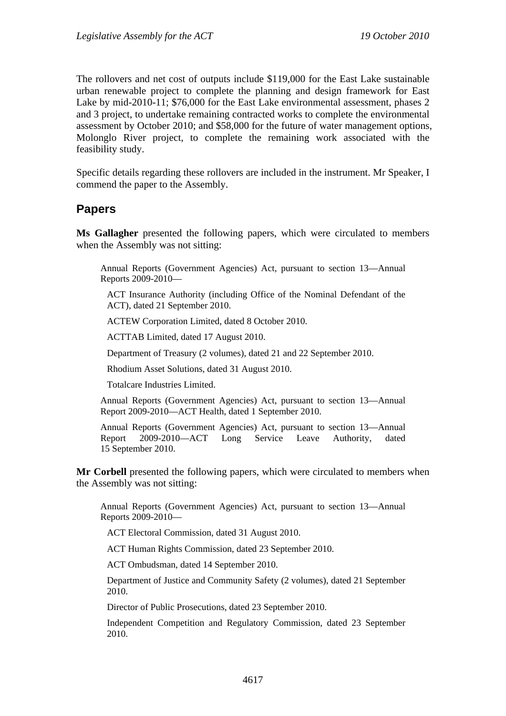The rollovers and net cost of outputs include \$119,000 for the East Lake sustainable urban renewable project to complete the planning and design framework for East Lake by mid-2010-11; \$76,000 for the East Lake environmental assessment, phases 2 and 3 project, to undertake remaining contracted works to complete the environmental assessment by October 2010; and \$58,000 for the future of water management options, Molonglo River project, to complete the remaining work associated with the feasibility study.

Specific details regarding these rollovers are included in the instrument. Mr Speaker, I commend the paper to the Assembly.

# **Papers**

**Ms Gallagher** presented the following papers, which were circulated to members when the Assembly was not sitting:

Annual Reports (Government Agencies) Act, pursuant to section 13—Annual Reports 2009-2010—

ACT Insurance Authority (including Office of the Nominal Defendant of the ACT), dated 21 September 2010.

ACTEW Corporation Limited, dated 8 October 2010.

ACTTAB Limited, dated 17 August 2010.

Department of Treasury (2 volumes), dated 21 and 22 September 2010.

Rhodium Asset Solutions, dated 31 August 2010.

Totalcare Industries Limited.

Annual Reports (Government Agencies) Act, pursuant to section 13—Annual Report 2009-2010—ACT Health, dated 1 September 2010.

Annual Reports (Government Agencies) Act, pursuant to section 13—Annual Report 2009-2010—ACT Long Service Leave Authority, dated 15 September 2010.

**Mr Corbell** presented the following papers, which were circulated to members when the Assembly was not sitting:

Annual Reports (Government Agencies) Act, pursuant to section 13—Annual Reports 2009-2010—

ACT Electoral Commission, dated 31 August 2010.

ACT Human Rights Commission, dated 23 September 2010.

ACT Ombudsman, dated 14 September 2010.

Department of Justice and Community Safety (2 volumes), dated 21 September 2010.

Director of Public Prosecutions, dated 23 September 2010.

Independent Competition and Regulatory Commission, dated 23 September 2010.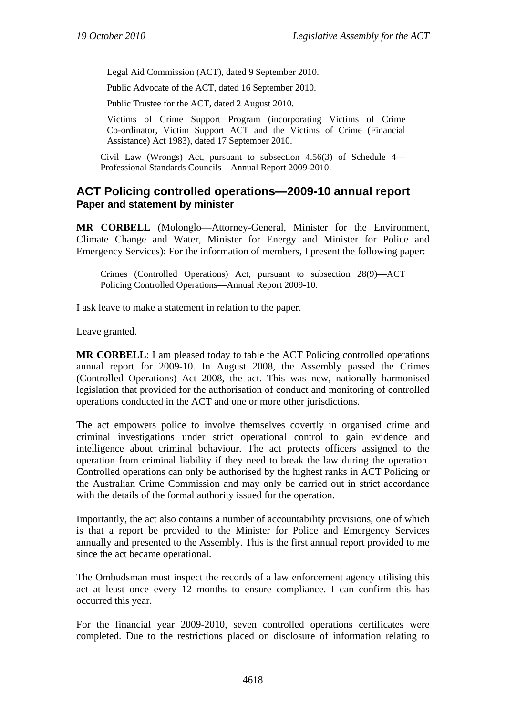Legal Aid Commission (ACT), dated 9 September 2010.

Public Advocate of the ACT, dated 16 September 2010.

Public Trustee for the ACT, dated 2 August 2010.

Victims of Crime Support Program (incorporating Victims of Crime Co-ordinator, Victim Support ACT and the Victims of Crime (Financial Assistance) Act 1983), dated 17 September 2010.

Civil Law (Wrongs) Act, pursuant to subsection 4.56(3) of Schedule 4— Professional Standards Councils—Annual Report 2009-2010.

## **ACT Policing controlled operations—2009-10 annual report Paper and statement by minister**

**MR CORBELL** (Molonglo—Attorney-General, Minister for the Environment, Climate Change and Water, Minister for Energy and Minister for Police and Emergency Services): For the information of members, I present the following paper:

Crimes (Controlled Operations) Act, pursuant to subsection 28(9)—ACT Policing Controlled Operations—Annual Report 2009-10.

I ask leave to make a statement in relation to the paper.

Leave granted.

**MR CORBELL**: I am pleased today to table the ACT Policing controlled operations annual report for 2009-10. In August 2008, the Assembly passed the Crimes (Controlled Operations) Act 2008, the act. This was new, nationally harmonised legislation that provided for the authorisation of conduct and monitoring of controlled operations conducted in the ACT and one or more other jurisdictions.

The act empowers police to involve themselves covertly in organised crime and criminal investigations under strict operational control to gain evidence and intelligence about criminal behaviour. The act protects officers assigned to the operation from criminal liability if they need to break the law during the operation. Controlled operations can only be authorised by the highest ranks in ACT Policing or the Australian Crime Commission and may only be carried out in strict accordance with the details of the formal authority issued for the operation.

Importantly, the act also contains a number of accountability provisions, one of which is that a report be provided to the Minister for Police and Emergency Services annually and presented to the Assembly. This is the first annual report provided to me since the act became operational.

The Ombudsman must inspect the records of a law enforcement agency utilising this act at least once every 12 months to ensure compliance. I can confirm this has occurred this year.

For the financial year 2009-2010, seven controlled operations certificates were completed. Due to the restrictions placed on disclosure of information relating to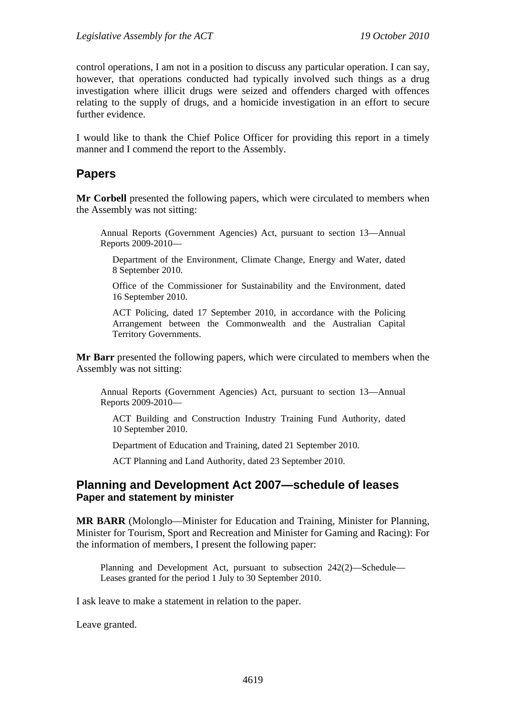control operations, I am not in a position to discuss any particular operation. I can say, however, that operations conducted had typically involved such things as a drug investigation where illicit drugs were seized and offenders charged with offences relating to the supply of drugs, and a homicide investigation in an effort to secure further evidence.

I would like to thank the Chief Police Officer for providing this report in a timely manner and I commend the report to the Assembly.

# **Papers**

**Mr Corbell** presented the following papers, which were circulated to members when the Assembly was not sitting:

Annual Reports (Government Agencies) Act, pursuant to section 13—Annual Reports 2009-2010—

Department of the Environment, Climate Change, Energy and Water, dated 8 September 2010.

Office of the Commissioner for Sustainability and the Environment, dated 16 September 2010.

ACT Policing, dated 17 September 2010, in accordance with the Policing Arrangement between the Commonwealth and the Australian Capital Territory Governments.

**Mr Barr** presented the following papers, which were circulated to members when the Assembly was not sitting:

Annual Reports (Government Agencies) Act, pursuant to section 13—Annual Reports 2009-2010—

ACT Building and Construction Industry Training Fund Authority, dated 10 September 2010.

Department of Education and Training, dated 21 September 2010.

ACT Planning and Land Authority, dated 23 September 2010.

### **Planning and Development Act 2007—schedule of leases Paper and statement by minister**

**MR BARR** (Molonglo—Minister for Education and Training, Minister for Planning, Minister for Tourism, Sport and Recreation and Minister for Gaming and Racing): For the information of members, I present the following paper:

Planning and Development Act, pursuant to subsection 242(2)—Schedule— Leases granted for the period 1 July to 30 September 2010.

I ask leave to make a statement in relation to the paper.

Leave granted.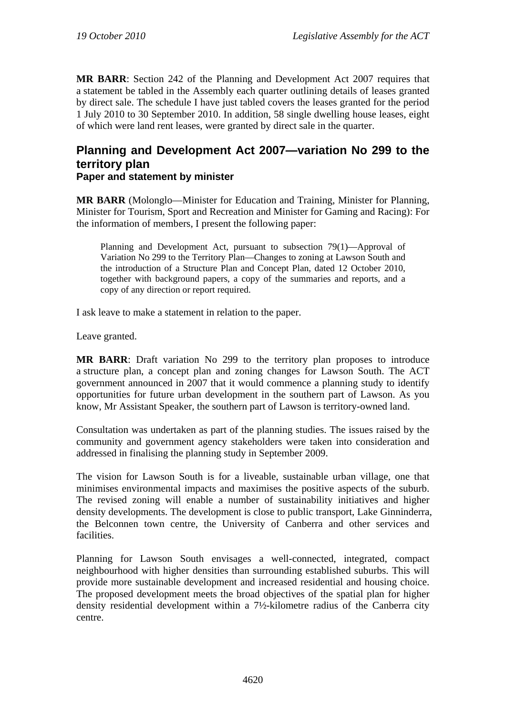**MR BARR**: Section 242 of the Planning and Development Act 2007 requires that a statement be tabled in the Assembly each quarter outlining details of leases granted by direct sale. The schedule I have just tabled covers the leases granted for the period 1 July 2010 to 30 September 2010. In addition, 58 single dwelling house leases, eight of which were land rent leases, were granted by direct sale in the quarter.

# **Planning and Development Act 2007—variation No 299 to the territory plan Paper and statement by minister**

**MR BARR** (Molonglo—Minister for Education and Training, Minister for Planning, Minister for Tourism, Sport and Recreation and Minister for Gaming and Racing): For the information of members, I present the following paper:

Planning and Development Act, pursuant to subsection 79(1)—Approval of Variation No 299 to the Territory Plan—Changes to zoning at Lawson South and the introduction of a Structure Plan and Concept Plan, dated 12 October 2010, together with background papers, a copy of the summaries and reports, and a copy of any direction or report required.

I ask leave to make a statement in relation to the paper.

Leave granted.

**MR BARR**: Draft variation No 299 to the territory plan proposes to introduce a structure plan, a concept plan and zoning changes for Lawson South. The ACT government announced in 2007 that it would commence a planning study to identify opportunities for future urban development in the southern part of Lawson. As you know, Mr Assistant Speaker, the southern part of Lawson is territory-owned land.

Consultation was undertaken as part of the planning studies. The issues raised by the community and government agency stakeholders were taken into consideration and addressed in finalising the planning study in September 2009.

The vision for Lawson South is for a liveable, sustainable urban village, one that minimises environmental impacts and maximises the positive aspects of the suburb. The revised zoning will enable a number of sustainability initiatives and higher density developments. The development is close to public transport, Lake Ginninderra, the Belconnen town centre, the University of Canberra and other services and facilities.

Planning for Lawson South envisages a well-connected, integrated, compact neighbourhood with higher densities than surrounding established suburbs. This will provide more sustainable development and increased residential and housing choice. The proposed development meets the broad objectives of the spatial plan for higher density residential development within a 7½-kilometre radius of the Canberra city centre.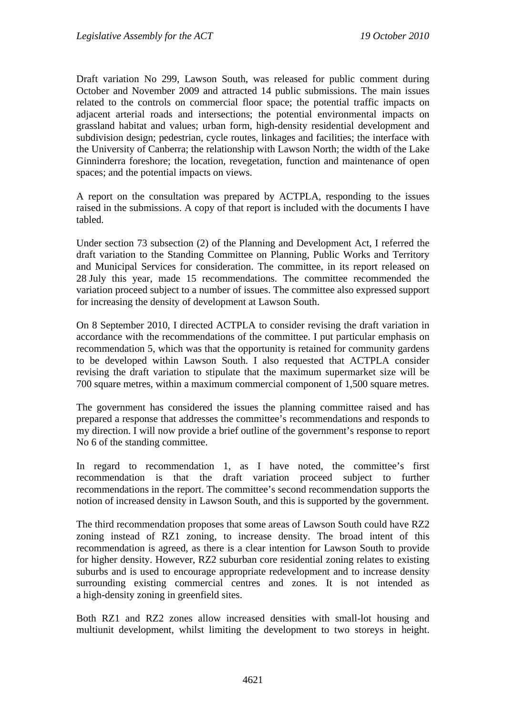Draft variation No 299, Lawson South, was released for public comment during October and November 2009 and attracted 14 public submissions. The main issues related to the controls on commercial floor space; the potential traffic impacts on adjacent arterial roads and intersections; the potential environmental impacts on grassland habitat and values; urban form, high-density residential development and subdivision design; pedestrian, cycle routes, linkages and facilities; the interface with the University of Canberra; the relationship with Lawson North; the width of the Lake Ginninderra foreshore; the location, revegetation, function and maintenance of open spaces; and the potential impacts on views.

A report on the consultation was prepared by ACTPLA, responding to the issues raised in the submissions. A copy of that report is included with the documents I have tabled.

Under section 73 subsection (2) of the Planning and Development Act, I referred the draft variation to the Standing Committee on Planning, Public Works and Territory and Municipal Services for consideration. The committee, in its report released on 28 July this year, made 15 recommendations. The committee recommended the variation proceed subject to a number of issues. The committee also expressed support for increasing the density of development at Lawson South.

On 8 September 2010, I directed ACTPLA to consider revising the draft variation in accordance with the recommendations of the committee. I put particular emphasis on recommendation 5, which was that the opportunity is retained for community gardens to be developed within Lawson South. I also requested that ACTPLA consider revising the draft variation to stipulate that the maximum supermarket size will be 700 square metres, within a maximum commercial component of 1,500 square metres.

The government has considered the issues the planning committee raised and has prepared a response that addresses the committee's recommendations and responds to my direction. I will now provide a brief outline of the government's response to report No 6 of the standing committee.

In regard to recommendation 1, as I have noted, the committee's first recommendation is that the draft variation proceed subject to further recommendations in the report. The committee's second recommendation supports the notion of increased density in Lawson South, and this is supported by the government.

The third recommendation proposes that some areas of Lawson South could have RZ2 zoning instead of RZ1 zoning, to increase density. The broad intent of this recommendation is agreed, as there is a clear intention for Lawson South to provide for higher density. However, RZ2 suburban core residential zoning relates to existing suburbs and is used to encourage appropriate redevelopment and to increase density surrounding existing commercial centres and zones. It is not intended as a high-density zoning in greenfield sites.

Both RZ1 and RZ2 zones allow increased densities with small-lot housing and multiunit development, whilst limiting the development to two storeys in height.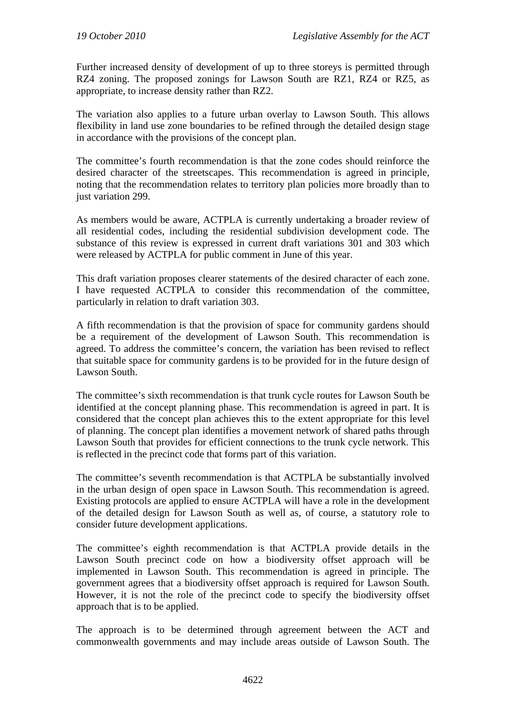Further increased density of development of up to three storeys is permitted through RZ4 zoning. The proposed zonings for Lawson South are RZ1, RZ4 or RZ5, as appropriate, to increase density rather than RZ2.

The variation also applies to a future urban overlay to Lawson South. This allows flexibility in land use zone boundaries to be refined through the detailed design stage in accordance with the provisions of the concept plan.

The committee's fourth recommendation is that the zone codes should reinforce the desired character of the streetscapes. This recommendation is agreed in principle, noting that the recommendation relates to territory plan policies more broadly than to just variation 299.

As members would be aware, ACTPLA is currently undertaking a broader review of all residential codes, including the residential subdivision development code. The substance of this review is expressed in current draft variations 301 and 303 which were released by ACTPLA for public comment in June of this year.

This draft variation proposes clearer statements of the desired character of each zone. I have requested ACTPLA to consider this recommendation of the committee, particularly in relation to draft variation 303.

A fifth recommendation is that the provision of space for community gardens should be a requirement of the development of Lawson South. This recommendation is agreed. To address the committee's concern, the variation has been revised to reflect that suitable space for community gardens is to be provided for in the future design of Lawson South.

The committee's sixth recommendation is that trunk cycle routes for Lawson South be identified at the concept planning phase. This recommendation is agreed in part. It is considered that the concept plan achieves this to the extent appropriate for this level of planning. The concept plan identifies a movement network of shared paths through Lawson South that provides for efficient connections to the trunk cycle network. This is reflected in the precinct code that forms part of this variation.

The committee's seventh recommendation is that ACTPLA be substantially involved in the urban design of open space in Lawson South. This recommendation is agreed. Existing protocols are applied to ensure ACTPLA will have a role in the development of the detailed design for Lawson South as well as, of course, a statutory role to consider future development applications.

The committee's eighth recommendation is that ACTPLA provide details in the Lawson South precinct code on how a biodiversity offset approach will be implemented in Lawson South. This recommendation is agreed in principle. The government agrees that a biodiversity offset approach is required for Lawson South. However, it is not the role of the precinct code to specify the biodiversity offset approach that is to be applied.

The approach is to be determined through agreement between the ACT and commonwealth governments and may include areas outside of Lawson South. The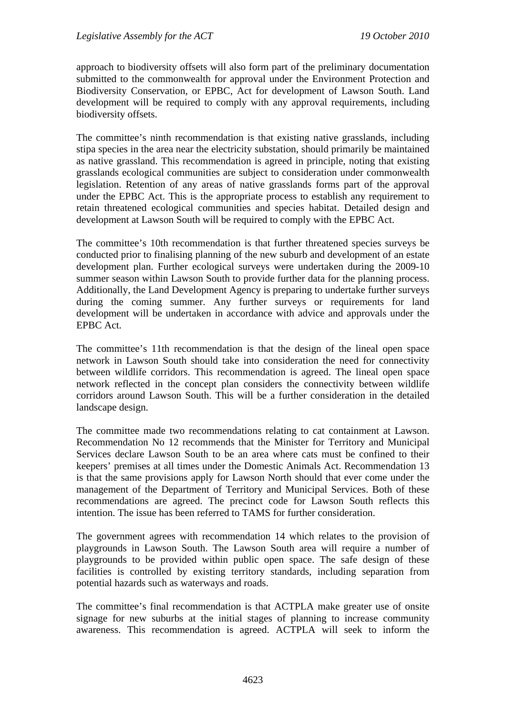approach to biodiversity offsets will also form part of the preliminary documentation submitted to the commonwealth for approval under the Environment Protection and Biodiversity Conservation, or EPBC, Act for development of Lawson South. Land development will be required to comply with any approval requirements, including biodiversity offsets.

The committee's ninth recommendation is that existing native grasslands, including stipa species in the area near the electricity substation, should primarily be maintained as native grassland. This recommendation is agreed in principle, noting that existing grasslands ecological communities are subject to consideration under commonwealth legislation. Retention of any areas of native grasslands forms part of the approval under the EPBC Act. This is the appropriate process to establish any requirement to retain threatened ecological communities and species habitat. Detailed design and development at Lawson South will be required to comply with the EPBC Act.

The committee's 10th recommendation is that further threatened species surveys be conducted prior to finalising planning of the new suburb and development of an estate development plan. Further ecological surveys were undertaken during the 2009-10 summer season within Lawson South to provide further data for the planning process. Additionally, the Land Development Agency is preparing to undertake further surveys during the coming summer. Any further surveys or requirements for land development will be undertaken in accordance with advice and approvals under the EPBC Act.

The committee's 11th recommendation is that the design of the lineal open space network in Lawson South should take into consideration the need for connectivity between wildlife corridors. This recommendation is agreed. The lineal open space network reflected in the concept plan considers the connectivity between wildlife corridors around Lawson South. This will be a further consideration in the detailed landscape design.

The committee made two recommendations relating to cat containment at Lawson. Recommendation No 12 recommends that the Minister for Territory and Municipal Services declare Lawson South to be an area where cats must be confined to their keepers' premises at all times under the Domestic Animals Act. Recommendation 13 is that the same provisions apply for Lawson North should that ever come under the management of the Department of Territory and Municipal Services. Both of these recommendations are agreed. The precinct code for Lawson South reflects this intention. The issue has been referred to TAMS for further consideration.

The government agrees with recommendation 14 which relates to the provision of playgrounds in Lawson South. The Lawson South area will require a number of playgrounds to be provided within public open space. The safe design of these facilities is controlled by existing territory standards, including separation from potential hazards such as waterways and roads.

The committee's final recommendation is that ACTPLA make greater use of onsite signage for new suburbs at the initial stages of planning to increase community awareness. This recommendation is agreed. ACTPLA will seek to inform the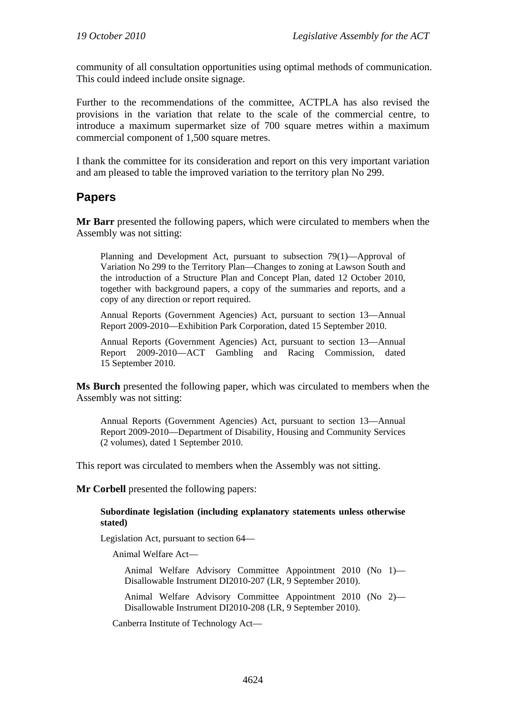community of all consultation opportunities using optimal methods of communication. This could indeed include onsite signage.

Further to the recommendations of the committee, ACTPLA has also revised the provisions in the variation that relate to the scale of the commercial centre, to introduce a maximum supermarket size of 700 square metres within a maximum commercial component of 1,500 square metres.

I thank the committee for its consideration and report on this very important variation and am pleased to table the improved variation to the territory plan No 299.

# **Papers**

**Mr Barr** presented the following papers, which were circulated to members when the Assembly was not sitting:

Planning and Development Act, pursuant to subsection 79(1)—Approval of Variation No 299 to the Territory Plan—Changes to zoning at Lawson South and the introduction of a Structure Plan and Concept Plan, dated 12 October 2010, together with background papers, a copy of the summaries and reports, and a copy of any direction or report required.

Annual Reports (Government Agencies) Act, pursuant to section 13—Annual Report 2009-2010—Exhibition Park Corporation, dated 15 September 2010.

Annual Reports (Government Agencies) Act, pursuant to section 13—Annual Report 2009-2010—ACT Gambling and Racing Commission, dated 15 September 2010.

**Ms Burch** presented the following paper, which was circulated to members when the Assembly was not sitting:

Annual Reports (Government Agencies) Act, pursuant to section 13—Annual Report 2009-2010—Department of Disability, Housing and Community Services (2 volumes), dated 1 September 2010.

This report was circulated to members when the Assembly was not sitting.

**Mr Corbell** presented the following papers:

#### **Subordinate legislation (including explanatory statements unless otherwise stated)**

Legislation Act, pursuant to section 64—

Animal Welfare Act—

Animal Welfare Advisory Committee Appointment 2010 (No 1)— Disallowable Instrument DI2010-207 (LR, 9 September 2010).

Animal Welfare Advisory Committee Appointment 2010 (No 2)— Disallowable Instrument DI2010-208 (LR, 9 September 2010).

Canberra Institute of Technology Act—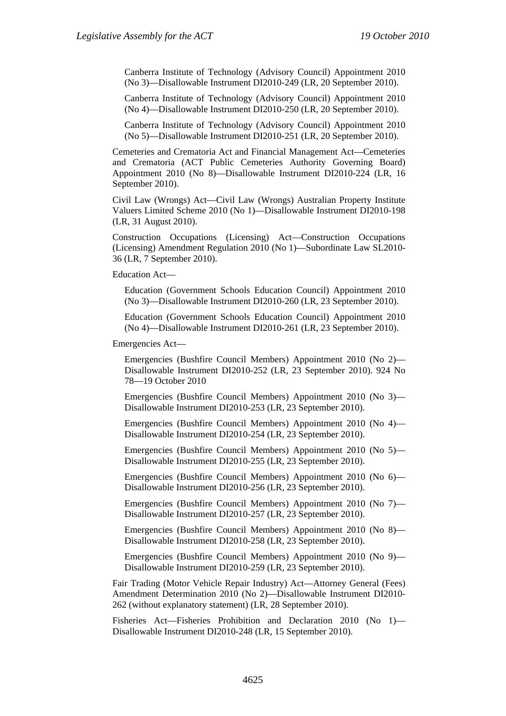Canberra Institute of Technology (Advisory Council) Appointment 2010 (No 3)—Disallowable Instrument DI2010-249 (LR, 20 September 2010).

Canberra Institute of Technology (Advisory Council) Appointment 2010 (No 4)—Disallowable Instrument DI2010-250 (LR, 20 September 2010).

Canberra Institute of Technology (Advisory Council) Appointment 2010 (No 5)—Disallowable Instrument DI2010-251 (LR, 20 September 2010).

Cemeteries and Crematoria Act and Financial Management Act—Cemeteries and Crematoria (ACT Public Cemeteries Authority Governing Board) Appointment 2010 (No 8)—Disallowable Instrument DI2010-224 (LR, 16 September 2010).

Civil Law (Wrongs) Act—Civil Law (Wrongs) Australian Property Institute Valuers Limited Scheme 2010 (No 1)—Disallowable Instrument DI2010-198 (LR, 31 August 2010).

Construction Occupations (Licensing) Act—Construction Occupations (Licensing) Amendment Regulation 2010 (No 1)—Subordinate Law SL2010- 36 (LR, 7 September 2010).

Education Act—

Education (Government Schools Education Council) Appointment 2010 (No 3)—Disallowable Instrument DI2010-260 (LR, 23 September 2010).

Education (Government Schools Education Council) Appointment 2010 (No 4)—Disallowable Instrument DI2010-261 (LR, 23 September 2010).

Emergencies Act—

Emergencies (Bushfire Council Members) Appointment 2010 (No 2)— Disallowable Instrument DI2010-252 (LR, 23 September 2010). 924 No 78—19 October 2010

Emergencies (Bushfire Council Members) Appointment 2010 (No 3)— Disallowable Instrument DI2010-253 (LR, 23 September 2010).

Emergencies (Bushfire Council Members) Appointment 2010 (No 4)— Disallowable Instrument DI2010-254 (LR, 23 September 2010).

Emergencies (Bushfire Council Members) Appointment 2010 (No 5)— Disallowable Instrument DI2010-255 (LR, 23 September 2010).

Emergencies (Bushfire Council Members) Appointment 2010 (No 6)— Disallowable Instrument DI2010-256 (LR, 23 September 2010).

Emergencies (Bushfire Council Members) Appointment 2010 (No 7)— Disallowable Instrument DI2010-257 (LR, 23 September 2010).

Emergencies (Bushfire Council Members) Appointment 2010 (No 8)— Disallowable Instrument DI2010-258 (LR, 23 September 2010).

Emergencies (Bushfire Council Members) Appointment 2010 (No 9)— Disallowable Instrument DI2010-259 (LR, 23 September 2010).

Fair Trading (Motor Vehicle Repair Industry) Act—Attorney General (Fees) Amendment Determination 2010 (No 2)—Disallowable Instrument DI2010- 262 (without explanatory statement) (LR, 28 September 2010).

Fisheries Act—Fisheries Prohibition and Declaration 2010 (No 1)— Disallowable Instrument DI2010-248 (LR, 15 September 2010).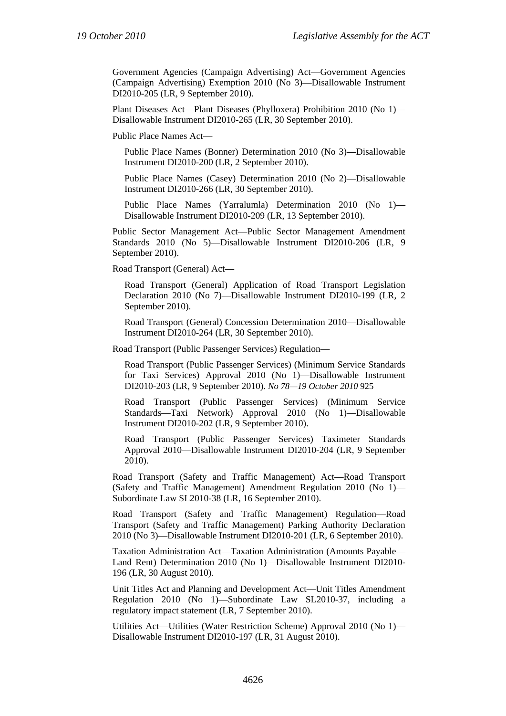Government Agencies (Campaign Advertising) Act—Government Agencies (Campaign Advertising) Exemption 2010 (No 3)—Disallowable Instrument DI2010-205 (LR, 9 September 2010).

Plant Diseases Act—Plant Diseases (Phylloxera) Prohibition 2010 (No 1)— Disallowable Instrument DI2010-265 (LR, 30 September 2010).

Public Place Names Act—

Public Place Names (Bonner) Determination 2010 (No 3)—Disallowable Instrument DI2010-200 (LR, 2 September 2010).

Public Place Names (Casey) Determination 2010 (No 2)—Disallowable Instrument DI2010-266 (LR, 30 September 2010).

Public Place Names (Yarralumla) Determination 2010 (No 1)— Disallowable Instrument DI2010-209 (LR, 13 September 2010).

Public Sector Management Act—Public Sector Management Amendment Standards 2010 (No 5)—Disallowable Instrument DI2010-206 (LR, 9 September 2010).

Road Transport (General) Act—

Road Transport (General) Application of Road Transport Legislation Declaration 2010 (No 7)—Disallowable Instrument DI2010-199 (LR, 2 September 2010).

Road Transport (General) Concession Determination 2010—Disallowable Instrument DI2010-264 (LR, 30 September 2010).

Road Transport (Public Passenger Services) Regulation—

Road Transport (Public Passenger Services) (Minimum Service Standards for Taxi Services) Approval 2010 (No 1)—Disallowable Instrument DI2010-203 (LR, 9 September 2010). *No 78—19 October 2010* 925

Road Transport (Public Passenger Services) (Minimum Service Standards—Taxi Network) Approval 2010 (No 1)—Disallowable Instrument DI2010-202 (LR, 9 September 2010).

Road Transport (Public Passenger Services) Taximeter Standards Approval 2010—Disallowable Instrument DI2010-204 (LR, 9 September 2010).

Road Transport (Safety and Traffic Management) Act—Road Transport (Safety and Traffic Management) Amendment Regulation 2010 (No 1)— Subordinate Law SL2010-38 (LR, 16 September 2010).

Road Transport (Safety and Traffic Management) Regulation—Road Transport (Safety and Traffic Management) Parking Authority Declaration 2010 (No 3)—Disallowable Instrument DI2010-201 (LR, 6 September 2010).

Taxation Administration Act—Taxation Administration (Amounts Payable— Land Rent) Determination 2010 (No 1)—Disallowable Instrument DI2010- 196 (LR, 30 August 2010).

Unit Titles Act and Planning and Development Act—Unit Titles Amendment Regulation 2010 (No 1)—Subordinate Law SL2010-37, including a regulatory impact statement (LR, 7 September 2010).

Utilities Act—Utilities (Water Restriction Scheme) Approval 2010 (No 1)— Disallowable Instrument DI2010-197 (LR, 31 August 2010).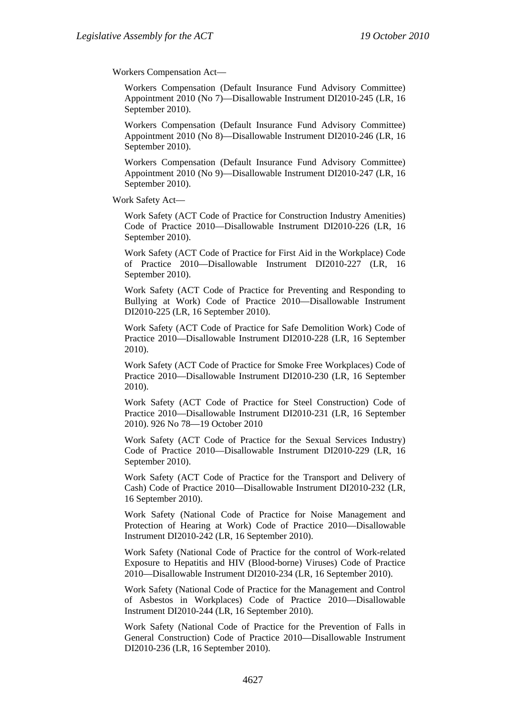Workers Compensation Act—

Workers Compensation (Default Insurance Fund Advisory Committee) Appointment 2010 (No 7)—Disallowable Instrument DI2010-245 (LR, 16 September 2010).

Workers Compensation (Default Insurance Fund Advisory Committee) Appointment 2010 (No 8)—Disallowable Instrument DI2010-246 (LR, 16 September 2010).

Workers Compensation (Default Insurance Fund Advisory Committee) Appointment 2010 (No 9)—Disallowable Instrument DI2010-247 (LR, 16 September 2010).

Work Safety Act—

Work Safety (ACT Code of Practice for Construction Industry Amenities) Code of Practice 2010—Disallowable Instrument DI2010-226 (LR, 16 September 2010).

Work Safety (ACT Code of Practice for First Aid in the Workplace) Code of Practice 2010—Disallowable Instrument DI2010-227 (LR, 16 September 2010).

Work Safety (ACT Code of Practice for Preventing and Responding to Bullying at Work) Code of Practice 2010—Disallowable Instrument DI2010-225 (LR, 16 September 2010).

Work Safety (ACT Code of Practice for Safe Demolition Work) Code of Practice 2010—Disallowable Instrument DI2010-228 (LR, 16 September 2010).

Work Safety (ACT Code of Practice for Smoke Free Workplaces) Code of Practice 2010—Disallowable Instrument DI2010-230 (LR, 16 September 2010).

Work Safety (ACT Code of Practice for Steel Construction) Code of Practice 2010—Disallowable Instrument DI2010-231 (LR, 16 September 2010). 926 No 78—19 October 2010

Work Safety (ACT Code of Practice for the Sexual Services Industry) Code of Practice 2010—Disallowable Instrument DI2010-229 (LR, 16 September 2010).

Work Safety (ACT Code of Practice for the Transport and Delivery of Cash) Code of Practice 2010—Disallowable Instrument DI2010-232 (LR, 16 September 2010).

Work Safety (National Code of Practice for Noise Management and Protection of Hearing at Work) Code of Practice 2010—Disallowable Instrument DI2010-242 (LR, 16 September 2010).

Work Safety (National Code of Practice for the control of Work-related Exposure to Hepatitis and HIV (Blood-borne) Viruses) Code of Practice 2010—Disallowable Instrument DI2010-234 (LR, 16 September 2010).

Work Safety (National Code of Practice for the Management and Control of Asbestos in Workplaces) Code of Practice 2010—Disallowable Instrument DI2010-244 (LR, 16 September 2010).

Work Safety (National Code of Practice for the Prevention of Falls in General Construction) Code of Practice 2010—Disallowable Instrument DI2010-236 (LR, 16 September 2010).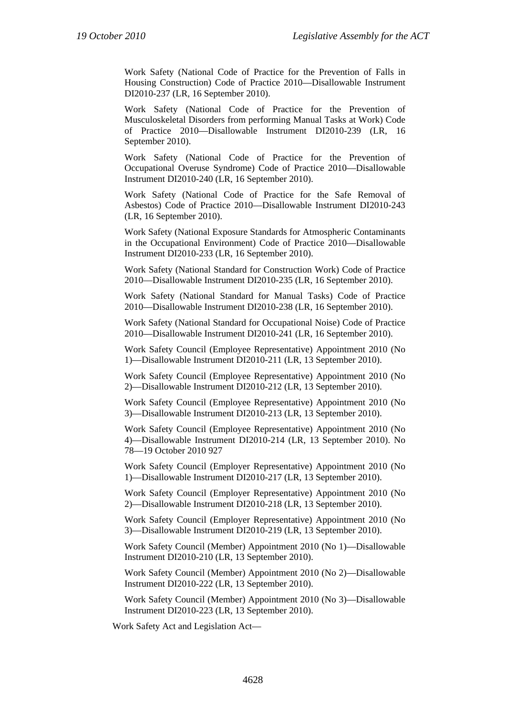Work Safety (National Code of Practice for the Prevention of Falls in Housing Construction) Code of Practice 2010—Disallowable Instrument DI2010-237 (LR, 16 September 2010).

Work Safety (National Code of Practice for the Prevention of Musculoskeletal Disorders from performing Manual Tasks at Work) Code of Practice 2010—Disallowable Instrument DI2010-239 (LR, 16 September 2010).

Work Safety (National Code of Practice for the Prevention of Occupational Overuse Syndrome) Code of Practice 2010—Disallowable Instrument DI2010-240 (LR, 16 September 2010).

Work Safety (National Code of Practice for the Safe Removal of Asbestos) Code of Practice 2010—Disallowable Instrument DI2010-243 (LR, 16 September 2010).

Work Safety (National Exposure Standards for Atmospheric Contaminants in the Occupational Environment) Code of Practice 2010—Disallowable Instrument DI2010-233 (LR, 16 September 2010).

Work Safety (National Standard for Construction Work) Code of Practice 2010—Disallowable Instrument DI2010-235 (LR, 16 September 2010).

Work Safety (National Standard for Manual Tasks) Code of Practice 2010—Disallowable Instrument DI2010-238 (LR, 16 September 2010).

Work Safety (National Standard for Occupational Noise) Code of Practice 2010—Disallowable Instrument DI2010-241 (LR, 16 September 2010).

Work Safety Council (Employee Representative) Appointment 2010 (No 1)—Disallowable Instrument DI2010-211 (LR, 13 September 2010).

Work Safety Council (Employee Representative) Appointment 2010 (No 2)—Disallowable Instrument DI2010-212 (LR, 13 September 2010).

Work Safety Council (Employee Representative) Appointment 2010 (No 3)—Disallowable Instrument DI2010-213 (LR, 13 September 2010).

Work Safety Council (Employee Representative) Appointment 2010 (No 4)—Disallowable Instrument DI2010-214 (LR, 13 September 2010). No 78—19 October 2010 927

Work Safety Council (Employer Representative) Appointment 2010 (No 1)—Disallowable Instrument DI2010-217 (LR, 13 September 2010).

Work Safety Council (Employer Representative) Appointment 2010 (No 2)—Disallowable Instrument DI2010-218 (LR, 13 September 2010).

Work Safety Council (Employer Representative) Appointment 2010 (No 3)—Disallowable Instrument DI2010-219 (LR, 13 September 2010).

Work Safety Council (Member) Appointment 2010 (No 1)—Disallowable Instrument DI2010-210 (LR, 13 September 2010).

Work Safety Council (Member) Appointment 2010 (No 2)—Disallowable Instrument DI2010-222 (LR, 13 September 2010).

Work Safety Council (Member) Appointment 2010 (No 3)—Disallowable Instrument DI2010-223 (LR, 13 September 2010).

Work Safety Act and Legislation Act—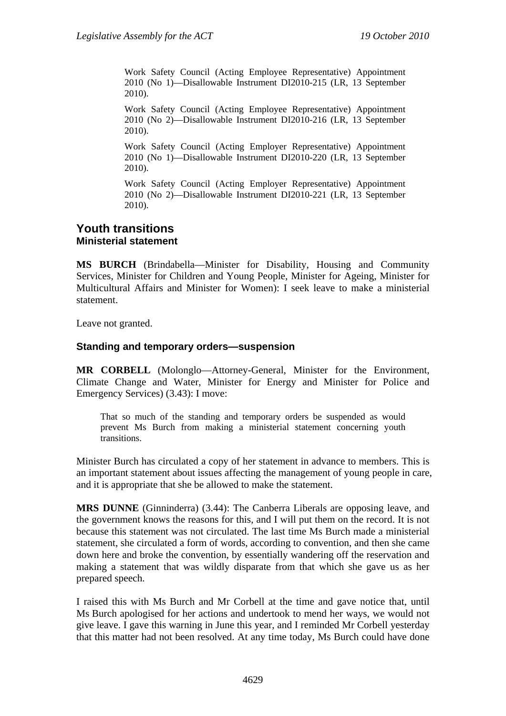Work Safety Council (Acting Employee Representative) Appointment 2010 (No 1)—Disallowable Instrument DI2010-215 (LR, 13 September 2010).

Work Safety Council (Acting Employee Representative) Appointment 2010 (No 2)—Disallowable Instrument DI2010-216 (LR, 13 September 2010).

Work Safety Council (Acting Employer Representative) Appointment 2010 (No 1)—Disallowable Instrument DI2010-220 (LR, 13 September 2010).

Work Safety Council (Acting Employer Representative) Appointment 2010 (No 2)—Disallowable Instrument DI2010-221 (LR, 13 September 2010).

### **Youth transitions Ministerial statement**

**MS BURCH** (Brindabella—Minister for Disability, Housing and Community Services, Minister for Children and Young People, Minister for Ageing, Minister for Multicultural Affairs and Minister for Women): I seek leave to make a ministerial statement.

Leave not granted.

#### **Standing and temporary orders—suspension**

**MR CORBELL** (Molonglo—Attorney-General, Minister for the Environment, Climate Change and Water, Minister for Energy and Minister for Police and Emergency Services) (3.43): I move:

That so much of the standing and temporary orders be suspended as would prevent Ms Burch from making a ministerial statement concerning youth transitions.

Minister Burch has circulated a copy of her statement in advance to members. This is an important statement about issues affecting the management of young people in care, and it is appropriate that she be allowed to make the statement.

**MRS DUNNE** (Ginninderra) (3.44): The Canberra Liberals are opposing leave, and the government knows the reasons for this, and I will put them on the record. It is not because this statement was not circulated. The last time Ms Burch made a ministerial statement, she circulated a form of words, according to convention, and then she came down here and broke the convention, by essentially wandering off the reservation and making a statement that was wildly disparate from that which she gave us as her prepared speech.

I raised this with Ms Burch and Mr Corbell at the time and gave notice that, until Ms Burch apologised for her actions and undertook to mend her ways, we would not give leave. I gave this warning in June this year, and I reminded Mr Corbell yesterday that this matter had not been resolved. At any time today, Ms Burch could have done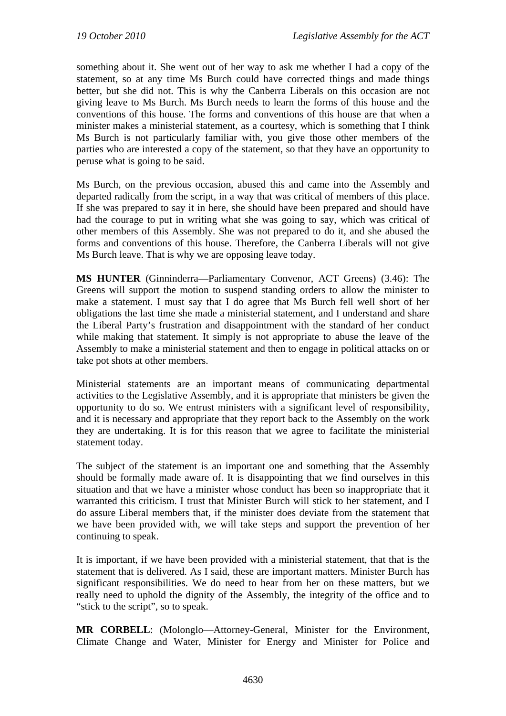something about it. She went out of her way to ask me whether I had a copy of the statement, so at any time Ms Burch could have corrected things and made things better, but she did not. This is why the Canberra Liberals on this occasion are not giving leave to Ms Burch. Ms Burch needs to learn the forms of this house and the conventions of this house. The forms and conventions of this house are that when a minister makes a ministerial statement, as a courtesy, which is something that I think Ms Burch is not particularly familiar with, you give those other members of the parties who are interested a copy of the statement, so that they have an opportunity to peruse what is going to be said.

Ms Burch, on the previous occasion, abused this and came into the Assembly and departed radically from the script, in a way that was critical of members of this place. If she was prepared to say it in here, she should have been prepared and should have had the courage to put in writing what she was going to say, which was critical of other members of this Assembly. She was not prepared to do it, and she abused the forms and conventions of this house. Therefore, the Canberra Liberals will not give Ms Burch leave. That is why we are opposing leave today.

**MS HUNTER** (Ginninderra—Parliamentary Convenor, ACT Greens) (3.46): The Greens will support the motion to suspend standing orders to allow the minister to make a statement. I must say that I do agree that Ms Burch fell well short of her obligations the last time she made a ministerial statement, and I understand and share the Liberal Party's frustration and disappointment with the standard of her conduct while making that statement. It simply is not appropriate to abuse the leave of the Assembly to make a ministerial statement and then to engage in political attacks on or take pot shots at other members.

Ministerial statements are an important means of communicating departmental activities to the Legislative Assembly, and it is appropriate that ministers be given the opportunity to do so. We entrust ministers with a significant level of responsibility, and it is necessary and appropriate that they report back to the Assembly on the work they are undertaking. It is for this reason that we agree to facilitate the ministerial statement today.

The subject of the statement is an important one and something that the Assembly should be formally made aware of. It is disappointing that we find ourselves in this situation and that we have a minister whose conduct has been so inappropriate that it warranted this criticism. I trust that Minister Burch will stick to her statement, and I do assure Liberal members that, if the minister does deviate from the statement that we have been provided with, we will take steps and support the prevention of her continuing to speak.

It is important, if we have been provided with a ministerial statement, that that is the statement that is delivered. As I said, these are important matters. Minister Burch has significant responsibilities. We do need to hear from her on these matters, but we really need to uphold the dignity of the Assembly, the integrity of the office and to "stick to the script", so to speak.

**MR CORBELL**: (Molonglo—Attorney-General, Minister for the Environment, Climate Change and Water, Minister for Energy and Minister for Police and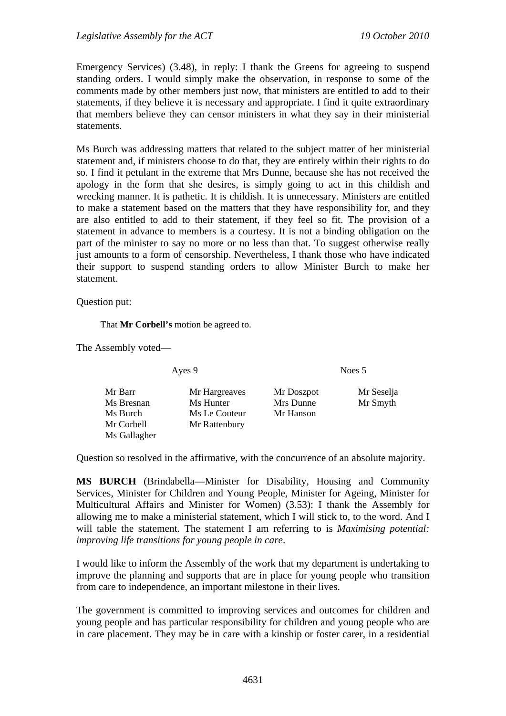Emergency Services) (3.48), in reply: I thank the Greens for agreeing to suspend standing orders. I would simply make the observation, in response to some of the comments made by other members just now, that ministers are entitled to add to their statements, if they believe it is necessary and appropriate. I find it quite extraordinary that members believe they can censor ministers in what they say in their ministerial statements.

Ms Burch was addressing matters that related to the subject matter of her ministerial statement and, if ministers choose to do that, they are entirely within their rights to do so. I find it petulant in the extreme that Mrs Dunne, because she has not received the apology in the form that she desires, is simply going to act in this childish and wrecking manner. It is pathetic. It is childish. It is unnecessary. Ministers are entitled to make a statement based on the matters that they have responsibility for, and they are also entitled to add to their statement, if they feel so fit. The provision of a statement in advance to members is a courtesy. It is not a binding obligation on the part of the minister to say no more or no less than that. To suggest otherwise really just amounts to a form of censorship. Nevertheless, I thank those who have indicated their support to suspend standing orders to allow Minister Burch to make her statement.

#### Question put:

That **Mr Corbell's** motion be agreed to.

The Assembly voted—

| Ayes 9 |  |
|--------|--|
|--------|--|

Noes 5

| Mr Barr<br>Ms Bresnan | Mr Hargreaves<br>Ms Hunter | Mr Doszpot<br>Mrs Dunne | Mr Seselja<br>Mr Smyth |
|-----------------------|----------------------------|-------------------------|------------------------|
| Ms Burch              | Ms Le Couteur              | Mr Hanson               |                        |
| Mr Corbell            | Mr Rattenbury              |                         |                        |
| Ms Gallagher          |                            |                         |                        |

Question so resolved in the affirmative, with the concurrence of an absolute majority.

**MS BURCH** (Brindabella—Minister for Disability, Housing and Community Services, Minister for Children and Young People, Minister for Ageing, Minister for Multicultural Affairs and Minister for Women) (3.53): I thank the Assembly for allowing me to make a ministerial statement, which I will stick to, to the word. And I will table the statement. The statement I am referring to is *Maximising potential: improving life transitions for young people in care*.

I would like to inform the Assembly of the work that my department is undertaking to improve the planning and supports that are in place for young people who transition from care to independence, an important milestone in their lives.

The government is committed to improving services and outcomes for children and young people and has particular responsibility for children and young people who are in care placement. They may be in care with a kinship or foster carer, in a residential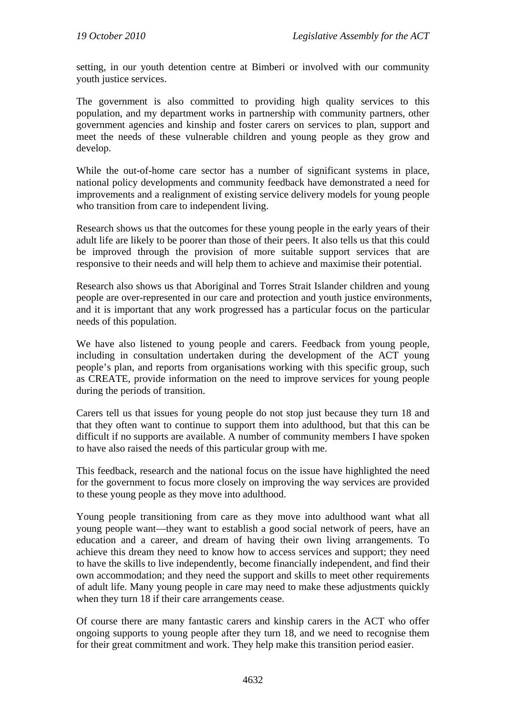setting, in our youth detention centre at Bimberi or involved with our community youth justice services.

The government is also committed to providing high quality services to this population, and my department works in partnership with community partners, other government agencies and kinship and foster carers on services to plan, support and meet the needs of these vulnerable children and young people as they grow and develop.

While the out-of-home care sector has a number of significant systems in place, national policy developments and community feedback have demonstrated a need for improvements and a realignment of existing service delivery models for young people who transition from care to independent living.

Research shows us that the outcomes for these young people in the early years of their adult life are likely to be poorer than those of their peers. It also tells us that this could be improved through the provision of more suitable support services that are responsive to their needs and will help them to achieve and maximise their potential.

Research also shows us that Aboriginal and Torres Strait Islander children and young people are over-represented in our care and protection and youth justice environments, and it is important that any work progressed has a particular focus on the particular needs of this population.

We have also listened to young people and carers. Feedback from young people, including in consultation undertaken during the development of the ACT young people's plan, and reports from organisations working with this specific group, such as CREATE, provide information on the need to improve services for young people during the periods of transition.

Carers tell us that issues for young people do not stop just because they turn 18 and that they often want to continue to support them into adulthood, but that this can be difficult if no supports are available. A number of community members I have spoken to have also raised the needs of this particular group with me.

This feedback, research and the national focus on the issue have highlighted the need for the government to focus more closely on improving the way services are provided to these young people as they move into adulthood.

Young people transitioning from care as they move into adulthood want what all young people want—they want to establish a good social network of peers, have an education and a career, and dream of having their own living arrangements. To achieve this dream they need to know how to access services and support; they need to have the skills to live independently, become financially independent, and find their own accommodation; and they need the support and skills to meet other requirements of adult life. Many young people in care may need to make these adjustments quickly when they turn 18 if their care arrangements cease.

Of course there are many fantastic carers and kinship carers in the ACT who offer ongoing supports to young people after they turn 18, and we need to recognise them for their great commitment and work. They help make this transition period easier.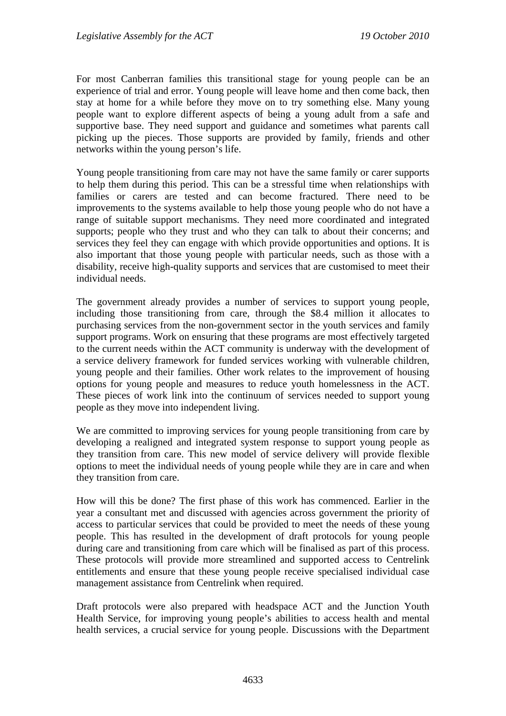For most Canberran families this transitional stage for young people can be an experience of trial and error. Young people will leave home and then come back, then stay at home for a while before they move on to try something else. Many young people want to explore different aspects of being a young adult from a safe and supportive base. They need support and guidance and sometimes what parents call picking up the pieces. Those supports are provided by family, friends and other networks within the young person's life.

Young people transitioning from care may not have the same family or carer supports to help them during this period. This can be a stressful time when relationships with families or carers are tested and can become fractured. There need to be improvements to the systems available to help those young people who do not have a range of suitable support mechanisms. They need more coordinated and integrated supports; people who they trust and who they can talk to about their concerns; and services they feel they can engage with which provide opportunities and options. It is also important that those young people with particular needs, such as those with a disability, receive high-quality supports and services that are customised to meet their individual needs.

The government already provides a number of services to support young people, including those transitioning from care, through the \$8.4 million it allocates to purchasing services from the non-government sector in the youth services and family support programs. Work on ensuring that these programs are most effectively targeted to the current needs within the ACT community is underway with the development of a service delivery framework for funded services working with vulnerable children, young people and their families. Other work relates to the improvement of housing options for young people and measures to reduce youth homelessness in the ACT. These pieces of work link into the continuum of services needed to support young people as they move into independent living.

We are committed to improving services for young people transitioning from care by developing a realigned and integrated system response to support young people as they transition from care. This new model of service delivery will provide flexible options to meet the individual needs of young people while they are in care and when they transition from care.

How will this be done? The first phase of this work has commenced. Earlier in the year a consultant met and discussed with agencies across government the priority of access to particular services that could be provided to meet the needs of these young people. This has resulted in the development of draft protocols for young people during care and transitioning from care which will be finalised as part of this process. These protocols will provide more streamlined and supported access to Centrelink entitlements and ensure that these young people receive specialised individual case management assistance from Centrelink when required.

Draft protocols were also prepared with headspace ACT and the Junction Youth Health Service, for improving young people's abilities to access health and mental health services, a crucial service for young people. Discussions with the Department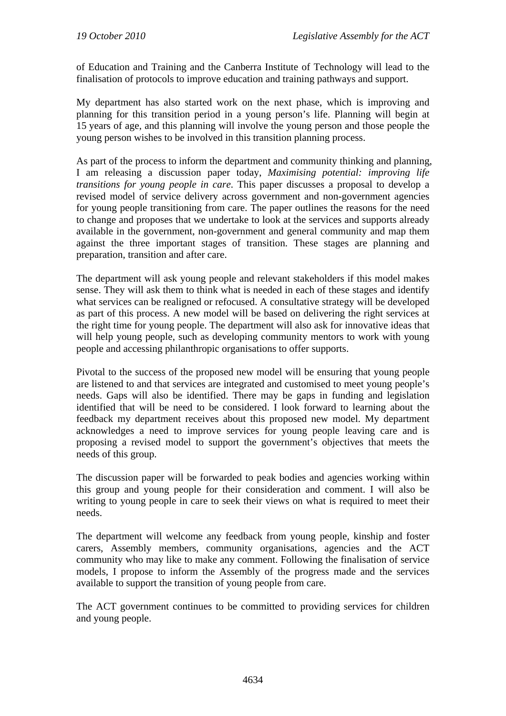of Education and Training and the Canberra Institute of Technology will lead to the finalisation of protocols to improve education and training pathways and support.

My department has also started work on the next phase, which is improving and planning for this transition period in a young person's life. Planning will begin at 15 years of age, and this planning will involve the young person and those people the young person wishes to be involved in this transition planning process.

As part of the process to inform the department and community thinking and planning, I am releasing a discussion paper today, *Maximising potential: improving life transitions for young people in care*. This paper discusses a proposal to develop a revised model of service delivery across government and non-government agencies for young people transitioning from care. The paper outlines the reasons for the need to change and proposes that we undertake to look at the services and supports already available in the government, non-government and general community and map them against the three important stages of transition. These stages are planning and preparation, transition and after care.

The department will ask young people and relevant stakeholders if this model makes sense. They will ask them to think what is needed in each of these stages and identify what services can be realigned or refocused. A consultative strategy will be developed as part of this process. A new model will be based on delivering the right services at the right time for young people. The department will also ask for innovative ideas that will help young people, such as developing community mentors to work with young people and accessing philanthropic organisations to offer supports.

Pivotal to the success of the proposed new model will be ensuring that young people are listened to and that services are integrated and customised to meet young people's needs. Gaps will also be identified. There may be gaps in funding and legislation identified that will be need to be considered. I look forward to learning about the feedback my department receives about this proposed new model. My department acknowledges a need to improve services for young people leaving care and is proposing a revised model to support the government's objectives that meets the needs of this group.

The discussion paper will be forwarded to peak bodies and agencies working within this group and young people for their consideration and comment. I will also be writing to young people in care to seek their views on what is required to meet their needs.

The department will welcome any feedback from young people, kinship and foster carers, Assembly members, community organisations, agencies and the ACT community who may like to make any comment. Following the finalisation of service models, I propose to inform the Assembly of the progress made and the services available to support the transition of young people from care.

The ACT government continues to be committed to providing services for children and young people.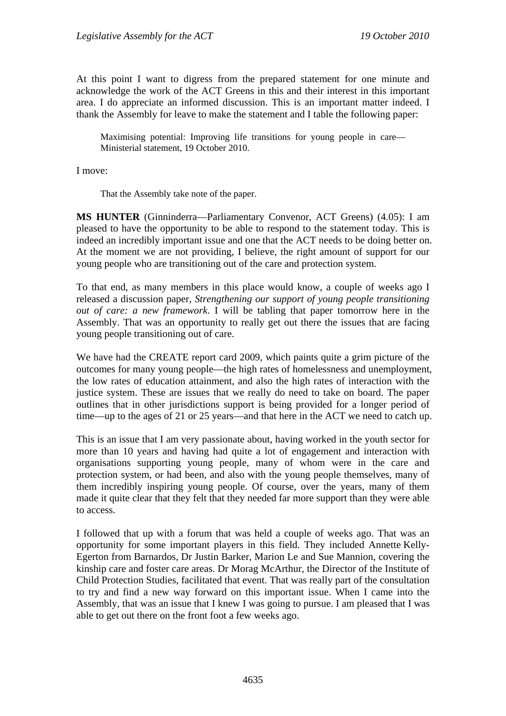At this point I want to digress from the prepared statement for one minute and acknowledge the work of the ACT Greens in this and their interest in this important area. I do appreciate an informed discussion. This is an important matter indeed. I thank the Assembly for leave to make the statement and I table the following paper:

Maximising potential: Improving life transitions for young people in care— Ministerial statement, 19 October 2010.

I move:

That the Assembly take note of the paper.

**MS HUNTER** (Ginninderra—Parliamentary Convenor, ACT Greens) (4.05): I am pleased to have the opportunity to be able to respond to the statement today. This is indeed an incredibly important issue and one that the ACT needs to be doing better on. At the moment we are not providing, I believe, the right amount of support for our young people who are transitioning out of the care and protection system.

To that end, as many members in this place would know, a couple of weeks ago I released a discussion paper, *Strengthening our support of young people transitioning out of care: a new framework*. I will be tabling that paper tomorrow here in the Assembly. That was an opportunity to really get out there the issues that are facing young people transitioning out of care.

We have had the CREATE report card 2009, which paints quite a grim picture of the outcomes for many young people—the high rates of homelessness and unemployment, the low rates of education attainment, and also the high rates of interaction with the justice system. These are issues that we really do need to take on board. The paper outlines that in other jurisdictions support is being provided for a longer period of time—up to the ages of 21 or 25 years—and that here in the ACT we need to catch up.

This is an issue that I am very passionate about, having worked in the youth sector for more than 10 years and having had quite a lot of engagement and interaction with organisations supporting young people, many of whom were in the care and protection system, or had been, and also with the young people themselves, many of them incredibly inspiring young people. Of course, over the years, many of them made it quite clear that they felt that they needed far more support than they were able to access.

I followed that up with a forum that was held a couple of weeks ago. That was an opportunity for some important players in this field. They included Annette Kelly-Egerton from Barnardos, Dr Justin Barker, Marion Le and Sue Mannion, covering the kinship care and foster care areas. Dr Morag McArthur, the Director of the Institute of Child Protection Studies, facilitated that event. That was really part of the consultation to try and find a new way forward on this important issue. When I came into the Assembly, that was an issue that I knew I was going to pursue. I am pleased that I was able to get out there on the front foot a few weeks ago.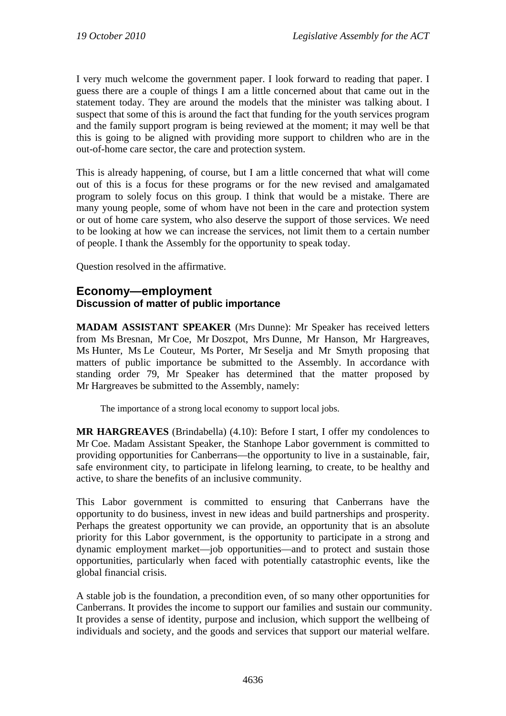I very much welcome the government paper. I look forward to reading that paper. I guess there are a couple of things I am a little concerned about that came out in the statement today. They are around the models that the minister was talking about. I suspect that some of this is around the fact that funding for the youth services program and the family support program is being reviewed at the moment; it may well be that this is going to be aligned with providing more support to children who are in the out-of-home care sector, the care and protection system.

This is already happening, of course, but I am a little concerned that what will come out of this is a focus for these programs or for the new revised and amalgamated program to solely focus on this group. I think that would be a mistake. There are many young people, some of whom have not been in the care and protection system or out of home care system, who also deserve the support of those services. We need to be looking at how we can increase the services, not limit them to a certain number of people. I thank the Assembly for the opportunity to speak today.

Question resolved in the affirmative.

## **Economy—employment Discussion of matter of public importance**

**MADAM ASSISTANT SPEAKER** (Mrs Dunne): Mr Speaker has received letters from Ms Bresnan, Mr Coe, Mr Doszpot, Mrs Dunne, Mr Hanson, Mr Hargreaves, Ms Hunter, Ms Le Couteur, Ms Porter, Mr Seselja and Mr Smyth proposing that matters of public importance be submitted to the Assembly. In accordance with standing order 79, Mr Speaker has determined that the matter proposed by Mr Hargreaves be submitted to the Assembly, namely:

The importance of a strong local economy to support local jobs.

**MR HARGREAVES** (Brindabella) (4.10): Before I start, I offer my condolences to Mr Coe. Madam Assistant Speaker, the Stanhope Labor government is committed to providing opportunities for Canberrans—the opportunity to live in a sustainable, fair, safe environment city, to participate in lifelong learning, to create, to be healthy and active, to share the benefits of an inclusive community.

This Labor government is committed to ensuring that Canberrans have the opportunity to do business, invest in new ideas and build partnerships and prosperity. Perhaps the greatest opportunity we can provide, an opportunity that is an absolute priority for this Labor government, is the opportunity to participate in a strong and dynamic employment market—job opportunities—and to protect and sustain those opportunities, particularly when faced with potentially catastrophic events, like the global financial crisis.

A stable job is the foundation, a precondition even, of so many other opportunities for Canberrans. It provides the income to support our families and sustain our community. It provides a sense of identity, purpose and inclusion, which support the wellbeing of individuals and society, and the goods and services that support our material welfare.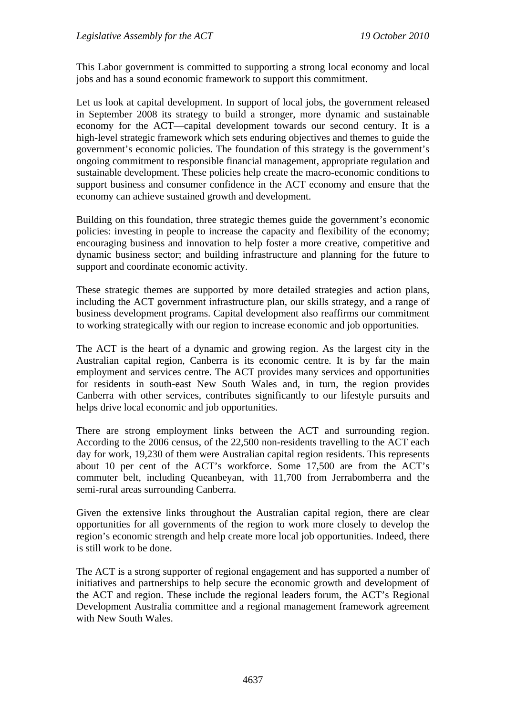This Labor government is committed to supporting a strong local economy and local jobs and has a sound economic framework to support this commitment.

Let us look at capital development. In support of local jobs, the government released in September 2008 its strategy to build a stronger, more dynamic and sustainable economy for the ACT—capital development towards our second century. It is a high-level strategic framework which sets enduring objectives and themes to guide the government's economic policies. The foundation of this strategy is the government's ongoing commitment to responsible financial management, appropriate regulation and sustainable development. These policies help create the macro-economic conditions to support business and consumer confidence in the ACT economy and ensure that the economy can achieve sustained growth and development.

Building on this foundation, three strategic themes guide the government's economic policies: investing in people to increase the capacity and flexibility of the economy; encouraging business and innovation to help foster a more creative, competitive and dynamic business sector; and building infrastructure and planning for the future to support and coordinate economic activity.

These strategic themes are supported by more detailed strategies and action plans, including the ACT government infrastructure plan, our skills strategy, and a range of business development programs. Capital development also reaffirms our commitment to working strategically with our region to increase economic and job opportunities.

The ACT is the heart of a dynamic and growing region. As the largest city in the Australian capital region, Canberra is its economic centre. It is by far the main employment and services centre. The ACT provides many services and opportunities for residents in south-east New South Wales and, in turn, the region provides Canberra with other services, contributes significantly to our lifestyle pursuits and helps drive local economic and job opportunities.

There are strong employment links between the ACT and surrounding region. According to the 2006 census, of the 22,500 non-residents travelling to the ACT each day for work, 19,230 of them were Australian capital region residents. This represents about 10 per cent of the ACT's workforce. Some 17,500 are from the ACT's commuter belt, including Queanbeyan, with 11,700 from Jerrabomberra and the semi-rural areas surrounding Canberra.

Given the extensive links throughout the Australian capital region, there are clear opportunities for all governments of the region to work more closely to develop the region's economic strength and help create more local job opportunities. Indeed, there is still work to be done.

The ACT is a strong supporter of regional engagement and has supported a number of initiatives and partnerships to help secure the economic growth and development of the ACT and region. These include the regional leaders forum, the ACT's Regional Development Australia committee and a regional management framework agreement with New South Wales.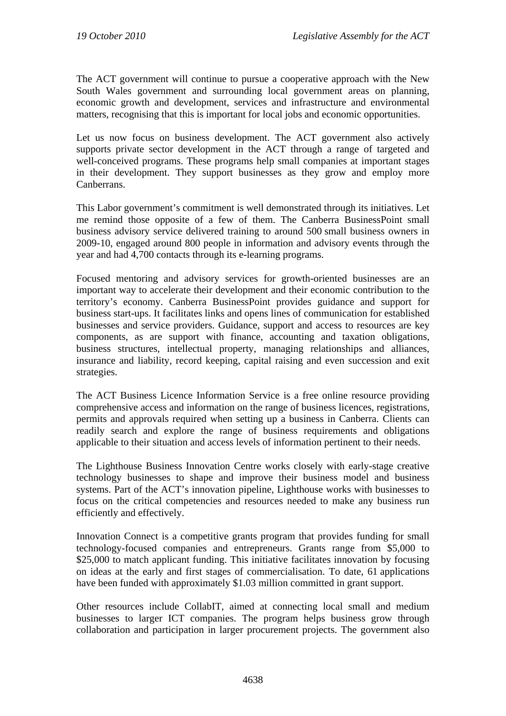The ACT government will continue to pursue a cooperative approach with the New South Wales government and surrounding local government areas on planning, economic growth and development, services and infrastructure and environmental matters, recognising that this is important for local jobs and economic opportunities.

Let us now focus on business development. The ACT government also actively supports private sector development in the ACT through a range of targeted and well-conceived programs. These programs help small companies at important stages in their development. They support businesses as they grow and employ more Canberrans.

This Labor government's commitment is well demonstrated through its initiatives. Let me remind those opposite of a few of them. The Canberra BusinessPoint small business advisory service delivered training to around 500 small business owners in 2009-10, engaged around 800 people in information and advisory events through the year and had 4,700 contacts through its e-learning programs.

Focused mentoring and advisory services for growth-oriented businesses are an important way to accelerate their development and their economic contribution to the territory's economy. Canberra BusinessPoint provides guidance and support for business start-ups. It facilitates links and opens lines of communication for established businesses and service providers. Guidance, support and access to resources are key components, as are support with finance, accounting and taxation obligations, business structures, intellectual property, managing relationships and alliances, insurance and liability, record keeping, capital raising and even succession and exit strategies.

The ACT Business Licence Information Service is a free online resource providing comprehensive access and information on the range of business licences, registrations, permits and approvals required when setting up a business in Canberra. Clients can readily search and explore the range of business requirements and obligations applicable to their situation and access levels of information pertinent to their needs.

The Lighthouse Business Innovation Centre works closely with early-stage creative technology businesses to shape and improve their business model and business systems. Part of the ACT's innovation pipeline, Lighthouse works with businesses to focus on the critical competencies and resources needed to make any business run efficiently and effectively.

Innovation Connect is a competitive grants program that provides funding for small technology-focused companies and entrepreneurs. Grants range from \$5,000 to \$25,000 to match applicant funding. This initiative facilitates innovation by focusing on ideas at the early and first stages of commercialisation. To date, 61 applications have been funded with approximately \$1.03 million committed in grant support.

Other resources include CollabIT, aimed at connecting local small and medium businesses to larger ICT companies. The program helps business grow through collaboration and participation in larger procurement projects. The government also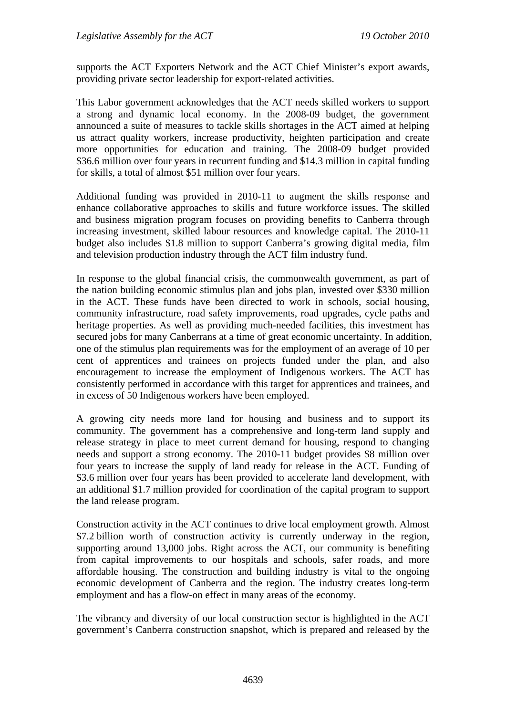supports the ACT Exporters Network and the ACT Chief Minister's export awards, providing private sector leadership for export-related activities.

This Labor government acknowledges that the ACT needs skilled workers to support a strong and dynamic local economy. In the 2008-09 budget, the government announced a suite of measures to tackle skills shortages in the ACT aimed at helping us attract quality workers, increase productivity, heighten participation and create more opportunities for education and training. The 2008-09 budget provided \$36.6 million over four years in recurrent funding and \$14.3 million in capital funding for skills, a total of almost \$51 million over four years.

Additional funding was provided in 2010-11 to augment the skills response and enhance collaborative approaches to skills and future workforce issues. The skilled and business migration program focuses on providing benefits to Canberra through increasing investment, skilled labour resources and knowledge capital. The 2010-11 budget also includes \$1.8 million to support Canberra's growing digital media, film and television production industry through the ACT film industry fund.

In response to the global financial crisis, the commonwealth government, as part of the nation building economic stimulus plan and jobs plan, invested over \$330 million in the ACT. These funds have been directed to work in schools, social housing, community infrastructure, road safety improvements, road upgrades, cycle paths and heritage properties. As well as providing much-needed facilities, this investment has secured jobs for many Canberrans at a time of great economic uncertainty. In addition, one of the stimulus plan requirements was for the employment of an average of 10 per cent of apprentices and trainees on projects funded under the plan, and also encouragement to increase the employment of Indigenous workers. The ACT has consistently performed in accordance with this target for apprentices and trainees, and in excess of 50 Indigenous workers have been employed.

A growing city needs more land for housing and business and to support its community. The government has a comprehensive and long-term land supply and release strategy in place to meet current demand for housing, respond to changing needs and support a strong economy. The 2010-11 budget provides \$8 million over four years to increase the supply of land ready for release in the ACT. Funding of \$3.6 million over four years has been provided to accelerate land development, with an additional \$1.7 million provided for coordination of the capital program to support the land release program.

Construction activity in the ACT continues to drive local employment growth. Almost \$7.2 billion worth of construction activity is currently underway in the region, supporting around 13,000 jobs. Right across the ACT, our community is benefiting from capital improvements to our hospitals and schools, safer roads, and more affordable housing. The construction and building industry is vital to the ongoing economic development of Canberra and the region. The industry creates long-term employment and has a flow-on effect in many areas of the economy.

The vibrancy and diversity of our local construction sector is highlighted in the ACT government's Canberra construction snapshot, which is prepared and released by the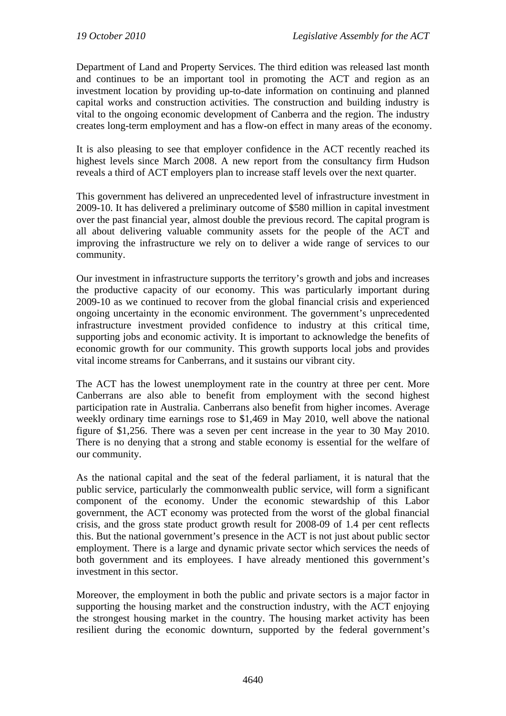Department of Land and Property Services. The third edition was released last month and continues to be an important tool in promoting the ACT and region as an investment location by providing up-to-date information on continuing and planned capital works and construction activities. The construction and building industry is vital to the ongoing economic development of Canberra and the region. The industry creates long-term employment and has a flow-on effect in many areas of the economy.

It is also pleasing to see that employer confidence in the ACT recently reached its highest levels since March 2008. A new report from the consultancy firm Hudson reveals a third of ACT employers plan to increase staff levels over the next quarter.

This government has delivered an unprecedented level of infrastructure investment in 2009-10. It has delivered a preliminary outcome of \$580 million in capital investment over the past financial year, almost double the previous record. The capital program is all about delivering valuable community assets for the people of the ACT and improving the infrastructure we rely on to deliver a wide range of services to our community.

Our investment in infrastructure supports the territory's growth and jobs and increases the productive capacity of our economy. This was particularly important during 2009-10 as we continued to recover from the global financial crisis and experienced ongoing uncertainty in the economic environment. The government's unprecedented infrastructure investment provided confidence to industry at this critical time, supporting jobs and economic activity. It is important to acknowledge the benefits of economic growth for our community. This growth supports local jobs and provides vital income streams for Canberrans, and it sustains our vibrant city.

The ACT has the lowest unemployment rate in the country at three per cent. More Canberrans are also able to benefit from employment with the second highest participation rate in Australia. Canberrans also benefit from higher incomes. Average weekly ordinary time earnings rose to \$1,469 in May 2010, well above the national figure of \$1,256. There was a seven per cent increase in the year to 30 May 2010. There is no denying that a strong and stable economy is essential for the welfare of our community.

As the national capital and the seat of the federal parliament, it is natural that the public service, particularly the commonwealth public service, will form a significant component of the economy. Under the economic stewardship of this Labor government, the ACT economy was protected from the worst of the global financial crisis, and the gross state product growth result for 2008-09 of 1.4 per cent reflects this. But the national government's presence in the ACT is not just about public sector employment. There is a large and dynamic private sector which services the needs of both government and its employees. I have already mentioned this government's investment in this sector.

Moreover, the employment in both the public and private sectors is a major factor in supporting the housing market and the construction industry, with the ACT enjoying the strongest housing market in the country. The housing market activity has been resilient during the economic downturn, supported by the federal government's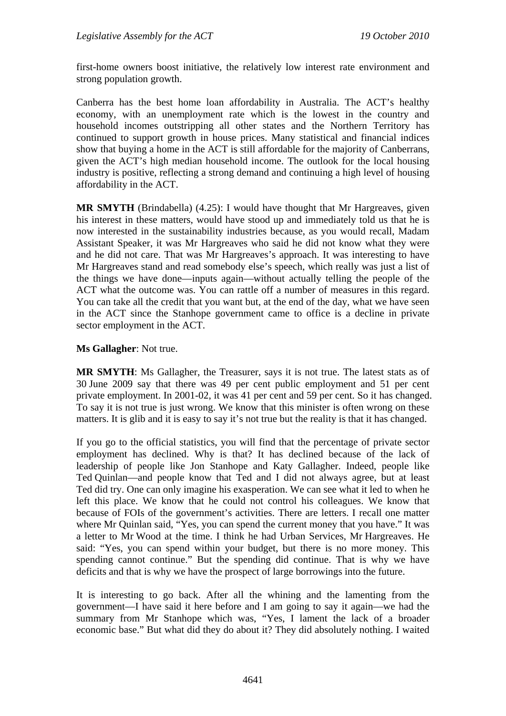first-home owners boost initiative, the relatively low interest rate environment and strong population growth.

Canberra has the best home loan affordability in Australia. The ACT's healthy economy, with an unemployment rate which is the lowest in the country and household incomes outstripping all other states and the Northern Territory has continued to support growth in house prices. Many statistical and financial indices show that buying a home in the ACT is still affordable for the majority of Canberrans, given the ACT's high median household income. The outlook for the local housing industry is positive, reflecting a strong demand and continuing a high level of housing affordability in the ACT.

**MR SMYTH** (Brindabella) (4.25): I would have thought that Mr Hargreaves, given his interest in these matters, would have stood up and immediately told us that he is now interested in the sustainability industries because, as you would recall, Madam Assistant Speaker, it was Mr Hargreaves who said he did not know what they were and he did not care. That was Mr Hargreaves's approach. It was interesting to have Mr Hargreaves stand and read somebody else's speech, which really was just a list of the things we have done—inputs again—without actually telling the people of the ACT what the outcome was. You can rattle off a number of measures in this regard. You can take all the credit that you want but, at the end of the day, what we have seen in the ACT since the Stanhope government came to office is a decline in private sector employment in the ACT.

#### **Ms Gallagher**: Not true.

**MR SMYTH**: Ms Gallagher, the Treasurer, says it is not true. The latest stats as of 30 June 2009 say that there was 49 per cent public employment and 51 per cent private employment. In 2001-02, it was 41 per cent and 59 per cent. So it has changed. To say it is not true is just wrong. We know that this minister is often wrong on these matters. It is glib and it is easy to say it's not true but the reality is that it has changed.

If you go to the official statistics, you will find that the percentage of private sector employment has declined. Why is that? It has declined because of the lack of leadership of people like Jon Stanhope and Katy Gallagher. Indeed, people like Ted Quinlan—and people know that Ted and I did not always agree, but at least Ted did try. One can only imagine his exasperation. We can see what it led to when he left this place. We know that he could not control his colleagues. We know that because of FOIs of the government's activities. There are letters. I recall one matter where Mr Quinlan said, "Yes, you can spend the current money that you have." It was a letter to Mr Wood at the time. I think he had Urban Services, Mr Hargreaves. He said: "Yes, you can spend within your budget, but there is no more money. This spending cannot continue." But the spending did continue. That is why we have deficits and that is why we have the prospect of large borrowings into the future.

It is interesting to go back. After all the whining and the lamenting from the government—I have said it here before and I am going to say it again—we had the summary from Mr Stanhope which was, "Yes, I lament the lack of a broader economic base." But what did they do about it? They did absolutely nothing. I waited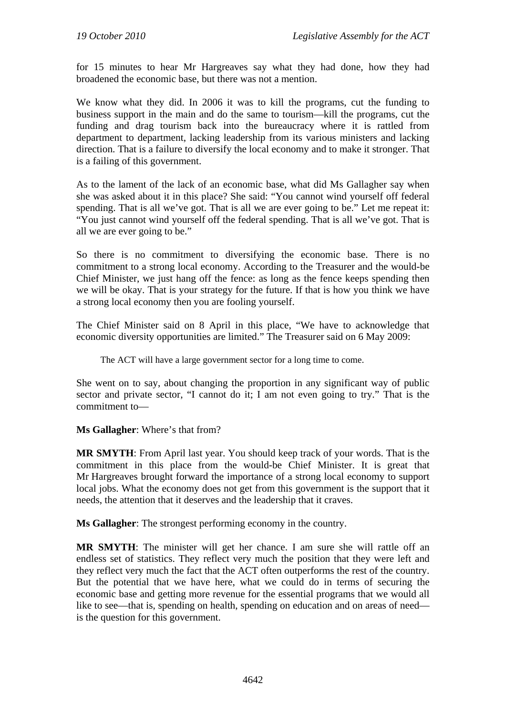for 15 minutes to hear Mr Hargreaves say what they had done, how they had broadened the economic base, but there was not a mention.

We know what they did. In 2006 it was to kill the programs, cut the funding to business support in the main and do the same to tourism—kill the programs, cut the funding and drag tourism back into the bureaucracy where it is rattled from department to department, lacking leadership from its various ministers and lacking direction. That is a failure to diversify the local economy and to make it stronger. That is a failing of this government.

As to the lament of the lack of an economic base, what did Ms Gallagher say when she was asked about it in this place? She said: "You cannot wind yourself off federal spending. That is all we've got. That is all we are ever going to be." Let me repeat it: "You just cannot wind yourself off the federal spending. That is all we've got. That is all we are ever going to be."

So there is no commitment to diversifying the economic base. There is no commitment to a strong local economy. According to the Treasurer and the would-be Chief Minister, we just hang off the fence: as long as the fence keeps spending then we will be okay. That is your strategy for the future. If that is how you think we have a strong local economy then you are fooling yourself.

The Chief Minister said on 8 April in this place, "We have to acknowledge that economic diversity opportunities are limited." The Treasurer said on 6 May 2009:

The ACT will have a large government sector for a long time to come.

She went on to say, about changing the proportion in any significant way of public sector and private sector, "I cannot do it; I am not even going to try." That is the commitment to—

**Ms Gallagher**: Where's that from?

**MR SMYTH**: From April last year. You should keep track of your words. That is the commitment in this place from the would-be Chief Minister. It is great that Mr Hargreaves brought forward the importance of a strong local economy to support local jobs. What the economy does not get from this government is the support that it needs, the attention that it deserves and the leadership that it craves.

**Ms Gallagher**: The strongest performing economy in the country.

**MR SMYTH**: The minister will get her chance. I am sure she will rattle off an endless set of statistics. They reflect very much the position that they were left and they reflect very much the fact that the ACT often outperforms the rest of the country. But the potential that we have here, what we could do in terms of securing the economic base and getting more revenue for the essential programs that we would all like to see—that is, spending on health, spending on education and on areas of need is the question for this government.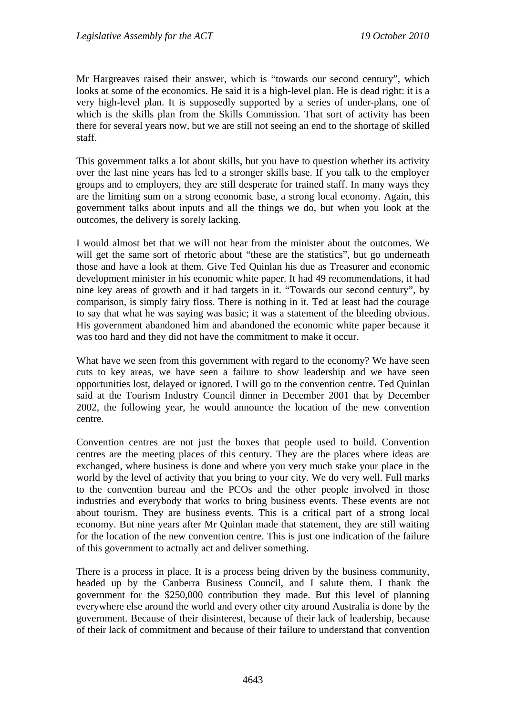Mr Hargreaves raised their answer, which is "towards our second century", which looks at some of the economics. He said it is a high-level plan. He is dead right: it is a very high-level plan. It is supposedly supported by a series of under-plans, one of which is the skills plan from the Skills Commission. That sort of activity has been there for several years now, but we are still not seeing an end to the shortage of skilled staff.

This government talks a lot about skills, but you have to question whether its activity over the last nine years has led to a stronger skills base. If you talk to the employer groups and to employers, they are still desperate for trained staff. In many ways they are the limiting sum on a strong economic base, a strong local economy. Again, this government talks about inputs and all the things we do, but when you look at the outcomes, the delivery is sorely lacking.

I would almost bet that we will not hear from the minister about the outcomes. We will get the same sort of rhetoric about "these are the statistics", but go underneath those and have a look at them. Give Ted Quinlan his due as Treasurer and economic development minister in his economic white paper. It had 49 recommendations, it had nine key areas of growth and it had targets in it. "Towards our second century", by comparison, is simply fairy floss. There is nothing in it. Ted at least had the courage to say that what he was saying was basic; it was a statement of the bleeding obvious. His government abandoned him and abandoned the economic white paper because it was too hard and they did not have the commitment to make it occur.

What have we seen from this government with regard to the economy? We have seen cuts to key areas, we have seen a failure to show leadership and we have seen opportunities lost, delayed or ignored. I will go to the convention centre. Ted Quinlan said at the Tourism Industry Council dinner in December 2001 that by December 2002, the following year, he would announce the location of the new convention centre.

Convention centres are not just the boxes that people used to build. Convention centres are the meeting places of this century. They are the places where ideas are exchanged, where business is done and where you very much stake your place in the world by the level of activity that you bring to your city. We do very well. Full marks to the convention bureau and the PCOs and the other people involved in those industries and everybody that works to bring business events. These events are not about tourism. They are business events. This is a critical part of a strong local economy. But nine years after Mr Quinlan made that statement, they are still waiting for the location of the new convention centre. This is just one indication of the failure of this government to actually act and deliver something.

There is a process in place. It is a process being driven by the business community, headed up by the Canberra Business Council, and I salute them. I thank the government for the \$250,000 contribution they made. But this level of planning everywhere else around the world and every other city around Australia is done by the government. Because of their disinterest, because of their lack of leadership, because of their lack of commitment and because of their failure to understand that convention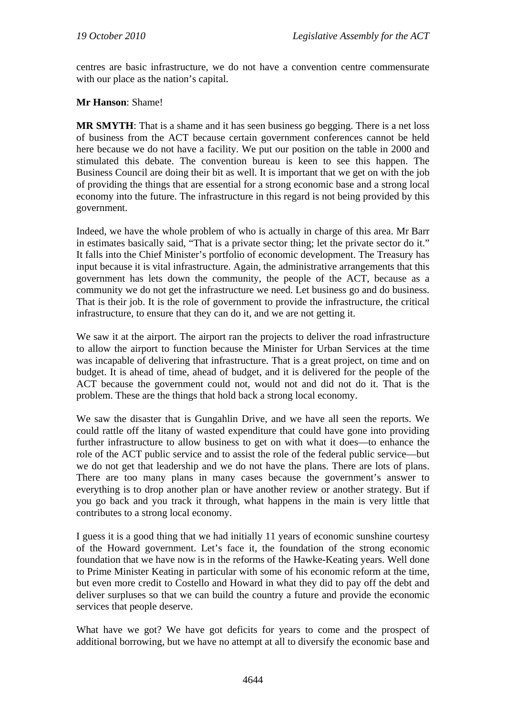centres are basic infrastructure, we do not have a convention centre commensurate with our place as the nation's capital.

**Mr Hanson**: Shame!

**MR SMYTH**: That is a shame and it has seen business go begging. There is a net loss of business from the ACT because certain government conferences cannot be held here because we do not have a facility. We put our position on the table in 2000 and stimulated this debate. The convention bureau is keen to see this happen. The Business Council are doing their bit as well. It is important that we get on with the job of providing the things that are essential for a strong economic base and a strong local economy into the future. The infrastructure in this regard is not being provided by this government.

Indeed, we have the whole problem of who is actually in charge of this area. Mr Barr in estimates basically said, "That is a private sector thing; let the private sector do it." It falls into the Chief Minister's portfolio of economic development. The Treasury has input because it is vital infrastructure. Again, the administrative arrangements that this government has lets down the community, the people of the ACT, because as a community we do not get the infrastructure we need. Let business go and do business. That is their job. It is the role of government to provide the infrastructure, the critical infrastructure, to ensure that they can do it, and we are not getting it.

We saw it at the airport. The airport ran the projects to deliver the road infrastructure to allow the airport to function because the Minister for Urban Services at the time was incapable of delivering that infrastructure. That is a great project, on time and on budget. It is ahead of time, ahead of budget, and it is delivered for the people of the ACT because the government could not, would not and did not do it. That is the problem. These are the things that hold back a strong local economy.

We saw the disaster that is Gungahlin Drive, and we have all seen the reports. We could rattle off the litany of wasted expenditure that could have gone into providing further infrastructure to allow business to get on with what it does—to enhance the role of the ACT public service and to assist the role of the federal public service—but we do not get that leadership and we do not have the plans. There are lots of plans. There are too many plans in many cases because the government's answer to everything is to drop another plan or have another review or another strategy. But if you go back and you track it through, what happens in the main is very little that contributes to a strong local economy.

I guess it is a good thing that we had initially 11 years of economic sunshine courtesy of the Howard government. Let's face it, the foundation of the strong economic foundation that we have now is in the reforms of the Hawke-Keating years. Well done to Prime Minister Keating in particular with some of his economic reform at the time, but even more credit to Costello and Howard in what they did to pay off the debt and deliver surpluses so that we can build the country a future and provide the economic services that people deserve.

What have we got? We have got deficits for years to come and the prospect of additional borrowing, but we have no attempt at all to diversify the economic base and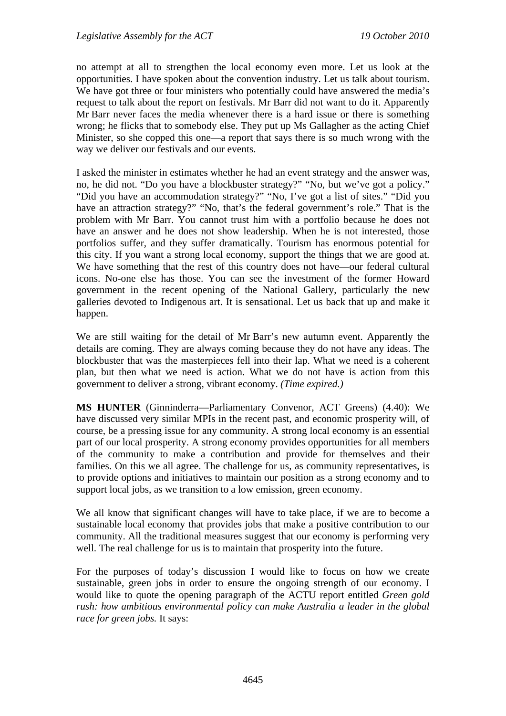no attempt at all to strengthen the local economy even more. Let us look at the opportunities. I have spoken about the convention industry. Let us talk about tourism. We have got three or four ministers who potentially could have answered the media's request to talk about the report on festivals. Mr Barr did not want to do it. Apparently Mr Barr never faces the media whenever there is a hard issue or there is something wrong; he flicks that to somebody else. They put up Ms Gallagher as the acting Chief Minister, so she copped this one—a report that says there is so much wrong with the way we deliver our festivals and our events.

I asked the minister in estimates whether he had an event strategy and the answer was, no, he did not. "Do you have a blockbuster strategy?" "No, but we've got a policy." "Did you have an accommodation strategy?" "No, I've got a list of sites." "Did you have an attraction strategy?" "No, that's the federal government's role." That is the problem with Mr Barr. You cannot trust him with a portfolio because he does not have an answer and he does not show leadership. When he is not interested, those portfolios suffer, and they suffer dramatically. Tourism has enormous potential for this city. If you want a strong local economy, support the things that we are good at. We have something that the rest of this country does not have—our federal cultural icons. No-one else has those. You can see the investment of the former Howard government in the recent opening of the National Gallery, particularly the new galleries devoted to Indigenous art. It is sensational. Let us back that up and make it happen.

We are still waiting for the detail of Mr Barr's new autumn event. Apparently the details are coming. They are always coming because they do not have any ideas. The blockbuster that was the masterpieces fell into their lap. What we need is a coherent plan, but then what we need is action. What we do not have is action from this government to deliver a strong, vibrant economy. *(Time expired.)*

**MS HUNTER** (Ginninderra—Parliamentary Convenor, ACT Greens) (4.40): We have discussed very similar MPIs in the recent past, and economic prosperity will, of course, be a pressing issue for any community. A strong local economy is an essential part of our local prosperity. A strong economy provides opportunities for all members of the community to make a contribution and provide for themselves and their families. On this we all agree. The challenge for us, as community representatives, is to provide options and initiatives to maintain our position as a strong economy and to support local jobs, as we transition to a low emission, green economy.

We all know that significant changes will have to take place, if we are to become a sustainable local economy that provides jobs that make a positive contribution to our community. All the traditional measures suggest that our economy is performing very well. The real challenge for us is to maintain that prosperity into the future.

For the purposes of today's discussion I would like to focus on how we create sustainable, green jobs in order to ensure the ongoing strength of our economy. I would like to quote the opening paragraph of the ACTU report entitled *Green gold rush: how ambitious environmental policy can make Australia a leader in the global race for green jobs.* It says: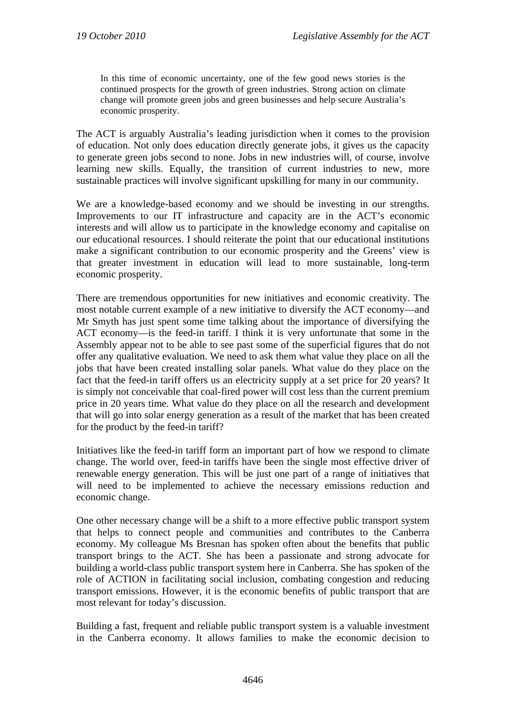In this time of economic uncertainty, one of the few good news stories is the continued prospects for the growth of green industries. Strong action on climate change will promote green jobs and green businesses and help secure Australia's economic prosperity.

The ACT is arguably Australia's leading jurisdiction when it comes to the provision of education. Not only does education directly generate jobs, it gives us the capacity to generate green jobs second to none. Jobs in new industries will, of course, involve learning new skills. Equally, the transition of current industries to new, more sustainable practices will involve significant upskilling for many in our community.

We are a knowledge-based economy and we should be investing in our strengths. Improvements to our IT infrastructure and capacity are in the ACT's economic interests and will allow us to participate in the knowledge economy and capitalise on our educational resources. I should reiterate the point that our educational institutions make a significant contribution to our economic prosperity and the Greens' view is that greater investment in education will lead to more sustainable, long-term economic prosperity.

There are tremendous opportunities for new initiatives and economic creativity. The most notable current example of a new initiative to diversify the ACT economy—and Mr Smyth has just spent some time talking about the importance of diversifying the ACT economy—is the feed-in tariff. I think it is very unfortunate that some in the Assembly appear not to be able to see past some of the superficial figures that do not offer any qualitative evaluation. We need to ask them what value they place on all the jobs that have been created installing solar panels. What value do they place on the fact that the feed-in tariff offers us an electricity supply at a set price for 20 years? It is simply not conceivable that coal-fired power will cost less than the current premium price in 20 years time. What value do they place on all the research and development that will go into solar energy generation as a result of the market that has been created for the product by the feed-in tariff?

Initiatives like the feed-in tariff form an important part of how we respond to climate change. The world over, feed-in tariffs have been the single most effective driver of renewable energy generation. This will be just one part of a range of initiatives that will need to be implemented to achieve the necessary emissions reduction and economic change.

One other necessary change will be a shift to a more effective public transport system that helps to connect people and communities and contributes to the Canberra economy. My colleague Ms Bresnan has spoken often about the benefits that public transport brings to the ACT. She has been a passionate and strong advocate for building a world-class public transport system here in Canberra. She has spoken of the role of ACTION in facilitating social inclusion, combating congestion and reducing transport emissions. However, it is the economic benefits of public transport that are most relevant for today's discussion.

Building a fast, frequent and reliable public transport system is a valuable investment in the Canberra economy. It allows families to make the economic decision to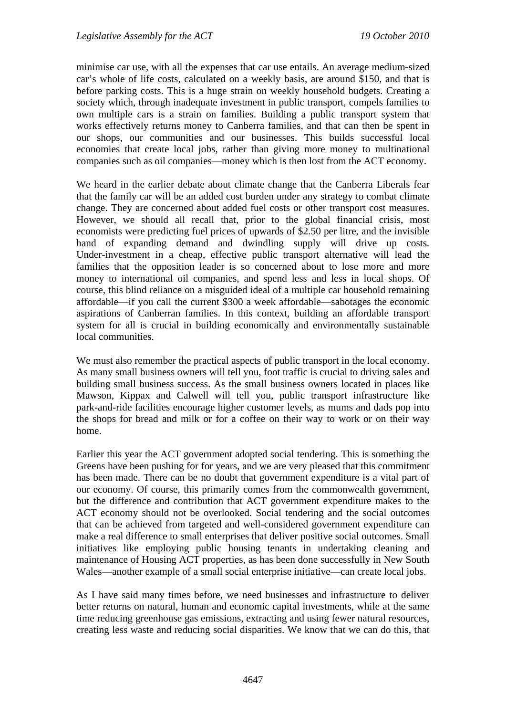minimise car use, with all the expenses that car use entails. An average medium-sized car's whole of life costs, calculated on a weekly basis, are around \$150, and that is before parking costs. This is a huge strain on weekly household budgets. Creating a society which, through inadequate investment in public transport, compels families to own multiple cars is a strain on families. Building a public transport system that works effectively returns money to Canberra families, and that can then be spent in our shops, our communities and our businesses. This builds successful local economies that create local jobs, rather than giving more money to multinational companies such as oil companies—money which is then lost from the ACT economy.

We heard in the earlier debate about climate change that the Canberra Liberals fear that the family car will be an added cost burden under any strategy to combat climate change. They are concerned about added fuel costs or other transport cost measures. However, we should all recall that, prior to the global financial crisis, most economists were predicting fuel prices of upwards of \$2.50 per litre, and the invisible hand of expanding demand and dwindling supply will drive up costs. Under-investment in a cheap, effective public transport alternative will lead the families that the opposition leader is so concerned about to lose more and more money to international oil companies, and spend less and less in local shops. Of course, this blind reliance on a misguided ideal of a multiple car household remaining affordable—if you call the current \$300 a week affordable—sabotages the economic aspirations of Canberran families. In this context, building an affordable transport system for all is crucial in building economically and environmentally sustainable local communities.

We must also remember the practical aspects of public transport in the local economy. As many small business owners will tell you, foot traffic is crucial to driving sales and building small business success. As the small business owners located in places like Mawson, Kippax and Calwell will tell you, public transport infrastructure like park-and-ride facilities encourage higher customer levels, as mums and dads pop into the shops for bread and milk or for a coffee on their way to work or on their way home.

Earlier this year the ACT government adopted social tendering. This is something the Greens have been pushing for for years, and we are very pleased that this commitment has been made. There can be no doubt that government expenditure is a vital part of our economy. Of course, this primarily comes from the commonwealth government, but the difference and contribution that ACT government expenditure makes to the ACT economy should not be overlooked. Social tendering and the social outcomes that can be achieved from targeted and well-considered government expenditure can make a real difference to small enterprises that deliver positive social outcomes. Small initiatives like employing public housing tenants in undertaking cleaning and maintenance of Housing ACT properties, as has been done successfully in New South Wales—another example of a small social enterprise initiative—can create local jobs.

As I have said many times before, we need businesses and infrastructure to deliver better returns on natural, human and economic capital investments, while at the same time reducing greenhouse gas emissions, extracting and using fewer natural resources, creating less waste and reducing social disparities. We know that we can do this, that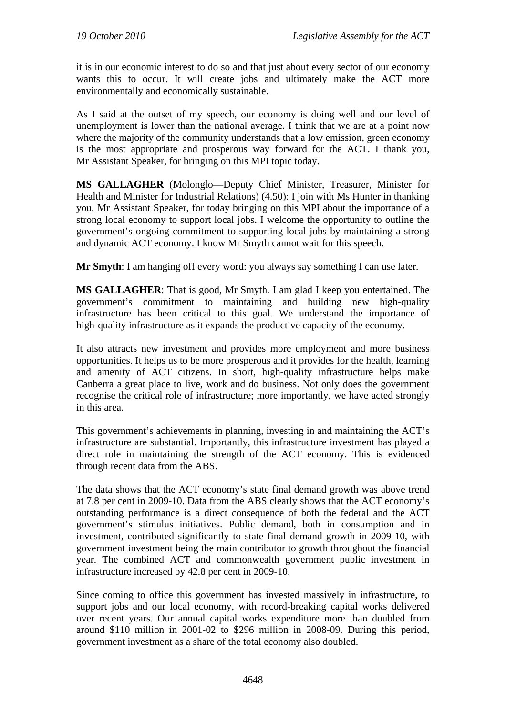it is in our economic interest to do so and that just about every sector of our economy wants this to occur. It will create jobs and ultimately make the ACT more environmentally and economically sustainable.

As I said at the outset of my speech, our economy is doing well and our level of unemployment is lower than the national average. I think that we are at a point now where the majority of the community understands that a low emission, green economy is the most appropriate and prosperous way forward for the ACT. I thank you, Mr Assistant Speaker, for bringing on this MPI topic today.

**MS GALLAGHER** (Molonglo—Deputy Chief Minister, Treasurer, Minister for Health and Minister for Industrial Relations) (4.50): I join with Ms Hunter in thanking you, Mr Assistant Speaker, for today bringing on this MPI about the importance of a strong local economy to support local jobs. I welcome the opportunity to outline the government's ongoing commitment to supporting local jobs by maintaining a strong and dynamic ACT economy. I know Mr Smyth cannot wait for this speech.

**Mr Smyth**: I am hanging off every word: you always say something I can use later.

**MS GALLAGHER**: That is good, Mr Smyth. I am glad I keep you entertained. The government's commitment to maintaining and building new high-quality infrastructure has been critical to this goal. We understand the importance of high-quality infrastructure as it expands the productive capacity of the economy.

It also attracts new investment and provides more employment and more business opportunities. It helps us to be more prosperous and it provides for the health, learning and amenity of ACT citizens. In short, high-quality infrastructure helps make Canberra a great place to live, work and do business. Not only does the government recognise the critical role of infrastructure; more importantly, we have acted strongly in this area.

This government's achievements in planning, investing in and maintaining the ACT's infrastructure are substantial. Importantly, this infrastructure investment has played a direct role in maintaining the strength of the ACT economy. This is evidenced through recent data from the ABS.

The data shows that the ACT economy's state final demand growth was above trend at 7.8 per cent in 2009-10. Data from the ABS clearly shows that the ACT economy's outstanding performance is a direct consequence of both the federal and the ACT government's stimulus initiatives. Public demand, both in consumption and in investment, contributed significantly to state final demand growth in 2009-10, with government investment being the main contributor to growth throughout the financial year. The combined ACT and commonwealth government public investment in infrastructure increased by 42.8 per cent in 2009-10.

Since coming to office this government has invested massively in infrastructure, to support jobs and our local economy, with record-breaking capital works delivered over recent years. Our annual capital works expenditure more than doubled from around \$110 million in 2001-02 to \$296 million in 2008-09. During this period, government investment as a share of the total economy also doubled.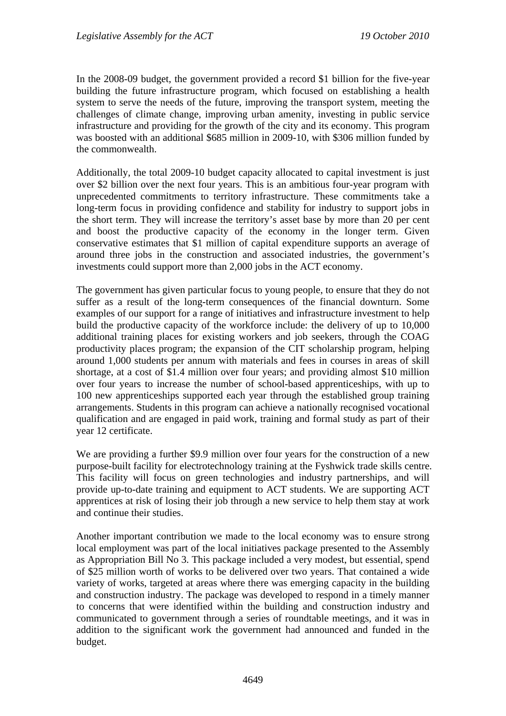In the 2008-09 budget, the government provided a record \$1 billion for the five-year building the future infrastructure program, which focused on establishing a health system to serve the needs of the future, improving the transport system, meeting the challenges of climate change, improving urban amenity, investing in public service infrastructure and providing for the growth of the city and its economy. This program was boosted with an additional \$685 million in 2009-10, with \$306 million funded by the commonwealth.

Additionally, the total 2009-10 budget capacity allocated to capital investment is just over \$2 billion over the next four years. This is an ambitious four-year program with unprecedented commitments to territory infrastructure. These commitments take a long-term focus in providing confidence and stability for industry to support jobs in the short term. They will increase the territory's asset base by more than 20 per cent and boost the productive capacity of the economy in the longer term. Given conservative estimates that \$1 million of capital expenditure supports an average of around three jobs in the construction and associated industries, the government's investments could support more than 2,000 jobs in the ACT economy.

The government has given particular focus to young people, to ensure that they do not suffer as a result of the long-term consequences of the financial downturn. Some examples of our support for a range of initiatives and infrastructure investment to help build the productive capacity of the workforce include: the delivery of up to 10,000 additional training places for existing workers and job seekers, through the COAG productivity places program; the expansion of the CIT scholarship program, helping around 1,000 students per annum with materials and fees in courses in areas of skill shortage, at a cost of \$1.4 million over four years; and providing almost \$10 million over four years to increase the number of school-based apprenticeships, with up to 100 new apprenticeships supported each year through the established group training arrangements. Students in this program can achieve a nationally recognised vocational qualification and are engaged in paid work, training and formal study as part of their year 12 certificate.

We are providing a further \$9.9 million over four years for the construction of a new purpose-built facility for electrotechnology training at the Fyshwick trade skills centre. This facility will focus on green technologies and industry partnerships, and will provide up-to-date training and equipment to ACT students. We are supporting ACT apprentices at risk of losing their job through a new service to help them stay at work and continue their studies.

Another important contribution we made to the local economy was to ensure strong local employment was part of the local initiatives package presented to the Assembly as Appropriation Bill No 3. This package included a very modest, but essential, spend of \$25 million worth of works to be delivered over two years. That contained a wide variety of works, targeted at areas where there was emerging capacity in the building and construction industry. The package was developed to respond in a timely manner to concerns that were identified within the building and construction industry and communicated to government through a series of roundtable meetings, and it was in addition to the significant work the government had announced and funded in the budget.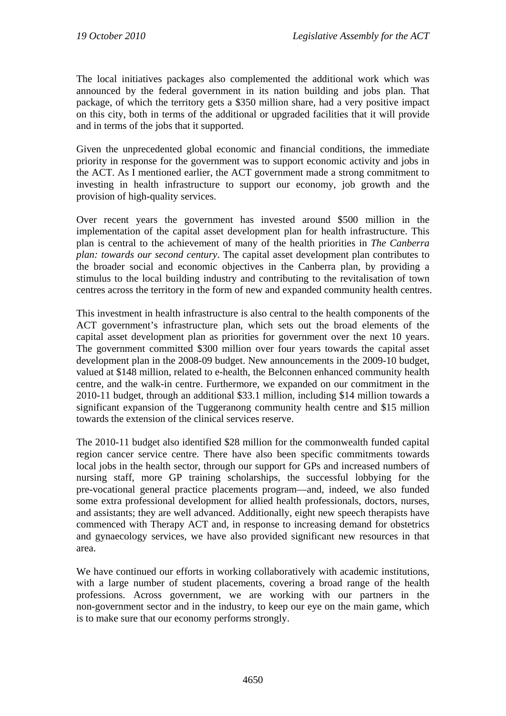The local initiatives packages also complemented the additional work which was announced by the federal government in its nation building and jobs plan. That package, of which the territory gets a \$350 million share, had a very positive impact on this city, both in terms of the additional or upgraded facilities that it will provide and in terms of the jobs that it supported.

Given the unprecedented global economic and financial conditions, the immediate priority in response for the government was to support economic activity and jobs in the ACT. As I mentioned earlier, the ACT government made a strong commitment to investing in health infrastructure to support our economy, job growth and the provision of high-quality services.

Over recent years the government has invested around \$500 million in the implementation of the capital asset development plan for health infrastructure. This plan is central to the achievement of many of the health priorities in *The Canberra plan: towards our second century*. The capital asset development plan contributes to the broader social and economic objectives in the Canberra plan, by providing a stimulus to the local building industry and contributing to the revitalisation of town centres across the territory in the form of new and expanded community health centres.

This investment in health infrastructure is also central to the health components of the ACT government's infrastructure plan, which sets out the broad elements of the capital asset development plan as priorities for government over the next 10 years. The government committed \$300 million over four years towards the capital asset development plan in the 2008-09 budget. New announcements in the 2009-10 budget, valued at \$148 million, related to e-health, the Belconnen enhanced community health centre, and the walk-in centre. Furthermore, we expanded on our commitment in the 2010-11 budget, through an additional \$33.1 million, including \$14 million towards a significant expansion of the Tuggeranong community health centre and \$15 million towards the extension of the clinical services reserve.

The 2010-11 budget also identified \$28 million for the commonwealth funded capital region cancer service centre. There have also been specific commitments towards local jobs in the health sector, through our support for GPs and increased numbers of nursing staff, more GP training scholarships, the successful lobbying for the pre-vocational general practice placements program—and, indeed, we also funded some extra professional development for allied health professionals, doctors, nurses, and assistants; they are well advanced. Additionally, eight new speech therapists have commenced with Therapy ACT and, in response to increasing demand for obstetrics and gynaecology services, we have also provided significant new resources in that area.

We have continued our efforts in working collaboratively with academic institutions, with a large number of student placements, covering a broad range of the health professions. Across government, we are working with our partners in the non-government sector and in the industry, to keep our eye on the main game, which is to make sure that our economy performs strongly.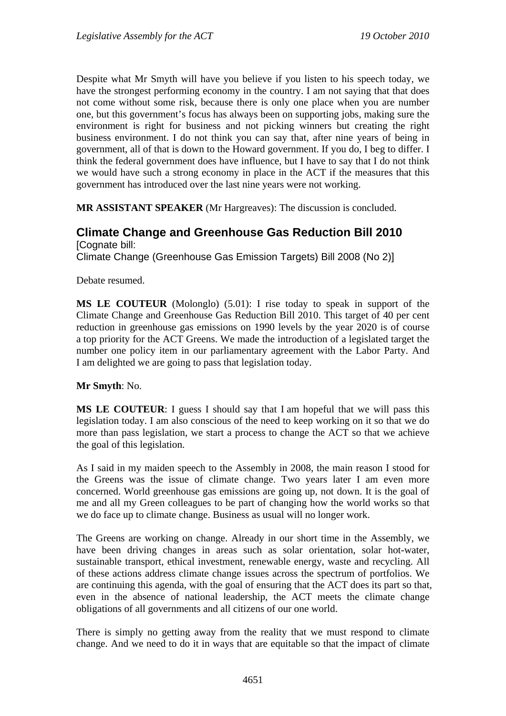Despite what Mr Smyth will have you believe if you listen to his speech today, we have the strongest performing economy in the country. I am not saying that that does not come without some risk, because there is only one place when you are number one, but this government's focus has always been on supporting jobs, making sure the environment is right for business and not picking winners but creating the right business environment. I do not think you can say that, after nine years of being in government, all of that is down to the Howard government. If you do, I beg to differ. I think the federal government does have influence, but I have to say that I do not think we would have such a strong economy in place in the ACT if the measures that this government has introduced over the last nine years were not working.

**MR ASSISTANT SPEAKER** (Mr Hargreaves): The discussion is concluded.

#### **Climate Change and Greenhouse Gas Reduction Bill 2010**  [Cognate bill:

Climate Change (Greenhouse Gas Emission Targets) Bill 2008 (No 2)]

Debate resumed.

**MS LE COUTEUR** (Molonglo) (5.01): I rise today to speak in support of the Climate Change and Greenhouse Gas Reduction Bill 2010. This target of 40 per cent reduction in greenhouse gas emissions on 1990 levels by the year 2020 is of course a top priority for the ACT Greens. We made the introduction of a legislated target the number one policy item in our parliamentary agreement with the Labor Party. And I am delighted we are going to pass that legislation today.

#### **Mr Smyth**: No.

**MS LE COUTEUR**: I guess I should say that I am hopeful that we will pass this legislation today. I am also conscious of the need to keep working on it so that we do more than pass legislation, we start a process to change the ACT so that we achieve the goal of this legislation.

As I said in my maiden speech to the Assembly in 2008, the main reason I stood for the Greens was the issue of climate change. Two years later I am even more concerned. World greenhouse gas emissions are going up, not down. It is the goal of me and all my Green colleagues to be part of changing how the world works so that we do face up to climate change. Business as usual will no longer work.

The Greens are working on change. Already in our short time in the Assembly, we have been driving changes in areas such as solar orientation, solar hot-water, sustainable transport, ethical investment, renewable energy, waste and recycling. All of these actions address climate change issues across the spectrum of portfolios. We are continuing this agenda, with the goal of ensuring that the ACT does its part so that, even in the absence of national leadership, the ACT meets the climate change obligations of all governments and all citizens of our one world.

There is simply no getting away from the reality that we must respond to climate change. And we need to do it in ways that are equitable so that the impact of climate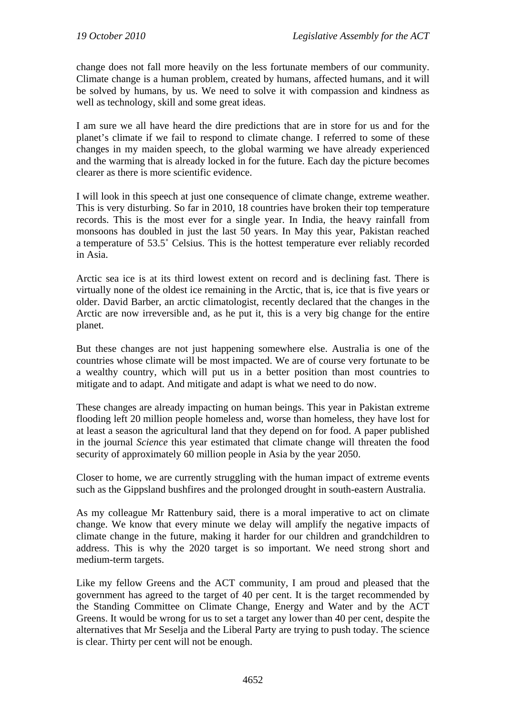change does not fall more heavily on the less fortunate members of our community. Climate change is a human problem, created by humans, affected humans, and it will be solved by humans, by us. We need to solve it with compassion and kindness as well as technology, skill and some great ideas.

I am sure we all have heard the dire predictions that are in store for us and for the planet's climate if we fail to respond to climate change. I referred to some of these changes in my maiden speech, to the global warming we have already experienced and the warming that is already locked in for the future. Each day the picture becomes clearer as there is more scientific evidence.

I will look in this speech at just one consequence of climate change, extreme weather. This is very disturbing. So far in 2010, 18 countries have broken their top temperature records. This is the most ever for a single year. In India, the heavy rainfall from monsoons has doubled in just the last 50 years. In May this year, Pakistan reached a temperature of 53.5˚ Celsius. This is the hottest temperature ever reliably recorded in Asia.

Arctic sea ice is at its third lowest extent on record and is declining fast. There is virtually none of the oldest ice remaining in the Arctic, that is, ice that is five years or older. David Barber, an arctic climatologist, recently declared that the changes in the Arctic are now irreversible and, as he put it, this is a very big change for the entire planet.

But these changes are not just happening somewhere else. Australia is one of the countries whose climate will be most impacted. We are of course very fortunate to be a wealthy country, which will put us in a better position than most countries to mitigate and to adapt. And mitigate and adapt is what we need to do now.

These changes are already impacting on human beings. This year in Pakistan extreme flooding left 20 million people homeless and, worse than homeless, they have lost for at least a season the agricultural land that they depend on for food. A paper published in the journal *Science* this year estimated that climate change will threaten the food security of approximately 60 million people in Asia by the year 2050.

Closer to home, we are currently struggling with the human impact of extreme events such as the Gippsland bushfires and the prolonged drought in south-eastern Australia.

As my colleague Mr Rattenbury said, there is a moral imperative to act on climate change. We know that every minute we delay will amplify the negative impacts of climate change in the future, making it harder for our children and grandchildren to address. This is why the 2020 target is so important. We need strong short and medium-term targets.

Like my fellow Greens and the ACT community, I am proud and pleased that the government has agreed to the target of 40 per cent. It is the target recommended by the Standing Committee on Climate Change, Energy and Water and by the ACT Greens. It would be wrong for us to set a target any lower than 40 per cent, despite the alternatives that Mr Seselja and the Liberal Party are trying to push today. The science is clear. Thirty per cent will not be enough.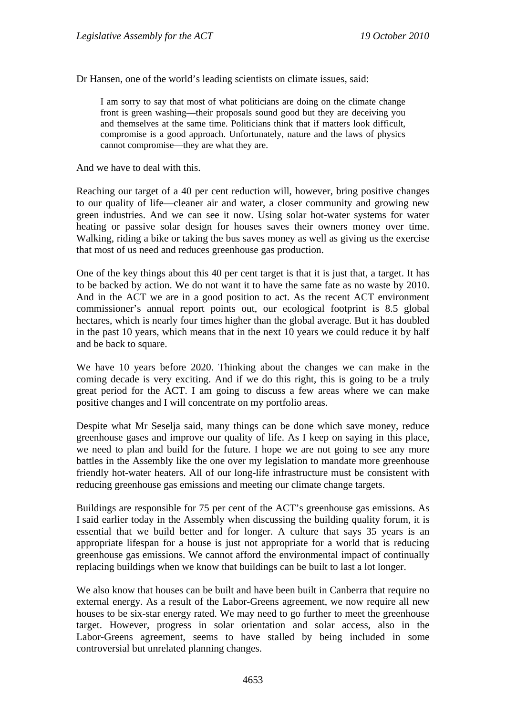Dr Hansen, one of the world's leading scientists on climate issues, said:

I am sorry to say that most of what politicians are doing on the climate change front is green washing—their proposals sound good but they are deceiving you and themselves at the same time. Politicians think that if matters look difficult, compromise is a good approach. Unfortunately, nature and the laws of physics cannot compromise—they are what they are.

And we have to deal with this.

Reaching our target of a 40 per cent reduction will, however, bring positive changes to our quality of life—cleaner air and water, a closer community and growing new green industries. And we can see it now. Using solar hot-water systems for water heating or passive solar design for houses saves their owners money over time. Walking, riding a bike or taking the bus saves money as well as giving us the exercise that most of us need and reduces greenhouse gas production.

One of the key things about this 40 per cent target is that it is just that, a target. It has to be backed by action. We do not want it to have the same fate as no waste by 2010. And in the ACT we are in a good position to act. As the recent ACT environment commissioner's annual report points out, our ecological footprint is 8.5 global hectares, which is nearly four times higher than the global average. But it has doubled in the past 10 years, which means that in the next 10 years we could reduce it by half and be back to square.

We have 10 years before 2020. Thinking about the changes we can make in the coming decade is very exciting. And if we do this right, this is going to be a truly great period for the ACT. I am going to discuss a few areas where we can make positive changes and I will concentrate on my portfolio areas.

Despite what Mr Seselja said, many things can be done which save money, reduce greenhouse gases and improve our quality of life. As I keep on saying in this place, we need to plan and build for the future. I hope we are not going to see any more battles in the Assembly like the one over my legislation to mandate more greenhouse friendly hot-water heaters. All of our long-life infrastructure must be consistent with reducing greenhouse gas emissions and meeting our climate change targets.

Buildings are responsible for 75 per cent of the ACT's greenhouse gas emissions. As I said earlier today in the Assembly when discussing the building quality forum, it is essential that we build better and for longer. A culture that says 35 years is an appropriate lifespan for a house is just not appropriate for a world that is reducing greenhouse gas emissions. We cannot afford the environmental impact of continually replacing buildings when we know that buildings can be built to last a lot longer.

We also know that houses can be built and have been built in Canberra that require no external energy. As a result of the Labor-Greens agreement, we now require all new houses to be six-star energy rated. We may need to go further to meet the greenhouse target. However, progress in solar orientation and solar access, also in the Labor-Greens agreement, seems to have stalled by being included in some controversial but unrelated planning changes.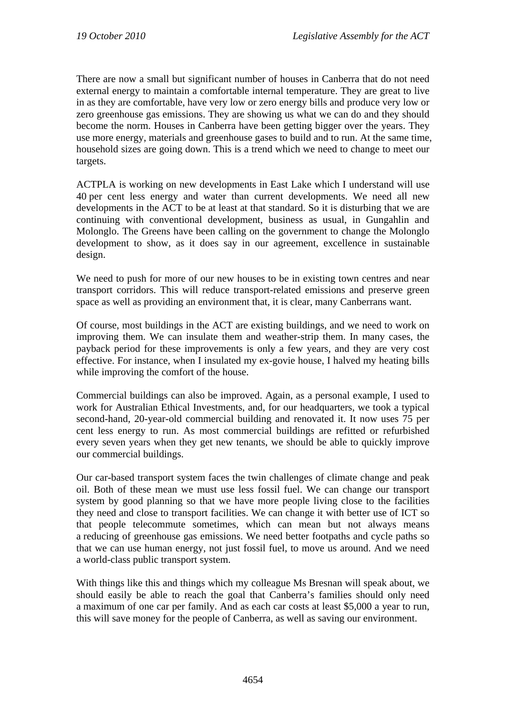There are now a small but significant number of houses in Canberra that do not need external energy to maintain a comfortable internal temperature. They are great to live in as they are comfortable, have very low or zero energy bills and produce very low or zero greenhouse gas emissions. They are showing us what we can do and they should become the norm. Houses in Canberra have been getting bigger over the years. They use more energy, materials and greenhouse gases to build and to run. At the same time, household sizes are going down. This is a trend which we need to change to meet our targets.

ACTPLA is working on new developments in East Lake which I understand will use 40 per cent less energy and water than current developments. We need all new developments in the ACT to be at least at that standard. So it is disturbing that we are continuing with conventional development, business as usual, in Gungahlin and Molonglo. The Greens have been calling on the government to change the Molonglo development to show, as it does say in our agreement, excellence in sustainable design.

We need to push for more of our new houses to be in existing town centres and near transport corridors. This will reduce transport-related emissions and preserve green space as well as providing an environment that, it is clear, many Canberrans want.

Of course, most buildings in the ACT are existing buildings, and we need to work on improving them. We can insulate them and weather-strip them. In many cases, the payback period for these improvements is only a few years, and they are very cost effective. For instance, when I insulated my ex-govie house, I halved my heating bills while improving the comfort of the house.

Commercial buildings can also be improved. Again, as a personal example, I used to work for Australian Ethical Investments, and, for our headquarters, we took a typical second-hand, 20-year-old commercial building and renovated it. It now uses 75 per cent less energy to run. As most commercial buildings are refitted or refurbished every seven years when they get new tenants, we should be able to quickly improve our commercial buildings.

Our car-based transport system faces the twin challenges of climate change and peak oil. Both of these mean we must use less fossil fuel. We can change our transport system by good planning so that we have more people living close to the facilities they need and close to transport facilities. We can change it with better use of ICT so that people telecommute sometimes, which can mean but not always means a reducing of greenhouse gas emissions. We need better footpaths and cycle paths so that we can use human energy, not just fossil fuel, to move us around. And we need a world-class public transport system.

With things like this and things which my colleague Ms Bresnan will speak about, we should easily be able to reach the goal that Canberra's families should only need a maximum of one car per family. And as each car costs at least \$5,000 a year to run, this will save money for the people of Canberra, as well as saving our environment.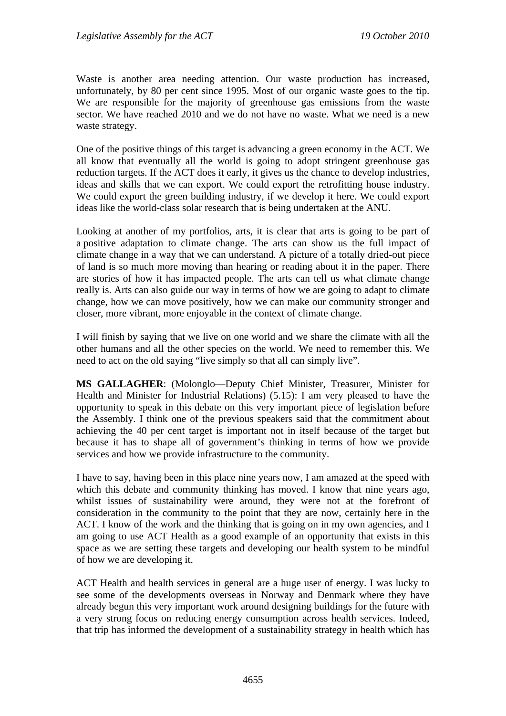Waste is another area needing attention. Our waste production has increased, unfortunately, by 80 per cent since 1995. Most of our organic waste goes to the tip. We are responsible for the majority of greenhouse gas emissions from the waste sector. We have reached 2010 and we do not have no waste. What we need is a new waste strategy.

One of the positive things of this target is advancing a green economy in the ACT. We all know that eventually all the world is going to adopt stringent greenhouse gas reduction targets. If the ACT does it early, it gives us the chance to develop industries, ideas and skills that we can export. We could export the retrofitting house industry. We could export the green building industry, if we develop it here. We could export ideas like the world-class solar research that is being undertaken at the ANU.

Looking at another of my portfolios, arts, it is clear that arts is going to be part of a positive adaptation to climate change. The arts can show us the full impact of climate change in a way that we can understand. A picture of a totally dried-out piece of land is so much more moving than hearing or reading about it in the paper. There are stories of how it has impacted people. The arts can tell us what climate change really is. Arts can also guide our way in terms of how we are going to adapt to climate change, how we can move positively, how we can make our community stronger and closer, more vibrant, more enjoyable in the context of climate change.

I will finish by saying that we live on one world and we share the climate with all the other humans and all the other species on the world. We need to remember this. We need to act on the old saying "live simply so that all can simply live".

**MS GALLAGHER**: (Molonglo—Deputy Chief Minister, Treasurer, Minister for Health and Minister for Industrial Relations) (5.15): I am very pleased to have the opportunity to speak in this debate on this very important piece of legislation before the Assembly. I think one of the previous speakers said that the commitment about achieving the 40 per cent target is important not in itself because of the target but because it has to shape all of government's thinking in terms of how we provide services and how we provide infrastructure to the community.

I have to say, having been in this place nine years now, I am amazed at the speed with which this debate and community thinking has moved. I know that nine years ago, whilst issues of sustainability were around, they were not at the forefront of consideration in the community to the point that they are now, certainly here in the ACT. I know of the work and the thinking that is going on in my own agencies, and I am going to use ACT Health as a good example of an opportunity that exists in this space as we are setting these targets and developing our health system to be mindful of how we are developing it.

ACT Health and health services in general are a huge user of energy. I was lucky to see some of the developments overseas in Norway and Denmark where they have already begun this very important work around designing buildings for the future with a very strong focus on reducing energy consumption across health services. Indeed, that trip has informed the development of a sustainability strategy in health which has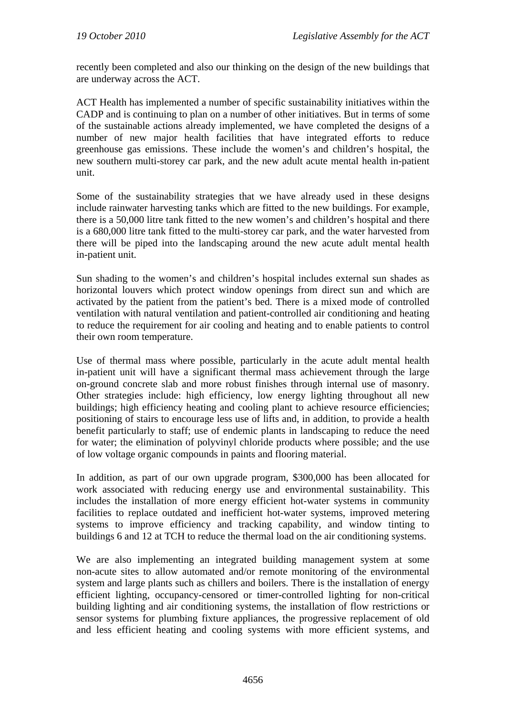recently been completed and also our thinking on the design of the new buildings that are underway across the ACT.

ACT Health has implemented a number of specific sustainability initiatives within the CADP and is continuing to plan on a number of other initiatives. But in terms of some of the sustainable actions already implemented, we have completed the designs of a number of new major health facilities that have integrated efforts to reduce greenhouse gas emissions. These include the women's and children's hospital, the new southern multi-storey car park, and the new adult acute mental health in-patient unit.

Some of the sustainability strategies that we have already used in these designs include rainwater harvesting tanks which are fitted to the new buildings. For example, there is a 50,000 litre tank fitted to the new women's and children's hospital and there is a 680,000 litre tank fitted to the multi-storey car park, and the water harvested from there will be piped into the landscaping around the new acute adult mental health in-patient unit.

Sun shading to the women's and children's hospital includes external sun shades as horizontal louvers which protect window openings from direct sun and which are activated by the patient from the patient's bed. There is a mixed mode of controlled ventilation with natural ventilation and patient-controlled air conditioning and heating to reduce the requirement for air cooling and heating and to enable patients to control their own room temperature.

Use of thermal mass where possible, particularly in the acute adult mental health in-patient unit will have a significant thermal mass achievement through the large on-ground concrete slab and more robust finishes through internal use of masonry. Other strategies include: high efficiency, low energy lighting throughout all new buildings; high efficiency heating and cooling plant to achieve resource efficiencies; positioning of stairs to encourage less use of lifts and, in addition, to provide a health benefit particularly to staff; use of endemic plants in landscaping to reduce the need for water; the elimination of polyvinyl chloride products where possible; and the use of low voltage organic compounds in paints and flooring material.

In addition, as part of our own upgrade program, \$300,000 has been allocated for work associated with reducing energy use and environmental sustainability. This includes the installation of more energy efficient hot-water systems in community facilities to replace outdated and inefficient hot-water systems, improved metering systems to improve efficiency and tracking capability, and window tinting to buildings 6 and 12 at TCH to reduce the thermal load on the air conditioning systems.

We are also implementing an integrated building management system at some non-acute sites to allow automated and/or remote monitoring of the environmental system and large plants such as chillers and boilers. There is the installation of energy efficient lighting, occupancy-censored or timer-controlled lighting for non-critical building lighting and air conditioning systems, the installation of flow restrictions or sensor systems for plumbing fixture appliances, the progressive replacement of old and less efficient heating and cooling systems with more efficient systems, and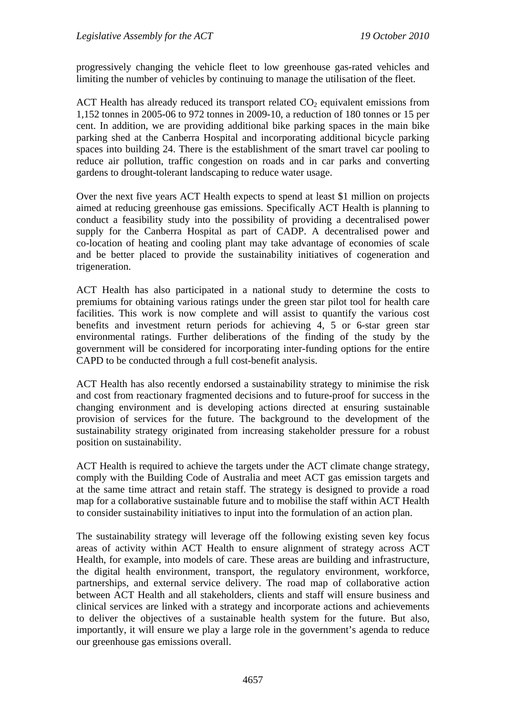progressively changing the vehicle fleet to low greenhouse gas-rated vehicles and limiting the number of vehicles by continuing to manage the utilisation of the fleet.

ACT Health has already reduced its transport related  $CO<sub>2</sub>$  equivalent emissions from 1,152 tonnes in 2005-06 to 972 tonnes in 2009-10, a reduction of 180 tonnes or 15 per cent. In addition, we are providing additional bike parking spaces in the main bike parking shed at the Canberra Hospital and incorporating additional bicycle parking spaces into building 24. There is the establishment of the smart travel car pooling to reduce air pollution, traffic congestion on roads and in car parks and converting gardens to drought-tolerant landscaping to reduce water usage.

Over the next five years ACT Health expects to spend at least \$1 million on projects aimed at reducing greenhouse gas emissions. Specifically ACT Health is planning to conduct a feasibility study into the possibility of providing a decentralised power supply for the Canberra Hospital as part of CADP. A decentralised power and co-location of heating and cooling plant may take advantage of economies of scale and be better placed to provide the sustainability initiatives of cogeneration and trigeneration.

ACT Health has also participated in a national study to determine the costs to premiums for obtaining various ratings under the green star pilot tool for health care facilities. This work is now complete and will assist to quantify the various cost benefits and investment return periods for achieving 4, 5 or 6-star green star environmental ratings. Further deliberations of the finding of the study by the government will be considered for incorporating inter-funding options for the entire CAPD to be conducted through a full cost-benefit analysis.

ACT Health has also recently endorsed a sustainability strategy to minimise the risk and cost from reactionary fragmented decisions and to future-proof for success in the changing environment and is developing actions directed at ensuring sustainable provision of services for the future. The background to the development of the sustainability strategy originated from increasing stakeholder pressure for a robust position on sustainability.

ACT Health is required to achieve the targets under the ACT climate change strategy, comply with the Building Code of Australia and meet ACT gas emission targets and at the same time attract and retain staff. The strategy is designed to provide a road map for a collaborative sustainable future and to mobilise the staff within ACT Health to consider sustainability initiatives to input into the formulation of an action plan.

The sustainability strategy will leverage off the following existing seven key focus areas of activity within ACT Health to ensure alignment of strategy across ACT Health, for example, into models of care. These areas are building and infrastructure, the digital health environment, transport, the regulatory environment, workforce, partnerships, and external service delivery. The road map of collaborative action between ACT Health and all stakeholders, clients and staff will ensure business and clinical services are linked with a strategy and incorporate actions and achievements to deliver the objectives of a sustainable health system for the future. But also, importantly, it will ensure we play a large role in the government's agenda to reduce our greenhouse gas emissions overall.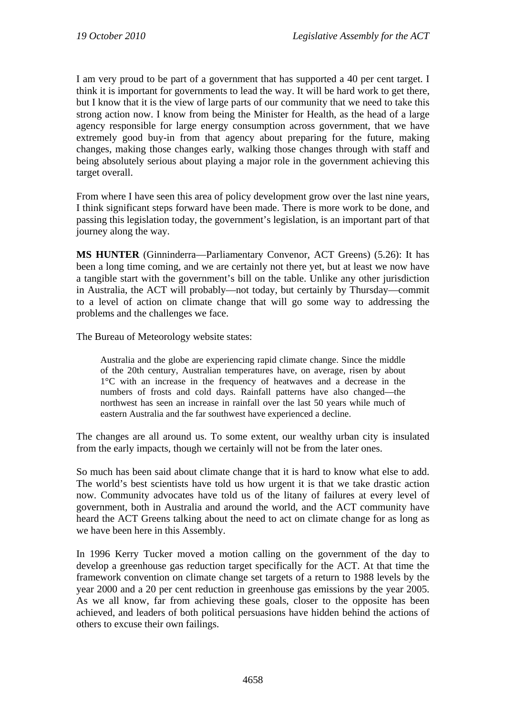I am very proud to be part of a government that has supported a 40 per cent target. I think it is important for governments to lead the way. It will be hard work to get there, but I know that it is the view of large parts of our community that we need to take this strong action now. I know from being the Minister for Health, as the head of a large agency responsible for large energy consumption across government, that we have extremely good buy-in from that agency about preparing for the future, making changes, making those changes early, walking those changes through with staff and being absolutely serious about playing a major role in the government achieving this target overall.

From where I have seen this area of policy development grow over the last nine years, I think significant steps forward have been made. There is more work to be done, and passing this legislation today, the government's legislation, is an important part of that journey along the way.

**MS HUNTER** (Ginninderra—Parliamentary Convenor, ACT Greens) (5.26): It has been a long time coming, and we are certainly not there yet, but at least we now have a tangible start with the government's bill on the table. Unlike any other jurisdiction in Australia, the ACT will probably—not today, but certainly by Thursday—commit to a level of action on climate change that will go some way to addressing the problems and the challenges we face.

The Bureau of Meteorology website states:

Australia and the globe are experiencing rapid climate change. Since the middle of the 20th century, Australian temperatures have, on average, risen by about 1°C with an increase in the frequency of heatwaves and a decrease in the numbers of frosts and cold days. Rainfall patterns have also changed—the northwest has seen an increase in rainfall over the last 50 years while much of eastern Australia and the far southwest have experienced a decline.

The changes are all around us. To some extent, our wealthy urban city is insulated from the early impacts, though we certainly will not be from the later ones.

So much has been said about climate change that it is hard to know what else to add. The world's best scientists have told us how urgent it is that we take drastic action now. Community advocates have told us of the litany of failures at every level of government, both in Australia and around the world, and the ACT community have heard the ACT Greens talking about the need to act on climate change for as long as we have been here in this Assembly.

In 1996 Kerry Tucker moved a motion calling on the government of the day to develop a greenhouse gas reduction target specifically for the ACT. At that time the framework convention on climate change set targets of a return to 1988 levels by the year 2000 and a 20 per cent reduction in greenhouse gas emissions by the year 2005. As we all know, far from achieving these goals, closer to the opposite has been achieved, and leaders of both political persuasions have hidden behind the actions of others to excuse their own failings.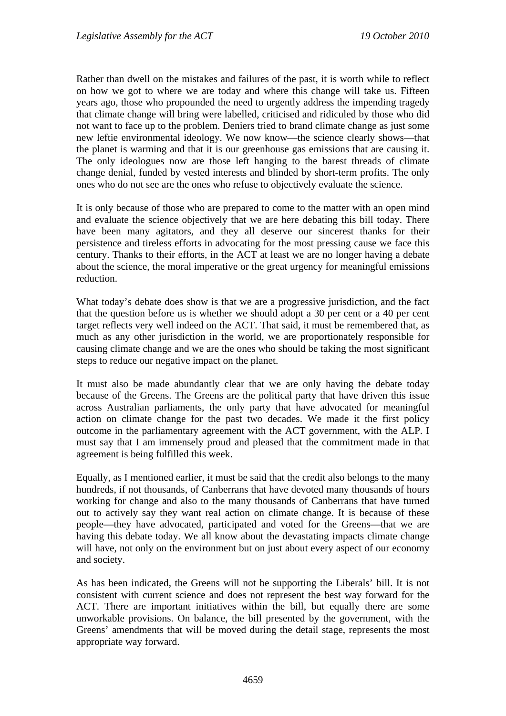Rather than dwell on the mistakes and failures of the past, it is worth while to reflect on how we got to where we are today and where this change will take us. Fifteen years ago, those who propounded the need to urgently address the impending tragedy that climate change will bring were labelled, criticised and ridiculed by those who did not want to face up to the problem. Deniers tried to brand climate change as just some new leftie environmental ideology. We now know—the science clearly shows—that the planet is warming and that it is our greenhouse gas emissions that are causing it. The only ideologues now are those left hanging to the barest threads of climate change denial, funded by vested interests and blinded by short-term profits. The only ones who do not see are the ones who refuse to objectively evaluate the science.

It is only because of those who are prepared to come to the matter with an open mind and evaluate the science objectively that we are here debating this bill today. There have been many agitators, and they all deserve our sincerest thanks for their persistence and tireless efforts in advocating for the most pressing cause we face this century. Thanks to their efforts, in the ACT at least we are no longer having a debate about the science, the moral imperative or the great urgency for meaningful emissions reduction.

What today's debate does show is that we are a progressive jurisdiction, and the fact that the question before us is whether we should adopt a 30 per cent or a 40 per cent target reflects very well indeed on the ACT. That said, it must be remembered that, as much as any other jurisdiction in the world, we are proportionately responsible for causing climate change and we are the ones who should be taking the most significant steps to reduce our negative impact on the planet.

It must also be made abundantly clear that we are only having the debate today because of the Greens. The Greens are the political party that have driven this issue across Australian parliaments, the only party that have advocated for meaningful action on climate change for the past two decades. We made it the first policy outcome in the parliamentary agreement with the ACT government, with the ALP. I must say that I am immensely proud and pleased that the commitment made in that agreement is being fulfilled this week.

Equally, as I mentioned earlier, it must be said that the credit also belongs to the many hundreds, if not thousands, of Canberrans that have devoted many thousands of hours working for change and also to the many thousands of Canberrans that have turned out to actively say they want real action on climate change. It is because of these people—they have advocated, participated and voted for the Greens—that we are having this debate today. We all know about the devastating impacts climate change will have, not only on the environment but on just about every aspect of our economy and society.

As has been indicated, the Greens will not be supporting the Liberals' bill. It is not consistent with current science and does not represent the best way forward for the ACT. There are important initiatives within the bill, but equally there are some unworkable provisions. On balance, the bill presented by the government, with the Greens' amendments that will be moved during the detail stage, represents the most appropriate way forward.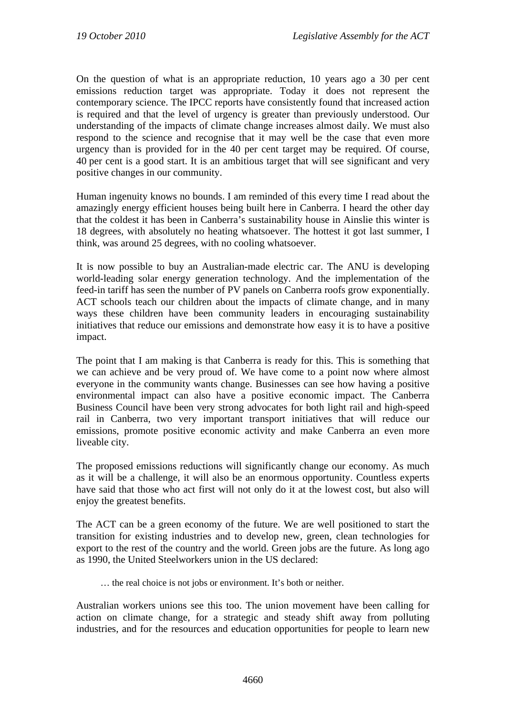On the question of what is an appropriate reduction, 10 years ago a 30 per cent emissions reduction target was appropriate. Today it does not represent the contemporary science. The IPCC reports have consistently found that increased action is required and that the level of urgency is greater than previously understood. Our understanding of the impacts of climate change increases almost daily. We must also respond to the science and recognise that it may well be the case that even more urgency than is provided for in the 40 per cent target may be required. Of course, 40 per cent is a good start. It is an ambitious target that will see significant and very positive changes in our community.

Human ingenuity knows no bounds. I am reminded of this every time I read about the amazingly energy efficient houses being built here in Canberra. I heard the other day that the coldest it has been in Canberra's sustainability house in Ainslie this winter is 18 degrees, with absolutely no heating whatsoever. The hottest it got last summer, I think, was around 25 degrees, with no cooling whatsoever.

It is now possible to buy an Australian-made electric car. The ANU is developing world-leading solar energy generation technology. And the implementation of the feed-in tariff has seen the number of PV panels on Canberra roofs grow exponentially. ACT schools teach our children about the impacts of climate change, and in many ways these children have been community leaders in encouraging sustainability initiatives that reduce our emissions and demonstrate how easy it is to have a positive impact.

The point that I am making is that Canberra is ready for this. This is something that we can achieve and be very proud of. We have come to a point now where almost everyone in the community wants change. Businesses can see how having a positive environmental impact can also have a positive economic impact. The Canberra Business Council have been very strong advocates for both light rail and high-speed rail in Canberra, two very important transport initiatives that will reduce our emissions, promote positive economic activity and make Canberra an even more liveable city.

The proposed emissions reductions will significantly change our economy. As much as it will be a challenge, it will also be an enormous opportunity. Countless experts have said that those who act first will not only do it at the lowest cost, but also will enjoy the greatest benefits.

The ACT can be a green economy of the future. We are well positioned to start the transition for existing industries and to develop new, green, clean technologies for export to the rest of the country and the world. Green jobs are the future. As long ago as 1990, the United Steelworkers union in the US declared:

… the real choice is not jobs or environment. It's both or neither.

Australian workers unions see this too. The union movement have been calling for action on climate change, for a strategic and steady shift away from polluting industries, and for the resources and education opportunities for people to learn new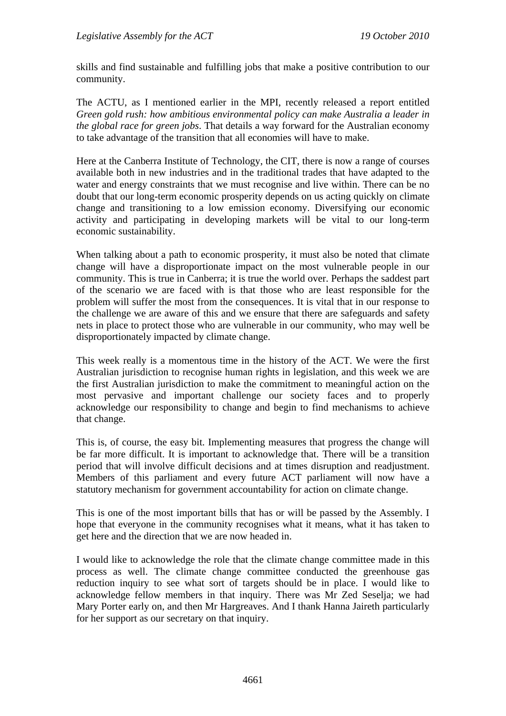skills and find sustainable and fulfilling jobs that make a positive contribution to our community.

The ACTU, as I mentioned earlier in the MPI, recently released a report entitled *Green gold rush: how ambitious environmental policy can make Australia a leader in the global race for green jobs*. That details a way forward for the Australian economy to take advantage of the transition that all economies will have to make.

Here at the Canberra Institute of Technology, the CIT, there is now a range of courses available both in new industries and in the traditional trades that have adapted to the water and energy constraints that we must recognise and live within. There can be no doubt that our long-term economic prosperity depends on us acting quickly on climate change and transitioning to a low emission economy. Diversifying our economic activity and participating in developing markets will be vital to our long-term economic sustainability.

When talking about a path to economic prosperity, it must also be noted that climate change will have a disproportionate impact on the most vulnerable people in our community. This is true in Canberra; it is true the world over. Perhaps the saddest part of the scenario we are faced with is that those who are least responsible for the problem will suffer the most from the consequences. It is vital that in our response to the challenge we are aware of this and we ensure that there are safeguards and safety nets in place to protect those who are vulnerable in our community, who may well be disproportionately impacted by climate change.

This week really is a momentous time in the history of the ACT. We were the first Australian jurisdiction to recognise human rights in legislation, and this week we are the first Australian jurisdiction to make the commitment to meaningful action on the most pervasive and important challenge our society faces and to properly acknowledge our responsibility to change and begin to find mechanisms to achieve that change.

This is, of course, the easy bit. Implementing measures that progress the change will be far more difficult. It is important to acknowledge that. There will be a transition period that will involve difficult decisions and at times disruption and readjustment. Members of this parliament and every future ACT parliament will now have a statutory mechanism for government accountability for action on climate change.

This is one of the most important bills that has or will be passed by the Assembly. I hope that everyone in the community recognises what it means, what it has taken to get here and the direction that we are now headed in.

I would like to acknowledge the role that the climate change committee made in this process as well. The climate change committee conducted the greenhouse gas reduction inquiry to see what sort of targets should be in place. I would like to acknowledge fellow members in that inquiry. There was Mr Zed Seselja; we had Mary Porter early on, and then Mr Hargreaves. And I thank Hanna Jaireth particularly for her support as our secretary on that inquiry.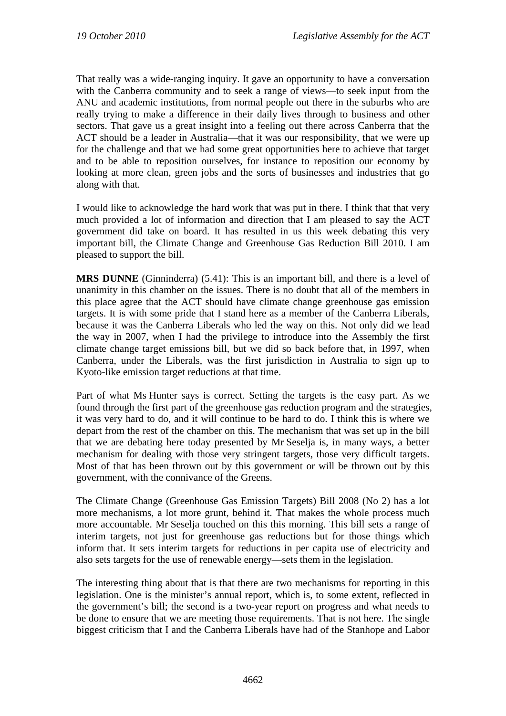That really was a wide-ranging inquiry. It gave an opportunity to have a conversation with the Canberra community and to seek a range of views—to seek input from the ANU and academic institutions, from normal people out there in the suburbs who are really trying to make a difference in their daily lives through to business and other sectors. That gave us a great insight into a feeling out there across Canberra that the ACT should be a leader in Australia—that it was our responsibility, that we were up for the challenge and that we had some great opportunities here to achieve that target and to be able to reposition ourselves, for instance to reposition our economy by looking at more clean, green jobs and the sorts of businesses and industries that go along with that.

I would like to acknowledge the hard work that was put in there. I think that that very much provided a lot of information and direction that I am pleased to say the ACT government did take on board. It has resulted in us this week debating this very important bill, the Climate Change and Greenhouse Gas Reduction Bill 2010. I am pleased to support the bill.

**MRS DUNNE** (Ginninderra) (5.41): This is an important bill, and there is a level of unanimity in this chamber on the issues. There is no doubt that all of the members in this place agree that the ACT should have climate change greenhouse gas emission targets. It is with some pride that I stand here as a member of the Canberra Liberals, because it was the Canberra Liberals who led the way on this. Not only did we lead the way in 2007, when I had the privilege to introduce into the Assembly the first climate change target emissions bill, but we did so back before that, in 1997, when Canberra, under the Liberals, was the first jurisdiction in Australia to sign up to Kyoto-like emission target reductions at that time.

Part of what Ms Hunter says is correct. Setting the targets is the easy part. As we found through the first part of the greenhouse gas reduction program and the strategies, it was very hard to do, and it will continue to be hard to do. I think this is where we depart from the rest of the chamber on this. The mechanism that was set up in the bill that we are debating here today presented by Mr Seselja is, in many ways, a better mechanism for dealing with those very stringent targets, those very difficult targets. Most of that has been thrown out by this government or will be thrown out by this government, with the connivance of the Greens.

The Climate Change (Greenhouse Gas Emission Targets) Bill 2008 (No 2) has a lot more mechanisms, a lot more grunt, behind it. That makes the whole process much more accountable. Mr Seselja touched on this this morning. This bill sets a range of interim targets, not just for greenhouse gas reductions but for those things which inform that. It sets interim targets for reductions in per capita use of electricity and also sets targets for the use of renewable energy—sets them in the legislation.

The interesting thing about that is that there are two mechanisms for reporting in this legislation. One is the minister's annual report, which is, to some extent, reflected in the government's bill; the second is a two-year report on progress and what needs to be done to ensure that we are meeting those requirements. That is not here. The single biggest criticism that I and the Canberra Liberals have had of the Stanhope and Labor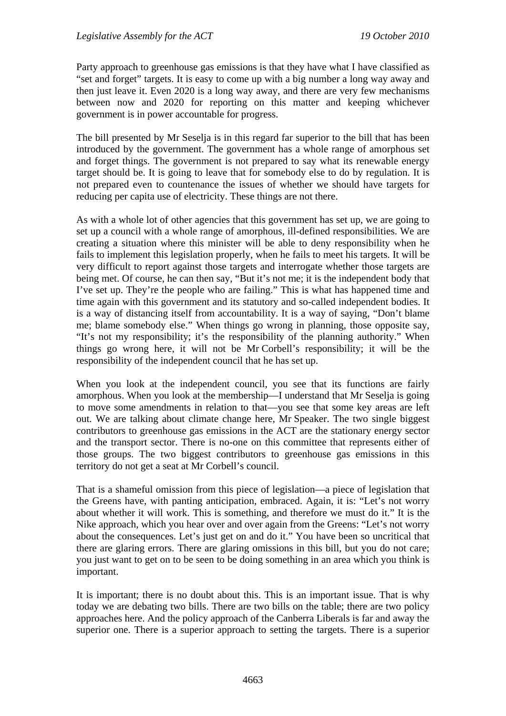Party approach to greenhouse gas emissions is that they have what I have classified as "set and forget" targets. It is easy to come up with a big number a long way away and then just leave it. Even 2020 is a long way away, and there are very few mechanisms between now and 2020 for reporting on this matter and keeping whichever government is in power accountable for progress.

The bill presented by Mr Seselja is in this regard far superior to the bill that has been introduced by the government. The government has a whole range of amorphous set and forget things. The government is not prepared to say what its renewable energy target should be. It is going to leave that for somebody else to do by regulation. It is not prepared even to countenance the issues of whether we should have targets for reducing per capita use of electricity. These things are not there.

As with a whole lot of other agencies that this government has set up, we are going to set up a council with a whole range of amorphous, ill-defined responsibilities. We are creating a situation where this minister will be able to deny responsibility when he fails to implement this legislation properly, when he fails to meet his targets. It will be very difficult to report against those targets and interrogate whether those targets are being met. Of course, he can then say, "But it's not me; it is the independent body that I've set up. They're the people who are failing." This is what has happened time and time again with this government and its statutory and so-called independent bodies. It is a way of distancing itself from accountability. It is a way of saying, "Don't blame me; blame somebody else." When things go wrong in planning, those opposite say, "It's not my responsibility; it's the responsibility of the planning authority." When things go wrong here, it will not be Mr Corbell's responsibility; it will be the responsibility of the independent council that he has set up.

When you look at the independent council, you see that its functions are fairly amorphous. When you look at the membership—I understand that Mr Seselja is going to move some amendments in relation to that—you see that some key areas are left out. We are talking about climate change here, Mr Speaker. The two single biggest contributors to greenhouse gas emissions in the ACT are the stationary energy sector and the transport sector. There is no-one on this committee that represents either of those groups. The two biggest contributors to greenhouse gas emissions in this territory do not get a seat at Mr Corbell's council.

That is a shameful omission from this piece of legislation—a piece of legislation that the Greens have, with panting anticipation, embraced. Again, it is: "Let's not worry about whether it will work. This is something, and therefore we must do it." It is the Nike approach, which you hear over and over again from the Greens: "Let's not worry about the consequences. Let's just get on and do it." You have been so uncritical that there are glaring errors. There are glaring omissions in this bill, but you do not care; you just want to get on to be seen to be doing something in an area which you think is important.

It is important; there is no doubt about this. This is an important issue. That is why today we are debating two bills. There are two bills on the table; there are two policy approaches here. And the policy approach of the Canberra Liberals is far and away the superior one. There is a superior approach to setting the targets. There is a superior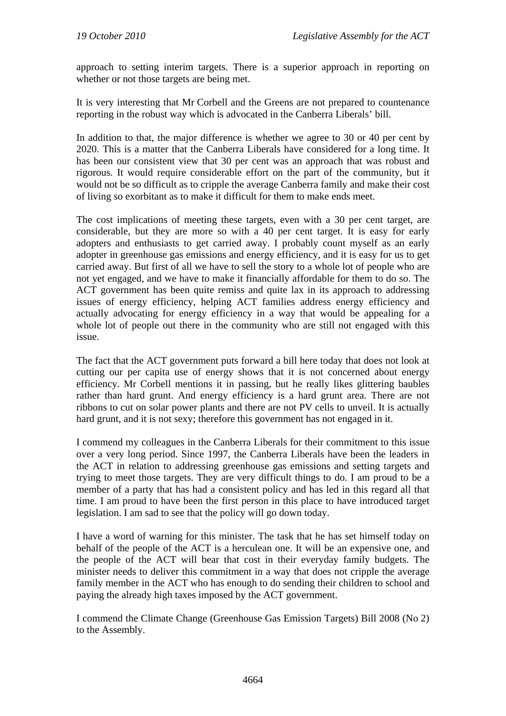approach to setting interim targets. There is a superior approach in reporting on whether or not those targets are being met.

It is very interesting that Mr Corbell and the Greens are not prepared to countenance reporting in the robust way which is advocated in the Canberra Liberals' bill.

In addition to that, the major difference is whether we agree to 30 or 40 per cent by 2020. This is a matter that the Canberra Liberals have considered for a long time. It has been our consistent view that 30 per cent was an approach that was robust and rigorous. It would require considerable effort on the part of the community, but it would not be so difficult as to cripple the average Canberra family and make their cost of living so exorbitant as to make it difficult for them to make ends meet.

The cost implications of meeting these targets, even with a 30 per cent target, are considerable, but they are more so with a 40 per cent target. It is easy for early adopters and enthusiasts to get carried away. I probably count myself as an early adopter in greenhouse gas emissions and energy efficiency, and it is easy for us to get carried away. But first of all we have to sell the story to a whole lot of people who are not yet engaged, and we have to make it financially affordable for them to do so. The ACT government has been quite remiss and quite lax in its approach to addressing issues of energy efficiency, helping ACT families address energy efficiency and actually advocating for energy efficiency in a way that would be appealing for a whole lot of people out there in the community who are still not engaged with this issue.

The fact that the ACT government puts forward a bill here today that does not look at cutting our per capita use of energy shows that it is not concerned about energy efficiency. Mr Corbell mentions it in passing, but he really likes glittering baubles rather than hard grunt. And energy efficiency is a hard grunt area. There are not ribbons to cut on solar power plants and there are not PV cells to unveil. It is actually hard grunt, and it is not sexy; therefore this government has not engaged in it.

I commend my colleagues in the Canberra Liberals for their commitment to this issue over a very long period. Since 1997, the Canberra Liberals have been the leaders in the ACT in relation to addressing greenhouse gas emissions and setting targets and trying to meet those targets. They are very difficult things to do. I am proud to be a member of a party that has had a consistent policy and has led in this regard all that time. I am proud to have been the first person in this place to have introduced target legislation. I am sad to see that the policy will go down today.

I have a word of warning for this minister. The task that he has set himself today on behalf of the people of the ACT is a herculean one. It will be an expensive one, and the people of the ACT will bear that cost in their everyday family budgets. The minister needs to deliver this commitment in a way that does not cripple the average family member in the ACT who has enough to do sending their children to school and paying the already high taxes imposed by the ACT government.

I commend the Climate Change (Greenhouse Gas Emission Targets) Bill 2008 (No 2) to the Assembly.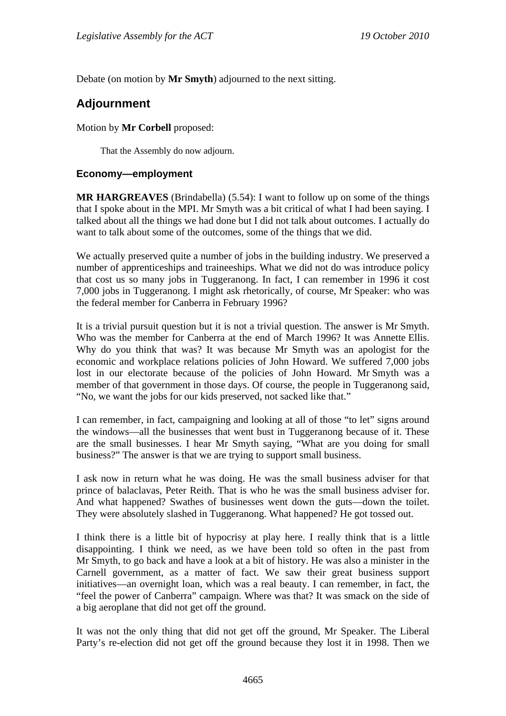Debate (on motion by **Mr Smyth**) adjourned to the next sitting.

# **Adjournment**

### Motion by **Mr Corbell** proposed:

That the Assembly do now adjourn.

### **Economy—employment**

**MR HARGREAVES** (Brindabella) (5.54): I want to follow up on some of the things that I spoke about in the MPI. Mr Smyth was a bit critical of what I had been saying. I talked about all the things we had done but I did not talk about outcomes. I actually do want to talk about some of the outcomes, some of the things that we did.

We actually preserved quite a number of jobs in the building industry. We preserved a number of apprenticeships and traineeships. What we did not do was introduce policy that cost us so many jobs in Tuggeranong. In fact, I can remember in 1996 it cost 7,000 jobs in Tuggeranong. I might ask rhetorically, of course, Mr Speaker: who was the federal member for Canberra in February 1996?

It is a trivial pursuit question but it is not a trivial question. The answer is Mr Smyth. Who was the member for Canberra at the end of March 1996? It was Annette Ellis. Why do you think that was? It was because Mr Smyth was an apologist for the economic and workplace relations policies of John Howard. We suffered 7,000 jobs lost in our electorate because of the policies of John Howard. Mr Smyth was a member of that government in those days. Of course, the people in Tuggeranong said, "No, we want the jobs for our kids preserved, not sacked like that."

I can remember, in fact, campaigning and looking at all of those "to let" signs around the windows—all the businesses that went bust in Tuggeranong because of it. These are the small businesses. I hear Mr Smyth saying, "What are you doing for small business?" The answer is that we are trying to support small business.

I ask now in return what he was doing. He was the small business adviser for that prince of balaclavas, Peter Reith. That is who he was the small business adviser for. And what happened? Swathes of businesses went down the guts—down the toilet. They were absolutely slashed in Tuggeranong. What happened? He got tossed out.

I think there is a little bit of hypocrisy at play here. I really think that is a little disappointing. I think we need, as we have been told so often in the past from Mr Smyth, to go back and have a look at a bit of history. He was also a minister in the Carnell government, as a matter of fact. We saw their great business support initiatives—an overnight loan, which was a real beauty. I can remember, in fact, the "feel the power of Canberra" campaign. Where was that? It was smack on the side of a big aeroplane that did not get off the ground.

It was not the only thing that did not get off the ground, Mr Speaker. The Liberal Party's re-election did not get off the ground because they lost it in 1998. Then we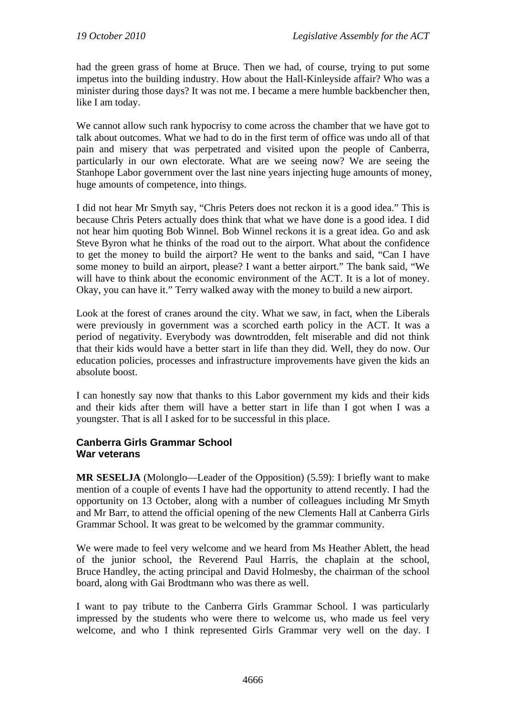had the green grass of home at Bruce. Then we had, of course, trying to put some impetus into the building industry. How about the Hall-Kinleyside affair? Who was a minister during those days? It was not me. I became a mere humble backbencher then, like I am today.

We cannot allow such rank hypocrisy to come across the chamber that we have got to talk about outcomes. What we had to do in the first term of office was undo all of that pain and misery that was perpetrated and visited upon the people of Canberra, particularly in our own electorate. What are we seeing now? We are seeing the Stanhope Labor government over the last nine years injecting huge amounts of money, huge amounts of competence, into things.

I did not hear Mr Smyth say, "Chris Peters does not reckon it is a good idea." This is because Chris Peters actually does think that what we have done is a good idea. I did not hear him quoting Bob Winnel. Bob Winnel reckons it is a great idea. Go and ask Steve Byron what he thinks of the road out to the airport. What about the confidence to get the money to build the airport? He went to the banks and said, "Can I have some money to build an airport, please? I want a better airport." The bank said, "We will have to think about the economic environment of the ACT. It is a lot of money. Okay, you can have it." Terry walked away with the money to build a new airport.

Look at the forest of cranes around the city. What we saw, in fact, when the Liberals were previously in government was a scorched earth policy in the ACT. It was a period of negativity. Everybody was downtrodden, felt miserable and did not think that their kids would have a better start in life than they did. Well, they do now. Our education policies, processes and infrastructure improvements have given the kids an absolute boost.

I can honestly say now that thanks to this Labor government my kids and their kids and their kids after them will have a better start in life than I got when I was a youngster. That is all I asked for to be successful in this place.

## **Canberra Girls Grammar School War veterans**

**MR SESELJA** (Molonglo—Leader of the Opposition) (5.59): I briefly want to make mention of a couple of events I have had the opportunity to attend recently. I had the opportunity on 13 October, along with a number of colleagues including Mr Smyth and Mr Barr, to attend the official opening of the new Clements Hall at Canberra Girls Grammar School. It was great to be welcomed by the grammar community.

We were made to feel very welcome and we heard from Ms Heather Ablett, the head of the junior school, the Reverend Paul Harris, the chaplain at the school, Bruce Handley, the acting principal and David Holmesby, the chairman of the school board, along with Gai Brodtmann who was there as well.

I want to pay tribute to the Canberra Girls Grammar School. I was particularly impressed by the students who were there to welcome us, who made us feel very welcome, and who I think represented Girls Grammar very well on the day. I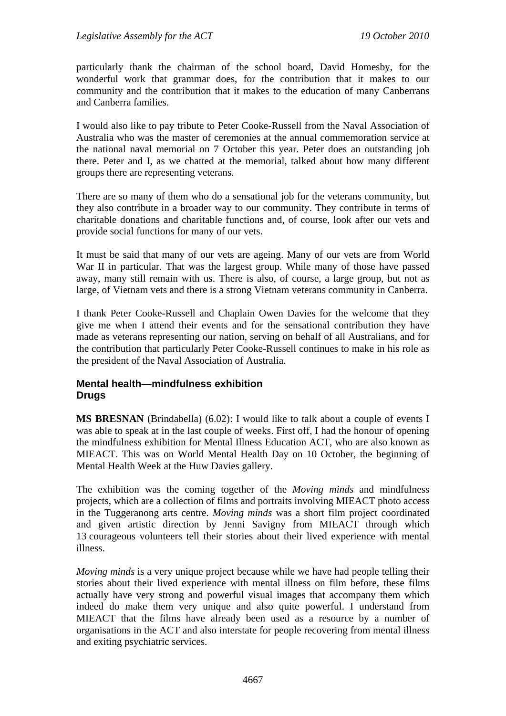particularly thank the chairman of the school board, David Homesby, for the wonderful work that grammar does, for the contribution that it makes to our community and the contribution that it makes to the education of many Canberrans and Canberra families.

I would also like to pay tribute to Peter Cooke-Russell from the Naval Association of Australia who was the master of ceremonies at the annual commemoration service at the national naval memorial on 7 October this year. Peter does an outstanding job there. Peter and I, as we chatted at the memorial, talked about how many different groups there are representing veterans.

There are so many of them who do a sensational job for the veterans community, but they also contribute in a broader way to our community. They contribute in terms of charitable donations and charitable functions and, of course, look after our vets and provide social functions for many of our vets.

It must be said that many of our vets are ageing. Many of our vets are from World War II in particular. That was the largest group. While many of those have passed away, many still remain with us. There is also, of course, a large group, but not as large, of Vietnam vets and there is a strong Vietnam veterans community in Canberra.

I thank Peter Cooke-Russell and Chaplain Owen Davies for the welcome that they give me when I attend their events and for the sensational contribution they have made as veterans representing our nation, serving on behalf of all Australians, and for the contribution that particularly Peter Cooke-Russell continues to make in his role as the president of the Naval Association of Australia.

### **Mental health—mindfulness exhibition Drugs**

**MS BRESNAN** (Brindabella) (6.02): I would like to talk about a couple of events I was able to speak at in the last couple of weeks. First off, I had the honour of opening the mindfulness exhibition for Mental Illness Education ACT, who are also known as MIEACT. This was on World Mental Health Day on 10 October, the beginning of Mental Health Week at the Huw Davies gallery.

The exhibition was the coming together of the *Moving minds* and mindfulness projects, which are a collection of films and portraits involving MIEACT photo access in the Tuggeranong arts centre. *Moving minds* was a short film project coordinated and given artistic direction by Jenni Savigny from MIEACT through which 13 courageous volunteers tell their stories about their lived experience with mental illness.

*Moving minds* is a very unique project because while we have had people telling their stories about their lived experience with mental illness on film before, these films actually have very strong and powerful visual images that accompany them which indeed do make them very unique and also quite powerful. I understand from MIEACT that the films have already been used as a resource by a number of organisations in the ACT and also interstate for people recovering from mental illness and exiting psychiatric services.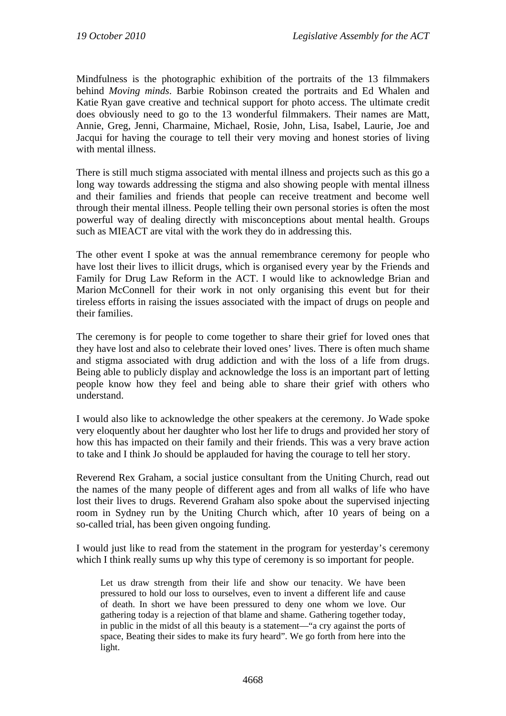Mindfulness is the photographic exhibition of the portraits of the 13 filmmakers behind *Moving minds*. Barbie Robinson created the portraits and Ed Whalen and Katie Ryan gave creative and technical support for photo access. The ultimate credit does obviously need to go to the 13 wonderful filmmakers. Their names are Matt, Annie, Greg, Jenni, Charmaine, Michael, Rosie, John, Lisa, Isabel, Laurie, Joe and Jacqui for having the courage to tell their very moving and honest stories of living with mental illness.

There is still much stigma associated with mental illness and projects such as this go a long way towards addressing the stigma and also showing people with mental illness and their families and friends that people can receive treatment and become well through their mental illness. People telling their own personal stories is often the most powerful way of dealing directly with misconceptions about mental health. Groups such as MIEACT are vital with the work they do in addressing this.

The other event I spoke at was the annual remembrance ceremony for people who have lost their lives to illicit drugs, which is organised every year by the Friends and Family for Drug Law Reform in the ACT. I would like to acknowledge Brian and Marion McConnell for their work in not only organising this event but for their tireless efforts in raising the issues associated with the impact of drugs on people and their families.

The ceremony is for people to come together to share their grief for loved ones that they have lost and also to celebrate their loved ones' lives. There is often much shame and stigma associated with drug addiction and with the loss of a life from drugs. Being able to publicly display and acknowledge the loss is an important part of letting people know how they feel and being able to share their grief with others who understand.

I would also like to acknowledge the other speakers at the ceremony. Jo Wade spoke very eloquently about her daughter who lost her life to drugs and provided her story of how this has impacted on their family and their friends. This was a very brave action to take and I think Jo should be applauded for having the courage to tell her story.

Reverend Rex Graham, a social justice consultant from the Uniting Church, read out the names of the many people of different ages and from all walks of life who have lost their lives to drugs. Reverend Graham also spoke about the supervised injecting room in Sydney run by the Uniting Church which, after 10 years of being on a so-called trial, has been given ongoing funding.

I would just like to read from the statement in the program for yesterday's ceremony which I think really sums up why this type of ceremony is so important for people.

Let us draw strength from their life and show our tenacity. We have been pressured to hold our loss to ourselves, even to invent a different life and cause of death. In short we have been pressured to deny one whom we love. Our gathering today is a rejection of that blame and shame. Gathering together today, in public in the midst of all this beauty is a statement—"a cry against the ports of space, Beating their sides to make its fury heard". We go forth from here into the light.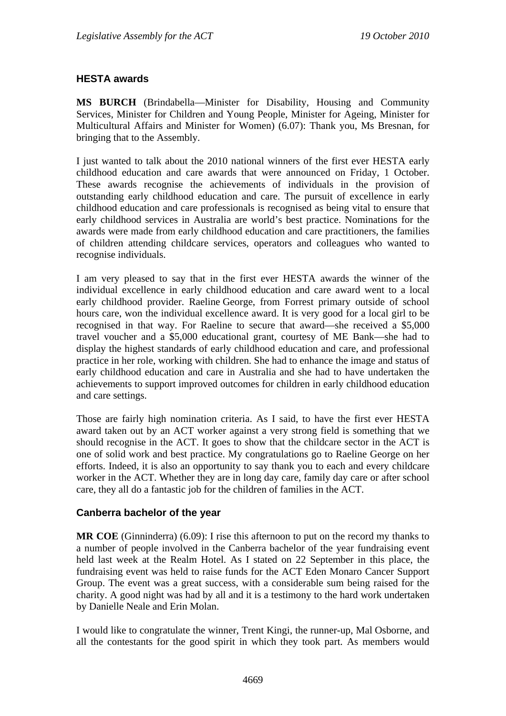## **HESTA awards**

**MS BURCH** (Brindabella—Minister for Disability, Housing and Community Services, Minister for Children and Young People, Minister for Ageing, Minister for Multicultural Affairs and Minister for Women) (6.07): Thank you, Ms Bresnan, for bringing that to the Assembly.

I just wanted to talk about the 2010 national winners of the first ever HESTA early childhood education and care awards that were announced on Friday, 1 October. These awards recognise the achievements of individuals in the provision of outstanding early childhood education and care. The pursuit of excellence in early childhood education and care professionals is recognised as being vital to ensure that early childhood services in Australia are world's best practice. Nominations for the awards were made from early childhood education and care practitioners, the families of children attending childcare services, operators and colleagues who wanted to recognise individuals.

I am very pleased to say that in the first ever HESTA awards the winner of the individual excellence in early childhood education and care award went to a local early childhood provider. Raeline George, from Forrest primary outside of school hours care, won the individual excellence award. It is very good for a local girl to be recognised in that way. For Raeline to secure that award—she received a \$5,000 travel voucher and a \$5,000 educational grant, courtesy of ME Bank—she had to display the highest standards of early childhood education and care, and professional practice in her role, working with children. She had to enhance the image and status of early childhood education and care in Australia and she had to have undertaken the achievements to support improved outcomes for children in early childhood education and care settings.

Those are fairly high nomination criteria. As I said, to have the first ever HESTA award taken out by an ACT worker against a very strong field is something that we should recognise in the ACT. It goes to show that the childcare sector in the ACT is one of solid work and best practice. My congratulations go to Raeline George on her efforts. Indeed, it is also an opportunity to say thank you to each and every childcare worker in the ACT. Whether they are in long day care, family day care or after school care, they all do a fantastic job for the children of families in the ACT.

#### **Canberra bachelor of the year**

**MR COE** (Ginninderra) (6.09): I rise this afternoon to put on the record my thanks to a number of people involved in the Canberra bachelor of the year fundraising event held last week at the Realm Hotel. As I stated on 22 September in this place, the fundraising event was held to raise funds for the ACT Eden Monaro Cancer Support Group. The event was a great success, with a considerable sum being raised for the charity. A good night was had by all and it is a testimony to the hard work undertaken by Danielle Neale and Erin Molan.

I would like to congratulate the winner, Trent Kingi, the runner-up, Mal Osborne, and all the contestants for the good spirit in which they took part. As members would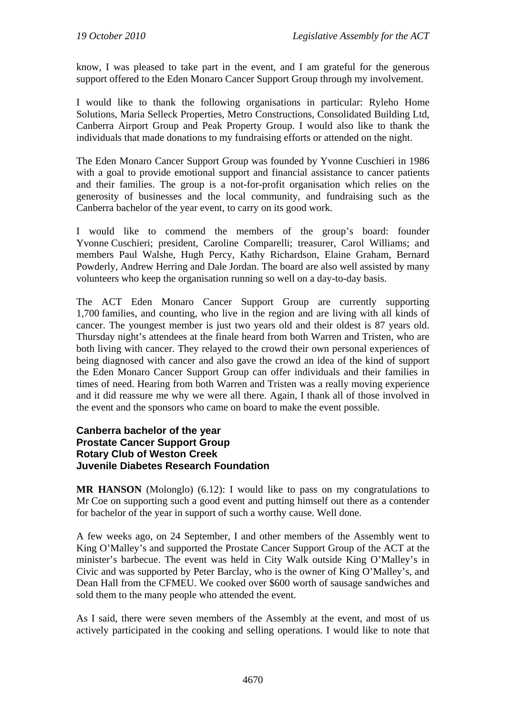know, I was pleased to take part in the event, and I am grateful for the generous support offered to the Eden Monaro Cancer Support Group through my involvement.

I would like to thank the following organisations in particular: Ryleho Home Solutions, Maria Selleck Properties, Metro Constructions, Consolidated Building Ltd, Canberra Airport Group and Peak Property Group. I would also like to thank the individuals that made donations to my fundraising efforts or attended on the night.

The Eden Monaro Cancer Support Group was founded by Yvonne Cuschieri in 1986 with a goal to provide emotional support and financial assistance to cancer patients and their families. The group is a not-for-profit organisation which relies on the generosity of businesses and the local community, and fundraising such as the Canberra bachelor of the year event, to carry on its good work.

I would like to commend the members of the group's board: founder Yvonne Cuschieri; president, Caroline Comparelli; treasurer, Carol Williams; and members Paul Walshe, Hugh Percy, Kathy Richardson, Elaine Graham, Bernard Powderly, Andrew Herring and Dale Jordan. The board are also well assisted by many volunteers who keep the organisation running so well on a day-to-day basis.

The ACT Eden Monaro Cancer Support Group are currently supporting 1,700 families, and counting, who live in the region and are living with all kinds of cancer. The youngest member is just two years old and their oldest is 87 years old. Thursday night's attendees at the finale heard from both Warren and Tristen, who are both living with cancer. They relayed to the crowd their own personal experiences of being diagnosed with cancer and also gave the crowd an idea of the kind of support the Eden Monaro Cancer Support Group can offer individuals and their families in times of need. Hearing from both Warren and Tristen was a really moving experience and it did reassure me why we were all there. Again, I thank all of those involved in the event and the sponsors who came on board to make the event possible.

#### **Canberra bachelor of the year Prostate Cancer Support Group Rotary Club of Weston Creek Juvenile Diabetes Research Foundation**

**MR HANSON** (Molonglo) (6.12): I would like to pass on my congratulations to Mr Coe on supporting such a good event and putting himself out there as a contender for bachelor of the year in support of such a worthy cause. Well done.

A few weeks ago, on 24 September, I and other members of the Assembly went to King O'Malley's and supported the Prostate Cancer Support Group of the ACT at the minister's barbecue. The event was held in City Walk outside King O'Malley's in Civic and was supported by Peter Barclay, who is the owner of King O'Malley's, and Dean Hall from the CFMEU. We cooked over \$600 worth of sausage sandwiches and sold them to the many people who attended the event.

As I said, there were seven members of the Assembly at the event, and most of us actively participated in the cooking and selling operations. I would like to note that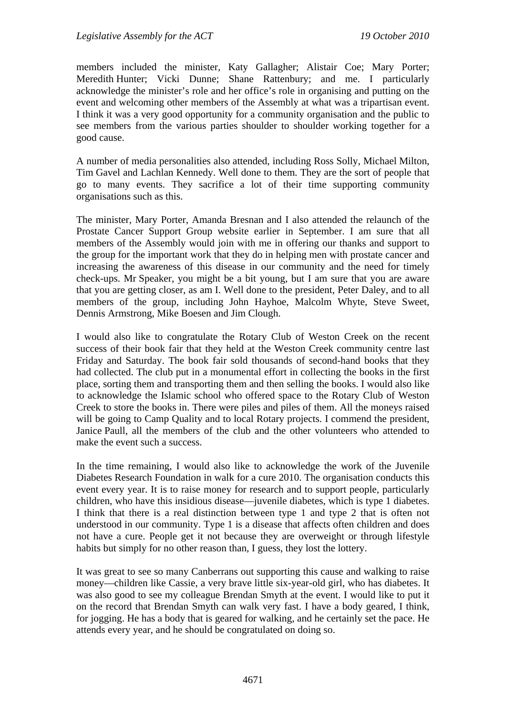members included the minister, Katy Gallagher; Alistair Coe; Mary Porter; Meredith Hunter; Vicki Dunne; Shane Rattenbury; and me. I particularly acknowledge the minister's role and her office's role in organising and putting on the event and welcoming other members of the Assembly at what was a tripartisan event. I think it was a very good opportunity for a community organisation and the public to see members from the various parties shoulder to shoulder working together for a good cause.

A number of media personalities also attended, including Ross Solly, Michael Milton, Tim Gavel and Lachlan Kennedy. Well done to them. They are the sort of people that go to many events. They sacrifice a lot of their time supporting community organisations such as this.

The minister, Mary Porter, Amanda Bresnan and I also attended the relaunch of the Prostate Cancer Support Group website earlier in September. I am sure that all members of the Assembly would join with me in offering our thanks and support to the group for the important work that they do in helping men with prostate cancer and increasing the awareness of this disease in our community and the need for timely check-ups. Mr Speaker, you might be a bit young, but I am sure that you are aware that you are getting closer, as am I. Well done to the president, Peter Daley, and to all members of the group, including John Hayhoe, Malcolm Whyte, Steve Sweet, Dennis Armstrong, Mike Boesen and Jim Clough.

I would also like to congratulate the Rotary Club of Weston Creek on the recent success of their book fair that they held at the Weston Creek community centre last Friday and Saturday. The book fair sold thousands of second-hand books that they had collected. The club put in a monumental effort in collecting the books in the first place, sorting them and transporting them and then selling the books. I would also like to acknowledge the Islamic school who offered space to the Rotary Club of Weston Creek to store the books in. There were piles and piles of them. All the moneys raised will be going to Camp Quality and to local Rotary projects. I commend the president, Janice Paull, all the members of the club and the other volunteers who attended to make the event such a success.

In the time remaining, I would also like to acknowledge the work of the Juvenile Diabetes Research Foundation in walk for a cure 2010. The organisation conducts this event every year. It is to raise money for research and to support people, particularly children, who have this insidious disease—juvenile diabetes, which is type 1 diabetes. I think that there is a real distinction between type 1 and type 2 that is often not understood in our community. Type 1 is a disease that affects often children and does not have a cure. People get it not because they are overweight or through lifestyle habits but simply for no other reason than, I guess, they lost the lottery.

It was great to see so many Canberrans out supporting this cause and walking to raise money—children like Cassie, a very brave little six-year-old girl, who has diabetes. It was also good to see my colleague Brendan Smyth at the event. I would like to put it on the record that Brendan Smyth can walk very fast. I have a body geared, I think, for jogging. He has a body that is geared for walking, and he certainly set the pace. He attends every year, and he should be congratulated on doing so.